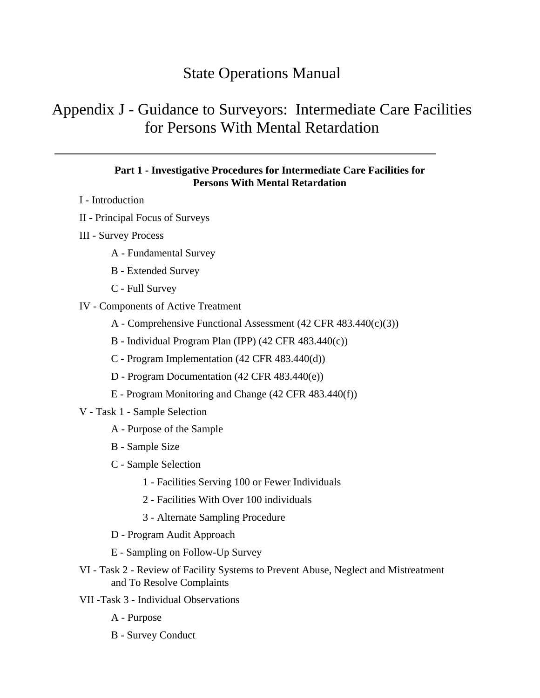# State Operations Manual

# Appendix J - Guidance to Surveyors: Intermediate Care Facilities for Persons With Mental Retardation

#### **Part 1 - Investigative Procedures for Intermediate Care Facilities for Persons With Mental Retardation**

- I Introduction
- II Principal Focus of Surveys
- III Survey Process
	- A Fundamental Survey
	- B Extended Survey
	- C Full Survey
- IV Components of Active Treatment
	- A Comprehensive Functional Assessment (42 CFR 483.440(c)(3))
	- B Individual Program Plan (IPP) (42 CFR 483.440(c))
	- C Program Implementation (42 CFR 483.440(d))
	- D Program Documentation (42 CFR 483.440(e))
	- E Program Monitoring and Change (42 CFR 483.440(f))
- V Task 1 Sample Selection
	- A Purpose of the Sample
	- B Sample Size
	- C Sample Selection
		- 1 Facilities Serving 100 or Fewer Individuals
		- 2 Facilities With Over 100 individuals
		- 3 Alternate Sampling Procedure
	- D Program Audit Approach
	- E Sampling on Follow-Up Survey
- VI Task 2 Review of Facility Systems to Prevent Abuse, Neglect and Mistreatment and To Resolve Complaints
- VII -Task 3 Individual Observations
	- A Purpose
	- B Survey Conduct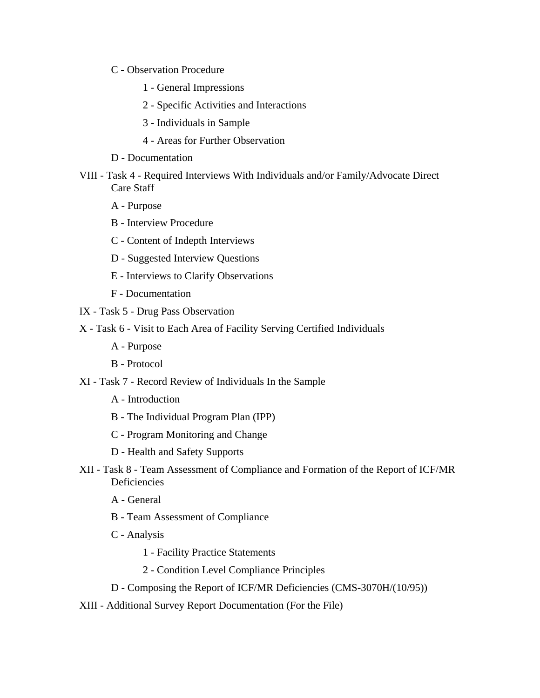- C Observation Procedure
	- 1 General Impressions
	- 2 Specific Activities and Interactions
	- 3 Individuals in Sample
	- 4 Areas for Further Observation
- D Documentation
- VIII Task 4 Required Interviews With Individuals and/or Family/Advocate Direct Care Staff
	- A Purpose
	- B Interview Procedure
	- C Content of Indepth Interviews
	- D Suggested Interview Questions
	- E Interviews to Clarify Observations
	- F Documentation
- IX Task 5 Drug Pass Observation
- X Task 6 Visit to Each Area of Facility Serving Certified Individuals
	- A Purpose
	- B Protocol
- XI Task 7 Record Review of Individuals In the Sample
	- A Introduction
	- B The Individual Program Plan (IPP)
	- C Program Monitoring and Change
	- D Health and Safety Supports
- XII Task 8 Team Assessment of Compliance and Formation of the Report of ICF/MR **Deficiencies** 
	- A General
	- B Team Assessment of Compliance
	- C Analysis
		- 1 Facility Practice Statements
		- 2 Condition Level Compliance Principles
	- D Composing the Report of ICF/MR Deficiencies (CMS-3070H/(10/95))
- XIII Additional Survey Report Documentation (For the File)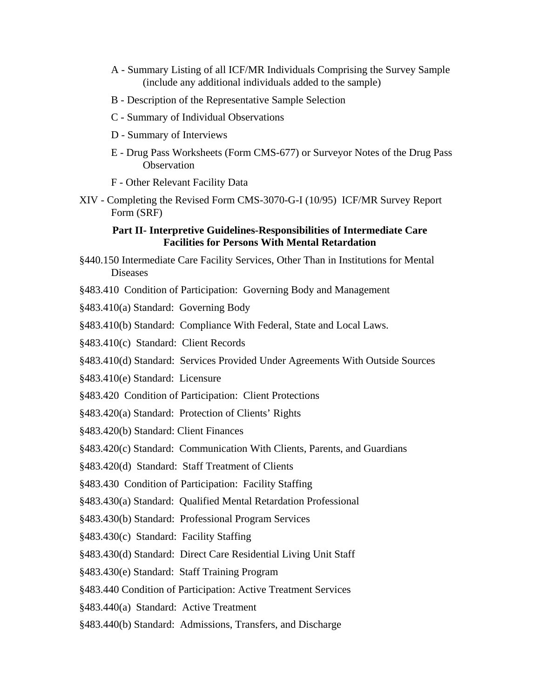- A Summary Listing of all ICF/MR Individuals Comprising the Survey Sample (include any additional individuals added to the sample)
- B Description of the Representative Sample Selection
- C Summary of Individual Observations
- D Summary of Interviews
- E Drug Pass Worksheets (Form CMS-677) or Surveyor Notes of the Drug Pass **Observation**
- F Other Relevant Facility Data
- XIV Completing the Revised Form CMS-3070-G-I (10/95) ICF/MR Survey Report Form (SRF)

#### **Part II- Interpretive Guidelines-Responsibilities of Intermediate Care Facilities for Persons With Mental Retardation**

- §440.150 Intermediate Care Facility Services, Other Than in Institutions for Mental Diseases
- §483.410 Condition of Participation: Governing Body and Management
- §483.410(a) Standard: Governing Body
- §483.410(b) Standard: Compliance With Federal, State and Local Laws.
- §483.410(c) Standard: Client Records
- §483.410(d) Standard: Services Provided Under Agreements With Outside Sources
- §483.410(e) Standard: Licensure
- §483.420 Condition of Participation: Client Protections
- §483.420(a) Standard: Protection of Clients' Rights
- §483.420(b) Standard: Client Finances
- §483.420(c) Standard: Communication With Clients, Parents, and Guardians
- §483.420(d) Standard: Staff Treatment of Clients
- §483.430 Condition of Participation: Facility Staffing
- §483.430(a) Standard: Qualified Mental Retardation Professional
- §483.430(b) Standard: Professional Program Services
- §483.430(c) Standard: Facility Staffing
- §483.430(d) Standard: Direct Care Residential Living Unit Staff
- §483.430(e) Standard: Staff Training Program
- §483.440 Condition of Participation: Active Treatment Services
- §483.440(a) Standard: Active Treatment
- §483.440(b) Standard: Admissions, Transfers, and Discharge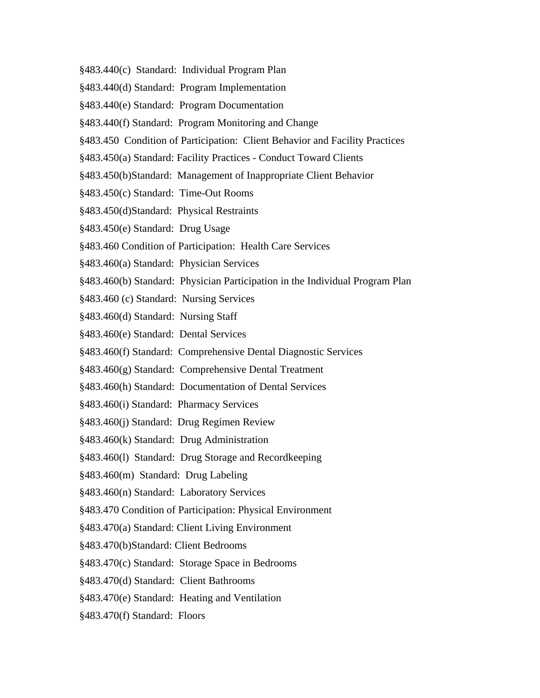- §483.440(c) Standard: Individual Program Plan
- §483.440(d) Standard: Program Implementation
- §483.440(e) Standard: Program Documentation
- §483.440(f) Standard: Program Monitoring and Change
- §483.450 Condition of Participation: Client Behavior and Facility Practices
- §483.450(a) Standard: Facility Practices Conduct Toward Clients
- §483.450(b)Standard: Management of Inappropriate Client Behavior
- §483.450(c) Standard: Time-Out Rooms
- §483.450(d)Standard: Physical Restraints
- §483.450(e) Standard: Drug Usage
- §483.460 Condition of Participation: Health Care Services
- §483.460(a) Standard: Physician Services
- §483.460(b) Standard: Physician Participation in the Individual Program Plan
- §483.460 (c) Standard: Nursing Services
- §483.460(d) Standard: Nursing Staff
- §483.460(e) Standard: Dental Services
- §483.460(f) Standard: Comprehensive Dental Diagnostic Services
- §483.460(g) Standard: Comprehensive Dental Treatment
- §483.460(h) Standard: Documentation of Dental Services
- §483.460(i) Standard: Pharmacy Services
- §483.460(j) Standard: Drug Regimen Review
- §483.460(k) Standard: Drug Administration
- §483.460(l) Standard: Drug Storage and Recordkeeping
- §483.460(m) Standard: Drug Labeling
- §483.460(n) Standard: Laboratory Services
- §483.470 Condition of Participation: Physical Environment
- §483.470(a) Standard: Client Living Environment
- §483.470(b)Standard: Client Bedrooms
- §483.470(c) Standard: Storage Space in Bedrooms
- §483.470(d) Standard: Client Bathrooms
- §483.470(e) Standard: Heating and Ventilation
- §483.470(f) Standard: Floors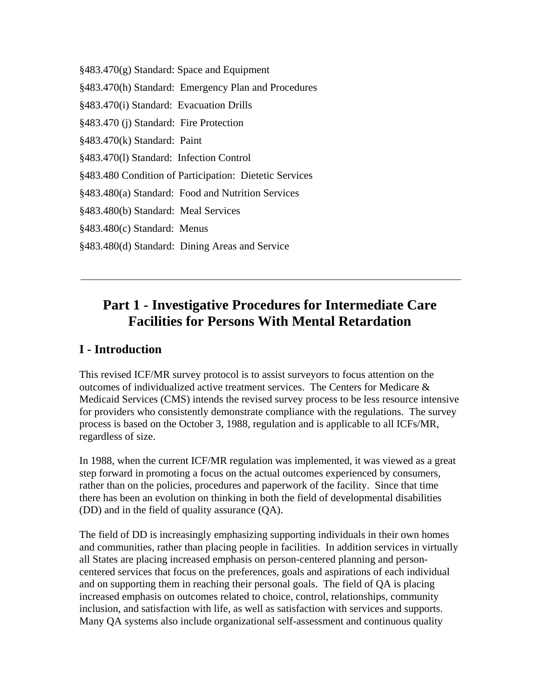§483.470(g) Standard: Space and Equipment

§483.470(h) Standard: Emergency Plan and Procedures

§483.470(i) Standard: Evacuation Drills

§483.470 (j) Standard: Fire Protection

§483.470(k) Standard: Paint

§483.470(l) Standard: Infection Control

§483.480 Condition of Participation: Dietetic Services

§483.480(a) Standard: Food and Nutrition Services

§483.480(b) Standard: Meal Services

§483.480(c) Standard: Menus

§483.480(d) Standard: Dining Areas and Service

# **Part 1 - Investigative Procedures for Intermediate Care Facilities for Persons With Mental Retardation**

#### **I - Introduction**

This revised ICF/MR survey protocol is to assist surveyors to focus attention on the outcomes of individualized active treatment services. The Centers for Medicare  $\&$ Medicaid Services (CMS) intends the revised survey process to be less resource intensive for providers who consistently demonstrate compliance with the regulations. The survey process is based on the October 3, 1988, regulation and is applicable to all ICFs/MR, regardless of size.

In 1988, when the current ICF/MR regulation was implemented, it was viewed as a great step forward in promoting a focus on the actual outcomes experienced by consumers, rather than on the policies, procedures and paperwork of the facility. Since that time there has been an evolution on thinking in both the field of developmental disabilities (DD) and in the field of quality assurance (QA).

The field of DD is increasingly emphasizing supporting individuals in their own homes and communities, rather than placing people in facilities. In addition services in virtually all States are placing increased emphasis on person-centered planning and personcentered services that focus on the preferences, goals and aspirations of each individual and on supporting them in reaching their personal goals. The field of QA is placing increased emphasis on outcomes related to choice, control, relationships, community inclusion, and satisfaction with life, as well as satisfaction with services and supports. Many QA systems also include organizational self-assessment and continuous quality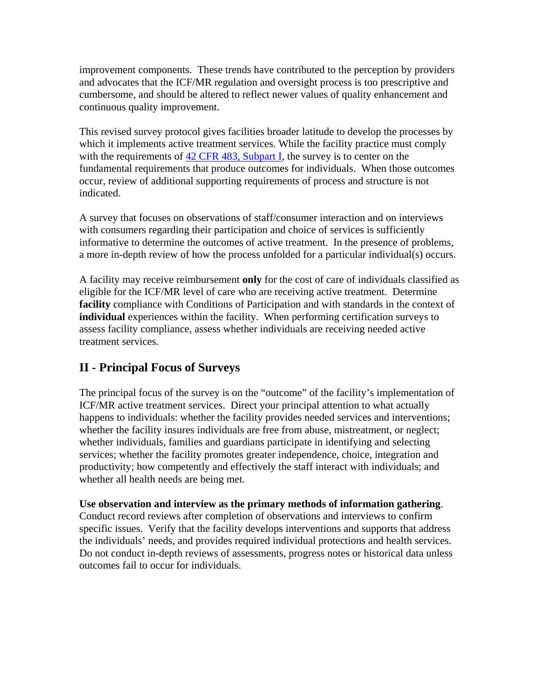improvement components. These trends have contributed to the perception by providers and advocates that the ICF/MR regulation and oversight process is too prescriptive and cumbersome, and should be altered to reflect newer values of quality enhancement and continuous quality improvement.

This revised survey protocol gives facilities broader latitude to develop the processes by which it implements active treatment services. While the facility practice must comply with the requirements of 42 CFR 483, Subpart I, the survey is to center on the fundamental requirements that produce outcomes for individuals. When those outcomes occur, review of additional supporting requirements of process and structure is not indicated.

A survey that focuses on observations of staff/consumer interaction and on interviews with consumers regarding their participation and choice of services is sufficiently informative to determine the outcomes of active treatment. In the presence of problems, a more in-depth review of how the process unfolded for a particular individual(s) occurs.

A facility may receive reimbursement **only** for the cost of care of individuals classified as eligible for the ICF/MR level of care who are receiving active treatment. Determine **facility** compliance with Conditions of Participation and with standards in the context of **individual** experiences within the facility. When performing certification surveys to assess facility compliance, assess whether individuals are receiving needed active treatment services.

# **II - Principal Focus of Surveys**

The principal focus of the survey is on the "outcome" of the facility's implementation of ICF/MR active treatment services. Direct your principal attention to what actually happens to individuals: whether the facility provides needed services and interventions; whether the facility insures individuals are free from abuse, mistreatment, or neglect; whether individuals, families and guardians participate in identifying and selecting services; whether the facility promotes greater independence, choice, integration and productivity; how competently and effectively the staff interact with individuals; and whether all health needs are being met.

**Use observation and interview as the primary methods of information gathering**. Conduct record reviews after completion of observations and interviews to confirm specific issues. Verify that the facility develops interventions and supports that address the individuals' needs, and provides required individual protections and health services. Do not conduct in-depth reviews of assessments, progress notes or historical data unless outcomes fail to occur for individuals.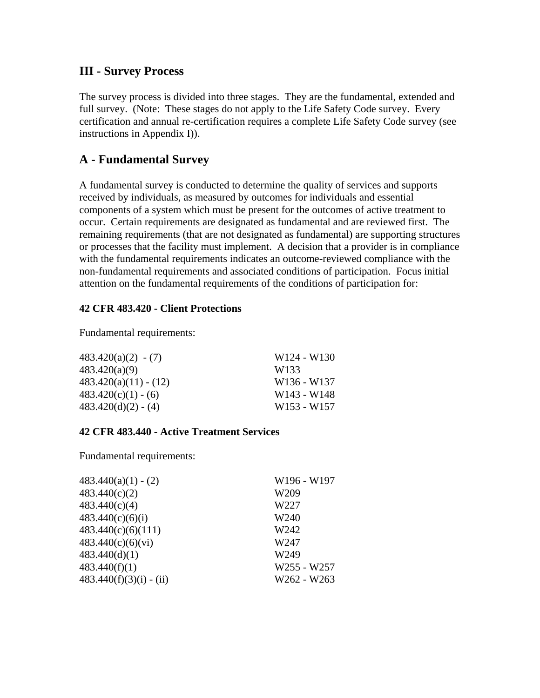#### **III - Survey Process**

The survey process is divided into three stages. They are the fundamental, extended and full survey. (Note: These stages do not apply to the Life Safety Code survey. Every certification and annual re-certification requires a complete Life Safety Code survey (see instructions in Appendix I)).

#### **A - Fundamental Survey**

A fundamental survey is conducted to determine the quality of services and supports received by individuals, as measured by outcomes for individuals and essential components of a system which must be present for the outcomes of active treatment to occur. Certain requirements are designated as fundamental and are reviewed first. The remaining requirements (that are not designated as fundamental) are supporting structures or processes that the facility must implement. A decision that a provider is in compliance with the fundamental requirements indicates an outcome-reviewed compliance with the non-fundamental requirements and associated conditions of participation. Focus initial attention on the fundamental requirements of the conditions of participation for:

#### **42 CFR 483.420 - Client Protections**

Fundamental requirements:

| $483.420(a)(2) - (7)$   | W <sub>124</sub> - W <sub>130</sub> |
|-------------------------|-------------------------------------|
| 483.420(a)(9)           | W133                                |
| $483.420(a)(11) - (12)$ | W <sub>136</sub> - W <sub>137</sub> |
| $483.420(c)(1) - (6)$   | W <sub>143</sub> - W <sub>148</sub> |
| $483.420(d)(2) - (4)$   | W <sub>153</sub> - W <sub>157</sub> |

#### **42 CFR 483.440 - Active Treatment Services**

Fundamental requirements:

| $483.440(a)(1) - (2)$     | W196 - W197      |
|---------------------------|------------------|
| 483.440(c)(2)             | W <sub>209</sub> |
| 483.440(c)(4)             | W227             |
| 483.440(c)(6)(i)          | W240             |
| 483.440(c)(6)(111)        | W242             |
| 483.440(c)(6)(vi)         | W247             |
| 483.440(d)(1)             | W249             |
| 483.440(f)(1)             | W255 - W257      |
| $483.440(f)(3)(i) - (ii)$ | W262 - W263      |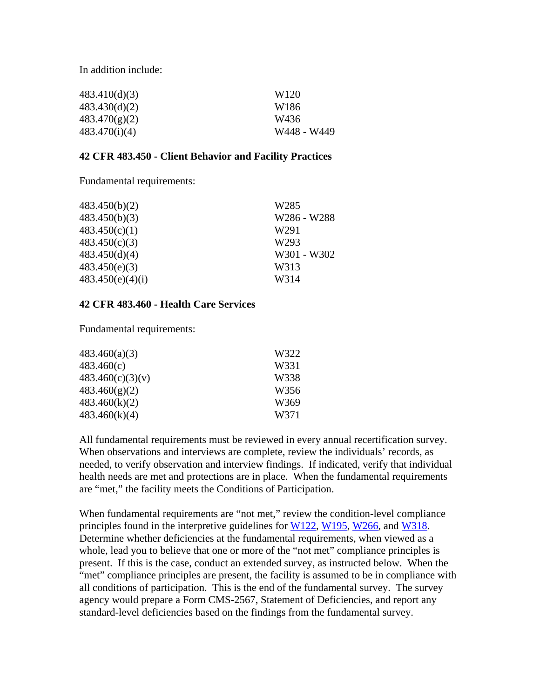In addition include:

| 483.410(d)(3) | W <sub>120</sub> |
|---------------|------------------|
| 483.430(d)(2) | W186             |
| 483.470(g)(2) | W436             |
| 483.470(i)(4) | W448 - W449      |

#### **42 CFR 483.450 - Client Behavior and Facility Practices**

Fundamental requirements:

| 483.450(b)(2)    | W <sub>285</sub> |
|------------------|------------------|
| 483.450(b)(3)    | W286 - W288      |
| 483.450(c)(1)    | W291             |
| 483.450(c)(3)    | W293             |
| 483.450(d)(4)    | W301 - W302      |
| 483.450(e)(3)    | W313             |
| 483.450(e)(4)(i) | W314             |

#### **42 CFR 483.460 - Health Care Services**

Fundamental requirements:

| 483.460(a)(3)    | W322 |
|------------------|------|
| 483.460(c)       | W331 |
| 483.460(c)(3)(v) | W338 |
| 483.460(g)(2)    | W356 |
| 483.460(k)(2)    | W369 |
| 483.460(k)(4)    | W371 |

All fundamental requirements must be reviewed in every annual recertification survey. When observations and interviews are complete, review the individuals' records, as needed, to verify observation and interview findings. If indicated, verify that individual health needs are met and protections are in place. When the fundamental requirements are "met," the facility meets the Conditions of Participation.

When fundamental requirements are "not met," review the condition-level compliance principles found in the interpretive guidelines for W122, W195, W266, and W318. Determine whether deficiencies at the fundamental requirements, when viewed as a whole, lead you to believe that one or more of the "not met" compliance principles is present. If this is the case, conduct an extended survey, as instructed below. When the "met" compliance principles are present, the facility is assumed to be in compliance with all conditions of participation. This is the end of the fundamental survey. The survey agency would prepare a Form CMS-2567, Statement of Deficiencies, and report any standard-level deficiencies based on the findings from the fundamental survey.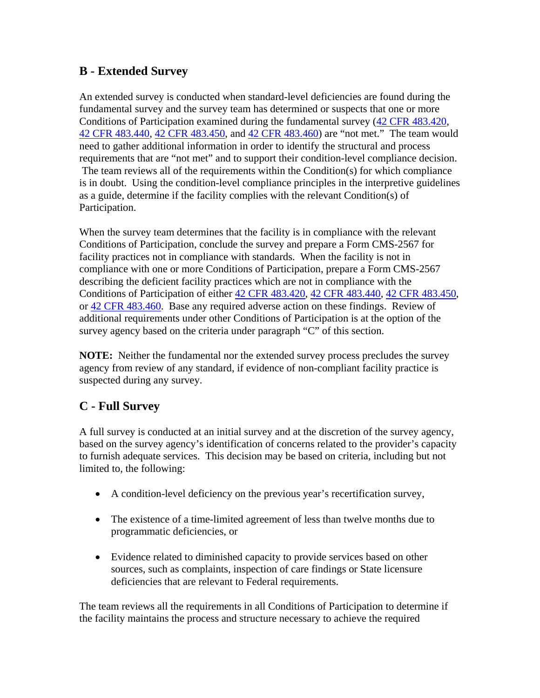# **B - Extended Survey**

An extended survey is conducted when standard-level deficiencies are found during the fundamental survey and the survey team has determined or suspects that one or more Conditions of Participation examined during the fundamental survey (42 CFR 483.420, 42 CFR 483.440, 42 CFR 483.450, and 42 CFR 483.460) are "not met." The team would need to gather additional information in order to identify the structural and process requirements that are "not met" and to support their condition-level compliance decision. The team reviews all of the requirements within the Condition(s) for which compliance is in doubt. Using the condition-level compliance principles in the interpretive guidelines as a guide, determine if the facility complies with the relevant Condition(s) of Participation.

When the survey team determines that the facility is in compliance with the relevant Conditions of Participation, conclude the survey and prepare a Form CMS-2567 for facility practices not in compliance with standards. When the facility is not in compliance with one or more Conditions of Participation, prepare a Form CMS-2567 describing the deficient facility practices which are not in compliance with the Conditions of Participation of either 42 CFR 483.420, 42 CFR 483.440, 42 CFR 483.450, or 42 CFR 483.460. Base any required adverse action on these findings. Review of additional requirements under other Conditions of Participation is at the option of the survey agency based on the criteria under paragraph "C" of this section.

**NOTE:** Neither the fundamental nor the extended survey process precludes the survey agency from review of any standard, if evidence of non-compliant facility practice is suspected during any survey.

# **C - Full Survey**

A full survey is conducted at an initial survey and at the discretion of the survey agency, based on the survey agency's identification of concerns related to the provider's capacity to furnish adequate services. This decision may be based on criteria, including but not limited to, the following:

- A condition-level deficiency on the previous year's recertification survey,
- The existence of a time-limited agreement of less than twelve months due to programmatic deficiencies, or
- Evidence related to diminished capacity to provide services based on other sources, such as complaints, inspection of care findings or State licensure deficiencies that are relevant to Federal requirements.

The team reviews all the requirements in all Conditions of Participation to determine if the facility maintains the process and structure necessary to achieve the required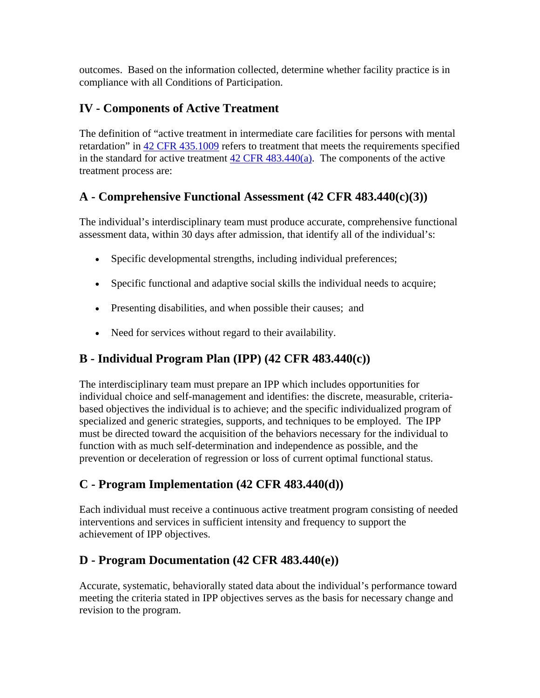outcomes. Based on the information collected, determine whether facility practice is in compliance with all Conditions of Participation.

# **IV - Components of Active Treatment**

The definition of "active treatment in intermediate care facilities for persons with mental retardation" in 42 CFR 435.1009 refers to treatment that meets the requirements specified in the standard for active treatment  $42$  CFR  $483.440(a)$ . The components of the active treatment process are:

# **A - Comprehensive Functional Assessment (42 CFR 483.440(c)(3))**

The individual's interdisciplinary team must produce accurate, comprehensive functional assessment data, within 30 days after admission, that identify all of the individual's:

- Specific developmental strengths, including individual preferences;
- Specific functional and adaptive social skills the individual needs to acquire;
- Presenting disabilities, and when possible their causes; and
- Need for services without regard to their availability.

# **B - Individual Program Plan (IPP) (42 CFR 483.440(c))**

The interdisciplinary team must prepare an IPP which includes opportunities for individual choice and self-management and identifies: the discrete, measurable, criteriabased objectives the individual is to achieve; and the specific individualized program of specialized and generic strategies, supports, and techniques to be employed. The IPP must be directed toward the acquisition of the behaviors necessary for the individual to function with as much self-determination and independence as possible, and the prevention or deceleration of regression or loss of current optimal functional status.

# **C - Program Implementation (42 CFR 483.440(d))**

Each individual must receive a continuous active treatment program consisting of needed interventions and services in sufficient intensity and frequency to support the achievement of IPP objectives.

# **D - Program Documentation (42 CFR 483.440(e))**

Accurate, systematic, behaviorally stated data about the individual's performance toward meeting the criteria stated in IPP objectives serves as the basis for necessary change and revision to the program.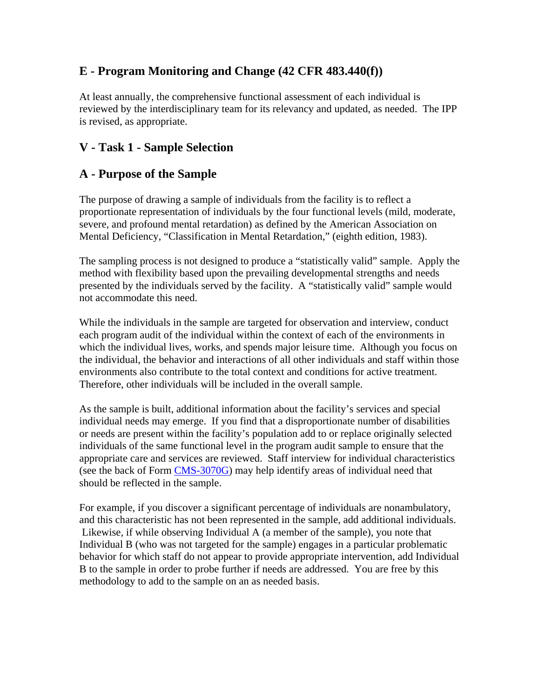# **E - Program Monitoring and Change (42 CFR 483.440(f))**

At least annually, the comprehensive functional assessment of each individual is reviewed by the interdisciplinary team for its relevancy and updated, as needed. The IPP is revised, as appropriate.

# **V - Task 1 - Sample Selection**

# **A - Purpose of the Sample**

The purpose of drawing a sample of individuals from the facility is to reflect a proportionate representation of individuals by the four functional levels (mild, moderate, severe, and profound mental retardation) as defined by the American Association on Mental Deficiency, "Classification in Mental Retardation," (eighth edition, 1983).

The sampling process is not designed to produce a "statistically valid" sample. Apply the method with flexibility based upon the prevailing developmental strengths and needs presented by the individuals served by the facility. A "statistically valid" sample would not accommodate this need.

While the individuals in the sample are targeted for observation and interview, conduct each program audit of the individual within the context of each of the environments in which the individual lives, works, and spends major leisure time. Although you focus on the individual, the behavior and interactions of all other individuals and staff within those environments also contribute to the total context and conditions for active treatment. Therefore, other individuals will be included in the overall sample.

As the sample is built, additional information about the facility's services and special individual needs may emerge. If you find that a disproportionate number of disabilities or needs are present within the facility's population add to or replace originally selected individuals of the same functional level in the program audit sample to ensure that the appropriate care and services are reviewed. Staff interview for individual characteristics (see the back of Form CMS-3070G) may help identify areas of individual need that should be reflected in the sample.

For example, if you discover a significant percentage of individuals are nonambulatory, and this characteristic has not been represented in the sample, add additional individuals. Likewise, if while observing Individual A (a member of the sample), you note that Individual B (who was not targeted for the sample) engages in a particular problematic behavior for which staff do not appear to provide appropriate intervention, add Individual B to the sample in order to probe further if needs are addressed. You are free by this methodology to add to the sample on an as needed basis.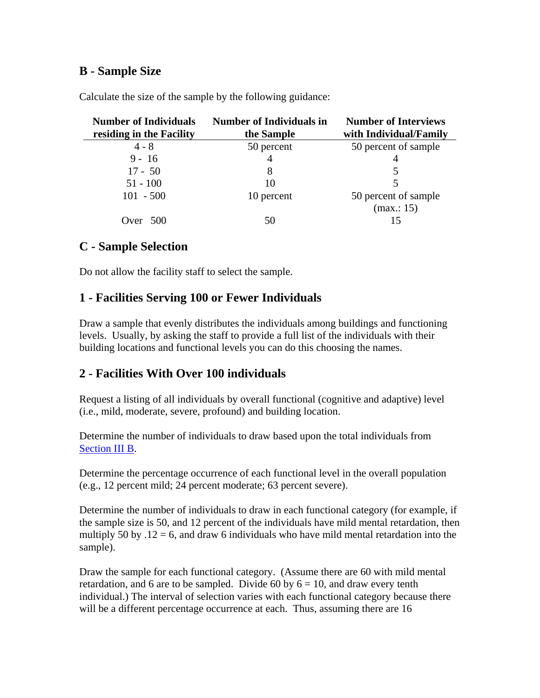### **B - Sample Size**

| <b>Number of Individuals</b><br>residing in the Facility | Number of Individuals in<br>the Sample | <b>Number of Interviews</b><br>with Individual/Family |
|----------------------------------------------------------|----------------------------------------|-------------------------------------------------------|
| $4 - 8$                                                  | 50 percent                             | 50 percent of sample                                  |
| $9 - 16$                                                 | 4                                      | 4                                                     |
| $17 - 50$                                                | 8                                      |                                                       |
| $51 - 100$                                               | 10                                     | 5                                                     |
| $101 - 500$                                              | 10 percent                             | 50 percent of sample                                  |
|                                                          |                                        | (max: 15)                                             |
| Over $500$                                               | 50                                     |                                                       |

Calculate the size of the sample by the following guidance:

### **C - Sample Selection**

Do not allow the facility staff to select the sample.

### **1 - Facilities Serving 100 or Fewer Individuals**

Draw a sample that evenly distributes the individuals among buildings and functioning levels. Usually, by asking the staff to provide a full list of the individuals with their building locations and functional levels you can do this choosing the names.

# **2 - Facilities With Over 100 individuals**

Request a listing of all individuals by overall functional (cognitive and adaptive) level (i.e., mild, moderate, severe, profound) and building location.

Determine the number of individuals to draw based upon the total individuals from Section III B.

Determine the percentage occurrence of each functional level in the overall population (e.g., 12 percent mild; 24 percent moderate; 63 percent severe).

Determine the number of individuals to draw in each functional category (for example, if the sample size is 50, and 12 percent of the individuals have mild mental retardation, then multiply 50 by  $.12 = 6$ , and draw 6 individuals who have mild mental retardation into the sample).

Draw the sample for each functional category. (Assume there are 60 with mild mental retardation, and 6 are to be sampled. Divide 60 by  $6 = 10$ , and draw every tenth individual.) The interval of selection varies with each functional category because there will be a different percentage occurrence at each. Thus, assuming there are 16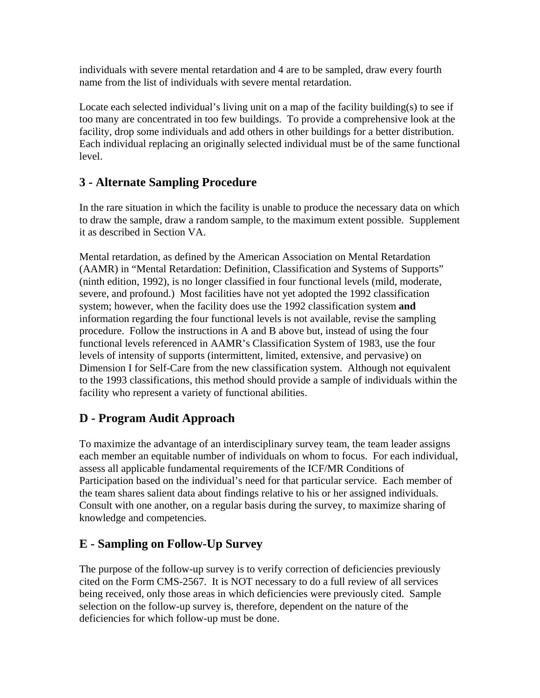individuals with severe mental retardation and 4 are to be sampled, draw every fourth name from the list of individuals with severe mental retardation.

Locate each selected individual's living unit on a map of the facility building(s) to see if too many are concentrated in too few buildings. To provide a comprehensive look at the facility, drop some individuals and add others in other buildings for a better distribution. Each individual replacing an originally selected individual must be of the same functional level.

# **3 - Alternate Sampling Procedure**

In the rare situation in which the facility is unable to produce the necessary data on which to draw the sample, draw a random sample, to the maximum extent possible. Supplement it as described in Section VA.

Mental retardation, as defined by the American Association on Mental Retardation (AAMR) in "Mental Retardation: Definition, Classification and Systems of Supports" (ninth edition, 1992), is no longer classified in four functional levels (mild, moderate, severe, and profound.) Most facilities have not yet adopted the 1992 classification system; however, when the facility does use the 1992 classification system **and** information regarding the four functional levels is not available, revise the sampling procedure. Follow the instructions in A and B above but, instead of using the four functional levels referenced in AAMR's Classification System of 1983, use the four levels of intensity of supports (intermittent, limited, extensive, and pervasive) on Dimension I for Self-Care from the new classification system. Although not equivalent to the 1993 classifications, this method should provide a sample of individuals within the facility who represent a variety of functional abilities.

# **D - Program Audit Approach**

To maximize the advantage of an interdisciplinary survey team, the team leader assigns each member an equitable number of individuals on whom to focus. For each individual, assess all applicable fundamental requirements of the ICF/MR Conditions of Participation based on the individual's need for that particular service. Each member of the team shares salient data about findings relative to his or her assigned individuals. Consult with one another, on a regular basis during the survey, to maximize sharing of knowledge and competencies.

# **E - Sampling on Follow-Up Survey**

The purpose of the follow-up survey is to verify correction of deficiencies previously cited on the Form CMS-2567. It is NOT necessary to do a full review of all services being received, only those areas in which deficiencies were previously cited. Sample selection on the follow-up survey is, therefore, dependent on the nature of the deficiencies for which follow-up must be done.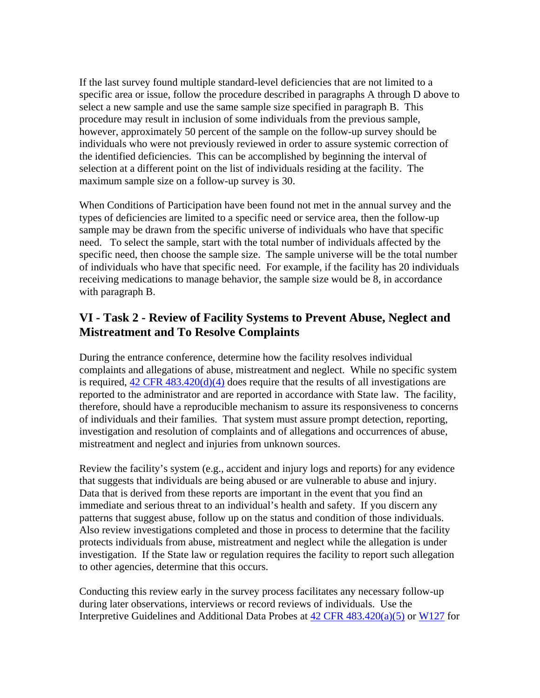If the last survey found multiple standard-level deficiencies that are not limited to a specific area or issue, follow the procedure described in paragraphs A through D above to select a new sample and use the same sample size specified in paragraph B. This procedure may result in inclusion of some individuals from the previous sample, however, approximately 50 percent of the sample on the follow-up survey should be individuals who were not previously reviewed in order to assure systemic correction of the identified deficiencies. This can be accomplished by beginning the interval of selection at a different point on the list of individuals residing at the facility. The maximum sample size on a follow-up survey is 30.

When Conditions of Participation have been found not met in the annual survey and the types of deficiencies are limited to a specific need or service area, then the follow-up sample may be drawn from the specific universe of individuals who have that specific need. To select the sample, start with the total number of individuals affected by the specific need, then choose the sample size. The sample universe will be the total number of individuals who have that specific need. For example, if the facility has 20 individuals receiving medications to manage behavior, the sample size would be 8, in accordance with paragraph B.

#### **VI - Task 2 - Review of Facility Systems to Prevent Abuse, Neglect and Mistreatment and To Resolve Complaints**

During the entrance conference, determine how the facility resolves individual complaints and allegations of abuse, mistreatment and neglect. While no specific system is required,  $42 \text{ CFR } 483.420(d)(4)$  does require that the results of all investigations are reported to the administrator and are reported in accordance with State law. The facility, therefore, should have a reproducible mechanism to assure its responsiveness to concerns of individuals and their families. That system must assure prompt detection, reporting, investigation and resolution of complaints and of allegations and occurrences of abuse, mistreatment and neglect and injuries from unknown sources.

Review the facility's system (e.g., accident and injury logs and reports) for any evidence that suggests that individuals are being abused or are vulnerable to abuse and injury. Data that is derived from these reports are important in the event that you find an immediate and serious threat to an individual's health and safety. If you discern any patterns that suggest abuse, follow up on the status and condition of those individuals. Also review investigations completed and those in process to determine that the facility protects individuals from abuse, mistreatment and neglect while the allegation is under investigation. If the State law or regulation requires the facility to report such allegation to other agencies, determine that this occurs.

Conducting this review early in the survey process facilitates any necessary follow-up during later observations, interviews or record reviews of individuals. Use the Interpretive Guidelines and Additional Data Probes at 42 CFR 483.420(a)(5) or W127 for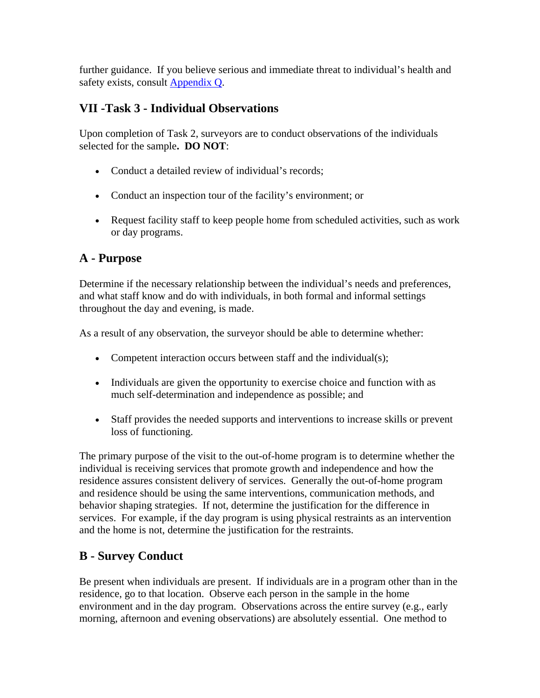further guidance. If you believe serious and immediate threat to individual's health and safety exists, consult **Appendix Q**.

# **VII -Task 3 - Individual Observations**

Upon completion of Task 2, surveyors are to conduct observations of the individuals selected for the sample**. DO NOT**:

- Conduct a detailed review of individual's records;
- Conduct an inspection tour of the facility's environment; or
- Request facility staff to keep people home from scheduled activities, such as work or day programs.

# **A - Purpose**

Determine if the necessary relationship between the individual's needs and preferences, and what staff know and do with individuals, in both formal and informal settings throughout the day and evening, is made.

As a result of any observation, the surveyor should be able to determine whether:

- Competent interaction occurs between staff and the individual(s);
- Individuals are given the opportunity to exercise choice and function with as much self-determination and independence as possible; and
- Staff provides the needed supports and interventions to increase skills or prevent loss of functioning.

The primary purpose of the visit to the out-of-home program is to determine whether the individual is receiving services that promote growth and independence and how the residence assures consistent delivery of services. Generally the out-of-home program and residence should be using the same interventions, communication methods, and behavior shaping strategies. If not, determine the justification for the difference in services. For example, if the day program is using physical restraints as an intervention and the home is not, determine the justification for the restraints.

# **B - Survey Conduct**

Be present when individuals are present. If individuals are in a program other than in the residence, go to that location. Observe each person in the sample in the home environment and in the day program. Observations across the entire survey (e.g., early morning, afternoon and evening observations) are absolutely essential. One method to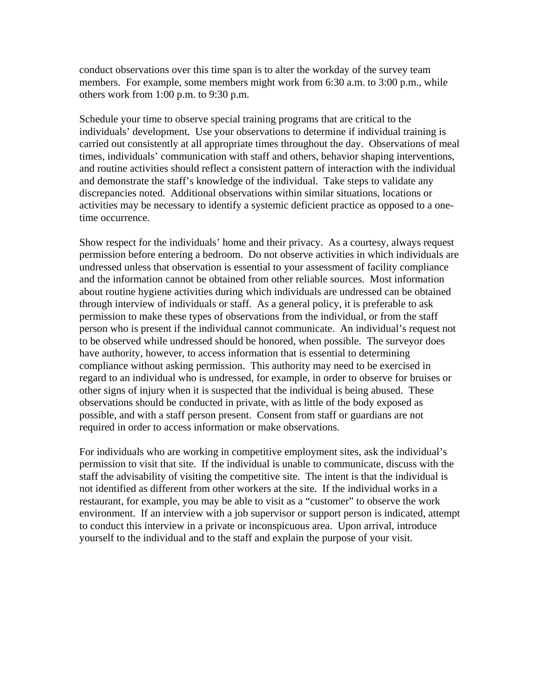conduct observations over this time span is to alter the workday of the survey team members. For example, some members might work from 6:30 a.m. to 3:00 p.m., while others work from 1:00 p.m. to 9:30 p.m.

Schedule your time to observe special training programs that are critical to the individuals' development. Use your observations to determine if individual training is carried out consistently at all appropriate times throughout the day. Observations of meal times, individuals' communication with staff and others, behavior shaping interventions, and routine activities should reflect a consistent pattern of interaction with the individual and demonstrate the staff's knowledge of the individual. Take steps to validate any discrepancies noted. Additional observations within similar situations, locations or activities may be necessary to identify a systemic deficient practice as opposed to a onetime occurrence.

Show respect for the individuals' home and their privacy. As a courtesy, always request permission before entering a bedroom. Do not observe activities in which individuals are undressed unless that observation is essential to your assessment of facility compliance and the information cannot be obtained from other reliable sources. Most information about routine hygiene activities during which individuals are undressed can be obtained through interview of individuals or staff. As a general policy, it is preferable to ask permission to make these types of observations from the individual, or from the staff person who is present if the individual cannot communicate. An individual's request not to be observed while undressed should be honored, when possible. The surveyor does have authority, however, to access information that is essential to determining compliance without asking permission. This authority may need to be exercised in regard to an individual who is undressed, for example, in order to observe for bruises or other signs of injury when it is suspected that the individual is being abused. These observations should be conducted in private, with as little of the body exposed as possible, and with a staff person present. Consent from staff or guardians are not required in order to access information or make observations.

For individuals who are working in competitive employment sites, ask the individual's permission to visit that site. If the individual is unable to communicate, discuss with the staff the advisability of visiting the competitive site. The intent is that the individual is not identified as different from other workers at the site. If the individual works in a restaurant, for example, you may be able to visit as a "customer" to observe the work environment. If an interview with a job supervisor or support person is indicated, attempt to conduct this interview in a private or inconspicuous area. Upon arrival, introduce yourself to the individual and to the staff and explain the purpose of your visit.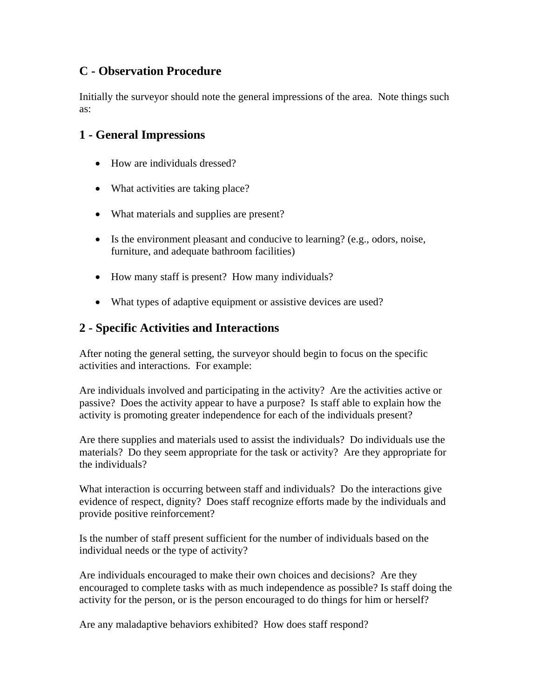### **C - Observation Procedure**

Initially the surveyor should note the general impressions of the area. Note things such as:

### **1 - General Impressions**

- How are individuals dressed?
- What activities are taking place?
- What materials and supplies are present?
- Is the environment pleasant and conducive to learning? (e.g., odors, noise, furniture, and adequate bathroom facilities)
- How many staff is present? How many individuals?
- What types of adaptive equipment or assistive devices are used?

#### **2 - Specific Activities and Interactions**

After noting the general setting, the surveyor should begin to focus on the specific activities and interactions. For example:

Are individuals involved and participating in the activity? Are the activities active or passive? Does the activity appear to have a purpose? Is staff able to explain how the activity is promoting greater independence for each of the individuals present?

Are there supplies and materials used to assist the individuals? Do individuals use the materials? Do they seem appropriate for the task or activity? Are they appropriate for the individuals?

What interaction is occurring between staff and individuals? Do the interactions give evidence of respect, dignity? Does staff recognize efforts made by the individuals and provide positive reinforcement?

Is the number of staff present sufficient for the number of individuals based on the individual needs or the type of activity?

Are individuals encouraged to make their own choices and decisions? Are they encouraged to complete tasks with as much independence as possible? Is staff doing the activity for the person, or is the person encouraged to do things for him or herself?

Are any maladaptive behaviors exhibited? How does staff respond?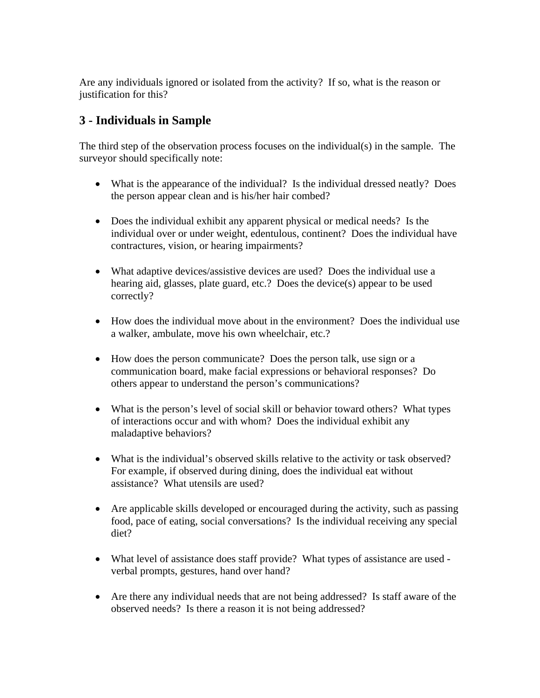Are any individuals ignored or isolated from the activity? If so, what is the reason or justification for this?

# **3 - Individuals in Sample**

The third step of the observation process focuses on the individual(s) in the sample. The surveyor should specifically note:

- What is the appearance of the individual? Is the individual dressed neatly? Does the person appear clean and is his/her hair combed?
- Does the individual exhibit any apparent physical or medical needs? Is the individual over or under weight, edentulous, continent? Does the individual have contractures, vision, or hearing impairments?
- What adaptive devices/assistive devices are used? Does the individual use a hearing aid, glasses, plate guard, etc.? Does the device(s) appear to be used correctly?
- How does the individual move about in the environment? Does the individual use a walker, ambulate, move his own wheelchair, etc.?
- How does the person communicate? Does the person talk, use sign or a communication board, make facial expressions or behavioral responses? Do others appear to understand the person's communications?
- What is the person's level of social skill or behavior toward others? What types of interactions occur and with whom? Does the individual exhibit any maladaptive behaviors?
- What is the individual's observed skills relative to the activity or task observed? For example, if observed during dining, does the individual eat without assistance? What utensils are used?
- Are applicable skills developed or encouraged during the activity, such as passing food, pace of eating, social conversations? Is the individual receiving any special diet?
- What level of assistance does staff provide? What types of assistance are used verbal prompts, gestures, hand over hand?
- Are there any individual needs that are not being addressed? Is staff aware of the observed needs? Is there a reason it is not being addressed?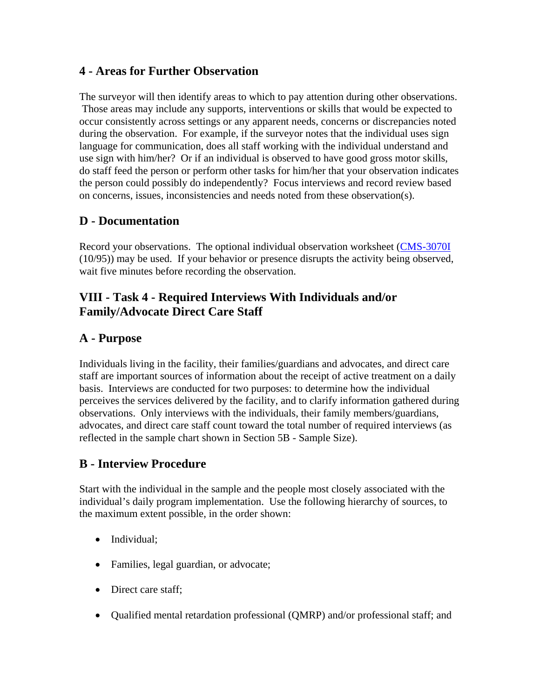### **4 - Areas for Further Observation**

The surveyor will then identify areas to which to pay attention during other observations. Those areas may include any supports, interventions or skills that would be expected to occur consistently across settings or any apparent needs, concerns or discrepancies noted during the observation. For example, if the surveyor notes that the individual uses sign language for communication, does all staff working with the individual understand and use sign with him/her? Or if an individual is observed to have good gross motor skills, do staff feed the person or perform other tasks for him/her that your observation indicates the person could possibly do independently? Focus interviews and record review based on concerns, issues, inconsistencies and needs noted from these observation(s).

#### **D - Documentation**

Record your observations. The optional individual observation worksheet (CMS-3070I (10/95)) may be used. If your behavior or presence disrupts the activity being observed, wait five minutes before recording the observation.

# **VIII - Task 4 - Required Interviews With Individuals and/or Family/Advocate Direct Care Staff**

# **A - Purpose**

Individuals living in the facility, their families/guardians and advocates, and direct care staff are important sources of information about the receipt of active treatment on a daily basis. Interviews are conducted for two purposes: to determine how the individual perceives the services delivered by the facility, and to clarify information gathered during observations. Only interviews with the individuals, their family members/guardians, advocates, and direct care staff count toward the total number of required interviews (as reflected in the sample chart shown in Section 5B - Sample Size).

# **B - Interview Procedure**

Start with the individual in the sample and the people most closely associated with the individual's daily program implementation. Use the following hierarchy of sources, to the maximum extent possible, in the order shown:

- Individual:
- Families, legal guardian, or advocate;
- Direct care staff;
- Qualified mental retardation professional (QMRP) and/or professional staff; and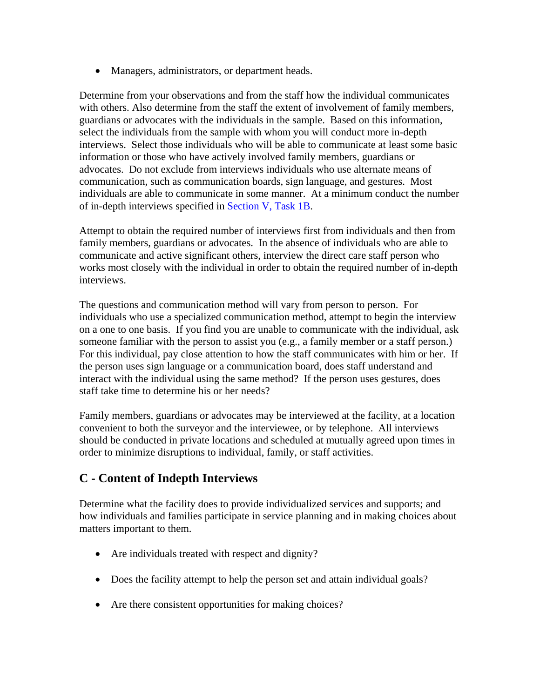• Managers, administrators, or department heads.

Determine from your observations and from the staff how the individual communicates with others. Also determine from the staff the extent of involvement of family members, guardians or advocates with the individuals in the sample. Based on this information, select the individuals from the sample with whom you will conduct more in-depth interviews. Select those individuals who will be able to communicate at least some basic information or those who have actively involved family members, guardians or advocates. Do not exclude from interviews individuals who use alternate means of communication, such as communication boards, sign language, and gestures. Most individuals are able to communicate in some manner. At a minimum conduct the number of in-depth interviews specified in Section V, Task 1B.

Attempt to obtain the required number of interviews first from individuals and then from family members, guardians or advocates. In the absence of individuals who are able to communicate and active significant others, interview the direct care staff person who works most closely with the individual in order to obtain the required number of in-depth interviews.

The questions and communication method will vary from person to person. For individuals who use a specialized communication method, attempt to begin the interview on a one to one basis. If you find you are unable to communicate with the individual, ask someone familiar with the person to assist you (e.g., a family member or a staff person.) For this individual, pay close attention to how the staff communicates with him or her. If the person uses sign language or a communication board, does staff understand and interact with the individual using the same method? If the person uses gestures, does staff take time to determine his or her needs?

Family members, guardians or advocates may be interviewed at the facility, at a location convenient to both the surveyor and the interviewee, or by telephone. All interviews should be conducted in private locations and scheduled at mutually agreed upon times in order to minimize disruptions to individual, family, or staff activities.

# **C - Content of Indepth Interviews**

Determine what the facility does to provide individualized services and supports; and how individuals and families participate in service planning and in making choices about matters important to them.

- Are individuals treated with respect and dignity?
- Does the facility attempt to help the person set and attain individual goals?
- Are there consistent opportunities for making choices?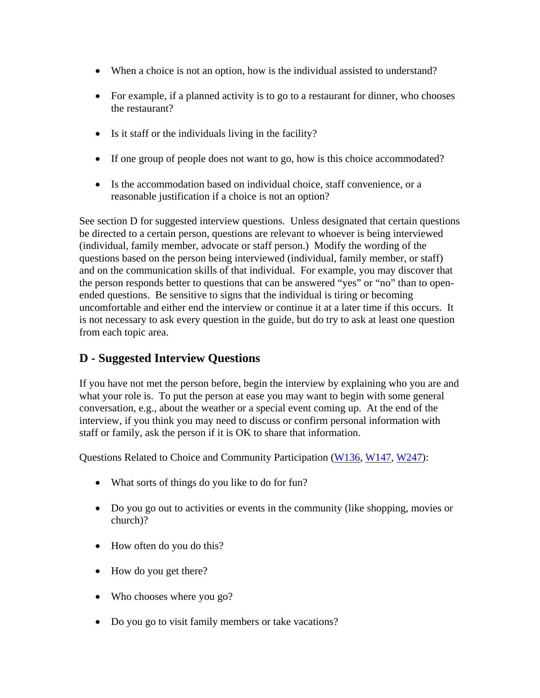- When a choice is not an option, how is the individual assisted to understand?
- For example, if a planned activity is to go to a restaurant for dinner, who chooses the restaurant?
- Is it staff or the individuals living in the facility?
- If one group of people does not want to go, how is this choice accommodated?
- Is the accommodation based on individual choice, staff convenience, or a reasonable justification if a choice is not an option?

See section D for suggested interview questions. Unless designated that certain questions be directed to a certain person, questions are relevant to whoever is being interviewed (individual, family member, advocate or staff person.) Modify the wording of the questions based on the person being interviewed (individual, family member, or staff) and on the communication skills of that individual. For example, you may discover that the person responds better to questions that can be answered "yes" or "no" than to openended questions. Be sensitive to signs that the individual is tiring or becoming uncomfortable and either end the interview or continue it at a later time if this occurs. It is not necessary to ask every question in the guide, but do try to ask at least one question from each topic area.

# **D - Suggested Interview Questions**

If you have not met the person before, begin the interview by explaining who you are and what your role is. To put the person at ease you may want to begin with some general conversation, e.g., about the weather or a special event coming up. At the end of the interview, if you think you may need to discuss or confirm personal information with staff or family, ask the person if it is OK to share that information.

Questions Related to Choice and Community Participation (W136, W147, W247):

- What sorts of things do you like to do for fun?
- Do you go out to activities or events in the community (like shopping, movies or church)?
- How often do you do this?
- How do you get there?
- Who chooses where you go?
- Do you go to visit family members or take vacations?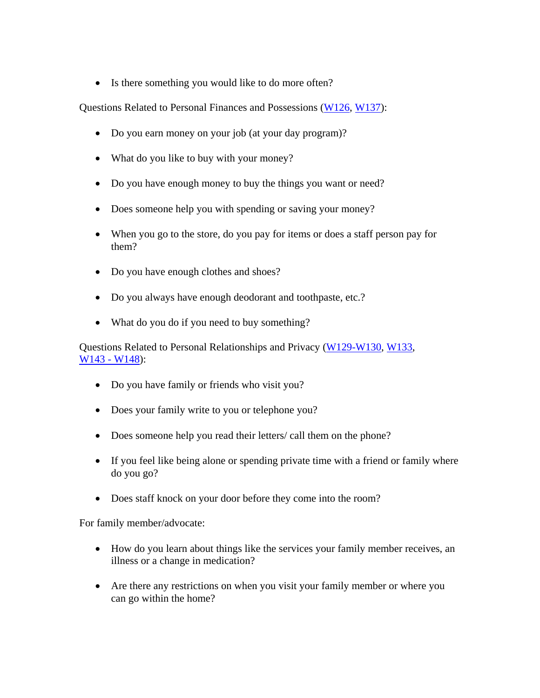• Is there something you would like to do more often?

Questions Related to Personal Finances and Possessions (W126, W137):

- Do you earn money on your job (at your day program)?
- What do you like to buy with your money?
- Do you have enough money to buy the things you want or need?
- Does someone help you with spending or saving your money?
- When you go to the store, do you pay for items or does a staff person pay for them?
- Do you have enough clothes and shoes?
- Do you always have enough deodorant and toothpaste, etc.?
- What do you do if you need to buy something?

Questions Related to Personal Relationships and Privacy (W129-W130, W133, W143 - W148):

- Do you have family or friends who visit you?
- Does your family write to you or telephone you?
- Does someone help you read their letters/ call them on the phone?
- If you feel like being alone or spending private time with a friend or family where do you go?
- Does staff knock on your door before they come into the room?

For family member/advocate:

- How do you learn about things like the services your family member receives, an illness or a change in medication?
- Are there any restrictions on when you visit your family member or where you can go within the home?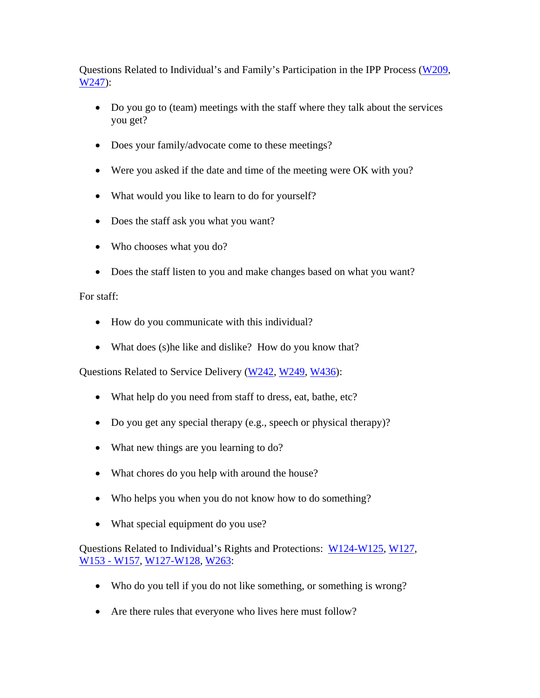Questions Related to Individual's and Family's Participation in the IPP Process (W209, W247):

- Do you go to (team) meetings with the staff where they talk about the services you get?
- Does your family/advocate come to these meetings?
- Were you asked if the date and time of the meeting were OK with you?
- What would you like to learn to do for yourself?
- Does the staff ask you what you want?
- Who chooses what you do?
- Does the staff listen to you and make changes based on what you want?

#### For staff:

- How do you communicate with this individual?
- What does (s) he like and dislike? How do you know that?

Questions Related to Service Delivery (W242, W249, W436):

- What help do you need from staff to dress, eat, bathe, etc?
- Do you get any special therapy (e.g., speech or physical therapy)?
- What new things are you learning to do?
- What chores do you help with around the house?
- Who helps you when you do not know how to do something?
- What special equipment do you use?

Questions Related to Individual's Rights and Protections: W124-W125, W127, W153 - W157, W127-W128, W263:

- Who do you tell if you do not like something, or something is wrong?
- Are there rules that everyone who lives here must follow?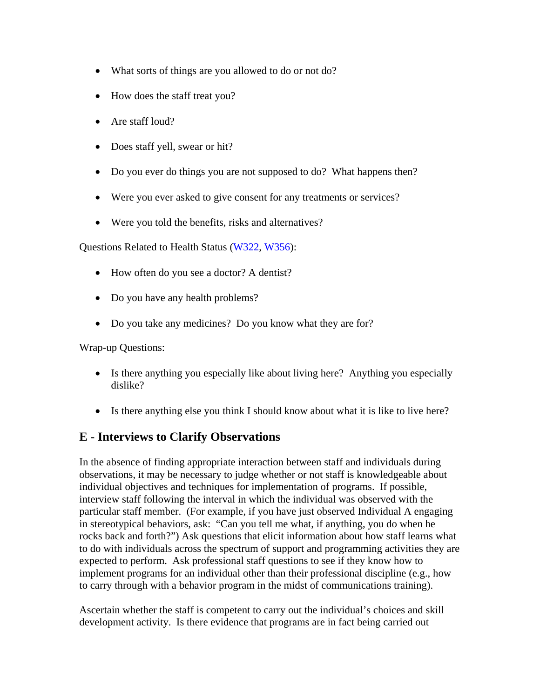- What sorts of things are you allowed to do or not do?
- How does the staff treat you?
- Are staff loud?
- Does staff yell, swear or hit?
- Do you ever do things you are not supposed to do? What happens then?
- Were you ever asked to give consent for any treatments or services?
- Were you told the benefits, risks and alternatives?

Questions Related to Health Status (W322, W356):

- How often do you see a doctor? A dentist?
- Do you have any health problems?
- Do you take any medicines? Do you know what they are for?

Wrap-up Questions:

- Is there anything you especially like about living here? Anything you especially dislike?
- Is there anything else you think I should know about what it is like to live here?

#### **E - Interviews to Clarify Observations**

In the absence of finding appropriate interaction between staff and individuals during observations, it may be necessary to judge whether or not staff is knowledgeable about individual objectives and techniques for implementation of programs. If possible, interview staff following the interval in which the individual was observed with the particular staff member. (For example, if you have just observed Individual A engaging in stereotypical behaviors, ask: "Can you tell me what, if anything, you do when he rocks back and forth?") Ask questions that elicit information about how staff learns what to do with individuals across the spectrum of support and programming activities they are expected to perform. Ask professional staff questions to see if they know how to implement programs for an individual other than their professional discipline (e.g., how to carry through with a behavior program in the midst of communications training).

Ascertain whether the staff is competent to carry out the individual's choices and skill development activity. Is there evidence that programs are in fact being carried out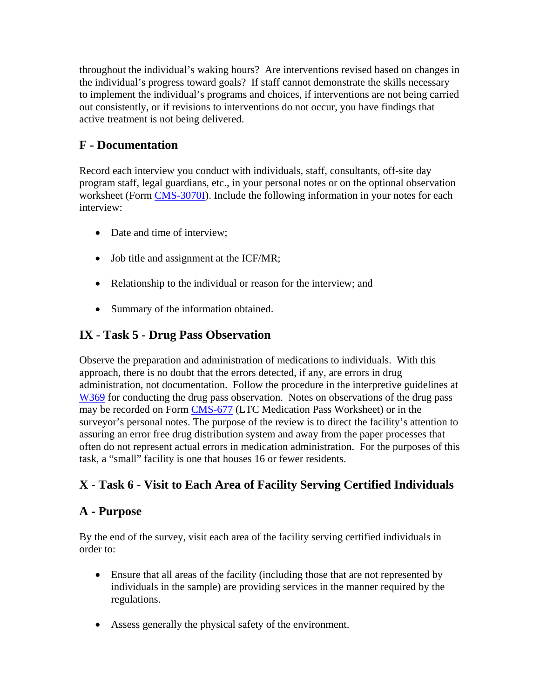throughout the individual's waking hours? Are interventions revised based on changes in the individual's progress toward goals? If staff cannot demonstrate the skills necessary to implement the individual's programs and choices, if interventions are not being carried out consistently, or if revisions to interventions do not occur, you have findings that active treatment is not being delivered.

# **F - Documentation**

Record each interview you conduct with individuals, staff, consultants, off-site day program staff, legal guardians, etc., in your personal notes or on the optional observation worksheet (Form CMS-3070I). Include the following information in your notes for each interview:

- Date and time of interview;
- Job title and assignment at the ICF/MR;
- Relationship to the individual or reason for the interview; and
- Summary of the information obtained.

# **IX - Task 5 - Drug Pass Observation**

Observe the preparation and administration of medications to individuals. With this approach, there is no doubt that the errors detected, if any, are errors in drug administration, not documentation. Follow the procedure in the interpretive guidelines at W369 for conducting the drug pass observation. Notes on observations of the drug pass may be recorded on Form CMS-677 (LTC Medication Pass Worksheet) or in the surveyor's personal notes. The purpose of the review is to direct the facility's attention to assuring an error free drug distribution system and away from the paper processes that often do not represent actual errors in medication administration. For the purposes of this task, a "small" facility is one that houses 16 or fewer residents.

# **X - Task 6 - Visit to Each Area of Facility Serving Certified Individuals**

#### **A - Purpose**

By the end of the survey, visit each area of the facility serving certified individuals in order to:

- Ensure that all areas of the facility (including those that are not represented by individuals in the sample) are providing services in the manner required by the regulations.
- Assess generally the physical safety of the environment.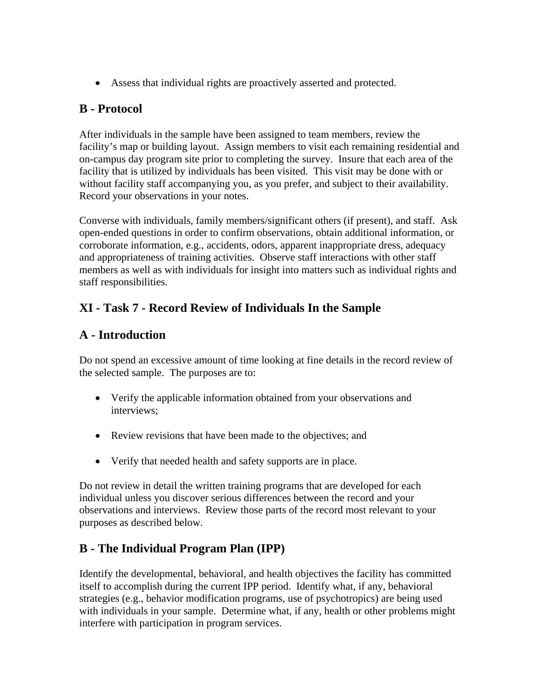• Assess that individual rights are proactively asserted and protected.

#### **B - Protocol**

After individuals in the sample have been assigned to team members, review the facility's map or building layout. Assign members to visit each remaining residential and on-campus day program site prior to completing the survey. Insure that each area of the facility that is utilized by individuals has been visited. This visit may be done with or without facility staff accompanying you, as you prefer, and subject to their availability. Record your observations in your notes.

Converse with individuals, family members/significant others (if present), and staff. Ask open-ended questions in order to confirm observations, obtain additional information, or corroborate information, e.g., accidents, odors, apparent inappropriate dress, adequacy and appropriateness of training activities. Observe staff interactions with other staff members as well as with individuals for insight into matters such as individual rights and staff responsibilities.

# **XI - Task 7 - Record Review of Individuals In the Sample**

# **A - Introduction**

Do not spend an excessive amount of time looking at fine details in the record review of the selected sample. The purposes are to:

- Verify the applicable information obtained from your observations and interviews;
- Review revisions that have been made to the objectives; and
- Verify that needed health and safety supports are in place.

Do not review in detail the written training programs that are developed for each individual unless you discover serious differences between the record and your observations and interviews. Review those parts of the record most relevant to your purposes as described below.

# **B - The Individual Program Plan (IPP)**

Identify the developmental, behavioral, and health objectives the facility has committed itself to accomplish during the current IPP period. Identify what, if any, behavioral strategies (e.g., behavior modification programs, use of psychotropics) are being used with individuals in your sample. Determine what, if any, health or other problems might interfere with participation in program services.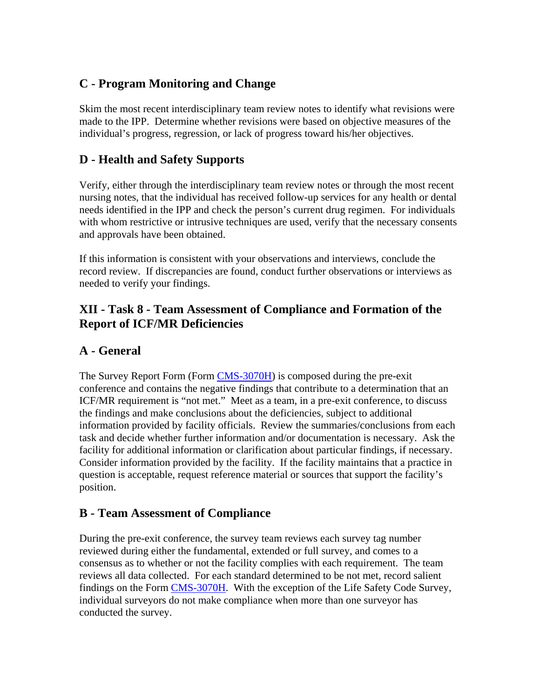# **C - Program Monitoring and Change**

Skim the most recent interdisciplinary team review notes to identify what revisions were made to the IPP. Determine whether revisions were based on objective measures of the individual's progress, regression, or lack of progress toward his/her objectives.

# **D - Health and Safety Supports**

Verify, either through the interdisciplinary team review notes or through the most recent nursing notes, that the individual has received follow-up services for any health or dental needs identified in the IPP and check the person's current drug regimen. For individuals with whom restrictive or intrusive techniques are used, verify that the necessary consents and approvals have been obtained.

If this information is consistent with your observations and interviews, conclude the record review. If discrepancies are found, conduct further observations or interviews as needed to verify your findings.

# **XII - Task 8 - Team Assessment of Compliance and Formation of the Report of ICF/MR Deficiencies**

# **A - General**

The Survey Report Form (Form CMS-3070H) is composed during the pre-exit conference and contains the negative findings that contribute to a determination that an ICF/MR requirement is "not met." Meet as a team, in a pre-exit conference, to discuss the findings and make conclusions about the deficiencies, subject to additional information provided by facility officials. Review the summaries/conclusions from each task and decide whether further information and/or documentation is necessary. Ask the facility for additional information or clarification about particular findings, if necessary. Consider information provided by the facility. If the facility maintains that a practice in question is acceptable, request reference material or sources that support the facility's position.

# **B - Team Assessment of Compliance**

During the pre-exit conference, the survey team reviews each survey tag number reviewed during either the fundamental, extended or full survey, and comes to a consensus as to whether or not the facility complies with each requirement. The team reviews all data collected. For each standard determined to be not met, record salient findings on the Form CMS-3070H. With the exception of the Life Safety Code Survey, individual surveyors do not make compliance when more than one surveyor has conducted the survey.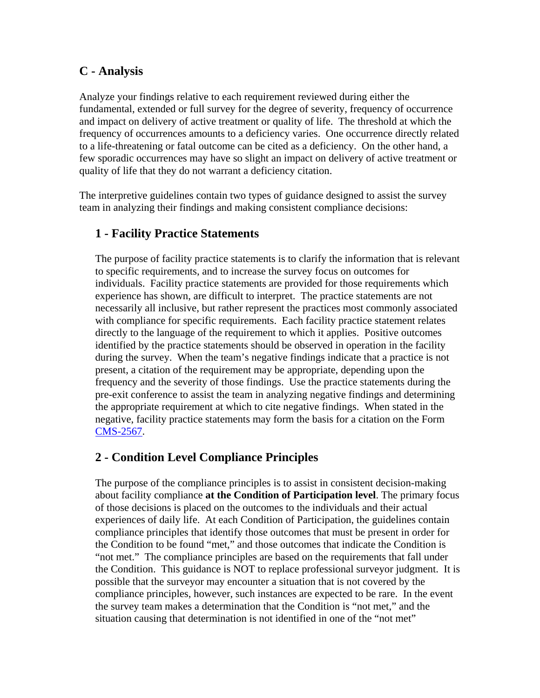### **C - Analysis**

Analyze your findings relative to each requirement reviewed during either the fundamental, extended or full survey for the degree of severity, frequency of occurrence and impact on delivery of active treatment or quality of life. The threshold at which the frequency of occurrences amounts to a deficiency varies. One occurrence directly related to a life-threatening or fatal outcome can be cited as a deficiency. On the other hand, a few sporadic occurrences may have so slight an impact on delivery of active treatment or quality of life that they do not warrant a deficiency citation.

The interpretive guidelines contain two types of guidance designed to assist the survey team in analyzing their findings and making consistent compliance decisions:

#### **1 - Facility Practice Statements**

The purpose of facility practice statements is to clarify the information that is relevant to specific requirements, and to increase the survey focus on outcomes for individuals. Facility practice statements are provided for those requirements which experience has shown, are difficult to interpret. The practice statements are not necessarily all inclusive, but rather represent the practices most commonly associated with compliance for specific requirements. Each facility practice statement relates directly to the language of the requirement to which it applies. Positive outcomes identified by the practice statements should be observed in operation in the facility during the survey. When the team's negative findings indicate that a practice is not present, a citation of the requirement may be appropriate, depending upon the frequency and the severity of those findings. Use the practice statements during the pre-exit conference to assist the team in analyzing negative findings and determining the appropriate requirement at which to cite negative findings. When stated in the negative, facility practice statements may form the basis for a citation on the Form CMS-2567.

#### **2 - Condition Level Compliance Principles**

The purpose of the compliance principles is to assist in consistent decision-making about facility compliance **at the Condition of Participation level**. The primary focus of those decisions is placed on the outcomes to the individuals and their actual experiences of daily life. At each Condition of Participation, the guidelines contain compliance principles that identify those outcomes that must be present in order for the Condition to be found "met," and those outcomes that indicate the Condition is "not met." The compliance principles are based on the requirements that fall under the Condition. This guidance is NOT to replace professional surveyor judgment. It is possible that the surveyor may encounter a situation that is not covered by the compliance principles, however, such instances are expected to be rare. In the event the survey team makes a determination that the Condition is "not met," and the situation causing that determination is not identified in one of the "not met"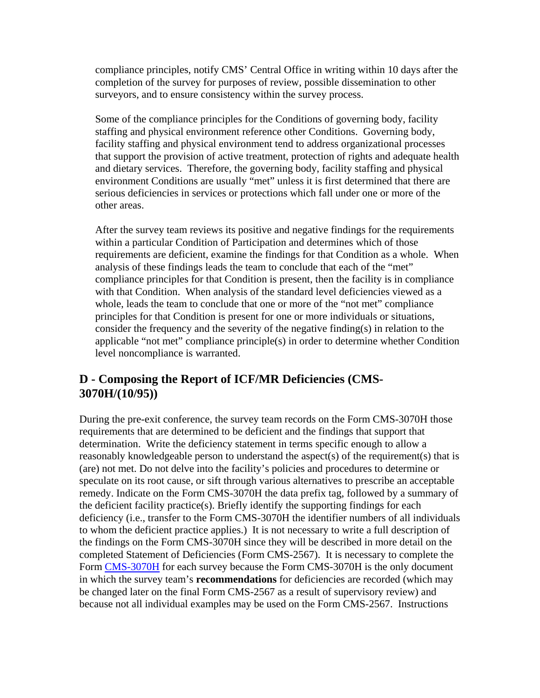compliance principles, notify CMS' Central Office in writing within 10 days after the completion of the survey for purposes of review, possible dissemination to other surveyors, and to ensure consistency within the survey process.

Some of the compliance principles for the Conditions of governing body, facility staffing and physical environment reference other Conditions. Governing body, facility staffing and physical environment tend to address organizational processes that support the provision of active treatment, protection of rights and adequate health and dietary services. Therefore, the governing body, facility staffing and physical environment Conditions are usually "met" unless it is first determined that there are serious deficiencies in services or protections which fall under one or more of the other areas.

After the survey team reviews its positive and negative findings for the requirements within a particular Condition of Participation and determines which of those requirements are deficient, examine the findings for that Condition as a whole. When analysis of these findings leads the team to conclude that each of the "met" compliance principles for that Condition is present, then the facility is in compliance with that Condition. When analysis of the standard level deficiencies viewed as a whole, leads the team to conclude that one or more of the "not met" compliance principles for that Condition is present for one or more individuals or situations, consider the frequency and the severity of the negative finding(s) in relation to the applicable "not met" compliance principle(s) in order to determine whether Condition level noncompliance is warranted.

### **D - Composing the Report of ICF/MR Deficiencies (CMS-3070H/(10/95))**

During the pre-exit conference, the survey team records on the Form CMS-3070H those requirements that are determined to be deficient and the findings that support that determination. Write the deficiency statement in terms specific enough to allow a reasonably knowledgeable person to understand the aspect(s) of the requirement(s) that is (are) not met. Do not delve into the facility's policies and procedures to determine or speculate on its root cause, or sift through various alternatives to prescribe an acceptable remedy. Indicate on the Form CMS-3070H the data prefix tag, followed by a summary of the deficient facility practice(s). Briefly identify the supporting findings for each deficiency (i.e., transfer to the Form CMS-3070H the identifier numbers of all individuals to whom the deficient practice applies.) It is not necessary to write a full description of the findings on the Form CMS-3070H since they will be described in more detail on the completed Statement of Deficiencies (Form CMS-2567). It is necessary to complete the Form CMS-3070H for each survey because the Form CMS-3070H is the only document in which the survey team's **recommendations** for deficiencies are recorded (which may be changed later on the final Form CMS-2567 as a result of supervisory review) and because not all individual examples may be used on the Form CMS-2567. Instructions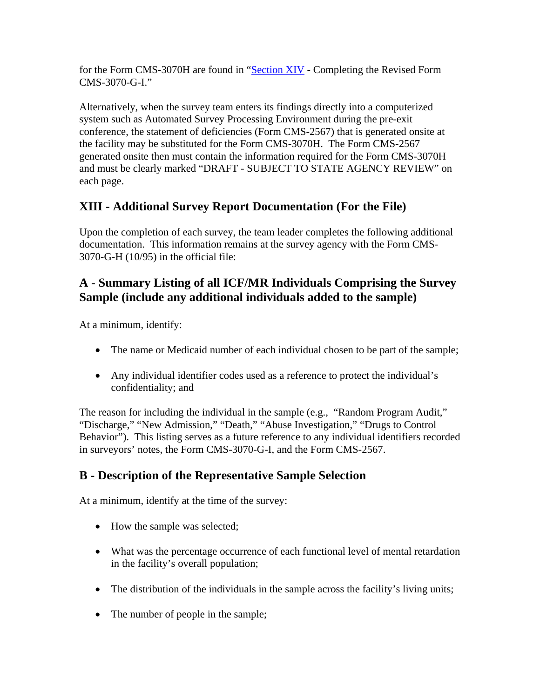for the Form CMS-3070H are found in "Section XIV - Completing the Revised Form CMS-3070-G-I."

Alternatively, when the survey team enters its findings directly into a computerized system such as Automated Survey Processing Environment during the pre-exit conference, the statement of deficiencies (Form CMS-2567) that is generated onsite at the facility may be substituted for the Form CMS-3070H. The Form CMS-2567 generated onsite then must contain the information required for the Form CMS-3070H and must be clearly marked "DRAFT - SUBJECT TO STATE AGENCY REVIEW" on each page.

# **XIII - Additional Survey Report Documentation (For the File)**

Upon the completion of each survey, the team leader completes the following additional documentation. This information remains at the survey agency with the Form CMS-3070-G-H (10/95) in the official file:

# **A - Summary Listing of all ICF/MR Individuals Comprising the Survey Sample (include any additional individuals added to the sample)**

At a minimum, identify:

- The name or Medicaid number of each individual chosen to be part of the sample;
- Any individual identifier codes used as a reference to protect the individual's confidentiality; and

The reason for including the individual in the sample (e.g., "Random Program Audit," "Discharge," "New Admission," "Death," "Abuse Investigation," "Drugs to Control Behavior"). This listing serves as a future reference to any individual identifiers recorded in surveyors' notes, the Form CMS-3070-G-I, and the Form CMS-2567.

# **B - Description of the Representative Sample Selection**

At a minimum, identify at the time of the survey:

- How the sample was selected;
- What was the percentage occurrence of each functional level of mental retardation in the facility's overall population;
- The distribution of the individuals in the sample across the facility's living units;
- The number of people in the sample;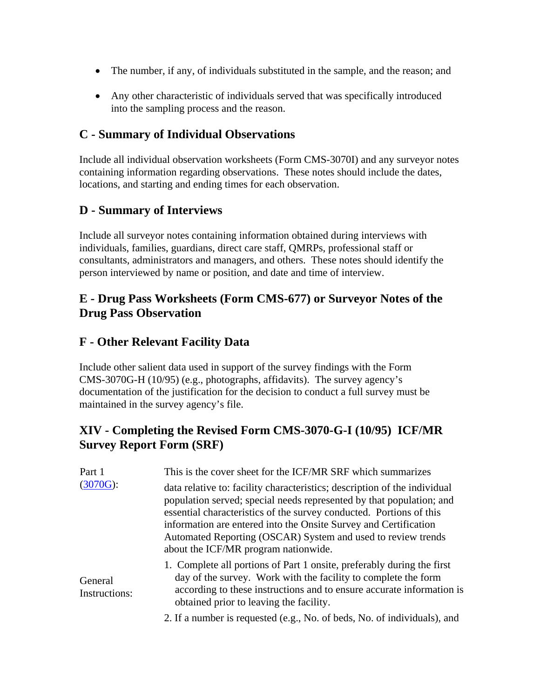- The number, if any, of individuals substituted in the sample, and the reason; and
- Any other characteristic of individuals served that was specifically introduced into the sampling process and the reason.

### **C - Summary of Individual Observations**

Include all individual observation worksheets (Form CMS-3070I) and any surveyor notes containing information regarding observations. These notes should include the dates, locations, and starting and ending times for each observation.

#### **D - Summary of Interviews**

Include all surveyor notes containing information obtained during interviews with individuals, families, guardians, direct care staff, QMRPs, professional staff or consultants, administrators and managers, and others. These notes should identify the person interviewed by name or position, and date and time of interview.

### **E - Drug Pass Worksheets (Form CMS-677) or Surveyor Notes of the Drug Pass Observation**

#### **F - Other Relevant Facility Data**

Include other salient data used in support of the survey findings with the Form CMS-3070G-H (10/95) (e.g., photographs, affidavits). The survey agency's documentation of the justification for the decision to conduct a full survey must be maintained in the survey agency's file.

# **XIV - Completing the Revised Form CMS-3070-G-I (10/95) ICF/MR Survey Report Form (SRF)**

| Part 1                   | This is the cover sheet for the ICF/MR SRF which summarizes                                                                                                                                                                                                                                                                                                                                          |
|--------------------------|------------------------------------------------------------------------------------------------------------------------------------------------------------------------------------------------------------------------------------------------------------------------------------------------------------------------------------------------------------------------------------------------------|
| (3070G):                 | data relative to: facility characteristics; description of the individual<br>population served; special needs represented by that population; and<br>essential characteristics of the survey conducted. Portions of this<br>information are entered into the Onsite Survey and Certification<br>Automated Reporting (OSCAR) System and used to review trends<br>about the ICF/MR program nationwide. |
| General<br>Instructions: | 1. Complete all portions of Part 1 onsite, preferably during the first<br>day of the survey. Work with the facility to complete the form<br>according to these instructions and to ensure accurate information is<br>obtained prior to leaving the facility.                                                                                                                                         |
|                          | 2. If a number is requested (e.g., No. of beds, No. of individuals), and                                                                                                                                                                                                                                                                                                                             |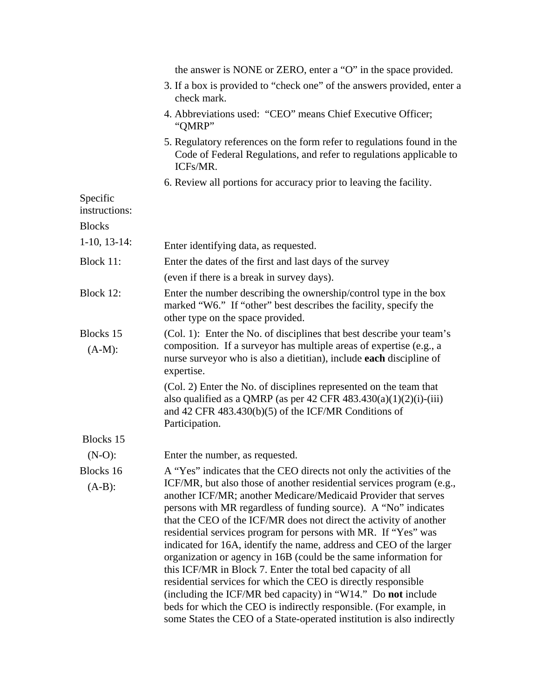|                           | the answer is NONE or ZERO, enter a "O" in the space provided.                                                                                                                                                                                                                                                                                                                                                                                                                                                                                                                                                                                                                                                                                                                                                                                 |
|---------------------------|------------------------------------------------------------------------------------------------------------------------------------------------------------------------------------------------------------------------------------------------------------------------------------------------------------------------------------------------------------------------------------------------------------------------------------------------------------------------------------------------------------------------------------------------------------------------------------------------------------------------------------------------------------------------------------------------------------------------------------------------------------------------------------------------------------------------------------------------|
|                           | 3. If a box is provided to "check one" of the answers provided, enter a<br>check mark.                                                                                                                                                                                                                                                                                                                                                                                                                                                                                                                                                                                                                                                                                                                                                         |
|                           | 4. Abbreviations used: "CEO" means Chief Executive Officer;<br>"QMRP"                                                                                                                                                                                                                                                                                                                                                                                                                                                                                                                                                                                                                                                                                                                                                                          |
|                           | 5. Regulatory references on the form refer to regulations found in the<br>Code of Federal Regulations, and refer to regulations applicable to<br>ICFs/MR.                                                                                                                                                                                                                                                                                                                                                                                                                                                                                                                                                                                                                                                                                      |
|                           | 6. Review all portions for accuracy prior to leaving the facility.                                                                                                                                                                                                                                                                                                                                                                                                                                                                                                                                                                                                                                                                                                                                                                             |
| Specific<br>instructions: |                                                                                                                                                                                                                                                                                                                                                                                                                                                                                                                                                                                                                                                                                                                                                                                                                                                |
| <b>Blocks</b>             |                                                                                                                                                                                                                                                                                                                                                                                                                                                                                                                                                                                                                                                                                                                                                                                                                                                |
| $1-10$ , $13-14$ :        | Enter identifying data, as requested.                                                                                                                                                                                                                                                                                                                                                                                                                                                                                                                                                                                                                                                                                                                                                                                                          |
| Block 11:                 | Enter the dates of the first and last days of the survey                                                                                                                                                                                                                                                                                                                                                                                                                                                                                                                                                                                                                                                                                                                                                                                       |
|                           | (even if there is a break in survey days).                                                                                                                                                                                                                                                                                                                                                                                                                                                                                                                                                                                                                                                                                                                                                                                                     |
| Block 12:                 | Enter the number describing the ownership/control type in the box<br>marked "W6." If "other" best describes the facility, specify the<br>other type on the space provided.                                                                                                                                                                                                                                                                                                                                                                                                                                                                                                                                                                                                                                                                     |
| Blocks 15<br>$(A-M):$     | (Col. 1): Enter the No. of disciplines that best describe your team's<br>composition. If a surveyor has multiple areas of expertise (e.g., a<br>nurse surveyor who is also a dietitian), include each discipline of<br>expertise.                                                                                                                                                                                                                                                                                                                                                                                                                                                                                                                                                                                                              |
|                           | (Col. 2) Enter the No. of disciplines represented on the team that<br>also qualified as a QMRP (as per 42 CFR $483.430(a)(1)(2)(i)-(iii)$<br>and 42 CFR $483.430(b)(5)$ of the ICF/MR Conditions of<br>Participation.                                                                                                                                                                                                                                                                                                                                                                                                                                                                                                                                                                                                                          |
| Blocks 15                 |                                                                                                                                                                                                                                                                                                                                                                                                                                                                                                                                                                                                                                                                                                                                                                                                                                                |
| $(N-O)$ :                 | Enter the number, as requested.                                                                                                                                                                                                                                                                                                                                                                                                                                                                                                                                                                                                                                                                                                                                                                                                                |
| Blocks 16                 | A "Yes" indicates that the CEO directs not only the activities of the                                                                                                                                                                                                                                                                                                                                                                                                                                                                                                                                                                                                                                                                                                                                                                          |
| $(A-B)$ :                 | ICF/MR, but also those of another residential services program (e.g.,<br>another ICF/MR; another Medicare/Medicaid Provider that serves<br>persons with MR regardless of funding source). A "No" indicates<br>that the CEO of the ICF/MR does not direct the activity of another<br>residential services program for persons with MR. If "Yes" was<br>indicated for 16A, identify the name, address and CEO of the larger<br>organization or agency in 16B (could be the same information for<br>this ICF/MR in Block 7. Enter the total bed capacity of all<br>residential services for which the CEO is directly responsible<br>(including the ICF/MR bed capacity) in "W14." Do not include<br>beds for which the CEO is indirectly responsible. (For example, in<br>some States the CEO of a State-operated institution is also indirectly |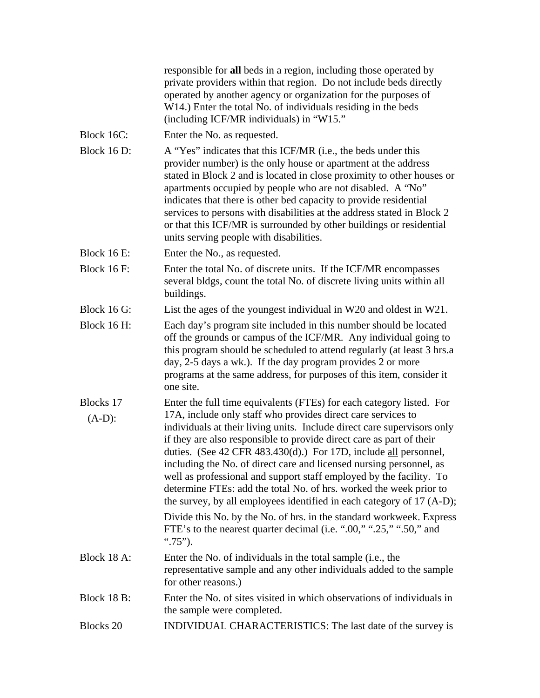|                    | responsible for all beds in a region, including those operated by<br>private providers within that region. Do not include beds directly<br>operated by another agency or organization for the purposes of<br>W14.) Enter the total No. of individuals residing in the beds<br>(including ICF/MR individuals) in "W15."                                                                                                                                                                                                                                                           |
|--------------------|----------------------------------------------------------------------------------------------------------------------------------------------------------------------------------------------------------------------------------------------------------------------------------------------------------------------------------------------------------------------------------------------------------------------------------------------------------------------------------------------------------------------------------------------------------------------------------|
| Block 16C:         | Enter the No. as requested.                                                                                                                                                                                                                                                                                                                                                                                                                                                                                                                                                      |
| Block 16 D:        | A "Yes" indicates that this ICF/MR (i.e., the beds under this<br>provider number) is the only house or apartment at the address<br>stated in Block 2 and is located in close proximity to other houses or<br>apartments occupied by people who are not disabled. A "No"<br>indicates that there is other bed capacity to provide residential<br>services to persons with disabilities at the address stated in Block 2<br>or that this ICF/MR is surrounded by other buildings or residential<br>units serving people with disabilities.                                         |
| <b>Block 16 E:</b> | Enter the No., as requested.                                                                                                                                                                                                                                                                                                                                                                                                                                                                                                                                                     |
| Block $16$ F:      | Enter the total No. of discrete units. If the ICF/MR encompasses<br>several bldgs, count the total No. of discrete living units within all<br>buildings.                                                                                                                                                                                                                                                                                                                                                                                                                         |
| Block 16 G:        | List the ages of the youngest individual in W20 and oldest in W21.                                                                                                                                                                                                                                                                                                                                                                                                                                                                                                               |
| Block 16 H:        | Each day's program site included in this number should be located<br>off the grounds or campus of the ICF/MR. Any individual going to<br>this program should be scheduled to attend regularly (at least 3 hrs.a<br>day, 2-5 days a wk.). If the day program provides 2 or more<br>programs at the same address, for purposes of this item, consider it<br>one site.                                                                                                                                                                                                              |
| Blocks 17          | Enter the full time equivalents (FTEs) for each category listed. For                                                                                                                                                                                                                                                                                                                                                                                                                                                                                                             |
| $(A-D)$ :          | 17A, include only staff who provides direct care services to<br>individuals at their living units. Include direct care supervisors only<br>if they are also responsible to provide direct care as part of their<br>duties. (See 42 CFR 483.430(d).) For 17D, include all personnel,<br>including the No. of direct care and licensed nursing personnel, as<br>well as professional and support staff employed by the facility. To<br>determine FTEs: add the total No. of hrs. worked the week prior to<br>the survey, by all employees identified in each category of 17 (A-D); |
|                    | Divide this No. by the No. of hrs. in the standard workweek. Express<br>FTE's to the nearest quarter decimal (i.e. ".00," ".25," ".50," and<br>$\cdot\cdot\cdot$ .75").                                                                                                                                                                                                                                                                                                                                                                                                          |
| Block 18 A:        | Enter the No. of individuals in the total sample (i.e., the<br>representative sample and any other individuals added to the sample<br>for other reasons.)                                                                                                                                                                                                                                                                                                                                                                                                                        |
| Block 18 B:        | Enter the No. of sites visited in which observations of individuals in<br>the sample were completed.                                                                                                                                                                                                                                                                                                                                                                                                                                                                             |
| <b>Blocks 20</b>   | INDIVIDUAL CHARACTERISTICS: The last date of the survey is                                                                                                                                                                                                                                                                                                                                                                                                                                                                                                                       |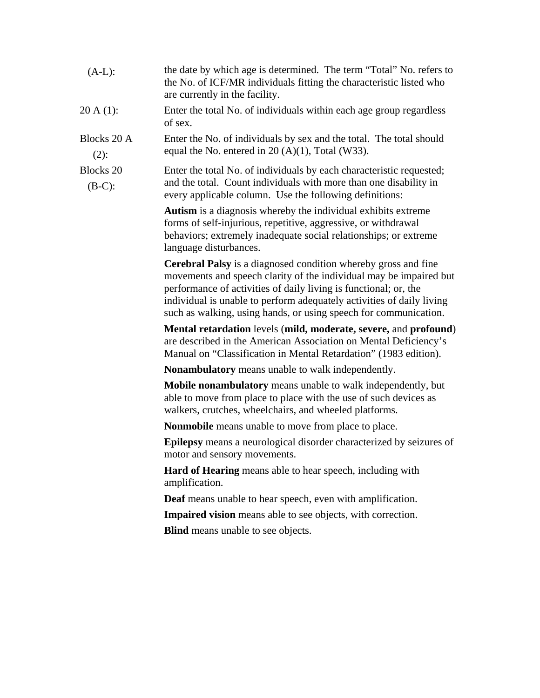| $(A-L)$ :                     | the date by which age is determined. The term "Total" No. refers to<br>the No. of ICF/MR individuals fitting the characteristic listed who<br>are currently in the facility.                                                                                                                                                                                 |
|-------------------------------|--------------------------------------------------------------------------------------------------------------------------------------------------------------------------------------------------------------------------------------------------------------------------------------------------------------------------------------------------------------|
| $20 A(1)$ :                   | Enter the total No. of individuals within each age group regardless<br>of sex.                                                                                                                                                                                                                                                                               |
| <b>Blocks 20 A</b><br>$(2)$ : | Enter the No. of individuals by sex and the total. The total should<br>equal the No. entered in $20(A)(1)$ , Total (W33).                                                                                                                                                                                                                                    |
| <b>Blocks 20</b><br>$(B-C)$ : | Enter the total No. of individuals by each characteristic requested;<br>and the total. Count individuals with more than one disability in<br>every applicable column. Use the following definitions:                                                                                                                                                         |
|                               | <b>Autism</b> is a diagnosis whereby the individual exhibits extreme<br>forms of self-injurious, repetitive, aggressive, or withdrawal<br>behaviors; extremely inadequate social relationships; or extreme<br>language disturbances.                                                                                                                         |
|                               | <b>Cerebral Palsy</b> is a diagnosed condition whereby gross and fine<br>movements and speech clarity of the individual may be impaired but<br>performance of activities of daily living is functional; or, the<br>individual is unable to perform adequately activities of daily living<br>such as walking, using hands, or using speech for communication. |
|                               | Mental retardation levels (mild, moderate, severe, and profound)<br>are described in the American Association on Mental Deficiency's<br>Manual on "Classification in Mental Retardation" (1983 edition).                                                                                                                                                     |
|                               | <b>Nonambulatory</b> means unable to walk independently.                                                                                                                                                                                                                                                                                                     |
|                               | <b>Mobile nonambulatory</b> means unable to walk independently, but<br>able to move from place to place with the use of such devices as<br>walkers, crutches, wheelchairs, and wheeled platforms.                                                                                                                                                            |
|                               | <b>Nonmobile</b> means unable to move from place to place.                                                                                                                                                                                                                                                                                                   |
|                               | <b>Epilepsy</b> means a neurological disorder characterized by seizures of<br>motor and sensory movements.                                                                                                                                                                                                                                                   |
|                               | <b>Hard of Hearing</b> means able to hear speech, including with<br>amplification.                                                                                                                                                                                                                                                                           |
|                               | <b>Deaf</b> means unable to hear speech, even with amplification.                                                                                                                                                                                                                                                                                            |
|                               | Impaired vision means able to see objects, with correction.                                                                                                                                                                                                                                                                                                  |
|                               | <b>Blind</b> means unable to see objects.                                                                                                                                                                                                                                                                                                                    |
|                               |                                                                                                                                                                                                                                                                                                                                                              |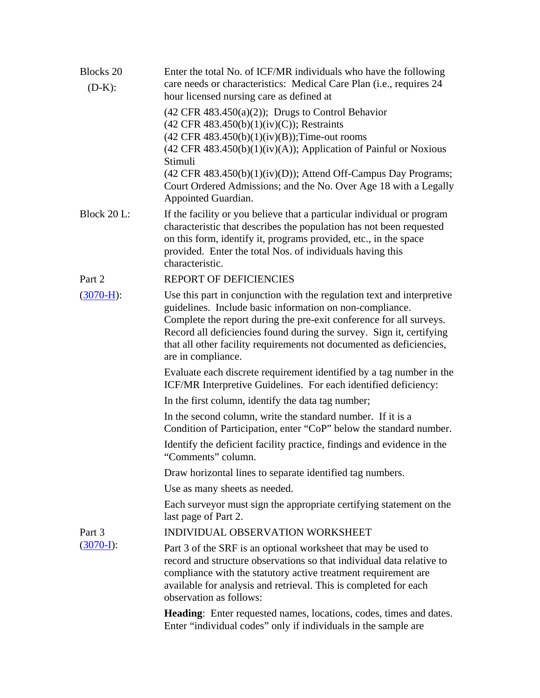| <b>Blocks 20</b><br>$(D-K):$ | Enter the total No. of ICF/MR individuals who have the following<br>care needs or characteristics: Medical Care Plan (i.e., requires 24<br>hour licensed nursing care as defined at                                                                                                                                                                                             |
|------------------------------|---------------------------------------------------------------------------------------------------------------------------------------------------------------------------------------------------------------------------------------------------------------------------------------------------------------------------------------------------------------------------------|
|                              | $(42 \text{ CFR } 483.450(a)(2))$ ; Drugs to Control Behavior<br>$(42 \text{ CFR } 483.450(b)(1)(iv)(C))$ ; Restraints<br>$(42 \text{ CFR } 483.450(b)(1)(iv)(B))$ ; Time-out rooms                                                                                                                                                                                             |
|                              | $(42 \text{ CFR } 483.450(b)(1)(iv)(A))$ ; Application of Painful or Noxious<br>Stimuli                                                                                                                                                                                                                                                                                         |
|                              | $(42 \text{ CFR } 483.450(b)(1)(iv)(D))$ ; Attend Off-Campus Day Programs;<br>Court Ordered Admissions; and the No. Over Age 18 with a Legally<br>Appointed Guardian.                                                                                                                                                                                                           |
| Block 20 L:                  | If the facility or you believe that a particular individual or program<br>characteristic that describes the population has not been requested<br>on this form, identify it, programs provided, etc., in the space<br>provided. Enter the total Nos. of individuals having this<br>characteristic.                                                                               |
| Part 2                       | REPORT OF DEFICIENCIES                                                                                                                                                                                                                                                                                                                                                          |
| $(3070-H):$                  | Use this part in conjunction with the regulation text and interpretive<br>guidelines. Include basic information on non-compliance.<br>Complete the report during the pre-exit conference for all surveys.<br>Record all deficiencies found during the survey. Sign it, certifying<br>that all other facility requirements not documented as deficiencies,<br>are in compliance. |
|                              | Evaluate each discrete requirement identified by a tag number in the<br>ICF/MR Interpretive Guidelines. For each identified deficiency:                                                                                                                                                                                                                                         |
|                              | In the first column, identify the data tag number;                                                                                                                                                                                                                                                                                                                              |
|                              | In the second column, write the standard number. If it is a<br>Condition of Participation, enter "CoP" below the standard number.                                                                                                                                                                                                                                               |
|                              | Identify the deficient facility practice, findings and evidence in the<br>"Comments" column.                                                                                                                                                                                                                                                                                    |
|                              | Draw horizontal lines to separate identified tag numbers.                                                                                                                                                                                                                                                                                                                       |
|                              | Use as many sheets as needed.                                                                                                                                                                                                                                                                                                                                                   |
|                              | Each surveyor must sign the appropriate certifying statement on the<br>last page of Part 2.                                                                                                                                                                                                                                                                                     |
| Part 3                       | INDIVIDUAL OBSERVATION WORKSHEET                                                                                                                                                                                                                                                                                                                                                |
| $(3070-I)$ :                 | Part 3 of the SRF is an optional worksheet that may be used to<br>record and structure observations so that individual data relative to<br>compliance with the statutory active treatment requirement are<br>available for analysis and retrieval. This is completed for each<br>observation as follows:                                                                        |
|                              | Heading: Enter requested names, locations, codes, times and dates.<br>Enter "individual codes" only if individuals in the sample are                                                                                                                                                                                                                                            |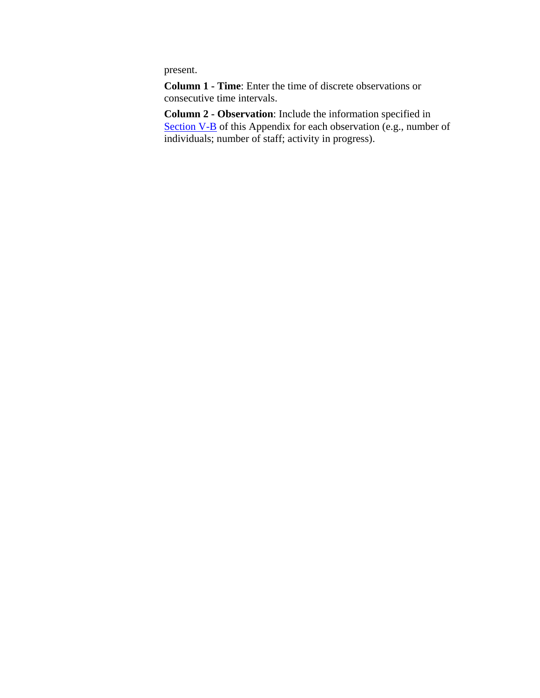present.

**Column 1 - Time**: Enter the time of discrete observations or consecutive time intervals.

**Column 2 - Observation**: Include the information specified in Section V-B of this Appendix for each observation (e.g., number of individuals; number of staff; activity in progress).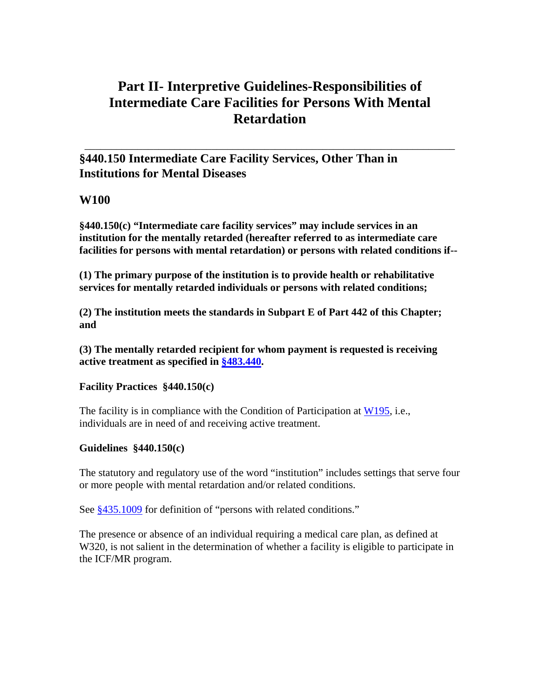# **Part II- Interpretive Guidelines-Responsibilities of Intermediate Care Facilities for Persons With Mental Retardation**

\_\_\_\_\_\_\_\_\_\_\_\_\_\_\_\_\_\_\_\_\_\_\_\_\_\_\_\_\_\_\_\_\_\_\_\_\_\_\_\_\_\_\_\_\_\_\_\_\_\_\_\_\_\_\_\_\_\_\_\_\_\_\_\_\_\_\_\_\_\_

**§440.150 Intermediate Care Facility Services, Other Than in Institutions for Mental Diseases** 

## **W100**

**§440.150(c) "Intermediate care facility services" may include services in an institution for the mentally retarded (hereafter referred to as intermediate care facilities for persons with mental retardation) or persons with related conditions if--** 

**(1) The primary purpose of the institution is to provide health or rehabilitative services for mentally retarded individuals or persons with related conditions;** 

**(2) The institution meets the standards in Subpart E of Part 442 of this Chapter; and** 

**(3) The mentally retarded recipient for whom payment is requested is receiving active treatment as specified in §483.440.** 

## **Facility Practices §440.150(c)**

The facility is in compliance with the Condition of Participation at  $W195$ , i.e., individuals are in need of and receiving active treatment.

## **Guidelines §440.150(c)**

The statutory and regulatory use of the word "institution" includes settings that serve four or more people with mental retardation and/or related conditions.

See  $§435.1009$  for definition of "persons with related conditions."

The presence or absence of an individual requiring a medical care plan, as defined at W320, is not salient in the determination of whether a facility is eligible to participate in the ICF/MR program.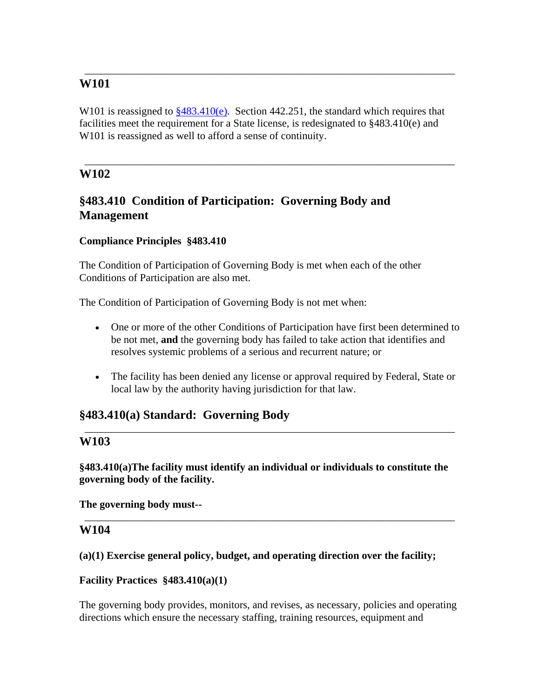W101 is reassigned to  $\frac{$483.410(e)}{6}$ . Section 442.251, the standard which requires that facilities meet the requirement for a State license, is redesignated to §483.410(e) and W101 is reassigned as well to afford a sense of continuity.

\_\_\_\_\_\_\_\_\_\_\_\_\_\_\_\_\_\_\_\_\_\_\_\_\_\_\_\_\_\_\_\_\_\_\_\_\_\_\_\_\_\_\_\_\_\_\_\_\_\_\_\_\_\_\_\_\_\_\_\_\_\_\_\_\_\_\_\_\_\_

\_\_\_\_\_\_\_\_\_\_\_\_\_\_\_\_\_\_\_\_\_\_\_\_\_\_\_\_\_\_\_\_\_\_\_\_\_\_\_\_\_\_\_\_\_\_\_\_\_\_\_\_\_\_\_\_\_\_\_\_\_\_\_\_\_\_\_\_\_\_

# **W102**

# **§483.410 Condition of Participation: Governing Body and Management**

## **Compliance Principles §483.410**

The Condition of Participation of Governing Body is met when each of the other Conditions of Participation are also met.

The Condition of Participation of Governing Body is not met when:

- One or more of the other Conditions of Participation have first been determined to be not met, **and** the governing body has failed to take action that identifies and resolves systemic problems of a serious and recurrent nature; or
- The facility has been denied any license or approval required by Federal, State or local law by the authority having jurisdiction for that law.

\_\_\_\_\_\_\_\_\_\_\_\_\_\_\_\_\_\_\_\_\_\_\_\_\_\_\_\_\_\_\_\_\_\_\_\_\_\_\_\_\_\_\_\_\_\_\_\_\_\_\_\_\_\_\_\_\_\_\_\_\_\_\_\_\_\_\_\_\_\_

# **§483.410(a) Standard: Governing Body**

## **W103**

**§483.410(a)The facility must identify an individual or individuals to constitute the governing body of the facility.** 

\_\_\_\_\_\_\_\_\_\_\_\_\_\_\_\_\_\_\_\_\_\_\_\_\_\_\_\_\_\_\_\_\_\_\_\_\_\_\_\_\_\_\_\_\_\_\_\_\_\_\_\_\_\_\_\_\_\_\_\_\_\_\_\_\_\_\_\_\_\_

**The governing body must--** 

## **W104**

**(a)(1) Exercise general policy, budget, and operating direction over the facility;** 

## **Facility Practices §483.410(a)(1)**

The governing body provides, monitors, and revises, as necessary, policies and operating directions which ensure the necessary staffing, training resources, equipment and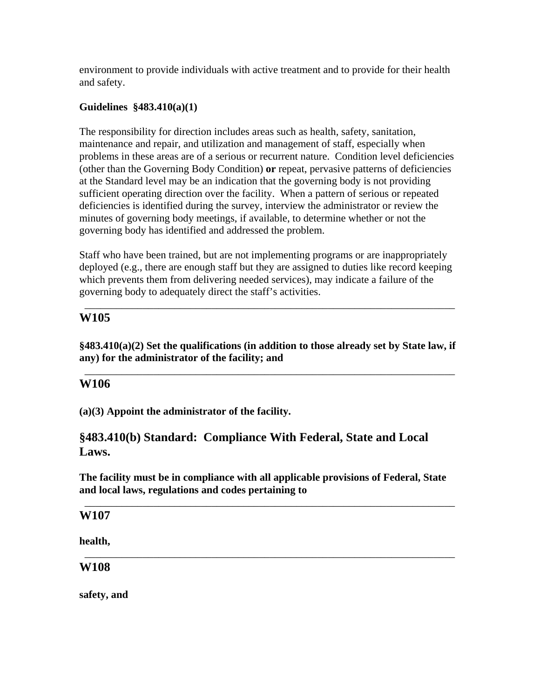environment to provide individuals with active treatment and to provide for their health and safety.

## **Guidelines §483.410(a)(1)**

The responsibility for direction includes areas such as health, safety, sanitation, maintenance and repair, and utilization and management of staff, especially when problems in these areas are of a serious or recurrent nature. Condition level deficiencies (other than the Governing Body Condition) **or** repeat, pervasive patterns of deficiencies at the Standard level may be an indication that the governing body is not providing sufficient operating direction over the facility. When a pattern of serious or repeated deficiencies is identified during the survey, interview the administrator or review the minutes of governing body meetings, if available, to determine whether or not the governing body has identified and addressed the problem.

Staff who have been trained, but are not implementing programs or are inappropriately deployed (e.g., there are enough staff but they are assigned to duties like record keeping which prevents them from delivering needed services), may indicate a failure of the governing body to adequately direct the staff's activities.

\_\_\_\_\_\_\_\_\_\_\_\_\_\_\_\_\_\_\_\_\_\_\_\_\_\_\_\_\_\_\_\_\_\_\_\_\_\_\_\_\_\_\_\_\_\_\_\_\_\_\_\_\_\_\_\_\_\_\_\_\_\_\_\_\_\_\_\_\_\_

# **W105**

**§483.410(a)(2) Set the qualifications (in addition to those already set by State law, if any) for the administrator of the facility; and** 

\_\_\_\_\_\_\_\_\_\_\_\_\_\_\_\_\_\_\_\_\_\_\_\_\_\_\_\_\_\_\_\_\_\_\_\_\_\_\_\_\_\_\_\_\_\_\_\_\_\_\_\_\_\_\_\_\_\_\_\_\_\_\_\_\_\_\_\_\_\_

# **W106**

**(a)(3) Appoint the administrator of the facility.** 

# **§483.410(b) Standard: Compliance With Federal, State and Local Laws.**

**The facility must be in compliance with all applicable provisions of Federal, State and local laws, regulations and codes pertaining to** 

\_\_\_\_\_\_\_\_\_\_\_\_\_\_\_\_\_\_\_\_\_\_\_\_\_\_\_\_\_\_\_\_\_\_\_\_\_\_\_\_\_\_\_\_\_\_\_\_\_\_\_\_\_\_\_\_\_\_\_\_\_\_\_\_\_\_\_\_\_\_

\_\_\_\_\_\_\_\_\_\_\_\_\_\_\_\_\_\_\_\_\_\_\_\_\_\_\_\_\_\_\_\_\_\_\_\_\_\_\_\_\_\_\_\_\_\_\_\_\_\_\_\_\_\_\_\_\_\_\_\_\_\_\_\_\_\_\_\_\_\_

## **W107**

**health,** 

**W108** 

**safety, and**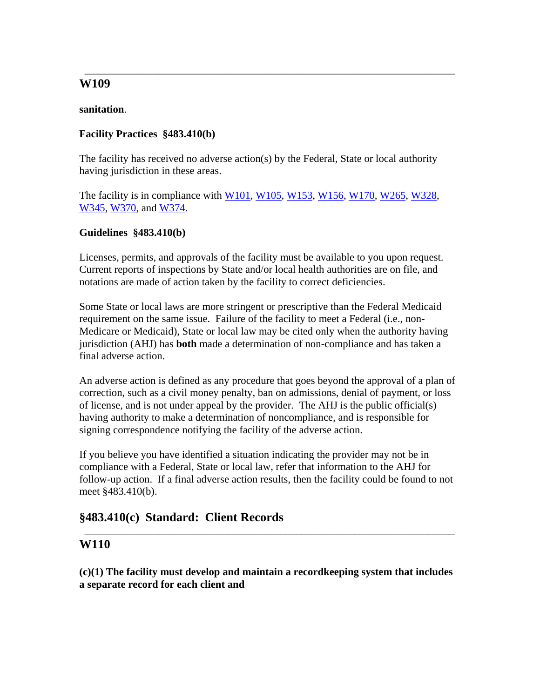## **sanitation**.

## **Facility Practices §483.410(b)**

The facility has received no adverse action(s) by the Federal, State or local authority having jurisdiction in these areas.

\_\_\_\_\_\_\_\_\_\_\_\_\_\_\_\_\_\_\_\_\_\_\_\_\_\_\_\_\_\_\_\_\_\_\_\_\_\_\_\_\_\_\_\_\_\_\_\_\_\_\_\_\_\_\_\_\_\_\_\_\_\_\_\_\_\_\_\_\_\_

The facility is in compliance with W101, W105, W153, W156, W170, W265, W328, W345, W370, and W374.

## **Guidelines §483.410(b)**

Licenses, permits, and approvals of the facility must be available to you upon request. Current reports of inspections by State and/or local health authorities are on file, and notations are made of action taken by the facility to correct deficiencies.

Some State or local laws are more stringent or prescriptive than the Federal Medicaid requirement on the same issue. Failure of the facility to meet a Federal (i.e., non-Medicare or Medicaid), State or local law may be cited only when the authority having jurisdiction (AHJ) has **both** made a determination of non-compliance and has taken a final adverse action.

An adverse action is defined as any procedure that goes beyond the approval of a plan of correction, such as a civil money penalty, ban on admissions, denial of payment, or loss of license, and is not under appeal by the provider. The AHJ is the public official(s) having authority to make a determination of noncompliance, and is responsible for signing correspondence notifying the facility of the adverse action.

If you believe you have identified a situation indicating the provider may not be in compliance with a Federal, State or local law, refer that information to the AHJ for follow-up action. If a final adverse action results, then the facility could be found to not meet §483.410(b).

# **§483.410(c) Standard: Client Records**

# **W110**

**(c)(1) The facility must develop and maintain a recordkeeping system that includes a separate record for each client and** 

\_\_\_\_\_\_\_\_\_\_\_\_\_\_\_\_\_\_\_\_\_\_\_\_\_\_\_\_\_\_\_\_\_\_\_\_\_\_\_\_\_\_\_\_\_\_\_\_\_\_\_\_\_\_\_\_\_\_\_\_\_\_\_\_\_\_\_\_\_\_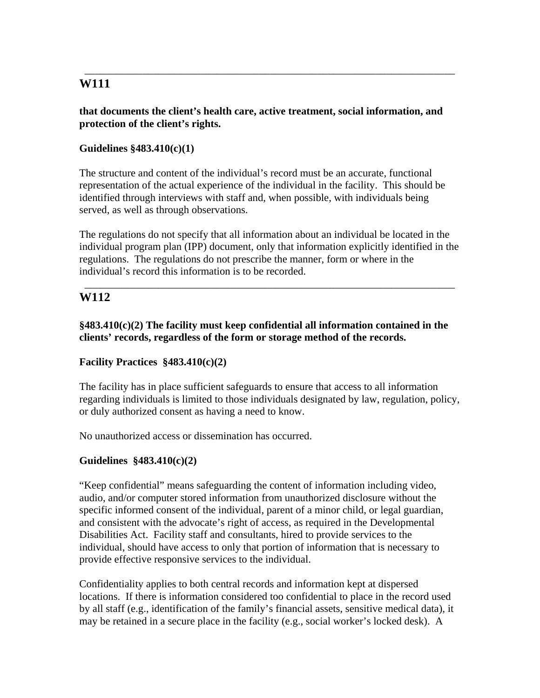## **that documents the client's health care, active treatment, social information, and protection of the client's rights.**

\_\_\_\_\_\_\_\_\_\_\_\_\_\_\_\_\_\_\_\_\_\_\_\_\_\_\_\_\_\_\_\_\_\_\_\_\_\_\_\_\_\_\_\_\_\_\_\_\_\_\_\_\_\_\_\_\_\_\_\_\_\_\_\_\_\_\_\_\_\_

## **Guidelines §483.410(c)(1)**

The structure and content of the individual's record must be an accurate, functional representation of the actual experience of the individual in the facility. This should be identified through interviews with staff and, when possible, with individuals being served, as well as through observations.

The regulations do not specify that all information about an individual be located in the individual program plan (IPP) document, only that information explicitly identified in the regulations. The regulations do not prescribe the manner, form or where in the individual's record this information is to be recorded.

\_\_\_\_\_\_\_\_\_\_\_\_\_\_\_\_\_\_\_\_\_\_\_\_\_\_\_\_\_\_\_\_\_\_\_\_\_\_\_\_\_\_\_\_\_\_\_\_\_\_\_\_\_\_\_\_\_\_\_\_\_\_\_\_\_\_\_\_\_\_

## **W112**

**§483.410(c)(2) The facility must keep confidential all information contained in the clients' records, regardless of the form or storage method of the records.** 

## **Facility Practices §483.410(c)(2)**

The facility has in place sufficient safeguards to ensure that access to all information regarding individuals is limited to those individuals designated by law, regulation, policy, or duly authorized consent as having a need to know.

No unauthorized access or dissemination has occurred.

#### **Guidelines §483.410(c)(2)**

"Keep confidential" means safeguarding the content of information including video, audio, and/or computer stored information from unauthorized disclosure without the specific informed consent of the individual, parent of a minor child, or legal guardian, and consistent with the advocate's right of access, as required in the Developmental Disabilities Act. Facility staff and consultants, hired to provide services to the individual, should have access to only that portion of information that is necessary to provide effective responsive services to the individual.

Confidentiality applies to both central records and information kept at dispersed locations. If there is information considered too confidential to place in the record used by all staff (e.g., identification of the family's financial assets, sensitive medical data), it may be retained in a secure place in the facility (e.g., social worker's locked desk). A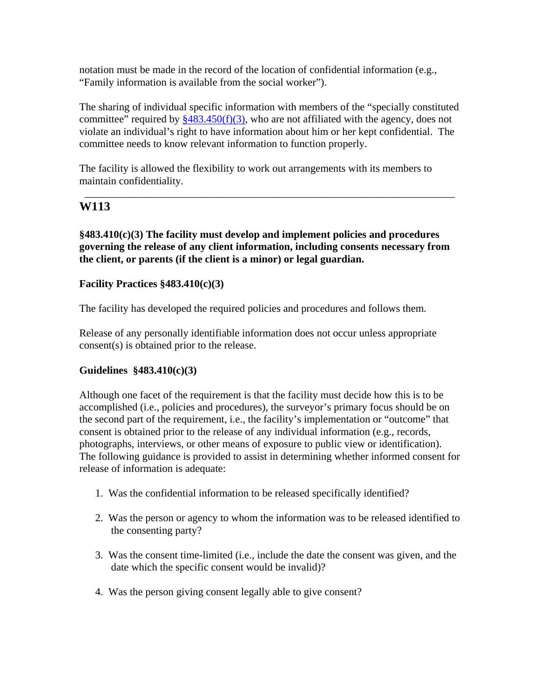notation must be made in the record of the location of confidential information (e.g., "Family information is available from the social worker").

The sharing of individual specific information with members of the "specially constituted committee" required by  $\frac{$483.450(f)(3)}{9}$ , who are not affiliated with the agency, does not violate an individual's right to have information about him or her kept confidential. The committee needs to know relevant information to function properly.

\_\_\_\_\_\_\_\_\_\_\_\_\_\_\_\_\_\_\_\_\_\_\_\_\_\_\_\_\_\_\_\_\_\_\_\_\_\_\_\_\_\_\_\_\_\_\_\_\_\_\_\_\_\_\_\_\_\_\_\_\_\_\_\_\_\_\_\_\_\_

The facility is allowed the flexibility to work out arrangements with its members to maintain confidentiality.

# **W113**

**§483.410(c)(3) The facility must develop and implement policies and procedures governing the release of any client information, including consents necessary from the client, or parents (if the client is a minor) or legal guardian.** 

## **Facility Practices §483.410(c)(3)**

The facility has developed the required policies and procedures and follows them.

Release of any personally identifiable information does not occur unless appropriate consent(s) is obtained prior to the release.

## **Guidelines §483.410(c)(3)**

Although one facet of the requirement is that the facility must decide how this is to be accomplished (i.e., policies and procedures), the surveyor's primary focus should be on the second part of the requirement, i.e., the facility's implementation or "outcome" that consent is obtained prior to the release of any individual information (e.g., records, photographs, interviews, or other means of exposure to public view or identification). The following guidance is provided to assist in determining whether informed consent for release of information is adequate:

- 1. Was the confidential information to be released specifically identified?
- 2. Was the person or agency to whom the information was to be released identified to the consenting party?
- 3. Was the consent time-limited (i.e., include the date the consent was given, and the date which the specific consent would be invalid)?
- 4. Was the person giving consent legally able to give consent?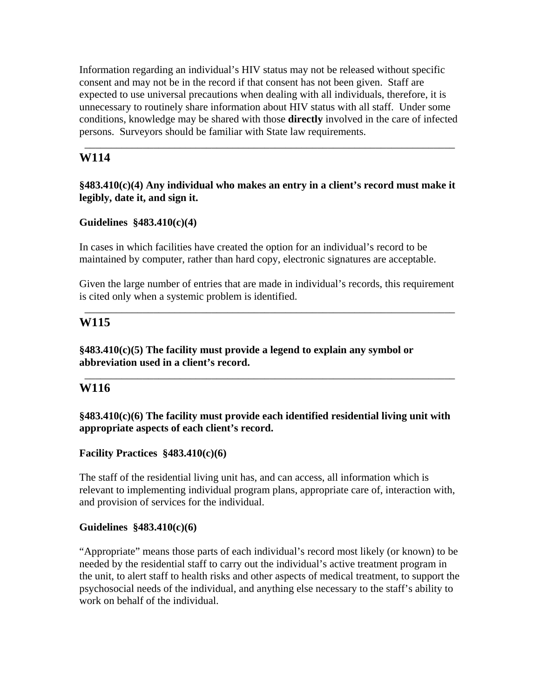Information regarding an individual's HIV status may not be released without specific consent and may not be in the record if that consent has not been given. Staff are expected to use universal precautions when dealing with all individuals, therefore, it is unnecessary to routinely share information about HIV status with all staff. Under some conditions, knowledge may be shared with those **directly** involved in the care of infected persons. Surveyors should be familiar with State law requirements.

\_\_\_\_\_\_\_\_\_\_\_\_\_\_\_\_\_\_\_\_\_\_\_\_\_\_\_\_\_\_\_\_\_\_\_\_\_\_\_\_\_\_\_\_\_\_\_\_\_\_\_\_\_\_\_\_\_\_\_\_\_\_\_\_\_\_\_\_\_\_

# **W114**

### **§483.410(c)(4) Any individual who makes an entry in a client's record must make it legibly, date it, and sign it.**

## **Guidelines §483.410(c)(4)**

In cases in which facilities have created the option for an individual's record to be maintained by computer, rather than hard copy, electronic signatures are acceptable.

Given the large number of entries that are made in individual's records, this requirement is cited only when a systemic problem is identified.

\_\_\_\_\_\_\_\_\_\_\_\_\_\_\_\_\_\_\_\_\_\_\_\_\_\_\_\_\_\_\_\_\_\_\_\_\_\_\_\_\_\_\_\_\_\_\_\_\_\_\_\_\_\_\_\_\_\_\_\_\_\_\_\_\_\_\_\_\_\_

\_\_\_\_\_\_\_\_\_\_\_\_\_\_\_\_\_\_\_\_\_\_\_\_\_\_\_\_\_\_\_\_\_\_\_\_\_\_\_\_\_\_\_\_\_\_\_\_\_\_\_\_\_\_\_\_\_\_\_\_\_\_\_\_\_\_\_\_\_\_

## **W115**

**§483.410(c)(5) The facility must provide a legend to explain any symbol or abbreviation used in a client's record.** 

## **W116**

## **§483.410(c)(6) The facility must provide each identified residential living unit with appropriate aspects of each client's record.**

## **Facility Practices §483.410(c)(6)**

The staff of the residential living unit has, and can access, all information which is relevant to implementing individual program plans, appropriate care of, interaction with, and provision of services for the individual.

## **Guidelines §483.410(c)(6)**

"Appropriate" means those parts of each individual's record most likely (or known) to be needed by the residential staff to carry out the individual's active treatment program in the unit, to alert staff to health risks and other aspects of medical treatment, to support the psychosocial needs of the individual, and anything else necessary to the staff's ability to work on behalf of the individual.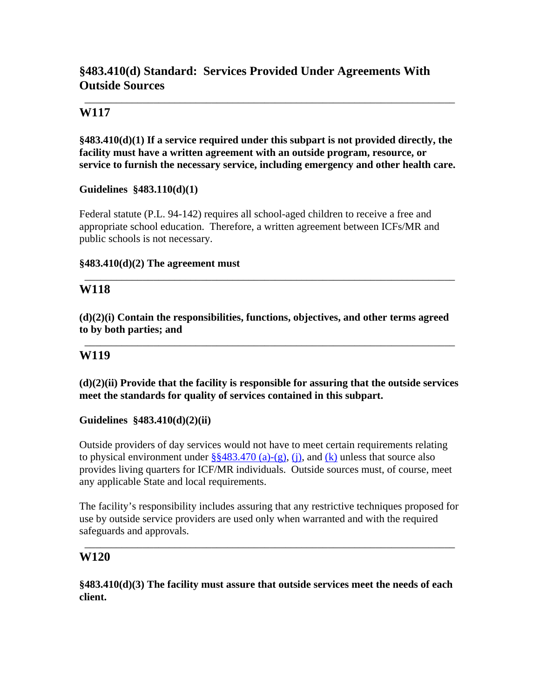# **§483.410(d) Standard: Services Provided Under Agreements With Outside Sources**

## **W117**

**§483.410(d)(1) If a service required under this subpart is not provided directly, the facility must have a written agreement with an outside program, resource, or service to furnish the necessary service, including emergency and other health care.** 

\_\_\_\_\_\_\_\_\_\_\_\_\_\_\_\_\_\_\_\_\_\_\_\_\_\_\_\_\_\_\_\_\_\_\_\_\_\_\_\_\_\_\_\_\_\_\_\_\_\_\_\_\_\_\_\_\_\_\_\_\_\_\_\_\_\_\_\_\_\_

## **Guidelines §483.110(d)(1)**

Federal statute (P.L. 94-142) requires all school-aged children to receive a free and appropriate school education. Therefore, a written agreement between ICFs/MR and public schools is not necessary.

#### **§483.410(d)(2) The agreement must**

## **W118**

**(d)(2)(i) Contain the responsibilities, functions, objectives, and other terms agreed to by both parties; and** 

\_\_\_\_\_\_\_\_\_\_\_\_\_\_\_\_\_\_\_\_\_\_\_\_\_\_\_\_\_\_\_\_\_\_\_\_\_\_\_\_\_\_\_\_\_\_\_\_\_\_\_\_\_\_\_\_\_\_\_\_\_\_\_\_\_\_\_\_\_\_

\_\_\_\_\_\_\_\_\_\_\_\_\_\_\_\_\_\_\_\_\_\_\_\_\_\_\_\_\_\_\_\_\_\_\_\_\_\_\_\_\_\_\_\_\_\_\_\_\_\_\_\_\_\_\_\_\_\_\_\_\_\_\_\_\_\_\_\_\_\_

## **W119**

**(d)(2)(ii) Provide that the facility is responsible for assuring that the outside services meet the standards for quality of services contained in this subpart.** 

## **Guidelines §483.410(d)(2)(ii)**

Outside providers of day services would not have to meet certain requirements relating to physical environment under  $\S$ §483.470 (a)-(g), (j), and (k) unless that source also provides living quarters for ICF/MR individuals. Outside sources must, of course, meet any applicable State and local requirements.

The facility's responsibility includes assuring that any restrictive techniques proposed for use by outside service providers are used only when warranted and with the required safeguards and approvals.

\_\_\_\_\_\_\_\_\_\_\_\_\_\_\_\_\_\_\_\_\_\_\_\_\_\_\_\_\_\_\_\_\_\_\_\_\_\_\_\_\_\_\_\_\_\_\_\_\_\_\_\_\_\_\_\_\_\_\_\_\_\_\_\_\_\_\_\_\_\_

## **W120**

**§483.410(d)(3) The facility must assure that outside services meet the needs of each client.**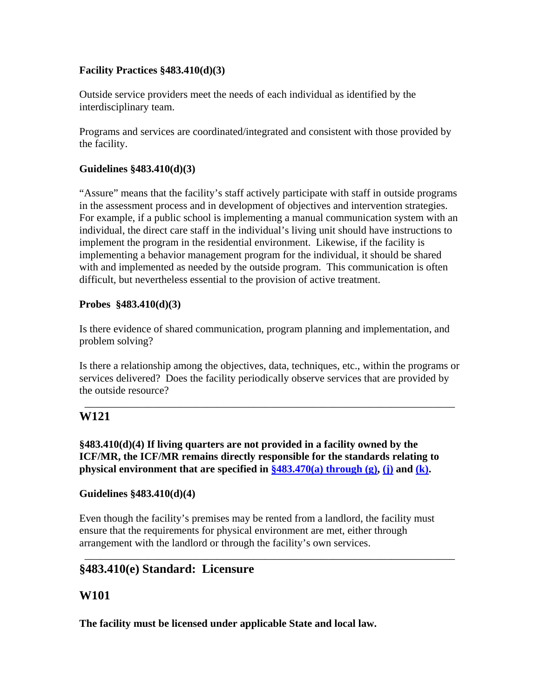## **Facility Practices §483.410(d)(3)**

Outside service providers meet the needs of each individual as identified by the interdisciplinary team.

Programs and services are coordinated/integrated and consistent with those provided by the facility.

## **Guidelines §483.410(d)(3)**

"Assure" means that the facility's staff actively participate with staff in outside programs in the assessment process and in development of objectives and intervention strategies. For example, if a public school is implementing a manual communication system with an individual, the direct care staff in the individual's living unit should have instructions to implement the program in the residential environment. Likewise, if the facility is implementing a behavior management program for the individual, it should be shared with and implemented as needed by the outside program. This communication is often difficult, but nevertheless essential to the provision of active treatment.

## **Probes §483.410(d)(3)**

Is there evidence of shared communication, program planning and implementation, and problem solving?

Is there a relationship among the objectives, data, techniques, etc., within the programs or services delivered? Does the facility periodically observe services that are provided by the outside resource?

\_\_\_\_\_\_\_\_\_\_\_\_\_\_\_\_\_\_\_\_\_\_\_\_\_\_\_\_\_\_\_\_\_\_\_\_\_\_\_\_\_\_\_\_\_\_\_\_\_\_\_\_\_\_\_\_\_\_\_\_\_\_\_\_\_\_\_\_\_\_

# **W121**

**§483.410(d)(4) If living quarters are not provided in a facility owned by the ICF/MR, the ICF/MR remains directly responsible for the standards relating to physical environment that are specified in**  $\frac{2483.470(a)}{1000}$  **through (g), (j) and (k).** 

## **Guidelines §483.410(d)(4)**

Even though the facility's premises may be rented from a landlord, the facility must ensure that the requirements for physical environment are met, either through arrangement with the landlord or through the facility's own services.

\_\_\_\_\_\_\_\_\_\_\_\_\_\_\_\_\_\_\_\_\_\_\_\_\_\_\_\_\_\_\_\_\_\_\_\_\_\_\_\_\_\_\_\_\_\_\_\_\_\_\_\_\_\_\_\_\_\_\_\_\_\_\_\_\_\_\_\_\_\_

# **§483.410(e) Standard: Licensure**

# **W101**

**The facility must be licensed under applicable State and local law.**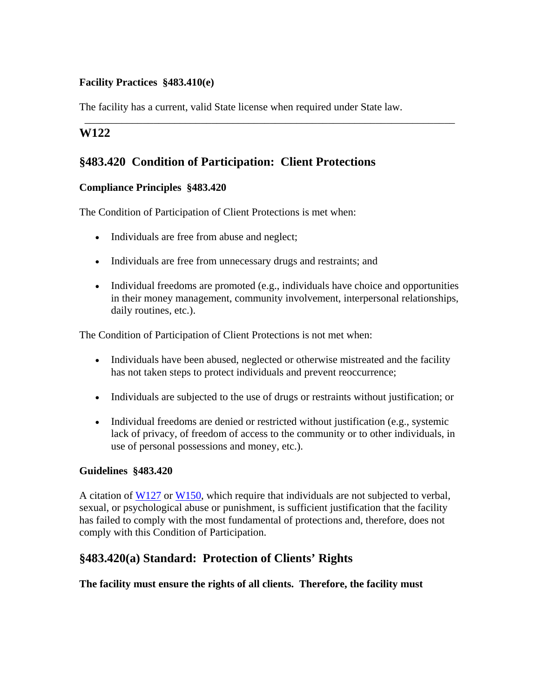## **Facility Practices §483.410(e)**

The facility has a current, valid State license when required under State law.

\_\_\_\_\_\_\_\_\_\_\_\_\_\_\_\_\_\_\_\_\_\_\_\_\_\_\_\_\_\_\_\_\_\_\_\_\_\_\_\_\_\_\_\_\_\_\_\_\_\_\_\_\_\_\_\_\_\_\_\_\_\_\_\_\_\_\_\_\_\_

## **W122**

# **§483.420 Condition of Participation: Client Protections**

## **Compliance Principles §483.420**

The Condition of Participation of Client Protections is met when:

- Individuals are free from abuse and neglect;
- Individuals are free from unnecessary drugs and restraints; and
- Individual freedoms are promoted (e.g., individuals have choice and opportunities in their money management, community involvement, interpersonal relationships, daily routines, etc.).

The Condition of Participation of Client Protections is not met when:

- Individuals have been abused, neglected or otherwise mistreated and the facility has not taken steps to protect individuals and prevent reoccurrence;
- Individuals are subjected to the use of drugs or restraints without justification; or
- Individual freedoms are denied or restricted without justification (e.g., systemic lack of privacy, of freedom of access to the community or to other individuals, in use of personal possessions and money, etc.).

## **Guidelines §483.420**

A citation of W127 or W150, which require that individuals are not subjected to verbal, sexual, or psychological abuse or punishment, is sufficient justification that the facility has failed to comply with the most fundamental of protections and, therefore, does not comply with this Condition of Participation.

# **§483.420(a) Standard: Protection of Clients' Rights**

## **The facility must ensure the rights of all clients. Therefore, the facility must**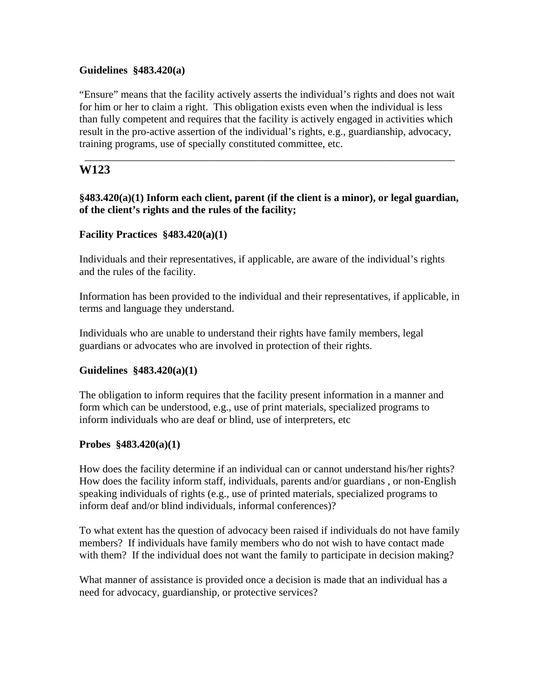### **Guidelines §483.420(a)**

"Ensure" means that the facility actively asserts the individual's rights and does not wait for him or her to claim a right. This obligation exists even when the individual is less than fully competent and requires that the facility is actively engaged in activities which result in the pro-active assertion of the individual's rights, e.g., guardianship, advocacy, training programs, use of specially constituted committee, etc.

\_\_\_\_\_\_\_\_\_\_\_\_\_\_\_\_\_\_\_\_\_\_\_\_\_\_\_\_\_\_\_\_\_\_\_\_\_\_\_\_\_\_\_\_\_\_\_\_\_\_\_\_\_\_\_\_\_\_\_\_\_\_\_\_\_\_\_\_\_\_

## **W123**

## **§483.420(a)(1) Inform each client, parent (if the client is a minor), or legal guardian, of the client's rights and the rules of the facility;**

#### **Facility Practices §483.420(a)(1)**

Individuals and their representatives, if applicable, are aware of the individual's rights and the rules of the facility.

Information has been provided to the individual and their representatives, if applicable, in terms and language they understand.

Individuals who are unable to understand their rights have family members, legal guardians or advocates who are involved in protection of their rights.

## **Guidelines §483.420(a)(1)**

The obligation to inform requires that the facility present information in a manner and form which can be understood, e.g., use of print materials, specialized programs to inform individuals who are deaf or blind, use of interpreters, etc

#### **Probes §483.420(a)(1)**

How does the facility determine if an individual can or cannot understand his/her rights? How does the facility inform staff, individuals, parents and/or guardians , or non-English speaking individuals of rights (e.g., use of printed materials, specialized programs to inform deaf and/or blind individuals, informal conferences)?

To what extent has the question of advocacy been raised if individuals do not have family members? If individuals have family members who do not wish to have contact made with them? If the individual does not want the family to participate in decision making?

What manner of assistance is provided once a decision is made that an individual has a need for advocacy, guardianship, or protective services?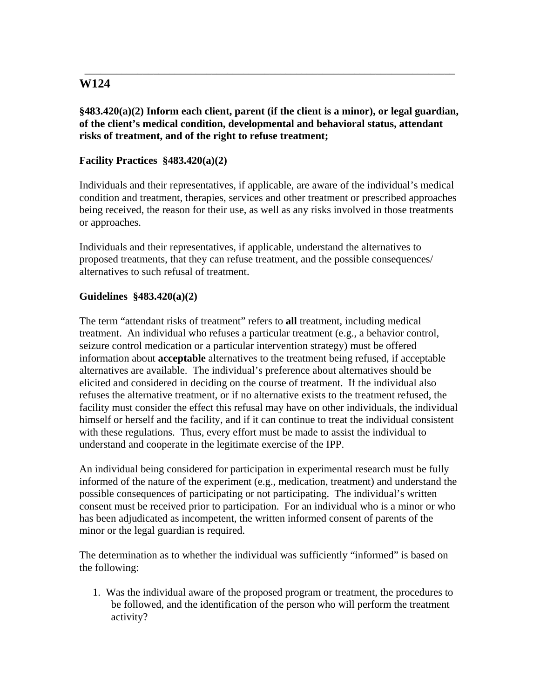**§483.420(a)(2) Inform each client, parent (if the client is a minor), or legal guardian, of the client's medical condition, developmental and behavioral status, attendant risks of treatment, and of the right to refuse treatment;** 

\_\_\_\_\_\_\_\_\_\_\_\_\_\_\_\_\_\_\_\_\_\_\_\_\_\_\_\_\_\_\_\_\_\_\_\_\_\_\_\_\_\_\_\_\_\_\_\_\_\_\_\_\_\_\_\_\_\_\_\_\_\_\_\_\_\_\_\_\_\_

## **Facility Practices §483.420(a)(2)**

Individuals and their representatives, if applicable, are aware of the individual's medical condition and treatment, therapies, services and other treatment or prescribed approaches being received, the reason for their use, as well as any risks involved in those treatments or approaches.

Individuals and their representatives, if applicable, understand the alternatives to proposed treatments, that they can refuse treatment, and the possible consequences/ alternatives to such refusal of treatment.

## **Guidelines §483.420(a)(2)**

The term "attendant risks of treatment" refers to **all** treatment, including medical treatment. An individual who refuses a particular treatment (e.g., a behavior control, seizure control medication or a particular intervention strategy) must be offered information about **acceptable** alternatives to the treatment being refused, if acceptable alternatives are available. The individual's preference about alternatives should be elicited and considered in deciding on the course of treatment. If the individual also refuses the alternative treatment, or if no alternative exists to the treatment refused, the facility must consider the effect this refusal may have on other individuals, the individual himself or herself and the facility, and if it can continue to treat the individual consistent with these regulations. Thus, every effort must be made to assist the individual to understand and cooperate in the legitimate exercise of the IPP.

An individual being considered for participation in experimental research must be fully informed of the nature of the experiment (e.g., medication, treatment) and understand the possible consequences of participating or not participating. The individual's written consent must be received prior to participation. For an individual who is a minor or who has been adjudicated as incompetent, the written informed consent of parents of the minor or the legal guardian is required.

The determination as to whether the individual was sufficiently "informed" is based on the following:

1. Was the individual aware of the proposed program or treatment, the procedures to be followed, and the identification of the person who will perform the treatment activity?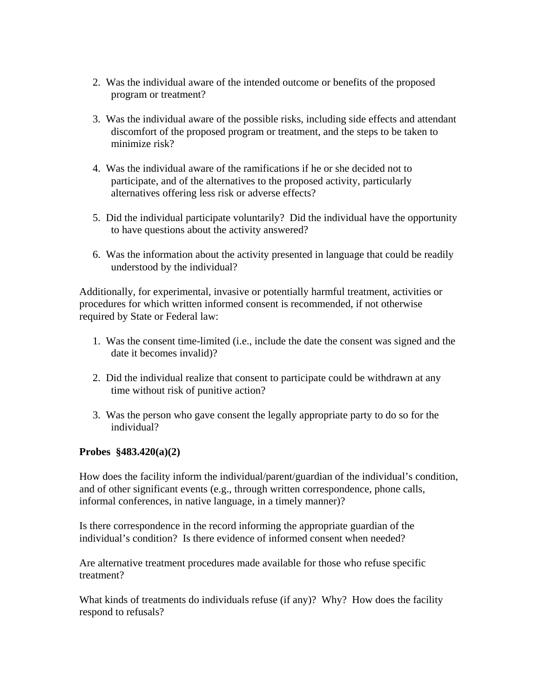- 2. Was the individual aware of the intended outcome or benefits of the proposed program or treatment?
- 3. Was the individual aware of the possible risks, including side effects and attendant discomfort of the proposed program or treatment, and the steps to be taken to minimize risk?
- 4. Was the individual aware of the ramifications if he or she decided not to participate, and of the alternatives to the proposed activity, particularly alternatives offering less risk or adverse effects?
- 5. Did the individual participate voluntarily? Did the individual have the opportunity to have questions about the activity answered?
- 6. Was the information about the activity presented in language that could be readily understood by the individual?

Additionally, for experimental, invasive or potentially harmful treatment, activities or procedures for which written informed consent is recommended, if not otherwise required by State or Federal law:

- 1. Was the consent time-limited (i.e., include the date the consent was signed and the date it becomes invalid)?
- 2. Did the individual realize that consent to participate could be withdrawn at any time without risk of punitive action?
- 3. Was the person who gave consent the legally appropriate party to do so for the individual?

## **Probes §483.420(a)(2)**

How does the facility inform the individual/parent/guardian of the individual's condition, and of other significant events (e.g., through written correspondence, phone calls, informal conferences, in native language, in a timely manner)?

Is there correspondence in the record informing the appropriate guardian of the individual's condition? Is there evidence of informed consent when needed?

Are alternative treatment procedures made available for those who refuse specific treatment?

What kinds of treatments do individuals refuse (if any)? Why? How does the facility respond to refusals?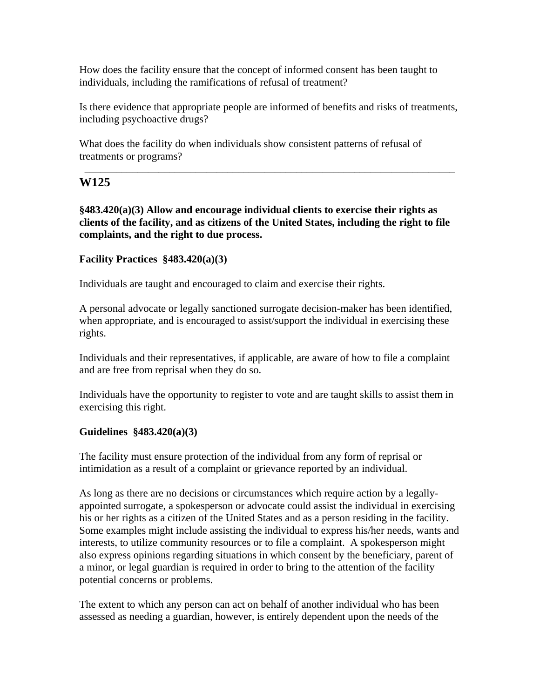How does the facility ensure that the concept of informed consent has been taught to individuals, including the ramifications of refusal of treatment?

Is there evidence that appropriate people are informed of benefits and risks of treatments, including psychoactive drugs?

\_\_\_\_\_\_\_\_\_\_\_\_\_\_\_\_\_\_\_\_\_\_\_\_\_\_\_\_\_\_\_\_\_\_\_\_\_\_\_\_\_\_\_\_\_\_\_\_\_\_\_\_\_\_\_\_\_\_\_\_\_\_\_\_\_\_\_\_\_\_

What does the facility do when individuals show consistent patterns of refusal of treatments or programs?

## **W125**

**§483.420(a)(3) Allow and encourage individual clients to exercise their rights as clients of the facility, and as citizens of the United States, including the right to file complaints, and the right to due process.** 

## **Facility Practices §483.420(a)(3)**

Individuals are taught and encouraged to claim and exercise their rights.

A personal advocate or legally sanctioned surrogate decision-maker has been identified, when appropriate, and is encouraged to assist/support the individual in exercising these rights.

Individuals and their representatives, if applicable, are aware of how to file a complaint and are free from reprisal when they do so.

Individuals have the opportunity to register to vote and are taught skills to assist them in exercising this right.

#### **Guidelines §483.420(a)(3)**

The facility must ensure protection of the individual from any form of reprisal or intimidation as a result of a complaint or grievance reported by an individual.

As long as there are no decisions or circumstances which require action by a legallyappointed surrogate, a spokesperson or advocate could assist the individual in exercising his or her rights as a citizen of the United States and as a person residing in the facility. Some examples might include assisting the individual to express his/her needs, wants and interests, to utilize community resources or to file a complaint. A spokesperson might also express opinions regarding situations in which consent by the beneficiary, parent of a minor, or legal guardian is required in order to bring to the attention of the facility potential concerns or problems.

The extent to which any person can act on behalf of another individual who has been assessed as needing a guardian, however, is entirely dependent upon the needs of the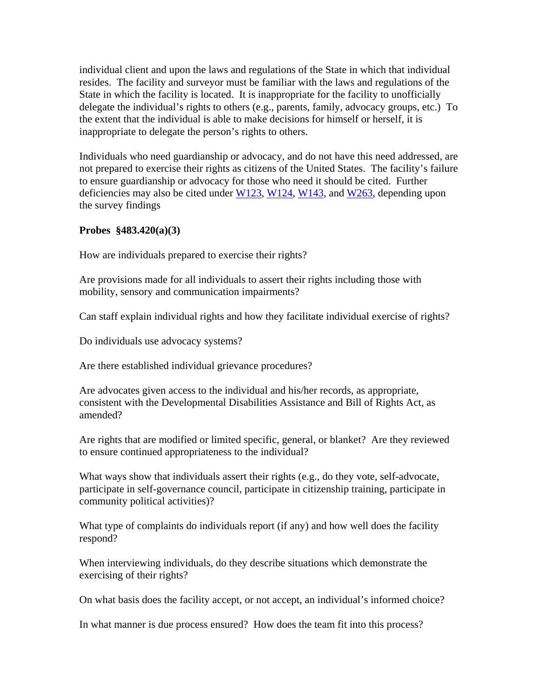individual client and upon the laws and regulations of the State in which that individual resides. The facility and surveyor must be familiar with the laws and regulations of the State in which the facility is located. It is inappropriate for the facility to unofficially delegate the individual's rights to others (e.g., parents, family, advocacy groups, etc.) To the extent that the individual is able to make decisions for himself or herself, it is inappropriate to delegate the person's rights to others.

Individuals who need guardianship or advocacy, and do not have this need addressed, are not prepared to exercise their rights as citizens of the United States. The facility's failure to ensure guardianship or advocacy for those who need it should be cited. Further deficiencies may also be cited under  $W123$ ,  $W124$ ,  $W143$ , and  $W263$ , depending upon the survey findings

#### **Probes §483.420(a)(3)**

How are individuals prepared to exercise their rights?

Are provisions made for all individuals to assert their rights including those with mobility, sensory and communication impairments?

Can staff explain individual rights and how they facilitate individual exercise of rights?

Do individuals use advocacy systems?

Are there established individual grievance procedures?

Are advocates given access to the individual and his/her records, as appropriate, consistent with the Developmental Disabilities Assistance and Bill of Rights Act, as amended?

Are rights that are modified or limited specific, general, or blanket? Are they reviewed to ensure continued appropriateness to the individual?

What ways show that individuals assert their rights (e.g., do they vote, self-advocate, participate in self-governance council, participate in citizenship training, participate in community political activities)?

What type of complaints do individuals report (if any) and how well does the facility respond?

When interviewing individuals, do they describe situations which demonstrate the exercising of their rights?

On what basis does the facility accept, or not accept, an individual's informed choice?

In what manner is due process ensured? How does the team fit into this process?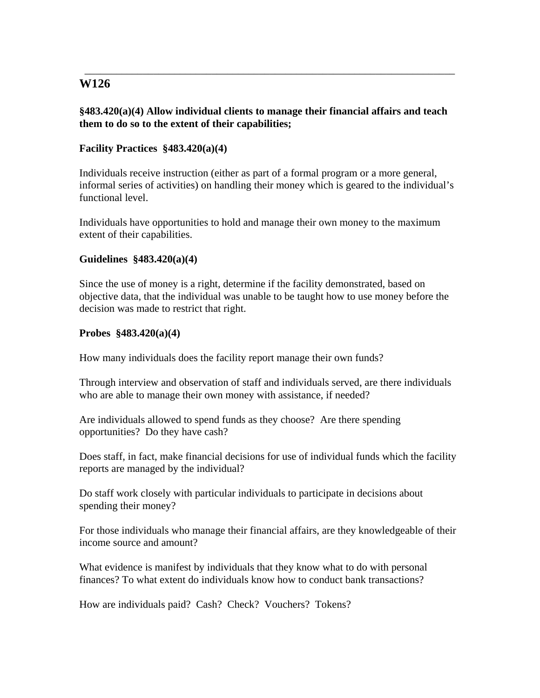## **§483.420(a)(4) Allow individual clients to manage their financial affairs and teach them to do so to the extent of their capabilities;**

\_\_\_\_\_\_\_\_\_\_\_\_\_\_\_\_\_\_\_\_\_\_\_\_\_\_\_\_\_\_\_\_\_\_\_\_\_\_\_\_\_\_\_\_\_\_\_\_\_\_\_\_\_\_\_\_\_\_\_\_\_\_\_\_\_\_\_\_\_\_

## **Facility Practices §483.420(a)(4)**

Individuals receive instruction (either as part of a formal program or a more general, informal series of activities) on handling their money which is geared to the individual's functional level.

Individuals have opportunities to hold and manage their own money to the maximum extent of their capabilities.

#### **Guidelines §483.420(a)(4)**

Since the use of money is a right, determine if the facility demonstrated, based on objective data, that the individual was unable to be taught how to use money before the decision was made to restrict that right.

#### **Probes §483.420(a)(4)**

How many individuals does the facility report manage their own funds?

Through interview and observation of staff and individuals served, are there individuals who are able to manage their own money with assistance, if needed?

Are individuals allowed to spend funds as they choose? Are there spending opportunities? Do they have cash?

Does staff, in fact, make financial decisions for use of individual funds which the facility reports are managed by the individual?

Do staff work closely with particular individuals to participate in decisions about spending their money?

For those individuals who manage their financial affairs, are they knowledgeable of their income source and amount?

What evidence is manifest by individuals that they know what to do with personal finances? To what extent do individuals know how to conduct bank transactions?

How are individuals paid? Cash? Check? Vouchers? Tokens?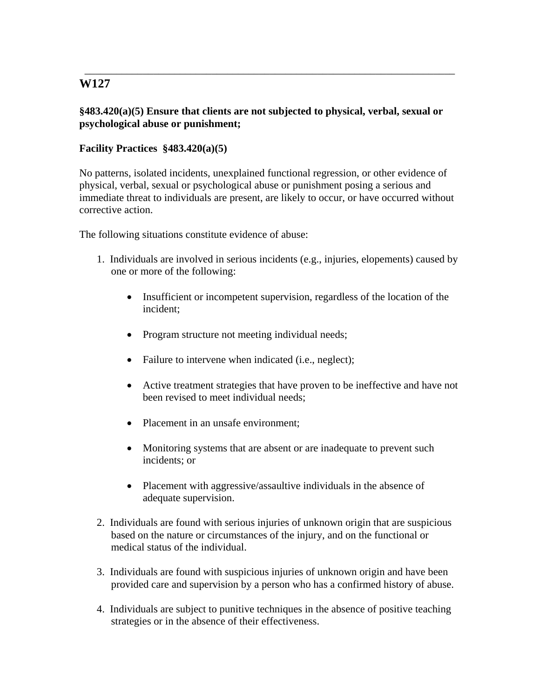## **§483.420(a)(5) Ensure that clients are not subjected to physical, verbal, sexual or psychological abuse or punishment;**

\_\_\_\_\_\_\_\_\_\_\_\_\_\_\_\_\_\_\_\_\_\_\_\_\_\_\_\_\_\_\_\_\_\_\_\_\_\_\_\_\_\_\_\_\_\_\_\_\_\_\_\_\_\_\_\_\_\_\_\_\_\_\_\_\_\_\_\_\_\_

## **Facility Practices §483.420(a)(5)**

No patterns, isolated incidents, unexplained functional regression, or other evidence of physical, verbal, sexual or psychological abuse or punishment posing a serious and immediate threat to individuals are present, are likely to occur, or have occurred without corrective action.

The following situations constitute evidence of abuse:

- 1. Individuals are involved in serious incidents (e.g., injuries, elopements) caused by one or more of the following:
	- Insufficient or incompetent supervision, regardless of the location of the incident;
	- Program structure not meeting individual needs;
	- Failure to intervene when indicated (i.e., neglect);
	- Active treatment strategies that have proven to be ineffective and have not been revised to meet individual needs;
	- Placement in an unsafe environment:
	- Monitoring systems that are absent or are inadequate to prevent such incidents; or
	- Placement with aggressive/assaultive individuals in the absence of adequate supervision.
- 2. Individuals are found with serious injuries of unknown origin that are suspicious based on the nature or circumstances of the injury, and on the functional or medical status of the individual.
- 3. Individuals are found with suspicious injuries of unknown origin and have been provided care and supervision by a person who has a confirmed history of abuse.
- 4. Individuals are subject to punitive techniques in the absence of positive teaching strategies or in the absence of their effectiveness.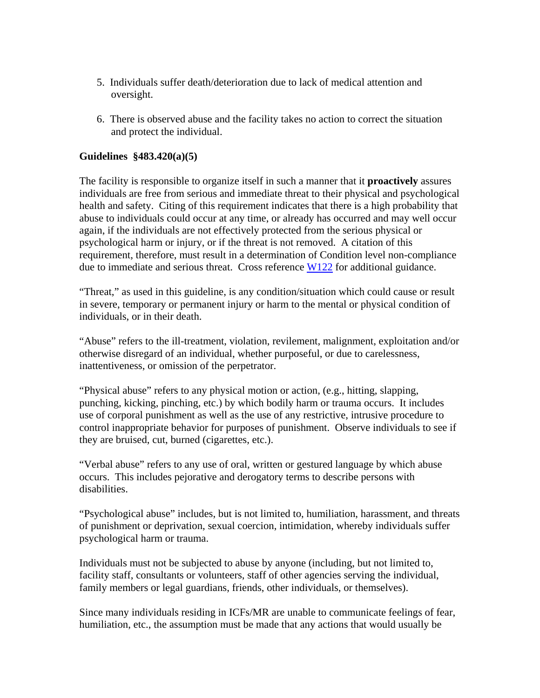- 5. Individuals suffer death/deterioration due to lack of medical attention and oversight.
- 6. There is observed abuse and the facility takes no action to correct the situation and protect the individual.

#### **Guidelines §483.420(a)(5)**

The facility is responsible to organize itself in such a manner that it **proactively** assures individuals are free from serious and immediate threat to their physical and psychological health and safety. Citing of this requirement indicates that there is a high probability that abuse to individuals could occur at any time, or already has occurred and may well occur again, if the individuals are not effectively protected from the serious physical or psychological harm or injury, or if the threat is not removed. A citation of this requirement, therefore, must result in a determination of Condition level non-compliance due to immediate and serious threat. Cross reference W122 for additional guidance.

"Threat," as used in this guideline, is any condition/situation which could cause or result in severe, temporary or permanent injury or harm to the mental or physical condition of individuals, or in their death.

"Abuse" refers to the ill-treatment, violation, revilement, malignment, exploitation and/or otherwise disregard of an individual, whether purposeful, or due to carelessness, inattentiveness, or omission of the perpetrator.

"Physical abuse" refers to any physical motion or action, (e.g., hitting, slapping, punching, kicking, pinching, etc.) by which bodily harm or trauma occurs. It includes use of corporal punishment as well as the use of any restrictive, intrusive procedure to control inappropriate behavior for purposes of punishment. Observe individuals to see if they are bruised, cut, burned (cigarettes, etc.).

"Verbal abuse" refers to any use of oral, written or gestured language by which abuse occurs. This includes pejorative and derogatory terms to describe persons with disabilities.

"Psychological abuse" includes, but is not limited to, humiliation, harassment, and threats of punishment or deprivation, sexual coercion, intimidation, whereby individuals suffer psychological harm or trauma.

Individuals must not be subjected to abuse by anyone (including, but not limited to, facility staff, consultants or volunteers, staff of other agencies serving the individual, family members or legal guardians, friends, other individuals, or themselves).

Since many individuals residing in ICFs/MR are unable to communicate feelings of fear, humiliation, etc., the assumption must be made that any actions that would usually be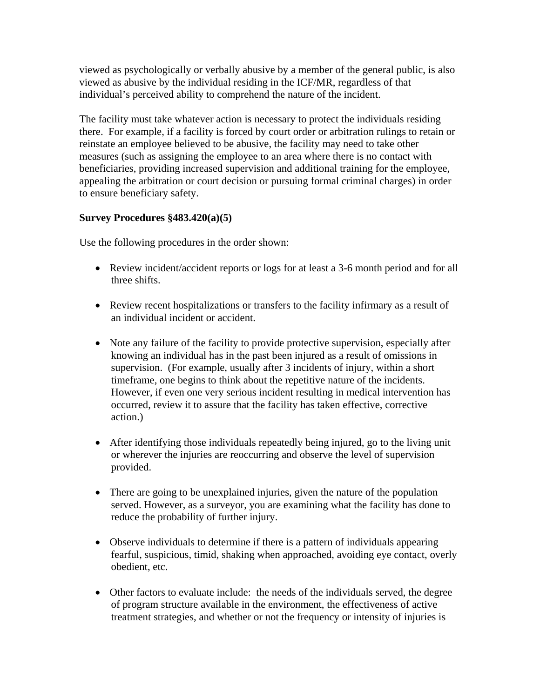viewed as psychologically or verbally abusive by a member of the general public, is also viewed as abusive by the individual residing in the ICF/MR, regardless of that individual's perceived ability to comprehend the nature of the incident.

The facility must take whatever action is necessary to protect the individuals residing there. For example, if a facility is forced by court order or arbitration rulings to retain or reinstate an employee believed to be abusive, the facility may need to take other measures (such as assigning the employee to an area where there is no contact with beneficiaries, providing increased supervision and additional training for the employee, appealing the arbitration or court decision or pursuing formal criminal charges) in order to ensure beneficiary safety.

## **Survey Procedures §483.420(a)(5)**

Use the following procedures in the order shown:

- Review incident/accident reports or logs for at least a 3-6 month period and for all three shifts.
- Review recent hospitalizations or transfers to the facility infirmary as a result of an individual incident or accident.
- Note any failure of the facility to provide protective supervision, especially after knowing an individual has in the past been injured as a result of omissions in supervision. (For example, usually after 3 incidents of injury, within a short timeframe, one begins to think about the repetitive nature of the incidents. However, if even one very serious incident resulting in medical intervention has occurred, review it to assure that the facility has taken effective, corrective action.)
- After identifying those individuals repeatedly being injured, go to the living unit or wherever the injuries are reoccurring and observe the level of supervision provided.
- There are going to be unexplained injuries, given the nature of the population served. However, as a surveyor, you are examining what the facility has done to reduce the probability of further injury.
- Observe individuals to determine if there is a pattern of individuals appearing fearful, suspicious, timid, shaking when approached, avoiding eye contact, overly obedient, etc.
- Other factors to evaluate include: the needs of the individuals served, the degree of program structure available in the environment, the effectiveness of active treatment strategies, and whether or not the frequency or intensity of injuries is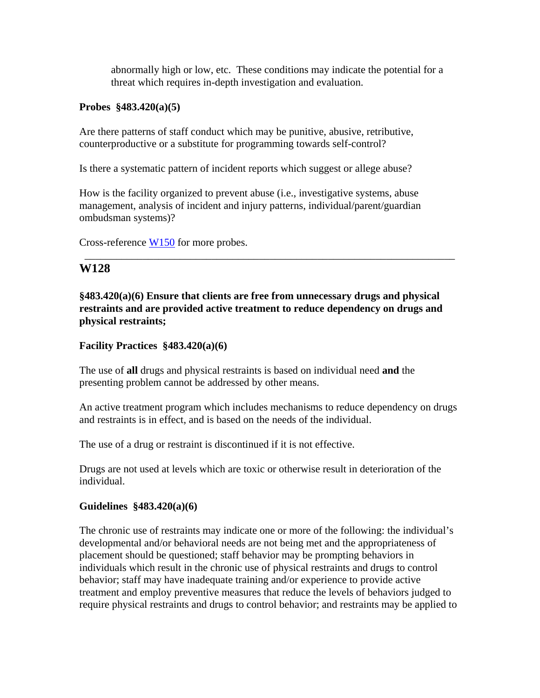abnormally high or low, etc. These conditions may indicate the potential for a threat which requires in-depth investigation and evaluation.

#### **Probes §483.420(a)(5)**

Are there patterns of staff conduct which may be punitive, abusive, retributive, counterproductive or a substitute for programming towards self-control?

Is there a systematic pattern of incident reports which suggest or allege abuse?

How is the facility organized to prevent abuse (i.e., investigative systems, abuse management, analysis of incident and injury patterns, individual/parent/guardian ombudsman systems)?

Cross-reference W150 for more probes.

## **W128**

**§483.420(a)(6) Ensure that clients are free from unnecessary drugs and physical restraints and are provided active treatment to reduce dependency on drugs and physical restraints;** 

\_\_\_\_\_\_\_\_\_\_\_\_\_\_\_\_\_\_\_\_\_\_\_\_\_\_\_\_\_\_\_\_\_\_\_\_\_\_\_\_\_\_\_\_\_\_\_\_\_\_\_\_\_\_\_\_\_\_\_\_\_\_\_\_\_\_\_\_\_\_

### **Facility Practices §483.420(a)(6)**

The use of **all** drugs and physical restraints is based on individual need **and** the presenting problem cannot be addressed by other means.

An active treatment program which includes mechanisms to reduce dependency on drugs and restraints is in effect, and is based on the needs of the individual.

The use of a drug or restraint is discontinued if it is not effective.

Drugs are not used at levels which are toxic or otherwise result in deterioration of the individual.

## **Guidelines §483.420(a)(6)**

The chronic use of restraints may indicate one or more of the following: the individual's developmental and/or behavioral needs are not being met and the appropriateness of placement should be questioned; staff behavior may be prompting behaviors in individuals which result in the chronic use of physical restraints and drugs to control behavior; staff may have inadequate training and/or experience to provide active treatment and employ preventive measures that reduce the levels of behaviors judged to require physical restraints and drugs to control behavior; and restraints may be applied to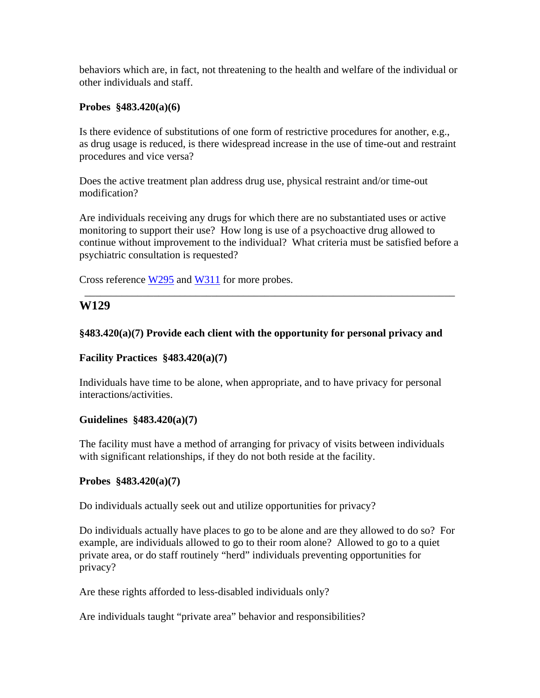behaviors which are, in fact, not threatening to the health and welfare of the individual or other individuals and staff.

### **Probes §483.420(a)(6)**

Is there evidence of substitutions of one form of restrictive procedures for another, e.g., as drug usage is reduced, is there widespread increase in the use of time-out and restraint procedures and vice versa?

Does the active treatment plan address drug use, physical restraint and/or time-out modification?

Are individuals receiving any drugs for which there are no substantiated uses or active monitoring to support their use? How long is use of a psychoactive drug allowed to continue without improvement to the individual? What criteria must be satisfied before a psychiatric consultation is requested?

\_\_\_\_\_\_\_\_\_\_\_\_\_\_\_\_\_\_\_\_\_\_\_\_\_\_\_\_\_\_\_\_\_\_\_\_\_\_\_\_\_\_\_\_\_\_\_\_\_\_\_\_\_\_\_\_\_\_\_\_\_\_\_\_\_\_\_\_\_\_

Cross reference W295 and W311 for more probes.

## **W129**

#### **§483.420(a)(7) Provide each client with the opportunity for personal privacy and**

#### **Facility Practices §483.420(a)(7)**

Individuals have time to be alone, when appropriate, and to have privacy for personal interactions/activities.

#### **Guidelines §483.420(a)(7)**

The facility must have a method of arranging for privacy of visits between individuals with significant relationships, if they do not both reside at the facility.

#### **Probes §483.420(a)(7)**

Do individuals actually seek out and utilize opportunities for privacy?

Do individuals actually have places to go to be alone and are they allowed to do so? For example, are individuals allowed to go to their room alone? Allowed to go to a quiet private area, or do staff routinely "herd" individuals preventing opportunities for privacy?

Are these rights afforded to less-disabled individuals only?

Are individuals taught "private area" behavior and responsibilities?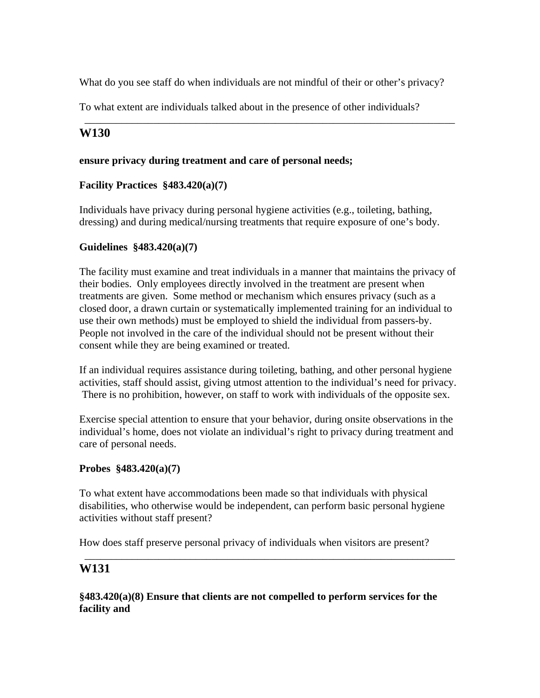What do you see staff do when individuals are not mindful of their or other's privacy?

\_\_\_\_\_\_\_\_\_\_\_\_\_\_\_\_\_\_\_\_\_\_\_\_\_\_\_\_\_\_\_\_\_\_\_\_\_\_\_\_\_\_\_\_\_\_\_\_\_\_\_\_\_\_\_\_\_\_\_\_\_\_\_\_\_\_\_\_\_\_

To what extent are individuals talked about in the presence of other individuals?

## **W130**

### **ensure privacy during treatment and care of personal needs;**

## **Facility Practices §483.420(a)(7)**

Individuals have privacy during personal hygiene activities (e.g., toileting, bathing, dressing) and during medical/nursing treatments that require exposure of one's body.

#### **Guidelines §483.420(a)(7)**

The facility must examine and treat individuals in a manner that maintains the privacy of their bodies. Only employees directly involved in the treatment are present when treatments are given. Some method or mechanism which ensures privacy (such as a closed door, a drawn curtain or systematically implemented training for an individual to use their own methods) must be employed to shield the individual from passers-by. People not involved in the care of the individual should not be present without their consent while they are being examined or treated.

If an individual requires assistance during toileting, bathing, and other personal hygiene activities, staff should assist, giving utmost attention to the individual's need for privacy. There is no prohibition, however, on staff to work with individuals of the opposite sex.

Exercise special attention to ensure that your behavior, during onsite observations in the individual's home, does not violate an individual's right to privacy during treatment and care of personal needs.

#### **Probes §483.420(a)(7)**

To what extent have accommodations been made so that individuals with physical disabilities, who otherwise would be independent, can perform basic personal hygiene activities without staff present?

\_\_\_\_\_\_\_\_\_\_\_\_\_\_\_\_\_\_\_\_\_\_\_\_\_\_\_\_\_\_\_\_\_\_\_\_\_\_\_\_\_\_\_\_\_\_\_\_\_\_\_\_\_\_\_\_\_\_\_\_\_\_\_\_\_\_\_\_\_\_

How does staff preserve personal privacy of individuals when visitors are present?

## **W131**

**§483.420(a)(8) Ensure that clients are not compelled to perform services for the facility and**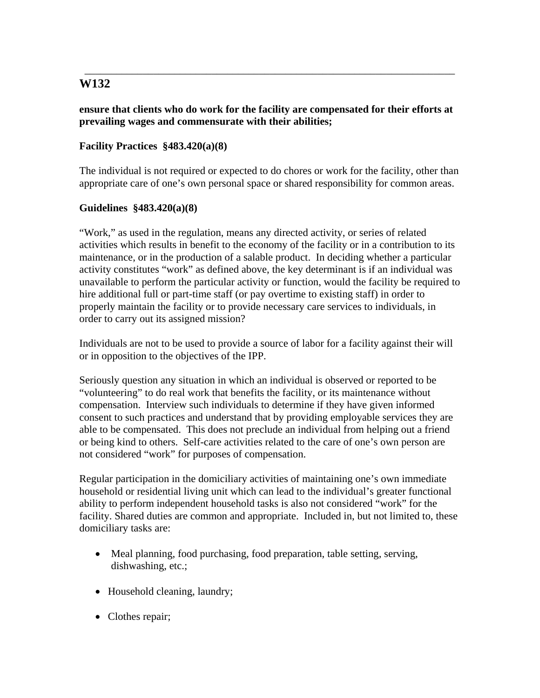## **ensure that clients who do work for the facility are compensated for their efforts at prevailing wages and commensurate with their abilities;**

\_\_\_\_\_\_\_\_\_\_\_\_\_\_\_\_\_\_\_\_\_\_\_\_\_\_\_\_\_\_\_\_\_\_\_\_\_\_\_\_\_\_\_\_\_\_\_\_\_\_\_\_\_\_\_\_\_\_\_\_\_\_\_\_\_\_\_\_\_\_

## **Facility Practices §483.420(a)(8)**

The individual is not required or expected to do chores or work for the facility, other than appropriate care of one's own personal space or shared responsibility for common areas.

#### **Guidelines §483.420(a)(8)**

"Work," as used in the regulation, means any directed activity, or series of related activities which results in benefit to the economy of the facility or in a contribution to its maintenance, or in the production of a salable product. In deciding whether a particular activity constitutes "work" as defined above, the key determinant is if an individual was unavailable to perform the particular activity or function, would the facility be required to hire additional full or part-time staff (or pay overtime to existing staff) in order to properly maintain the facility or to provide necessary care services to individuals, in order to carry out its assigned mission?

Individuals are not to be used to provide a source of labor for a facility against their will or in opposition to the objectives of the IPP.

Seriously question any situation in which an individual is observed or reported to be "volunteering" to do real work that benefits the facility, or its maintenance without compensation. Interview such individuals to determine if they have given informed consent to such practices and understand that by providing employable services they are able to be compensated. This does not preclude an individual from helping out a friend or being kind to others. Self-care activities related to the care of one's own person are not considered "work" for purposes of compensation.

Regular participation in the domiciliary activities of maintaining one's own immediate household or residential living unit which can lead to the individual's greater functional ability to perform independent household tasks is also not considered "work" for the facility. Shared duties are common and appropriate. Included in, but not limited to, these domiciliary tasks are:

- Meal planning, food purchasing, food preparation, table setting, serving, dishwashing, etc.;
- Household cleaning, laundry;
- Clothes repair;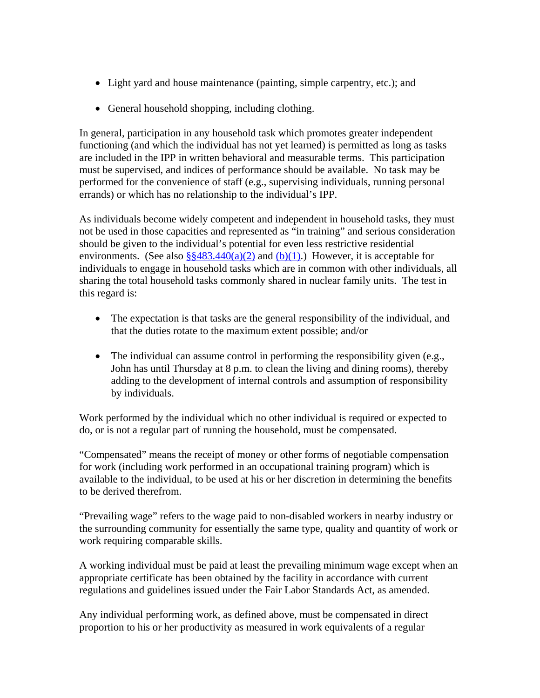- Light yard and house maintenance (painting, simple carpentry, etc.); and
- General household shopping, including clothing.

In general, participation in any household task which promotes greater independent functioning (and which the individual has not yet learned) is permitted as long as tasks are included in the IPP in written behavioral and measurable terms. This participation must be supervised, and indices of performance should be available. No task may be performed for the convenience of staff (e.g., supervising individuals, running personal errands) or which has no relationship to the individual's IPP.

As individuals become widely competent and independent in household tasks, they must not be used in those capacities and represented as "in training" and serious consideration should be given to the individual's potential for even less restrictive residential environments. (See also  $\S$ §483.440(a)(2) and (b)(1).) However, it is acceptable for individuals to engage in household tasks which are in common with other individuals, all sharing the total household tasks commonly shared in nuclear family units. The test in this regard is:

- The expectation is that tasks are the general responsibility of the individual, and that the duties rotate to the maximum extent possible; and/or
- The individual can assume control in performing the responsibility given (e.g., John has until Thursday at 8 p.m. to clean the living and dining rooms), thereby adding to the development of internal controls and assumption of responsibility by individuals.

Work performed by the individual which no other individual is required or expected to do, or is not a regular part of running the household, must be compensated.

"Compensated" means the receipt of money or other forms of negotiable compensation for work (including work performed in an occupational training program) which is available to the individual, to be used at his or her discretion in determining the benefits to be derived therefrom.

"Prevailing wage" refers to the wage paid to non-disabled workers in nearby industry or the surrounding community for essentially the same type, quality and quantity of work or work requiring comparable skills.

A working individual must be paid at least the prevailing minimum wage except when an appropriate certificate has been obtained by the facility in accordance with current regulations and guidelines issued under the Fair Labor Standards Act, as amended.

Any individual performing work, as defined above, must be compensated in direct proportion to his or her productivity as measured in work equivalents of a regular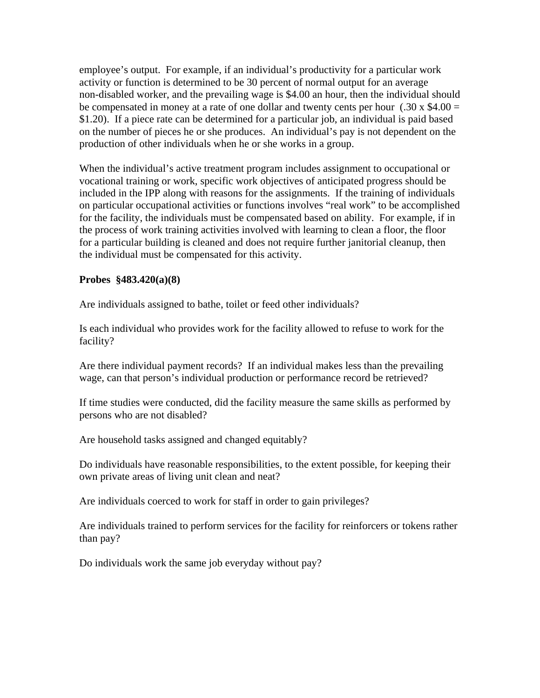employee's output. For example, if an individual's productivity for a particular work activity or function is determined to be 30 percent of normal output for an average non-disabled worker, and the prevailing wage is \$4.00 an hour, then the individual should be compensated in money at a rate of one dollar and twenty cents per hour  $(.30 \times 4.00) =$ \$1.20). If a piece rate can be determined for a particular job, an individual is paid based on the number of pieces he or she produces. An individual's pay is not dependent on the production of other individuals when he or she works in a group.

When the individual's active treatment program includes assignment to occupational or vocational training or work, specific work objectives of anticipated progress should be included in the IPP along with reasons for the assignments. If the training of individuals on particular occupational activities or functions involves "real work" to be accomplished for the facility, the individuals must be compensated based on ability. For example, if in the process of work training activities involved with learning to clean a floor, the floor for a particular building is cleaned and does not require further janitorial cleanup, then the individual must be compensated for this activity.

#### **Probes §483.420(a)(8)**

Are individuals assigned to bathe, toilet or feed other individuals?

Is each individual who provides work for the facility allowed to refuse to work for the facility?

Are there individual payment records? If an individual makes less than the prevailing wage, can that person's individual production or performance record be retrieved?

If time studies were conducted, did the facility measure the same skills as performed by persons who are not disabled?

Are household tasks assigned and changed equitably?

Do individuals have reasonable responsibilities, to the extent possible, for keeping their own private areas of living unit clean and neat?

Are individuals coerced to work for staff in order to gain privileges?

Are individuals trained to perform services for the facility for reinforcers or tokens rather than pay?

Do individuals work the same job everyday without pay?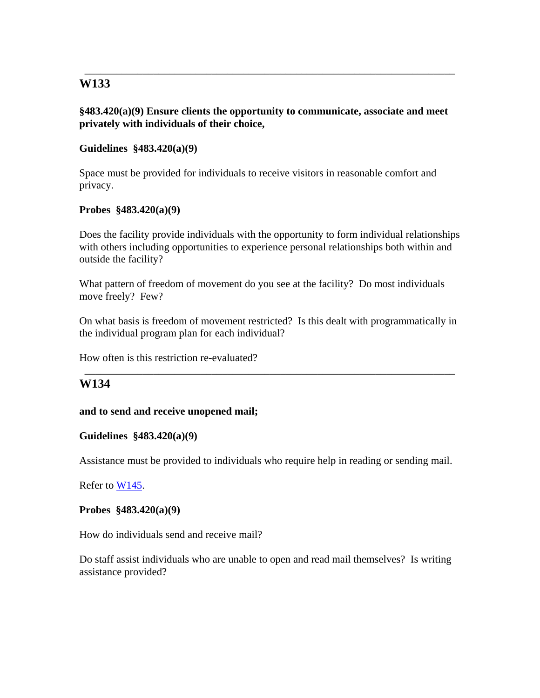### **§483.420(a)(9) Ensure clients the opportunity to communicate, associate and meet privately with individuals of their choice,**

\_\_\_\_\_\_\_\_\_\_\_\_\_\_\_\_\_\_\_\_\_\_\_\_\_\_\_\_\_\_\_\_\_\_\_\_\_\_\_\_\_\_\_\_\_\_\_\_\_\_\_\_\_\_\_\_\_\_\_\_\_\_\_\_\_\_\_\_\_\_

## **Guidelines §483.420(a)(9)**

Space must be provided for individuals to receive visitors in reasonable comfort and privacy.

## **Probes §483.420(a)(9)**

Does the facility provide individuals with the opportunity to form individual relationships with others including opportunities to experience personal relationships both within and outside the facility?

What pattern of freedom of movement do you see at the facility? Do most individuals move freely? Few?

On what basis is freedom of movement restricted? Is this dealt with programmatically in the individual program plan for each individual?

\_\_\_\_\_\_\_\_\_\_\_\_\_\_\_\_\_\_\_\_\_\_\_\_\_\_\_\_\_\_\_\_\_\_\_\_\_\_\_\_\_\_\_\_\_\_\_\_\_\_\_\_\_\_\_\_\_\_\_\_\_\_\_\_\_\_\_\_\_\_

How often is this restriction re-evaluated?

## **W134**

## **and to send and receive unopened mail;**

## **Guidelines §483.420(a)(9)**

Assistance must be provided to individuals who require help in reading or sending mail.

Refer to W145.

#### **Probes §483.420(a)(9)**

How do individuals send and receive mail?

Do staff assist individuals who are unable to open and read mail themselves? Is writing assistance provided?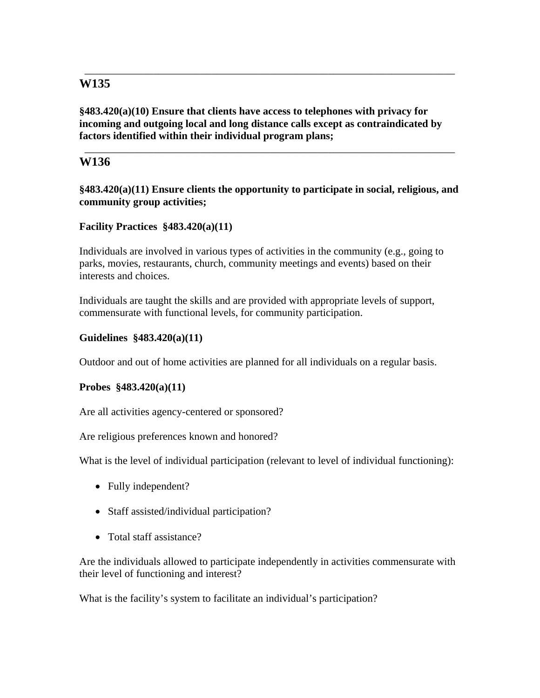**§483.420(a)(10) Ensure that clients have access to telephones with privacy for incoming and outgoing local and long distance calls except as contraindicated by factors identified within their individual program plans;** 

\_\_\_\_\_\_\_\_\_\_\_\_\_\_\_\_\_\_\_\_\_\_\_\_\_\_\_\_\_\_\_\_\_\_\_\_\_\_\_\_\_\_\_\_\_\_\_\_\_\_\_\_\_\_\_\_\_\_\_\_\_\_\_\_\_\_\_\_\_\_

## **W136**

**§483.420(a)(11) Ensure clients the opportunity to participate in social, religious, and community group activities;** 

\_\_\_\_\_\_\_\_\_\_\_\_\_\_\_\_\_\_\_\_\_\_\_\_\_\_\_\_\_\_\_\_\_\_\_\_\_\_\_\_\_\_\_\_\_\_\_\_\_\_\_\_\_\_\_\_\_\_\_\_\_\_\_\_\_\_\_\_\_\_

## **Facility Practices §483.420(a)(11)**

Individuals are involved in various types of activities in the community (e.g., going to parks, movies, restaurants, church, community meetings and events) based on their interests and choices.

Individuals are taught the skills and are provided with appropriate levels of support, commensurate with functional levels, for community participation.

## **Guidelines §483.420(a)(11)**

Outdoor and out of home activities are planned for all individuals on a regular basis.

## **Probes §483.420(a)(11)**

Are all activities agency-centered or sponsored?

Are religious preferences known and honored?

What is the level of individual participation (relevant to level of individual functioning):

- Fully independent?
- Staff assisted/individual participation?
- Total staff assistance?

Are the individuals allowed to participate independently in activities commensurate with their level of functioning and interest?

What is the facility's system to facilitate an individual's participation?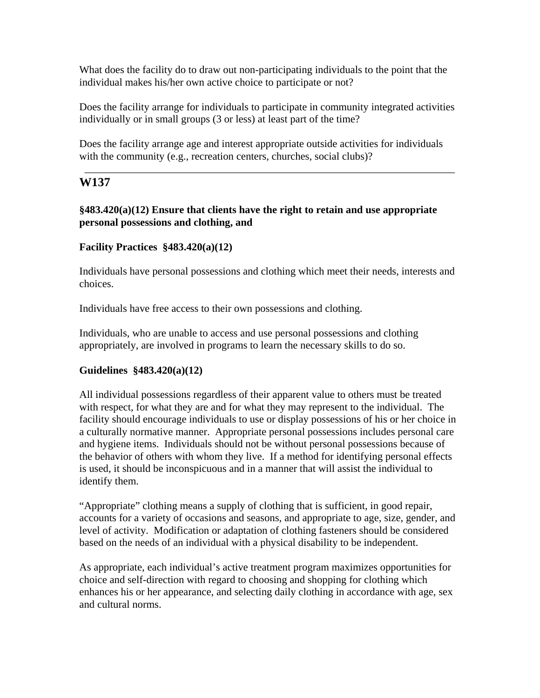What does the facility do to draw out non-participating individuals to the point that the individual makes his/her own active choice to participate or not?

Does the facility arrange for individuals to participate in community integrated activities individually or in small groups (3 or less) at least part of the time?

Does the facility arrange age and interest appropriate outside activities for individuals with the community (e.g., recreation centers, churches, social clubs)?

\_\_\_\_\_\_\_\_\_\_\_\_\_\_\_\_\_\_\_\_\_\_\_\_\_\_\_\_\_\_\_\_\_\_\_\_\_\_\_\_\_\_\_\_\_\_\_\_\_\_\_\_\_\_\_\_\_\_\_\_\_\_\_\_\_\_\_\_\_\_

## **W137**

## **§483.420(a)(12) Ensure that clients have the right to retain and use appropriate personal possessions and clothing, and**

## **Facility Practices §483.420(a)(12)**

Individuals have personal possessions and clothing which meet their needs, interests and choices.

Individuals have free access to their own possessions and clothing.

Individuals, who are unable to access and use personal possessions and clothing appropriately, are involved in programs to learn the necessary skills to do so.

## **Guidelines §483.420(a)(12)**

All individual possessions regardless of their apparent value to others must be treated with respect, for what they are and for what they may represent to the individual. The facility should encourage individuals to use or display possessions of his or her choice in a culturally normative manner. Appropriate personal possessions includes personal care and hygiene items. Individuals should not be without personal possessions because of the behavior of others with whom they live. If a method for identifying personal effects is used, it should be inconspicuous and in a manner that will assist the individual to identify them.

"Appropriate" clothing means a supply of clothing that is sufficient, in good repair, accounts for a variety of occasions and seasons, and appropriate to age, size, gender, and level of activity. Modification or adaptation of clothing fasteners should be considered based on the needs of an individual with a physical disability to be independent.

As appropriate, each individual's active treatment program maximizes opportunities for choice and self-direction with regard to choosing and shopping for clothing which enhances his or her appearance, and selecting daily clothing in accordance with age, sex and cultural norms.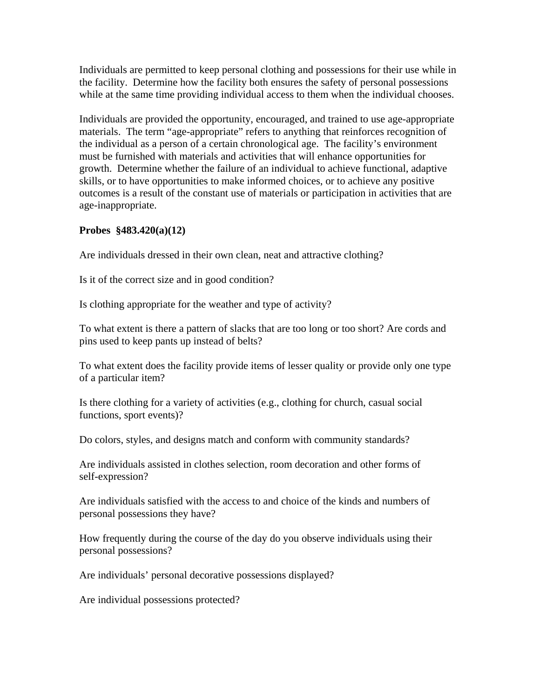Individuals are permitted to keep personal clothing and possessions for their use while in the facility. Determine how the facility both ensures the safety of personal possessions while at the same time providing individual access to them when the individual chooses.

Individuals are provided the opportunity, encouraged, and trained to use age-appropriate materials. The term "age-appropriate" refers to anything that reinforces recognition of the individual as a person of a certain chronological age. The facility's environment must be furnished with materials and activities that will enhance opportunities for growth. Determine whether the failure of an individual to achieve functional, adaptive skills, or to have opportunities to make informed choices, or to achieve any positive outcomes is a result of the constant use of materials or participation in activities that are age-inappropriate.

#### **Probes §483.420(a)(12)**

Are individuals dressed in their own clean, neat and attractive clothing?

Is it of the correct size and in good condition?

Is clothing appropriate for the weather and type of activity?

To what extent is there a pattern of slacks that are too long or too short? Are cords and pins used to keep pants up instead of belts?

To what extent does the facility provide items of lesser quality or provide only one type of a particular item?

Is there clothing for a variety of activities (e.g., clothing for church, casual social functions, sport events)?

Do colors, styles, and designs match and conform with community standards?

Are individuals assisted in clothes selection, room decoration and other forms of self-expression?

Are individuals satisfied with the access to and choice of the kinds and numbers of personal possessions they have?

How frequently during the course of the day do you observe individuals using their personal possessions?

Are individuals' personal decorative possessions displayed?

Are individual possessions protected?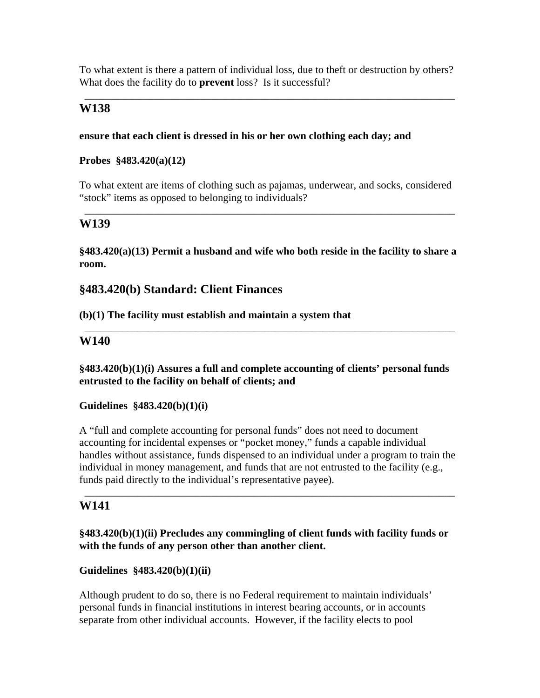To what extent is there a pattern of individual loss, due to theft or destruction by others? What does the facility do to **prevent** loss? Is it successful?

\_\_\_\_\_\_\_\_\_\_\_\_\_\_\_\_\_\_\_\_\_\_\_\_\_\_\_\_\_\_\_\_\_\_\_\_\_\_\_\_\_\_\_\_\_\_\_\_\_\_\_\_\_\_\_\_\_\_\_\_\_\_\_\_\_\_\_\_\_\_

## **W138**

#### **ensure that each client is dressed in his or her own clothing each day; and**

### **Probes §483.420(a)(12)**

To what extent are items of clothing such as pajamas, underwear, and socks, considered "stock" items as opposed to belonging to individuals?

\_\_\_\_\_\_\_\_\_\_\_\_\_\_\_\_\_\_\_\_\_\_\_\_\_\_\_\_\_\_\_\_\_\_\_\_\_\_\_\_\_\_\_\_\_\_\_\_\_\_\_\_\_\_\_\_\_\_\_\_\_\_\_\_\_\_\_\_\_\_

## **W139**

**§483.420(a)(13) Permit a husband and wife who both reside in the facility to share a room.** 

## **§483.420(b) Standard: Client Finances**

#### **(b)(1) The facility must establish and maintain a system that**

## **W140**

**§483.420(b)(1)(i) Assures a full and complete accounting of clients' personal funds entrusted to the facility on behalf of clients; and** 

\_\_\_\_\_\_\_\_\_\_\_\_\_\_\_\_\_\_\_\_\_\_\_\_\_\_\_\_\_\_\_\_\_\_\_\_\_\_\_\_\_\_\_\_\_\_\_\_\_\_\_\_\_\_\_\_\_\_\_\_\_\_\_\_\_\_\_\_\_\_

#### **Guidelines §483.420(b)(1)(i)**

A "full and complete accounting for personal funds" does not need to document accounting for incidental expenses or "pocket money," funds a capable individual handles without assistance, funds dispensed to an individual under a program to train the individual in money management, and funds that are not entrusted to the facility (e.g., funds paid directly to the individual's representative payee).

\_\_\_\_\_\_\_\_\_\_\_\_\_\_\_\_\_\_\_\_\_\_\_\_\_\_\_\_\_\_\_\_\_\_\_\_\_\_\_\_\_\_\_\_\_\_\_\_\_\_\_\_\_\_\_\_\_\_\_\_\_\_\_\_\_\_\_\_\_\_

## **W141**

## **§483.420(b)(1)(ii) Precludes any commingling of client funds with facility funds or with the funds of any person other than another client.**

## **Guidelines §483.420(b)(1)(ii)**

Although prudent to do so, there is no Federal requirement to maintain individuals' personal funds in financial institutions in interest bearing accounts, or in accounts separate from other individual accounts. However, if the facility elects to pool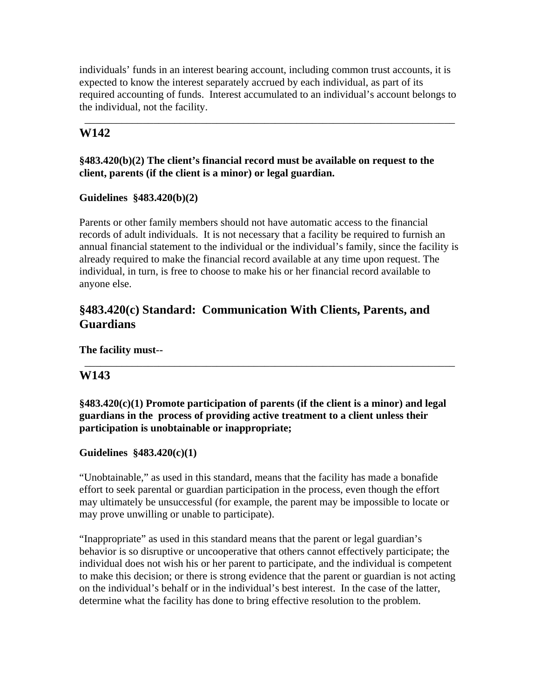individuals' funds in an interest bearing account, including common trust accounts, it is expected to know the interest separately accrued by each individual, as part of its required accounting of funds. Interest accumulated to an individual's account belongs to the individual, not the facility.

\_\_\_\_\_\_\_\_\_\_\_\_\_\_\_\_\_\_\_\_\_\_\_\_\_\_\_\_\_\_\_\_\_\_\_\_\_\_\_\_\_\_\_\_\_\_\_\_\_\_\_\_\_\_\_\_\_\_\_\_\_\_\_\_\_\_\_\_\_\_

# **W142**

## **§483.420(b)(2) The client's financial record must be available on request to the client, parents (if the client is a minor) or legal guardian.**

## **Guidelines §483.420(b)(2)**

Parents or other family members should not have automatic access to the financial records of adult individuals. It is not necessary that a facility be required to furnish an annual financial statement to the individual or the individual's family, since the facility is already required to make the financial record available at any time upon request. The individual, in turn, is free to choose to make his or her financial record available to anyone else.

# **§483.420(c) Standard: Communication With Clients, Parents, and Guardians**

**The facility must--** 

# **W143**

## **§483.420(c)(1) Promote participation of parents (if the client is a minor) and legal guardians in the process of providing active treatment to a client unless their participation is unobtainable or inappropriate;**

\_\_\_\_\_\_\_\_\_\_\_\_\_\_\_\_\_\_\_\_\_\_\_\_\_\_\_\_\_\_\_\_\_\_\_\_\_\_\_\_\_\_\_\_\_\_\_\_\_\_\_\_\_\_\_\_\_\_\_\_\_\_\_\_\_\_\_\_\_\_

## **Guidelines §483.420(c)(1)**

"Unobtainable," as used in this standard, means that the facility has made a bonafide effort to seek parental or guardian participation in the process, even though the effort may ultimately be unsuccessful (for example, the parent may be impossible to locate or may prove unwilling or unable to participate).

"Inappropriate" as used in this standard means that the parent or legal guardian's behavior is so disruptive or uncooperative that others cannot effectively participate; the individual does not wish his or her parent to participate, and the individual is competent to make this decision; or there is strong evidence that the parent or guardian is not acting on the individual's behalf or in the individual's best interest. In the case of the latter, determine what the facility has done to bring effective resolution to the problem.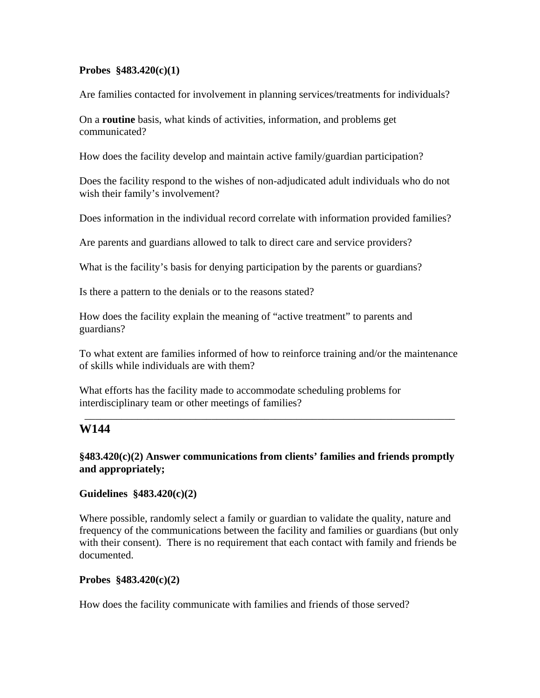#### **Probes §483.420(c)(1)**

Are families contacted for involvement in planning services/treatments for individuals?

On a **routine** basis, what kinds of activities, information, and problems get communicated?

How does the facility develop and maintain active family/guardian participation?

Does the facility respond to the wishes of non-adjudicated adult individuals who do not wish their family's involvement?

Does information in the individual record correlate with information provided families?

Are parents and guardians allowed to talk to direct care and service providers?

What is the facility's basis for denying participation by the parents or guardians?

Is there a pattern to the denials or to the reasons stated?

How does the facility explain the meaning of "active treatment" to parents and guardians?

To what extent are families informed of how to reinforce training and/or the maintenance of skills while individuals are with them?

\_\_\_\_\_\_\_\_\_\_\_\_\_\_\_\_\_\_\_\_\_\_\_\_\_\_\_\_\_\_\_\_\_\_\_\_\_\_\_\_\_\_\_\_\_\_\_\_\_\_\_\_\_\_\_\_\_\_\_\_\_\_\_\_\_\_\_\_\_\_

What efforts has the facility made to accommodate scheduling problems for interdisciplinary team or other meetings of families?

## **W144**

## **§483.420(c)(2) Answer communications from clients' families and friends promptly and appropriately;**

## **Guidelines §483.420(c)(2)**

Where possible, randomly select a family or guardian to validate the quality, nature and frequency of the communications between the facility and families or guardians (but only with their consent). There is no requirement that each contact with family and friends be documented.

#### **Probes §483.420(c)(2)**

How does the facility communicate with families and friends of those served?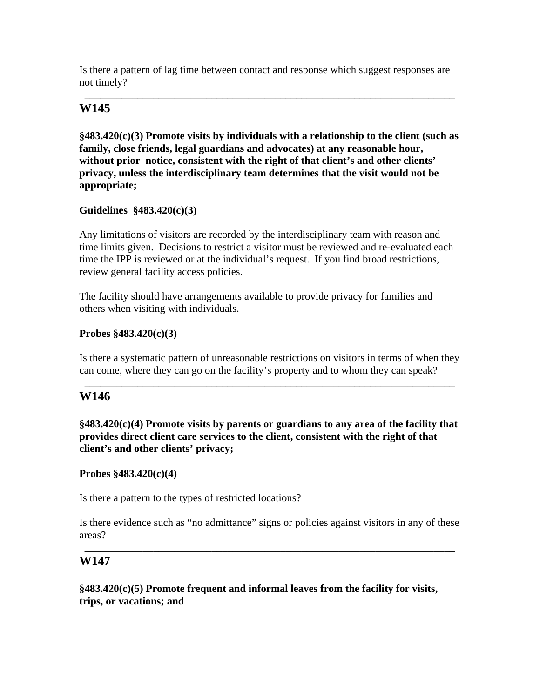Is there a pattern of lag time between contact and response which suggest responses are not timely?

\_\_\_\_\_\_\_\_\_\_\_\_\_\_\_\_\_\_\_\_\_\_\_\_\_\_\_\_\_\_\_\_\_\_\_\_\_\_\_\_\_\_\_\_\_\_\_\_\_\_\_\_\_\_\_\_\_\_\_\_\_\_\_\_\_\_\_\_\_\_

# **W145**

**§483.420(c)(3) Promote visits by individuals with a relationship to the client (such as family, close friends, legal guardians and advocates) at any reasonable hour, without prior notice, consistent with the right of that client's and other clients' privacy, unless the interdisciplinary team determines that the visit would not be appropriate;** 

#### **Guidelines §483.420(c)(3)**

Any limitations of visitors are recorded by the interdisciplinary team with reason and time limits given. Decisions to restrict a visitor must be reviewed and re-evaluated each time the IPP is reviewed or at the individual's request. If you find broad restrictions, review general facility access policies.

The facility should have arrangements available to provide privacy for families and others when visiting with individuals.

#### **Probes §483.420(c)(3)**

Is there a systematic pattern of unreasonable restrictions on visitors in terms of when they can come, where they can go on the facility's property and to whom they can speak?

\_\_\_\_\_\_\_\_\_\_\_\_\_\_\_\_\_\_\_\_\_\_\_\_\_\_\_\_\_\_\_\_\_\_\_\_\_\_\_\_\_\_\_\_\_\_\_\_\_\_\_\_\_\_\_\_\_\_\_\_\_\_\_\_\_\_\_\_\_\_

## **W146**

**§483.420(c)(4) Promote visits by parents or guardians to any area of the facility that provides direct client care services to the client, consistent with the right of that client's and other clients' privacy;** 

#### **Probes §483.420(c)(4)**

Is there a pattern to the types of restricted locations?

Is there evidence such as "no admittance" signs or policies against visitors in any of these areas?

\_\_\_\_\_\_\_\_\_\_\_\_\_\_\_\_\_\_\_\_\_\_\_\_\_\_\_\_\_\_\_\_\_\_\_\_\_\_\_\_\_\_\_\_\_\_\_\_\_\_\_\_\_\_\_\_\_\_\_\_\_\_\_\_\_\_\_\_\_\_

## **W147**

**§483.420(c)(5) Promote frequent and informal leaves from the facility for visits, trips, or vacations; and**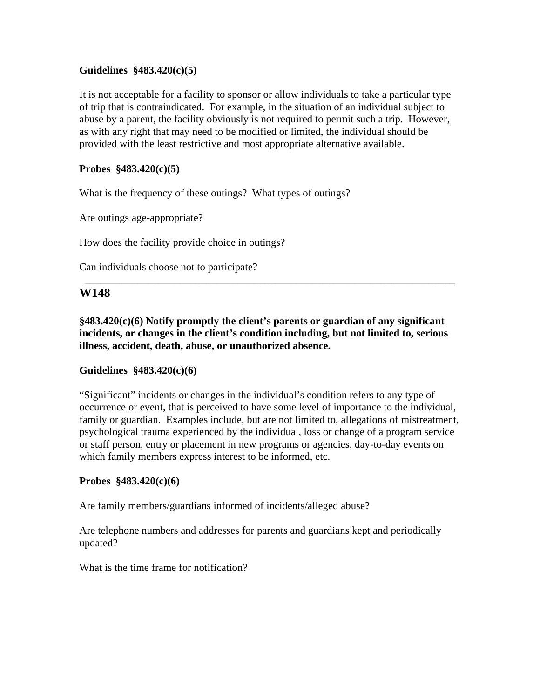### **Guidelines §483.420(c)(5)**

It is not acceptable for a facility to sponsor or allow individuals to take a particular type of trip that is contraindicated. For example, in the situation of an individual subject to abuse by a parent, the facility obviously is not required to permit such a trip. However, as with any right that may need to be modified or limited, the individual should be provided with the least restrictive and most appropriate alternative available.

### **Probes §483.420(c)(5)**

What is the frequency of these outings? What types of outings?

Are outings age-appropriate?

How does the facility provide choice in outings?

Can individuals choose not to participate?

#### **W148**

**§483.420(c)(6) Notify promptly the client's parents or guardian of any significant incidents, or changes in the client's condition including, but not limited to, serious illness, accident, death, abuse, or unauthorized absence.** 

\_\_\_\_\_\_\_\_\_\_\_\_\_\_\_\_\_\_\_\_\_\_\_\_\_\_\_\_\_\_\_\_\_\_\_\_\_\_\_\_\_\_\_\_\_\_\_\_\_\_\_\_\_\_\_\_\_\_\_\_\_\_\_\_\_\_\_\_\_\_

#### **Guidelines §483.420(c)(6)**

"Significant" incidents or changes in the individual's condition refers to any type of occurrence or event, that is perceived to have some level of importance to the individual, family or guardian. Examples include, but are not limited to, allegations of mistreatment, psychological trauma experienced by the individual, loss or change of a program service or staff person, entry or placement in new programs or agencies, day-to-day events on which family members express interest to be informed, etc.

#### **Probes §483.420(c)(6)**

Are family members/guardians informed of incidents/alleged abuse?

Are telephone numbers and addresses for parents and guardians kept and periodically updated?

What is the time frame for notification?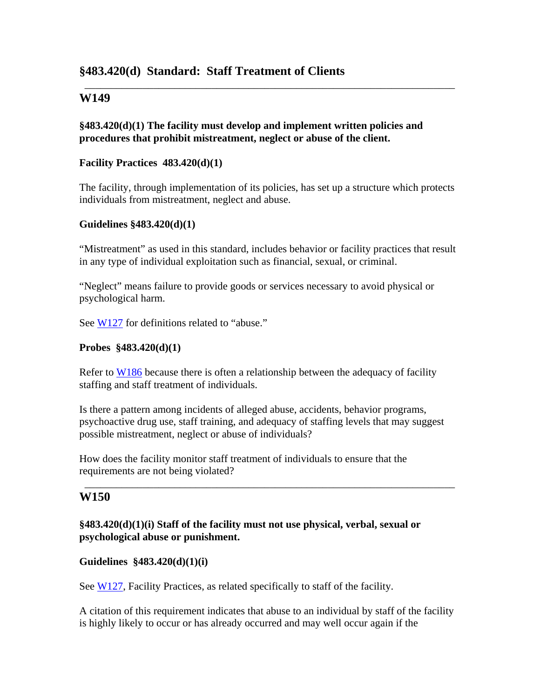# **§483.420(d) Standard: Staff Treatment of Clients**

## **W149**

## **§483.420(d)(1) The facility must develop and implement written policies and procedures that prohibit mistreatment, neglect or abuse of the client.**

#### **Facility Practices 483.420(d)(1)**

The facility, through implementation of its policies, has set up a structure which protects individuals from mistreatment, neglect and abuse.

\_\_\_\_\_\_\_\_\_\_\_\_\_\_\_\_\_\_\_\_\_\_\_\_\_\_\_\_\_\_\_\_\_\_\_\_\_\_\_\_\_\_\_\_\_\_\_\_\_\_\_\_\_\_\_\_\_\_\_\_\_\_\_\_\_\_\_\_\_\_

#### **Guidelines §483.420(d)(1)**

"Mistreatment" as used in this standard, includes behavior or facility practices that result in any type of individual exploitation such as financial, sexual, or criminal.

"Neglect" means failure to provide goods or services necessary to avoid physical or psychological harm.

See W127 for definitions related to "abuse."

### **Probes §483.420(d)(1)**

Refer to W186 because there is often a relationship between the adequacy of facility staffing and staff treatment of individuals.

Is there a pattern among incidents of alleged abuse, accidents, behavior programs, psychoactive drug use, staff training, and adequacy of staffing levels that may suggest possible mistreatment, neglect or abuse of individuals?

\_\_\_\_\_\_\_\_\_\_\_\_\_\_\_\_\_\_\_\_\_\_\_\_\_\_\_\_\_\_\_\_\_\_\_\_\_\_\_\_\_\_\_\_\_\_\_\_\_\_\_\_\_\_\_\_\_\_\_\_\_\_\_\_\_\_\_\_\_\_

How does the facility monitor staff treatment of individuals to ensure that the requirements are not being violated?

## **W150**

## **§483.420(d)(1)(i) Staff of the facility must not use physical, verbal, sexual or psychological abuse or punishment.**

#### **Guidelines §483.420(d)(1)(i)**

See W127, Facility Practices, as related specifically to staff of the facility.

A citation of this requirement indicates that abuse to an individual by staff of the facility is highly likely to occur or has already occurred and may well occur again if the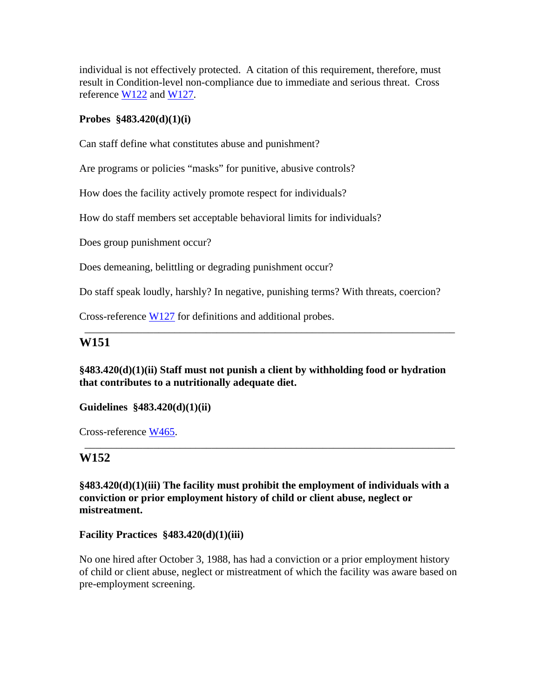individual is not effectively protected. A citation of this requirement, therefore, must result in Condition-level non-compliance due to immediate and serious threat. Cross reference W122 and W127.

#### **Probes §483.420(d)(1)(i)**

Can staff define what constitutes abuse and punishment?

Are programs or policies "masks" for punitive, abusive controls?

How does the facility actively promote respect for individuals?

How do staff members set acceptable behavioral limits for individuals?

Does group punishment occur?

Does demeaning, belittling or degrading punishment occur?

Do staff speak loudly, harshly? In negative, punishing terms? With threats, coercion?

Cross-reference W127 for definitions and additional probes.

#### **W151**

**§483.420(d)(1)(ii) Staff must not punish a client by withholding food or hydration that contributes to a nutritionally adequate diet.** 

\_\_\_\_\_\_\_\_\_\_\_\_\_\_\_\_\_\_\_\_\_\_\_\_\_\_\_\_\_\_\_\_\_\_\_\_\_\_\_\_\_\_\_\_\_\_\_\_\_\_\_\_\_\_\_\_\_\_\_\_\_\_\_\_\_\_\_\_\_\_

**Guidelines §483.420(d)(1)(ii)** 

Cross-reference W465.

## **W152**

**§483.420(d)(1)(iii) The facility must prohibit the employment of individuals with a conviction or prior employment history of child or client abuse, neglect or mistreatment.** 

\_\_\_\_\_\_\_\_\_\_\_\_\_\_\_\_\_\_\_\_\_\_\_\_\_\_\_\_\_\_\_\_\_\_\_\_\_\_\_\_\_\_\_\_\_\_\_\_\_\_\_\_\_\_\_\_\_\_\_\_\_\_\_\_\_\_\_\_\_\_

**Facility Practices §483.420(d)(1)(iii)** 

No one hired after October 3, 1988, has had a conviction or a prior employment history of child or client abuse, neglect or mistreatment of which the facility was aware based on pre-employment screening.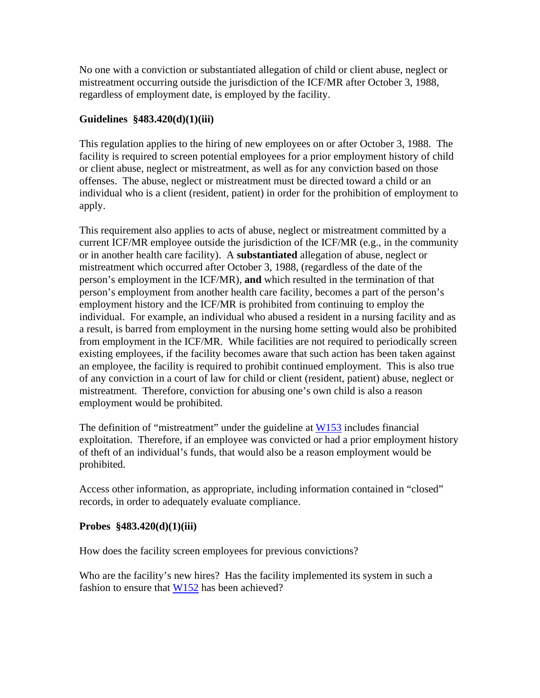No one with a conviction or substantiated allegation of child or client abuse, neglect or mistreatment occurring outside the jurisdiction of the ICF/MR after October 3, 1988, regardless of employment date, is employed by the facility.

#### **Guidelines §483.420(d)(1)(iii)**

This regulation applies to the hiring of new employees on or after October 3, 1988. The facility is required to screen potential employees for a prior employment history of child or client abuse, neglect or mistreatment, as well as for any conviction based on those offenses. The abuse, neglect or mistreatment must be directed toward a child or an individual who is a client (resident, patient) in order for the prohibition of employment to apply.

This requirement also applies to acts of abuse, neglect or mistreatment committed by a current ICF/MR employee outside the jurisdiction of the ICF/MR (e.g., in the community or in another health care facility). A **substantiated** allegation of abuse, neglect or mistreatment which occurred after October 3, 1988, (regardless of the date of the person's employment in the ICF/MR), **and** which resulted in the termination of that person's employment from another health care facility, becomes a part of the person's employment history and the ICF/MR is prohibited from continuing to employ the individual. For example, an individual who abused a resident in a nursing facility and as a result, is barred from employment in the nursing home setting would also be prohibited from employment in the ICF/MR. While facilities are not required to periodically screen existing employees, if the facility becomes aware that such action has been taken against an employee, the facility is required to prohibit continued employment. This is also true of any conviction in a court of law for child or client (resident, patient) abuse, neglect or mistreatment. Therefore, conviction for abusing one's own child is also a reason employment would be prohibited.

The definition of "mistreatment" under the guideline at W153 includes financial exploitation. Therefore, if an employee was convicted or had a prior employment history of theft of an individual's funds, that would also be a reason employment would be prohibited.

Access other information, as appropriate, including information contained in "closed" records, in order to adequately evaluate compliance.

#### **Probes §483.420(d)(1)(iii)**

How does the facility screen employees for previous convictions?

Who are the facility's new hires? Has the facility implemented its system in such a fashion to ensure that W152 has been achieved?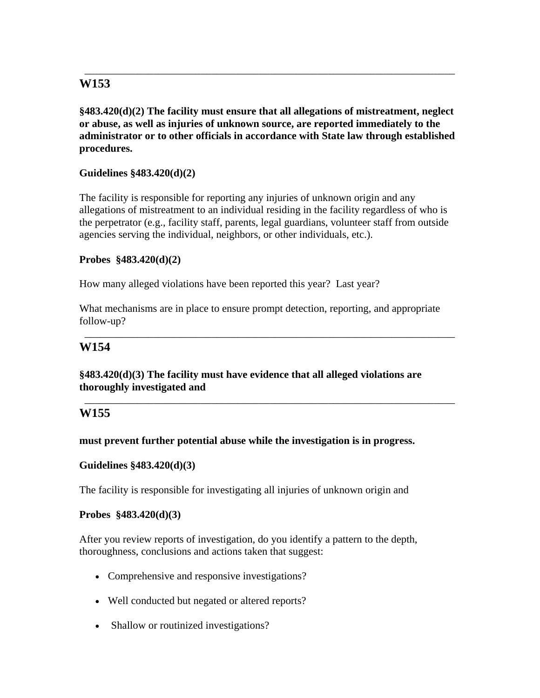**§483.420(d)(2) The facility must ensure that all allegations of mistreatment, neglect or abuse, as well as injuries of unknown source, are reported immediately to the administrator or to other officials in accordance with State law through established procedures.** 

\_\_\_\_\_\_\_\_\_\_\_\_\_\_\_\_\_\_\_\_\_\_\_\_\_\_\_\_\_\_\_\_\_\_\_\_\_\_\_\_\_\_\_\_\_\_\_\_\_\_\_\_\_\_\_\_\_\_\_\_\_\_\_\_\_\_\_\_\_\_

### **Guidelines §483.420(d)(2)**

The facility is responsible for reporting any injuries of unknown origin and any allegations of mistreatment to an individual residing in the facility regardless of who is the perpetrator (e.g., facility staff, parents, legal guardians, volunteer staff from outside agencies serving the individual, neighbors, or other individuals, etc.).

### **Probes §483.420(d)(2)**

How many alleged violations have been reported this year? Last year?

What mechanisms are in place to ensure prompt detection, reporting, and appropriate follow-up?

\_\_\_\_\_\_\_\_\_\_\_\_\_\_\_\_\_\_\_\_\_\_\_\_\_\_\_\_\_\_\_\_\_\_\_\_\_\_\_\_\_\_\_\_\_\_\_\_\_\_\_\_\_\_\_\_\_\_\_\_\_\_\_\_\_\_\_\_\_\_

\_\_\_\_\_\_\_\_\_\_\_\_\_\_\_\_\_\_\_\_\_\_\_\_\_\_\_\_\_\_\_\_\_\_\_\_\_\_\_\_\_\_\_\_\_\_\_\_\_\_\_\_\_\_\_\_\_\_\_\_\_\_\_\_\_\_\_\_\_\_

### **W154**

### **§483.420(d)(3) The facility must have evidence that all alleged violations are thoroughly investigated and**

## **W155**

### **must prevent further potential abuse while the investigation is in progress.**

### **Guidelines §483.420(d)(3)**

The facility is responsible for investigating all injuries of unknown origin and

#### **Probes §483.420(d)(3)**

After you review reports of investigation, do you identify a pattern to the depth, thoroughness, conclusions and actions taken that suggest:

- Comprehensive and responsive investigations?
- Well conducted but negated or altered reports?
- Shallow or routinized investigations?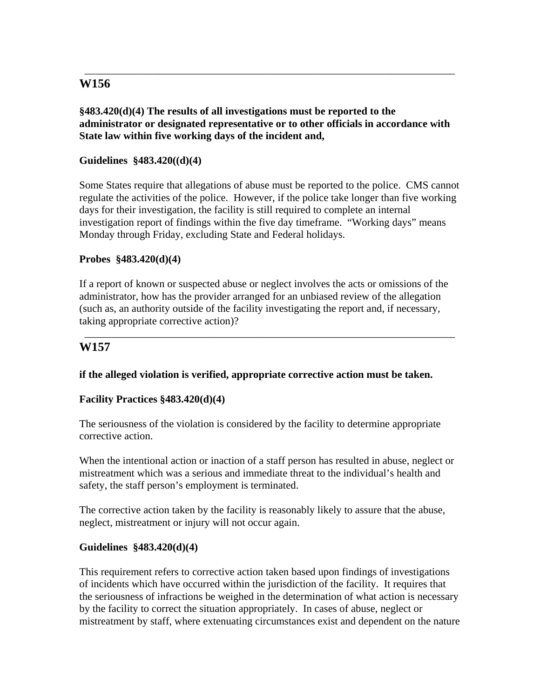### **§483.420(d)(4) The results of all investigations must be reported to the administrator or designated representative or to other officials in accordance with State law within five working days of the incident and,**

\_\_\_\_\_\_\_\_\_\_\_\_\_\_\_\_\_\_\_\_\_\_\_\_\_\_\_\_\_\_\_\_\_\_\_\_\_\_\_\_\_\_\_\_\_\_\_\_\_\_\_\_\_\_\_\_\_\_\_\_\_\_\_\_\_\_\_\_\_\_

### **Guidelines §483.420((d)(4)**

Some States require that allegations of abuse must be reported to the police. CMS cannot regulate the activities of the police. However, if the police take longer than five working days for their investigation, the facility is still required to complete an internal investigation report of findings within the five day timeframe. "Working days" means Monday through Friday, excluding State and Federal holidays.

#### **Probes §483.420(d)(4)**

If a report of known or suspected abuse or neglect involves the acts or omissions of the administrator, how has the provider arranged for an unbiased review of the allegation (such as, an authority outside of the facility investigating the report and, if necessary, taking appropriate corrective action)?

\_\_\_\_\_\_\_\_\_\_\_\_\_\_\_\_\_\_\_\_\_\_\_\_\_\_\_\_\_\_\_\_\_\_\_\_\_\_\_\_\_\_\_\_\_\_\_\_\_\_\_\_\_\_\_\_\_\_\_\_\_\_\_\_\_\_\_\_\_\_

### **W157**

#### **if the alleged violation is verified, appropriate corrective action must be taken.**

#### **Facility Practices §483.420(d)(4)**

The seriousness of the violation is considered by the facility to determine appropriate corrective action.

When the intentional action or inaction of a staff person has resulted in abuse, neglect or mistreatment which was a serious and immediate threat to the individual's health and safety, the staff person's employment is terminated.

The corrective action taken by the facility is reasonably likely to assure that the abuse, neglect, mistreatment or injury will not occur again.

#### **Guidelines §483.420(d)(4)**

This requirement refers to corrective action taken based upon findings of investigations of incidents which have occurred within the jurisdiction of the facility. It requires that the seriousness of infractions be weighed in the determination of what action is necessary by the facility to correct the situation appropriately. In cases of abuse, neglect or mistreatment by staff, where extenuating circumstances exist and dependent on the nature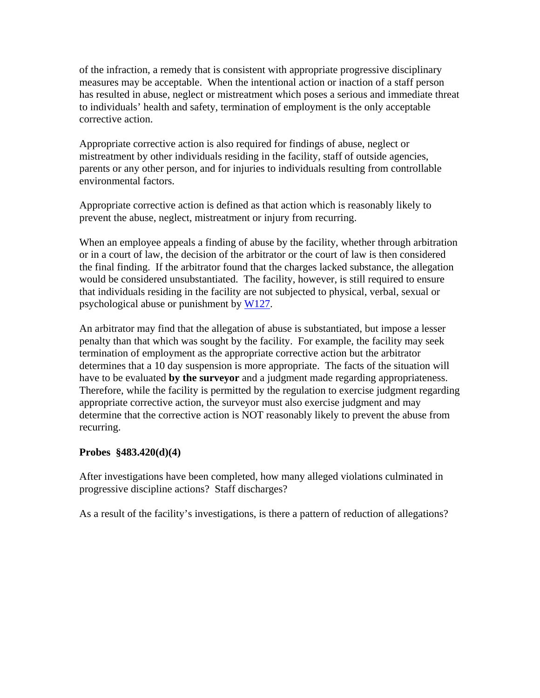of the infraction, a remedy that is consistent with appropriate progressive disciplinary measures may be acceptable. When the intentional action or inaction of a staff person has resulted in abuse, neglect or mistreatment which poses a serious and immediate threat to individuals' health and safety, termination of employment is the only acceptable corrective action.

Appropriate corrective action is also required for findings of abuse, neglect or mistreatment by other individuals residing in the facility, staff of outside agencies, parents or any other person, and for injuries to individuals resulting from controllable environmental factors.

Appropriate corrective action is defined as that action which is reasonably likely to prevent the abuse, neglect, mistreatment or injury from recurring.

When an employee appeals a finding of abuse by the facility, whether through arbitration or in a court of law, the decision of the arbitrator or the court of law is then considered the final finding. If the arbitrator found that the charges lacked substance, the allegation would be considered unsubstantiated. The facility, however, is still required to ensure that individuals residing in the facility are not subjected to physical, verbal, sexual or psychological abuse or punishment by W127.

An arbitrator may find that the allegation of abuse is substantiated, but impose a lesser penalty than that which was sought by the facility. For example, the facility may seek termination of employment as the appropriate corrective action but the arbitrator determines that a 10 day suspension is more appropriate. The facts of the situation will have to be evaluated **by the surveyor** and a judgment made regarding appropriateness. Therefore, while the facility is permitted by the regulation to exercise judgment regarding appropriate corrective action, the surveyor must also exercise judgment and may determine that the corrective action is NOT reasonably likely to prevent the abuse from recurring.

#### **Probes §483.420(d)(4)**

After investigations have been completed, how many alleged violations culminated in progressive discipline actions? Staff discharges?

As a result of the facility's investigations, is there a pattern of reduction of allegations?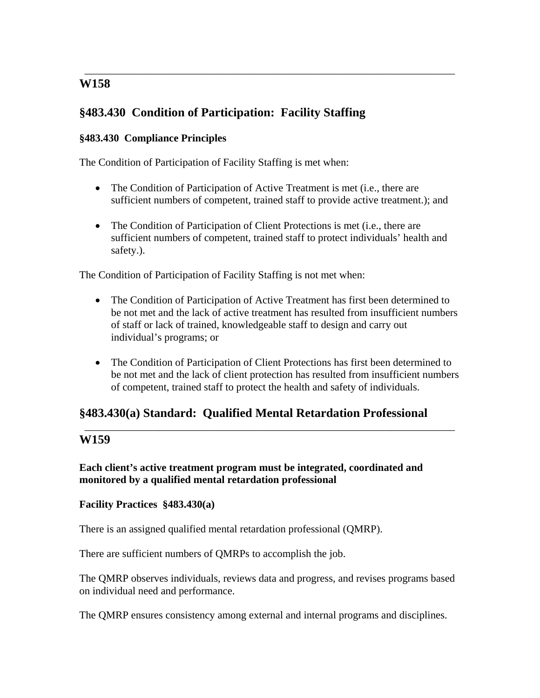# **§483.430 Condition of Participation: Facility Staffing**

### **§483.430 Compliance Principles**

The Condition of Participation of Facility Staffing is met when:

• The Condition of Participation of Active Treatment is met (i.e., there are sufficient numbers of competent, trained staff to provide active treatment.); and

\_\_\_\_\_\_\_\_\_\_\_\_\_\_\_\_\_\_\_\_\_\_\_\_\_\_\_\_\_\_\_\_\_\_\_\_\_\_\_\_\_\_\_\_\_\_\_\_\_\_\_\_\_\_\_\_\_\_\_\_\_\_\_\_\_\_\_\_\_\_

• The Condition of Participation of Client Protections is met (i.e., there are sufficient numbers of competent, trained staff to protect individuals' health and safety.).

The Condition of Participation of Facility Staffing is not met when:

- The Condition of Participation of Active Treatment has first been determined to be not met and the lack of active treatment has resulted from insufficient numbers of staff or lack of trained, knowledgeable staff to design and carry out individual's programs; or
- The Condition of Participation of Client Protections has first been determined to be not met and the lack of client protection has resulted from insufficient numbers of competent, trained staff to protect the health and safety of individuals.

\_\_\_\_\_\_\_\_\_\_\_\_\_\_\_\_\_\_\_\_\_\_\_\_\_\_\_\_\_\_\_\_\_\_\_\_\_\_\_\_\_\_\_\_\_\_\_\_\_\_\_\_\_\_\_\_\_\_\_\_\_\_\_\_\_\_\_\_\_\_

# **§483.430(a) Standard: Qualified Mental Retardation Professional**

## **W159**

### **Each client's active treatment program must be integrated, coordinated and monitored by a qualified mental retardation professional**

### **Facility Practices §483.430(a)**

There is an assigned qualified mental retardation professional (QMRP).

There are sufficient numbers of QMRPs to accomplish the job.

The QMRP observes individuals, reviews data and progress, and revises programs based on individual need and performance.

The QMRP ensures consistency among external and internal programs and disciplines.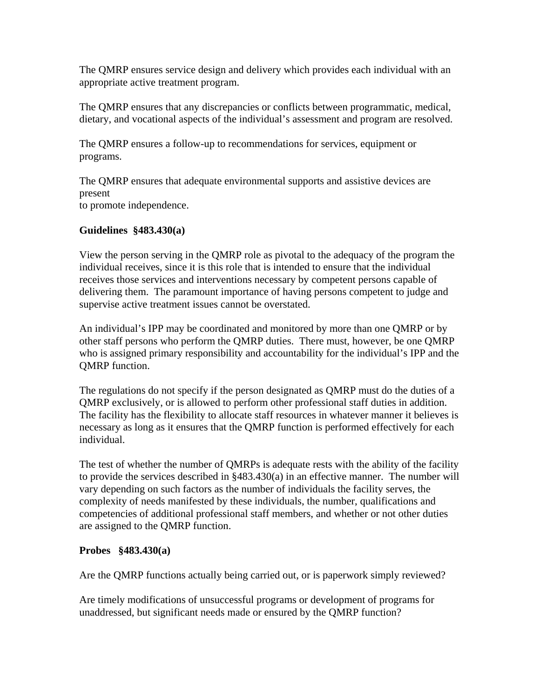The QMRP ensures service design and delivery which provides each individual with an appropriate active treatment program.

The QMRP ensures that any discrepancies or conflicts between programmatic, medical, dietary, and vocational aspects of the individual's assessment and program are resolved.

The QMRP ensures a follow-up to recommendations for services, equipment or programs.

The QMRP ensures that adequate environmental supports and assistive devices are present to promote independence.

#### **Guidelines §483.430(a)**

View the person serving in the QMRP role as pivotal to the adequacy of the program the individual receives, since it is this role that is intended to ensure that the individual receives those services and interventions necessary by competent persons capable of delivering them. The paramount importance of having persons competent to judge and supervise active treatment issues cannot be overstated.

An individual's IPP may be coordinated and monitored by more than one QMRP or by other staff persons who perform the QMRP duties. There must, however, be one QMRP who is assigned primary responsibility and accountability for the individual's IPP and the QMRP function.

The regulations do not specify if the person designated as QMRP must do the duties of a QMRP exclusively, or is allowed to perform other professional staff duties in addition. The facility has the flexibility to allocate staff resources in whatever manner it believes is necessary as long as it ensures that the QMRP function is performed effectively for each individual.

The test of whether the number of QMRPs is adequate rests with the ability of the facility to provide the services described in §483.430(a) in an effective manner. The number will vary depending on such factors as the number of individuals the facility serves, the complexity of needs manifested by these individuals, the number, qualifications and competencies of additional professional staff members, and whether or not other duties are assigned to the QMRP function.

### **Probes §483.430(a)**

Are the QMRP functions actually being carried out, or is paperwork simply reviewed?

Are timely modifications of unsuccessful programs or development of programs for unaddressed, but significant needs made or ensured by the QMRP function?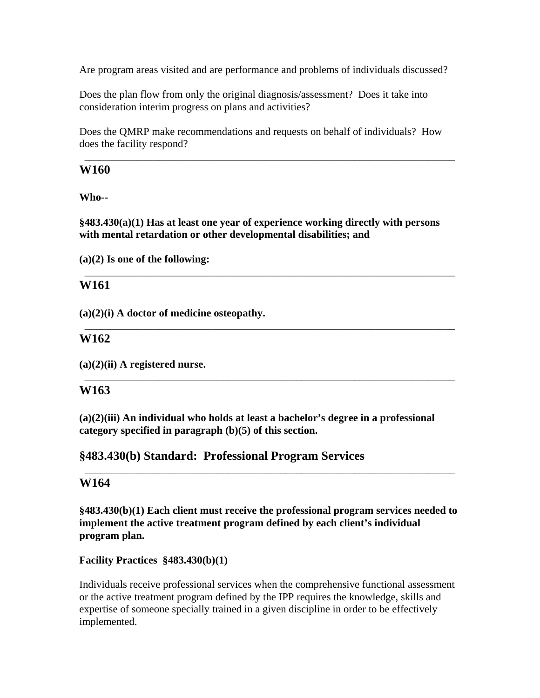Are program areas visited and are performance and problems of individuals discussed?

Does the plan flow from only the original diagnosis/assessment? Does it take into consideration interim progress on plans and activities?

Does the QMRP make recommendations and requests on behalf of individuals? How does the facility respond?

\_\_\_\_\_\_\_\_\_\_\_\_\_\_\_\_\_\_\_\_\_\_\_\_\_\_\_\_\_\_\_\_\_\_\_\_\_\_\_\_\_\_\_\_\_\_\_\_\_\_\_\_\_\_\_\_\_\_\_\_\_\_\_\_\_\_\_\_\_\_

### **W160**

**Who--** 

**§483.430(a)(1) Has at least one year of experience working directly with persons with mental retardation or other developmental disabilities; and** 

\_\_\_\_\_\_\_\_\_\_\_\_\_\_\_\_\_\_\_\_\_\_\_\_\_\_\_\_\_\_\_\_\_\_\_\_\_\_\_\_\_\_\_\_\_\_\_\_\_\_\_\_\_\_\_\_\_\_\_\_\_\_\_\_\_\_\_\_\_\_

\_\_\_\_\_\_\_\_\_\_\_\_\_\_\_\_\_\_\_\_\_\_\_\_\_\_\_\_\_\_\_\_\_\_\_\_\_\_\_\_\_\_\_\_\_\_\_\_\_\_\_\_\_\_\_\_\_\_\_\_\_\_\_\_\_\_\_\_\_\_

\_\_\_\_\_\_\_\_\_\_\_\_\_\_\_\_\_\_\_\_\_\_\_\_\_\_\_\_\_\_\_\_\_\_\_\_\_\_\_\_\_\_\_\_\_\_\_\_\_\_\_\_\_\_\_\_\_\_\_\_\_\_\_\_\_\_\_\_\_\_

**(a)(2) Is one of the following:** 

# **W161**

**(a)(2)(i) A doctor of medicine osteopathy.** 

## **W162**

**(a)(2)(ii) A registered nurse.** 

## **W163**

**(a)(2)(iii) An individual who holds at least a bachelor's degree in a professional category specified in paragraph (b)(5) of this section.** 

## **§483.430(b) Standard: Professional Program Services**

## **W164**

**§483.430(b)(1) Each client must receive the professional program services needed to implement the active treatment program defined by each client's individual program plan.** 

\_\_\_\_\_\_\_\_\_\_\_\_\_\_\_\_\_\_\_\_\_\_\_\_\_\_\_\_\_\_\_\_\_\_\_\_\_\_\_\_\_\_\_\_\_\_\_\_\_\_\_\_\_\_\_\_\_\_\_\_\_\_\_\_\_\_\_\_\_\_

### **Facility Practices §483.430(b)(1)**

Individuals receive professional services when the comprehensive functional assessment or the active treatment program defined by the IPP requires the knowledge, skills and expertise of someone specially trained in a given discipline in order to be effectively implemented.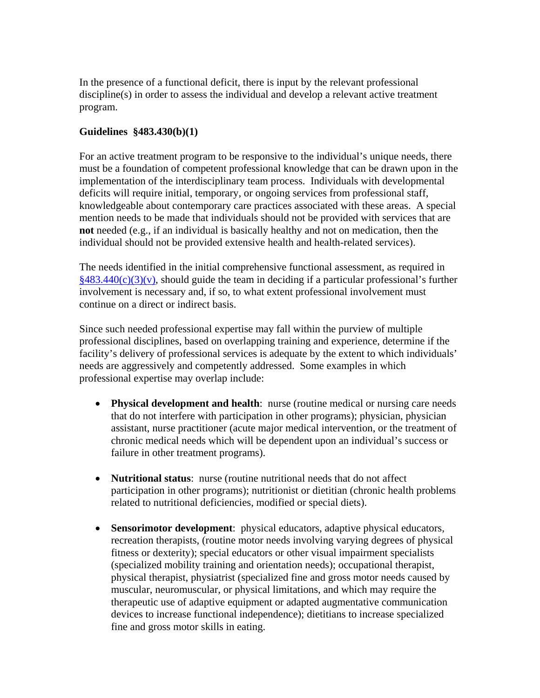In the presence of a functional deficit, there is input by the relevant professional discipline(s) in order to assess the individual and develop a relevant active treatment program.

### **Guidelines §483.430(b)(1)**

For an active treatment program to be responsive to the individual's unique needs, there must be a foundation of competent professional knowledge that can be drawn upon in the implementation of the interdisciplinary team process. Individuals with developmental deficits will require initial, temporary, or ongoing services from professional staff, knowledgeable about contemporary care practices associated with these areas. A special mention needs to be made that individuals should not be provided with services that are **not** needed (e.g., if an individual is basically healthy and not on medication, then the individual should not be provided extensive health and health-related services).

The needs identified in the initial comprehensive functional assessment, as required in  $§483.440(c)(3)(v)$ , should guide the team in deciding if a particular professional's further involvement is necessary and, if so, to what extent professional involvement must continue on a direct or indirect basis.

Since such needed professional expertise may fall within the purview of multiple professional disciplines, based on overlapping training and experience, determine if the facility's delivery of professional services is adequate by the extent to which individuals' needs are aggressively and competently addressed. Some examples in which professional expertise may overlap include:

- **Physical development and health**: nurse (routine medical or nursing care needs that do not interfere with participation in other programs); physician, physician assistant, nurse practitioner (acute major medical intervention, or the treatment of chronic medical needs which will be dependent upon an individual's success or failure in other treatment programs).
- **Nutritional status**: nurse (routine nutritional needs that do not affect participation in other programs); nutritionist or dietitian (chronic health problems related to nutritional deficiencies, modified or special diets).
- **Sensorimotor development**: physical educators, adaptive physical educators, recreation therapists, (routine motor needs involving varying degrees of physical fitness or dexterity); special educators or other visual impairment specialists (specialized mobility training and orientation needs); occupational therapist, physical therapist, physiatrist (specialized fine and gross motor needs caused by muscular, neuromuscular, or physical limitations, and which may require the therapeutic use of adaptive equipment or adapted augmentative communication devices to increase functional independence); dietitians to increase specialized fine and gross motor skills in eating.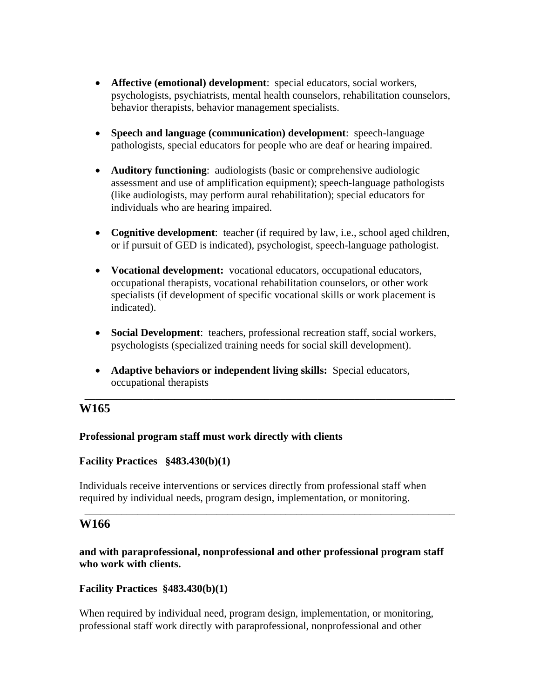- **Affective (emotional) development**: special educators, social workers, psychologists, psychiatrists, mental health counselors, rehabilitation counselors, behavior therapists, behavior management specialists.
- **Speech and language (communication) development**: speech-language pathologists, special educators for people who are deaf or hearing impaired.
- **Auditory functioning**: audiologists (basic or comprehensive audiologic assessment and use of amplification equipment); speech-language pathologists (like audiologists, may perform aural rehabilitation); special educators for individuals who are hearing impaired.
- **Cognitive development**: teacher (if required by law, i.e., school aged children, or if pursuit of GED is indicated), psychologist, speech-language pathologist.
- **Vocational development:** vocational educators, occupational educators, occupational therapists, vocational rehabilitation counselors, or other work specialists (if development of specific vocational skills or work placement is indicated).
- **Social Development**: teachers, professional recreation staff, social workers, psychologists (specialized training needs for social skill development).

\_\_\_\_\_\_\_\_\_\_\_\_\_\_\_\_\_\_\_\_\_\_\_\_\_\_\_\_\_\_\_\_\_\_\_\_\_\_\_\_\_\_\_\_\_\_\_\_\_\_\_\_\_\_\_\_\_\_\_\_\_\_\_\_\_\_\_\_\_\_

• **Adaptive behaviors or independent living skills:** Special educators, occupational therapists

# **W165**

### **Professional program staff must work directly with clients**

### **Facility Practices §483.430(b)(1)**

Individuals receive interventions or services directly from professional staff when required by individual needs, program design, implementation, or monitoring.

## **W166**

**and with paraprofessional, nonprofessional and other professional program staff who work with clients.** 

\_\_\_\_\_\_\_\_\_\_\_\_\_\_\_\_\_\_\_\_\_\_\_\_\_\_\_\_\_\_\_\_\_\_\_\_\_\_\_\_\_\_\_\_\_\_\_\_\_\_\_\_\_\_\_\_\_\_\_\_\_\_\_\_\_\_\_\_\_\_

### **Facility Practices §483.430(b)(1)**

When required by individual need, program design, implementation, or monitoring, professional staff work directly with paraprofessional, nonprofessional and other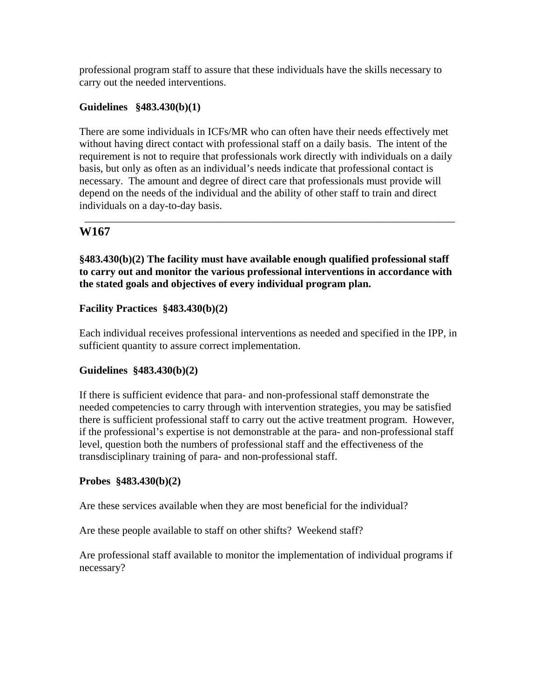professional program staff to assure that these individuals have the skills necessary to carry out the needed interventions.

### **Guidelines §483.430(b)(1)**

There are some individuals in ICFs/MR who can often have their needs effectively met without having direct contact with professional staff on a daily basis. The intent of the requirement is not to require that professionals work directly with individuals on a daily basis, but only as often as an individual's needs indicate that professional contact is necessary. The amount and degree of direct care that professionals must provide will depend on the needs of the individual and the ability of other staff to train and direct individuals on a day-to-day basis.

\_\_\_\_\_\_\_\_\_\_\_\_\_\_\_\_\_\_\_\_\_\_\_\_\_\_\_\_\_\_\_\_\_\_\_\_\_\_\_\_\_\_\_\_\_\_\_\_\_\_\_\_\_\_\_\_\_\_\_\_\_\_\_\_\_\_\_\_\_\_

## **W167**

**§483.430(b)(2) The facility must have available enough qualified professional staff to carry out and monitor the various professional interventions in accordance with the stated goals and objectives of every individual program plan.** 

### **Facility Practices §483.430(b)(2)**

Each individual receives professional interventions as needed and specified in the IPP, in sufficient quantity to assure correct implementation.

### **Guidelines §483.430(b)(2)**

If there is sufficient evidence that para- and non-professional staff demonstrate the needed competencies to carry through with intervention strategies, you may be satisfied there is sufficient professional staff to carry out the active treatment program. However, if the professional's expertise is not demonstrable at the para- and non-professional staff level, question both the numbers of professional staff and the effectiveness of the transdisciplinary training of para- and non-professional staff.

#### **Probes §483.430(b)(2)**

Are these services available when they are most beneficial for the individual?

Are these people available to staff on other shifts? Weekend staff?

Are professional staff available to monitor the implementation of individual programs if necessary?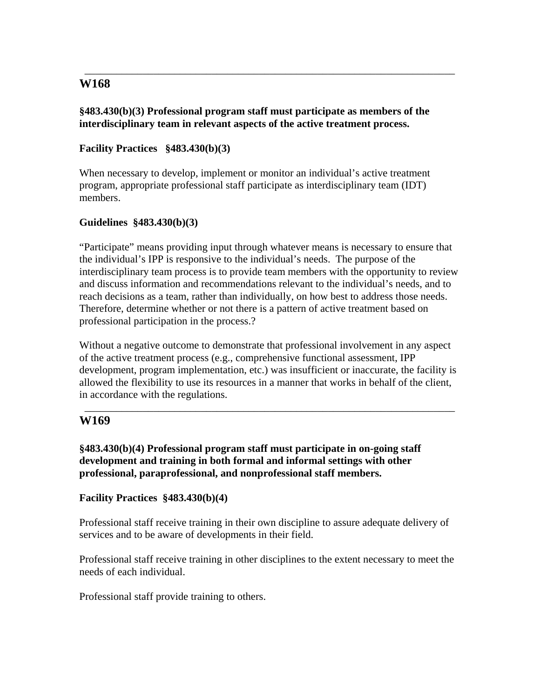#### **§483.430(b)(3) Professional program staff must participate as members of the interdisciplinary team in relevant aspects of the active treatment process.**

\_\_\_\_\_\_\_\_\_\_\_\_\_\_\_\_\_\_\_\_\_\_\_\_\_\_\_\_\_\_\_\_\_\_\_\_\_\_\_\_\_\_\_\_\_\_\_\_\_\_\_\_\_\_\_\_\_\_\_\_\_\_\_\_\_\_\_\_\_\_

### **Facility Practices §483.430(b)(3)**

When necessary to develop, implement or monitor an individual's active treatment program, appropriate professional staff participate as interdisciplinary team (IDT) members.

### **Guidelines §483.430(b)(3)**

"Participate" means providing input through whatever means is necessary to ensure that the individual's IPP is responsive to the individual's needs. The purpose of the interdisciplinary team process is to provide team members with the opportunity to review and discuss information and recommendations relevant to the individual's needs, and to reach decisions as a team, rather than individually, on how best to address those needs. Therefore, determine whether or not there is a pattern of active treatment based on professional participation in the process.?

Without a negative outcome to demonstrate that professional involvement in any aspect of the active treatment process (e.g., comprehensive functional assessment, IPP development, program implementation, etc.) was insufficient or inaccurate, the facility is allowed the flexibility to use its resources in a manner that works in behalf of the client, in accordance with the regulations.

\_\_\_\_\_\_\_\_\_\_\_\_\_\_\_\_\_\_\_\_\_\_\_\_\_\_\_\_\_\_\_\_\_\_\_\_\_\_\_\_\_\_\_\_\_\_\_\_\_\_\_\_\_\_\_\_\_\_\_\_\_\_\_\_\_\_\_\_\_\_

# **W169**

**§483.430(b)(4) Professional program staff must participate in on-going staff development and training in both formal and informal settings with other professional, paraprofessional, and nonprofessional staff members.** 

### **Facility Practices §483.430(b)(4)**

Professional staff receive training in their own discipline to assure adequate delivery of services and to be aware of developments in their field.

Professional staff receive training in other disciplines to the extent necessary to meet the needs of each individual.

Professional staff provide training to others.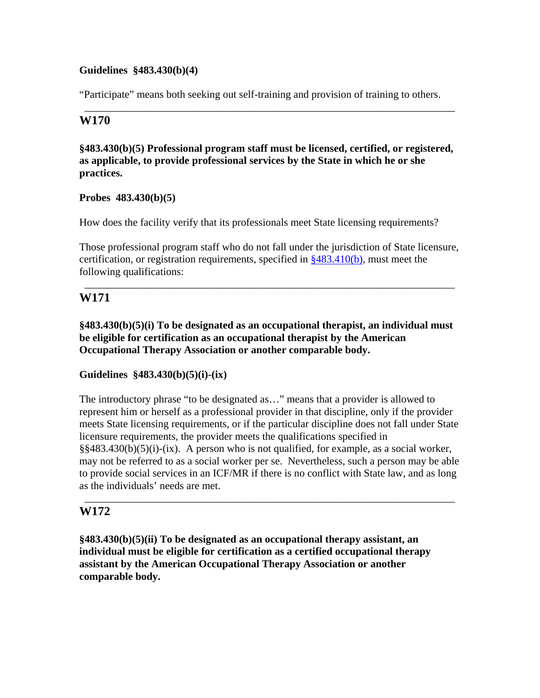#### **Guidelines §483.430(b)(4)**

"Participate" means both seeking out self-training and provision of training to others.

\_\_\_\_\_\_\_\_\_\_\_\_\_\_\_\_\_\_\_\_\_\_\_\_\_\_\_\_\_\_\_\_\_\_\_\_\_\_\_\_\_\_\_\_\_\_\_\_\_\_\_\_\_\_\_\_\_\_\_\_\_\_\_\_\_\_\_\_\_\_

### **W170**

#### **§483.430(b)(5) Professional program staff must be licensed, certified, or registered, as applicable, to provide professional services by the State in which he or she practices.**

#### **Probes 483.430(b)(5)**

How does the facility verify that its professionals meet State licensing requirements?

Those professional program staff who do not fall under the jurisdiction of State licensure, certification, or registration requirements, specified in  $\frac{2483.410(b)}{20}$ , must meet the following qualifications:

\_\_\_\_\_\_\_\_\_\_\_\_\_\_\_\_\_\_\_\_\_\_\_\_\_\_\_\_\_\_\_\_\_\_\_\_\_\_\_\_\_\_\_\_\_\_\_\_\_\_\_\_\_\_\_\_\_\_\_\_\_\_\_\_\_\_\_\_\_\_

## **W171**

**§483.430(b)(5)(i) To be designated as an occupational therapist, an individual must be eligible for certification as an occupational therapist by the American Occupational Therapy Association or another comparable body.** 

### **Guidelines §483.430(b)(5)(i)-(ix)**

The introductory phrase "to be designated as…" means that a provider is allowed to represent him or herself as a professional provider in that discipline, only if the provider meets State licensing requirements, or if the particular discipline does not fall under State licensure requirements, the provider meets the qualifications specified in §§483.430(b)(5)(i)-(ix). A person who is not qualified, for example, as a social worker, may not be referred to as a social worker per se. Nevertheless, such a person may be able to provide social services in an ICF/MR if there is no conflict with State law, and as long as the individuals' needs are met.

\_\_\_\_\_\_\_\_\_\_\_\_\_\_\_\_\_\_\_\_\_\_\_\_\_\_\_\_\_\_\_\_\_\_\_\_\_\_\_\_\_\_\_\_\_\_\_\_\_\_\_\_\_\_\_\_\_\_\_\_\_\_\_\_\_\_\_\_\_\_

### **W172**

**§483.430(b)(5)(ii) To be designated as an occupational therapy assistant, an individual must be eligible for certification as a certified occupational therapy assistant by the American Occupational Therapy Association or another comparable body.**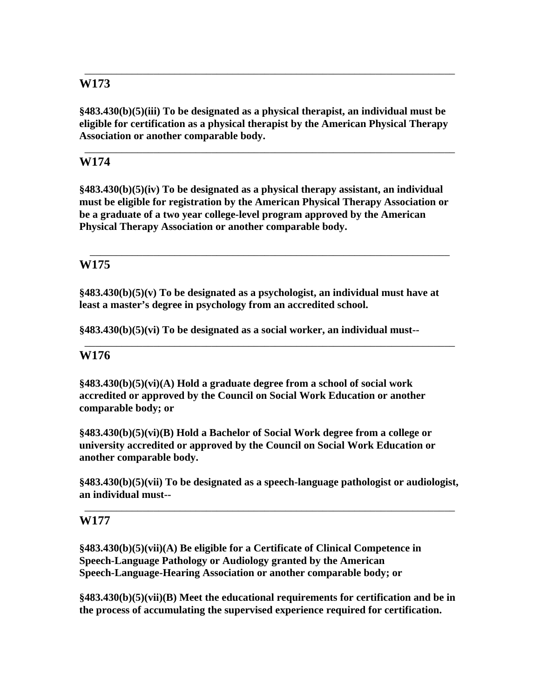**§483.430(b)(5)(iii) To be designated as a physical therapist, an individual must be eligible for certification as a physical therapist by the American Physical Therapy Association or another comparable body.** 

\_\_\_\_\_\_\_\_\_\_\_\_\_\_\_\_\_\_\_\_\_\_\_\_\_\_\_\_\_\_\_\_\_\_\_\_\_\_\_\_\_\_\_\_\_\_\_\_\_\_\_\_\_\_\_\_\_\_\_\_\_\_\_\_\_\_\_\_\_\_

\_\_\_\_\_\_\_\_\_\_\_\_\_\_\_\_\_\_\_\_\_\_\_\_\_\_\_\_\_\_\_\_\_\_\_\_\_\_\_\_\_\_\_\_\_\_\_\_\_\_\_\_\_\_\_\_\_\_\_\_\_\_\_\_\_\_\_\_\_\_

## **W174**

**§483.430(b)(5)(iv) To be designated as a physical therapy assistant, an individual must be eligible for registration by the American Physical Therapy Association or be a graduate of a two year college-level program approved by the American Physical Therapy Association or another comparable body.** 

\_\_\_\_\_\_\_\_\_\_\_\_\_\_\_\_\_\_\_\_\_\_\_\_\_\_\_\_\_\_\_\_\_\_\_\_\_\_\_\_\_\_\_\_\_\_\_\_\_\_\_\_\_\_\_\_\_\_\_\_\_\_\_\_\_\_\_\_

\_\_\_\_\_\_\_\_\_\_\_\_\_\_\_\_\_\_\_\_\_\_\_\_\_\_\_\_\_\_\_\_\_\_\_\_\_\_\_\_\_\_\_\_\_\_\_\_\_\_\_\_\_\_\_\_\_\_\_\_\_\_\_\_\_\_\_\_\_\_

## **W175**

**§483.430(b)(5)(v) To be designated as a psychologist, an individual must have at least a master's degree in psychology from an accredited school.** 

**§483.430(b)(5)(vi) To be designated as a social worker, an individual must--**

## **W176**

**§483.430(b)(5)(vi)(A) Hold a graduate degree from a school of social work accredited or approved by the Council on Social Work Education or another comparable body; or** 

**§483.430(b)(5)(vi)(B) Hold a Bachelor of Social Work degree from a college or university accredited or approved by the Council on Social Work Education or another comparable body.** 

**§483.430(b)(5)(vii) To be designated as a speech-language pathologist or audiologist, an individual must--**

\_\_\_\_\_\_\_\_\_\_\_\_\_\_\_\_\_\_\_\_\_\_\_\_\_\_\_\_\_\_\_\_\_\_\_\_\_\_\_\_\_\_\_\_\_\_\_\_\_\_\_\_\_\_\_\_\_\_\_\_\_\_\_\_\_\_\_\_\_\_

## **W177**

**§483.430(b)(5)(vii)(A) Be eligible for a Certificate of Clinical Competence in Speech-Language Pathology or Audiology granted by the American Speech-Language-Hearing Association or another comparable body; or** 

**§483.430(b)(5)(vii)(B) Meet the educational requirements for certification and be in the process of accumulating the supervised experience required for certification.**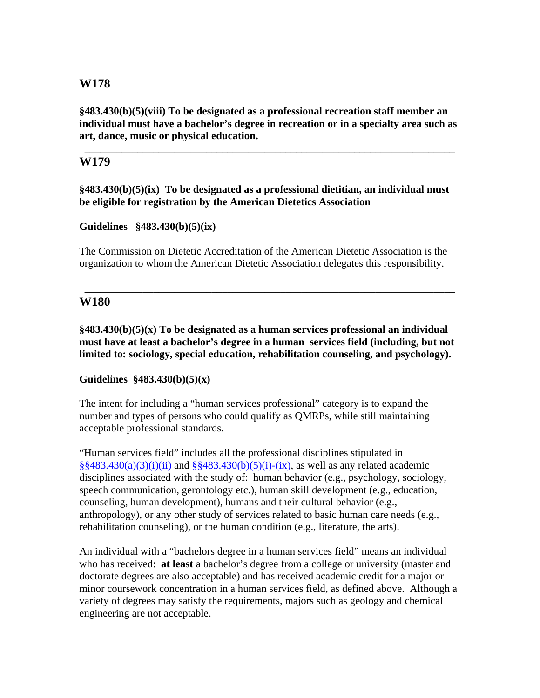**§483.430(b)(5)(viii) To be designated as a professional recreation staff member an individual must have a bachelor's degree in recreation or in a specialty area such as art, dance, music or physical education.** 

\_\_\_\_\_\_\_\_\_\_\_\_\_\_\_\_\_\_\_\_\_\_\_\_\_\_\_\_\_\_\_\_\_\_\_\_\_\_\_\_\_\_\_\_\_\_\_\_\_\_\_\_\_\_\_\_\_\_\_\_\_\_\_\_\_\_\_\_\_\_

\_\_\_\_\_\_\_\_\_\_\_\_\_\_\_\_\_\_\_\_\_\_\_\_\_\_\_\_\_\_\_\_\_\_\_\_\_\_\_\_\_\_\_\_\_\_\_\_\_\_\_\_\_\_\_\_\_\_\_\_\_\_\_\_\_\_\_\_\_\_

## **W179**

**§483.430(b)(5)(ix) To be designated as a professional dietitian, an individual must be eligible for registration by the American Dietetics Association** 

### **Guidelines §483.430(b)(5)(ix)**

The Commission on Dietetic Accreditation of the American Dietetic Association is the organization to whom the American Dietetic Association delegates this responsibility.

\_\_\_\_\_\_\_\_\_\_\_\_\_\_\_\_\_\_\_\_\_\_\_\_\_\_\_\_\_\_\_\_\_\_\_\_\_\_\_\_\_\_\_\_\_\_\_\_\_\_\_\_\_\_\_\_\_\_\_\_\_\_\_\_\_\_\_\_\_\_

## **W180**

**§483.430(b)(5)(x) To be designated as a human services professional an individual must have at least a bachelor's degree in a human services field (including, but not limited to: sociology, special education, rehabilitation counseling, and psychology).** 

### **Guidelines §483.430(b)(5)(x)**

The intent for including a "human services professional" category is to expand the number and types of persons who could qualify as QMRPs, while still maintaining acceptable professional standards.

"Human services field" includes all the professional disciplines stipulated in  $\S$ §483.430(a)(3)(i)(ii) and §§483.430(b)(5)(i)-(ix), as well as any related academic disciplines associated with the study of: human behavior (e.g., psychology, sociology, speech communication, gerontology etc.), human skill development (e.g., education, counseling, human development), humans and their cultural behavior (e.g., anthropology), or any other study of services related to basic human care needs (e.g., rehabilitation counseling), or the human condition (e.g., literature, the arts).

An individual with a "bachelors degree in a human services field" means an individual who has received: **at least** a bachelor's degree from a college or university (master and doctorate degrees are also acceptable) and has received academic credit for a major or minor coursework concentration in a human services field, as defined above. Although a variety of degrees may satisfy the requirements, majors such as geology and chemical engineering are not acceptable.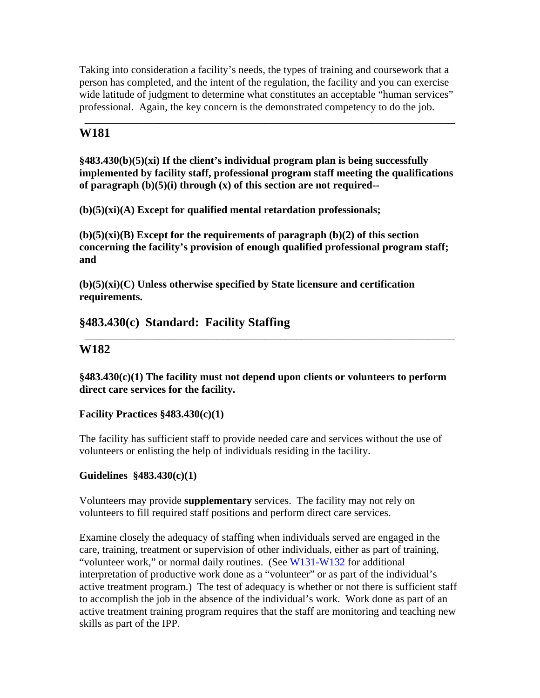Taking into consideration a facility's needs, the types of training and coursework that a person has completed, and the intent of the regulation, the facility and you can exercise wide latitude of judgment to determine what constitutes an acceptable "human services" professional. Again, the key concern is the demonstrated competency to do the job.

\_\_\_\_\_\_\_\_\_\_\_\_\_\_\_\_\_\_\_\_\_\_\_\_\_\_\_\_\_\_\_\_\_\_\_\_\_\_\_\_\_\_\_\_\_\_\_\_\_\_\_\_\_\_\_\_\_\_\_\_\_\_\_\_\_\_\_\_\_\_

# **W181**

**§483.430(b)(5)(xi) If the client's individual program plan is being successfully implemented by facility staff, professional program staff meeting the qualifications of paragraph (b)(5)(i) through (x) of this section are not required--** 

**(b)(5)(xi)(A) Except for qualified mental retardation professionals;** 

**(b)(5)(xi)(B) Except for the requirements of paragraph (b)(2) of this section concerning the facility's provision of enough qualified professional program staff; and** 

**(b)(5)(xi)(C) Unless otherwise specified by State licensure and certification requirements.** 

# **§483.430(c) Standard: Facility Staffing**

# **W182**

**§483.430(c)(1) The facility must not depend upon clients or volunteers to perform direct care services for the facility.** 

\_\_\_\_\_\_\_\_\_\_\_\_\_\_\_\_\_\_\_\_\_\_\_\_\_\_\_\_\_\_\_\_\_\_\_\_\_\_\_\_\_\_\_\_\_\_\_\_\_\_\_\_\_\_\_\_\_\_\_\_\_\_\_\_\_\_\_\_\_\_

## **Facility Practices §483.430(c)(1)**

The facility has sufficient staff to provide needed care and services without the use of volunteers or enlisting the help of individuals residing in the facility.

## **Guidelines §483.430(c)(1)**

Volunteers may provide **supplementary** services. The facility may not rely on volunteers to fill required staff positions and perform direct care services.

Examine closely the adequacy of staffing when individuals served are engaged in the care, training, treatment or supervision of other individuals, either as part of training, "volunteer work," or normal daily routines. (See W131-W132 for additional interpretation of productive work done as a "volunteer" or as part of the individual's active treatment program.) The test of adequacy is whether or not there is sufficient staff to accomplish the job in the absence of the individual's work. Work done as part of an active treatment training program requires that the staff are monitoring and teaching new skills as part of the IPP.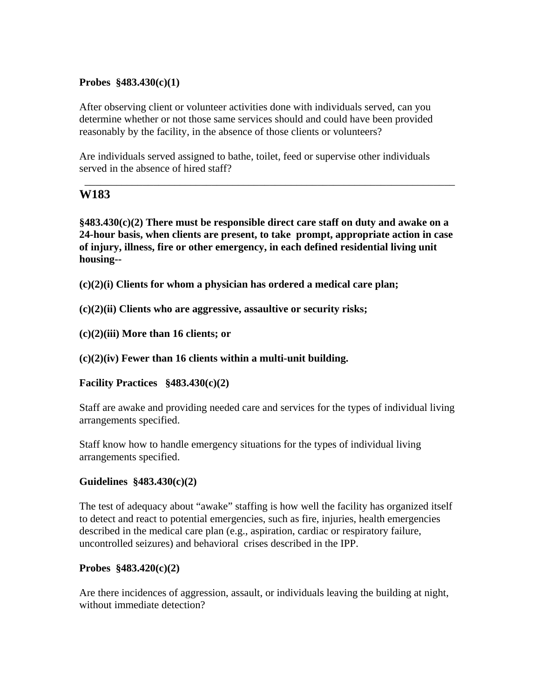#### **Probes §483.430(c)(1)**

After observing client or volunteer activities done with individuals served, can you determine whether or not those same services should and could have been provided reasonably by the facility, in the absence of those clients or volunteers?

Are individuals served assigned to bathe, toilet, feed or supervise other individuals served in the absence of hired staff?

### **W183**

**§483.430(c)(2) There must be responsible direct care staff on duty and awake on a 24-hour basis, when clients are present, to take prompt, appropriate action in case of injury, illness, fire or other emergency, in each defined residential living unit housing--** 

\_\_\_\_\_\_\_\_\_\_\_\_\_\_\_\_\_\_\_\_\_\_\_\_\_\_\_\_\_\_\_\_\_\_\_\_\_\_\_\_\_\_\_\_\_\_\_\_\_\_\_\_\_\_\_\_\_\_\_\_\_\_\_\_\_\_\_\_\_\_

**(c)(2)(i) Clients for whom a physician has ordered a medical care plan;** 

**(c)(2)(ii) Clients who are aggressive, assaultive or security risks;** 

**(c)(2)(iii) More than 16 clients; or** 

**(c)(2)(iv) Fewer than 16 clients within a multi-unit building.** 

#### **Facility Practices §483.430(c)(2)**

Staff are awake and providing needed care and services for the types of individual living arrangements specified.

Staff know how to handle emergency situations for the types of individual living arrangements specified.

#### **Guidelines §483.430(c)(2)**

The test of adequacy about "awake" staffing is how well the facility has organized itself to detect and react to potential emergencies, such as fire, injuries, health emergencies described in the medical care plan (e.g., aspiration, cardiac or respiratory failure, uncontrolled seizures) and behavioral crises described in the IPP.

#### **Probes §483.420(c)(2)**

Are there incidences of aggression, assault, or individuals leaving the building at night, without immediate detection?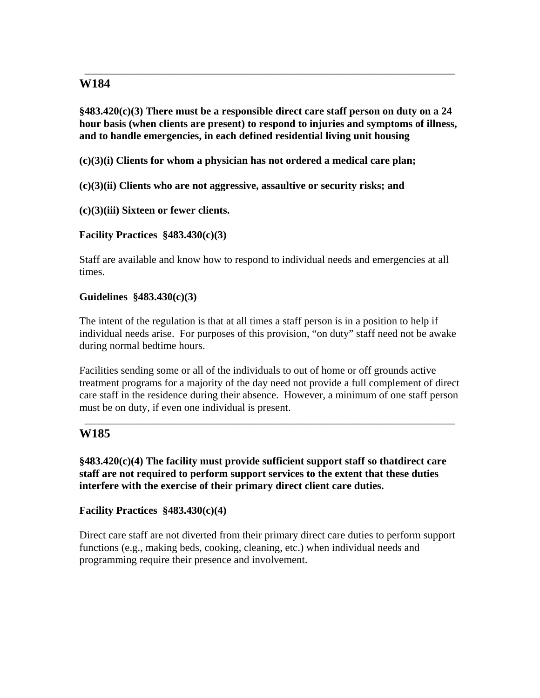**§483.420(c)(3) There must be a responsible direct care staff person on duty on a 24 hour basis (when clients are present) to respond to injuries and symptoms of illness, and to handle emergencies, in each defined residential living unit housing** 

\_\_\_\_\_\_\_\_\_\_\_\_\_\_\_\_\_\_\_\_\_\_\_\_\_\_\_\_\_\_\_\_\_\_\_\_\_\_\_\_\_\_\_\_\_\_\_\_\_\_\_\_\_\_\_\_\_\_\_\_\_\_\_\_\_\_\_\_\_\_

**(c)(3)(i) Clients for whom a physician has not ordered a medical care plan;** 

**(c)(3)(ii) Clients who are not aggressive, assaultive or security risks; and** 

**(c)(3)(iii) Sixteen or fewer clients.** 

**Facility Practices §483.430(c)(3)** 

Staff are available and know how to respond to individual needs and emergencies at all times.

### **Guidelines §483.430(c)(3)**

The intent of the regulation is that at all times a staff person is in a position to help if individual needs arise. For purposes of this provision, "on duty" staff need not be awake during normal bedtime hours.

Facilities sending some or all of the individuals to out of home or off grounds active treatment programs for a majority of the day need not provide a full complement of direct care staff in the residence during their absence. However, a minimum of one staff person must be on duty, if even one individual is present.

\_\_\_\_\_\_\_\_\_\_\_\_\_\_\_\_\_\_\_\_\_\_\_\_\_\_\_\_\_\_\_\_\_\_\_\_\_\_\_\_\_\_\_\_\_\_\_\_\_\_\_\_\_\_\_\_\_\_\_\_\_\_\_\_\_\_\_\_\_\_

# **W185**

**§483.420(c)(4) The facility must provide sufficient support staff so thatdirect care staff are not required to perform support services to the extent that these duties interfere with the exercise of their primary direct client care duties.** 

### **Facility Practices §483.430(c)(4)**

Direct care staff are not diverted from their primary direct care duties to perform support functions (e.g., making beds, cooking, cleaning, etc.) when individual needs and programming require their presence and involvement.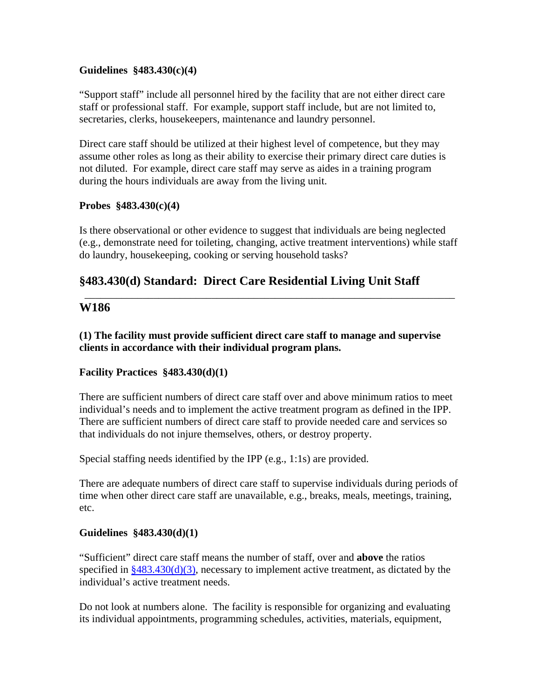#### **Guidelines §483.430(c)(4)**

"Support staff" include all personnel hired by the facility that are not either direct care staff or professional staff. For example, support staff include, but are not limited to, secretaries, clerks, housekeepers, maintenance and laundry personnel.

Direct care staff should be utilized at their highest level of competence, but they may assume other roles as long as their ability to exercise their primary direct care duties is not diluted. For example, direct care staff may serve as aides in a training program during the hours individuals are away from the living unit.

#### **Probes §483.430(c)(4)**

Is there observational or other evidence to suggest that individuals are being neglected (e.g., demonstrate need for toileting, changing, active treatment interventions) while staff do laundry, housekeeping, cooking or serving household tasks?

\_\_\_\_\_\_\_\_\_\_\_\_\_\_\_\_\_\_\_\_\_\_\_\_\_\_\_\_\_\_\_\_\_\_\_\_\_\_\_\_\_\_\_\_\_\_\_\_\_\_\_\_\_\_\_\_\_\_\_\_\_\_\_\_\_\_\_\_\_\_

# **§483.430(d) Standard: Direct Care Residential Living Unit Staff**

### **W186**

**(1) The facility must provide sufficient direct care staff to manage and supervise clients in accordance with their individual program plans.** 

### **Facility Practices §483.430(d)(1)**

There are sufficient numbers of direct care staff over and above minimum ratios to meet individual's needs and to implement the active treatment program as defined in the IPP. There are sufficient numbers of direct care staff to provide needed care and services so that individuals do not injure themselves, others, or destroy property.

Special staffing needs identified by the IPP (e.g., 1:1s) are provided.

There are adequate numbers of direct care staff to supervise individuals during periods of time when other direct care staff are unavailable, e.g., breaks, meals, meetings, training, etc.

### **Guidelines §483.430(d)(1)**

"Sufficient" direct care staff means the number of staff, over and **above** the ratios specified in  $\frac{8483.430(d)(3)}{2}$ , necessary to implement active treatment, as dictated by the individual's active treatment needs.

Do not look at numbers alone. The facility is responsible for organizing and evaluating its individual appointments, programming schedules, activities, materials, equipment,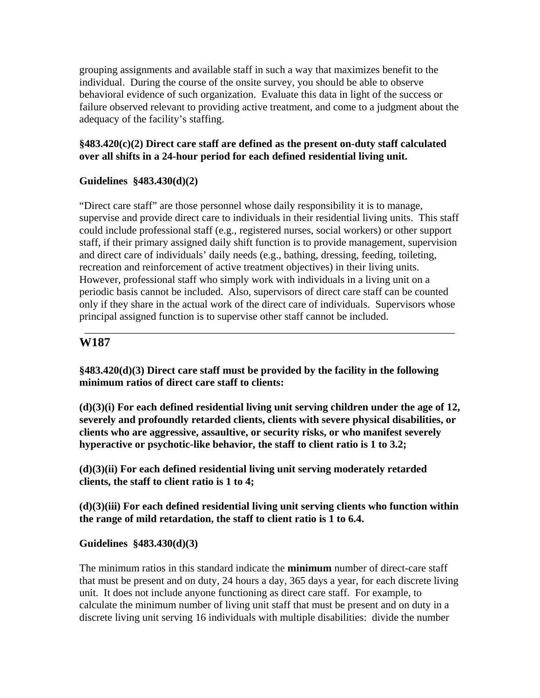grouping assignments and available staff in such a way that maximizes benefit to the individual. During the course of the onsite survey, you should be able to observe behavioral evidence of such organization. Evaluate this data in light of the success or failure observed relevant to providing active treatment, and come to a judgment about the adequacy of the facility's staffing.

### **§483.420(c)(2) Direct care staff are defined as the present on-duty staff calculated over all shifts in a 24-hour period for each defined residential living unit.**

### **Guidelines §483.430(d)(2)**

"Direct care staff" are those personnel whose daily responsibility it is to manage, supervise and provide direct care to individuals in their residential living units. This staff could include professional staff (e.g., registered nurses, social workers) or other support staff, if their primary assigned daily shift function is to provide management, supervision and direct care of individuals' daily needs (e.g., bathing, dressing, feeding, toileting, recreation and reinforcement of active treatment objectives) in their living units. However, professional staff who simply work with individuals in a living unit on a periodic basis cannot be included. Also, supervisors of direct care staff can be counted only if they share in the actual work of the direct care of individuals. Supervisors whose principal assigned function is to supervise other staff cannot be included.

\_\_\_\_\_\_\_\_\_\_\_\_\_\_\_\_\_\_\_\_\_\_\_\_\_\_\_\_\_\_\_\_\_\_\_\_\_\_\_\_\_\_\_\_\_\_\_\_\_\_\_\_\_\_\_\_\_\_\_\_\_\_\_\_\_\_\_\_\_\_

## **W187**

**§483.420(d)(3) Direct care staff must be provided by the facility in the following minimum ratios of direct care staff to clients:** 

**(d)(3)(i) For each defined residential living unit serving children under the age of 12, severely and profoundly retarded clients, clients with severe physical disabilities, or clients who are aggressive, assaultive, or security risks, or who manifest severely hyperactive or psychotic-like behavior, the staff to client ratio is 1 to 3.2;** 

**(d)(3)(ii) For each defined residential living unit serving moderately retarded clients, the staff to client ratio is 1 to 4;** 

**(d)(3)(iii) For each defined residential living unit serving clients who function within the range of mild retardation, the staff to client ratio is 1 to 6.4.** 

### **Guidelines §483.430(d)(3)**

The minimum ratios in this standard indicate the **minimum** number of direct-care staff that must be present and on duty, 24 hours a day, 365 days a year, for each discrete living unit. It does not include anyone functioning as direct care staff. For example, to calculate the minimum number of living unit staff that must be present and on duty in a discrete living unit serving 16 individuals with multiple disabilities: divide the number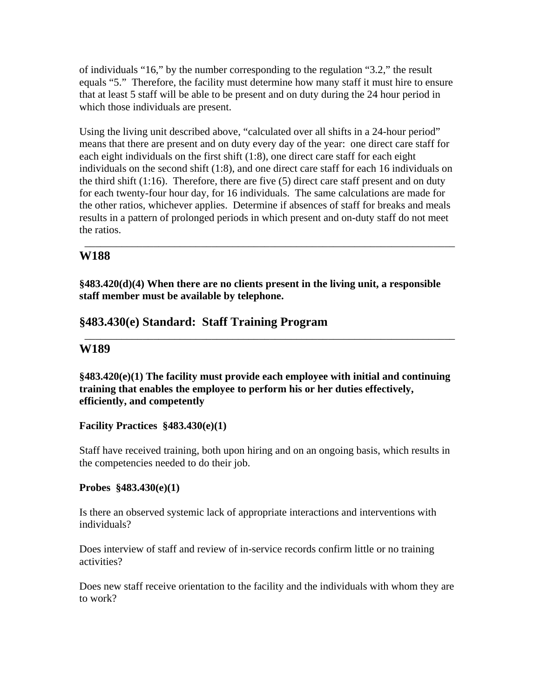of individuals "16," by the number corresponding to the regulation "3.2," the result equals "5." Therefore, the facility must determine how many staff it must hire to ensure that at least 5 staff will be able to be present and on duty during the 24 hour period in which those individuals are present.

Using the living unit described above, "calculated over all shifts in a 24-hour period" means that there are present and on duty every day of the year: one direct care staff for each eight individuals on the first shift (1:8), one direct care staff for each eight individuals on the second shift (1:8), and one direct care staff for each 16 individuals on the third shift  $(1:16)$ . Therefore, there are five  $(5)$  direct care staff present and on duty for each twenty-four hour day, for 16 individuals. The same calculations are made for the other ratios, whichever applies. Determine if absences of staff for breaks and meals results in a pattern of prolonged periods in which present and on-duty staff do not meet the ratios.

\_\_\_\_\_\_\_\_\_\_\_\_\_\_\_\_\_\_\_\_\_\_\_\_\_\_\_\_\_\_\_\_\_\_\_\_\_\_\_\_\_\_\_\_\_\_\_\_\_\_\_\_\_\_\_\_\_\_\_\_\_\_\_\_\_\_\_\_\_\_

# **W188**

**§483.420(d)(4) When there are no clients present in the living unit, a responsible staff member must be available by telephone.** 

# **§483.430(e) Standard: Staff Training Program**

## **W189**

**§483.420(e)(1) The facility must provide each employee with initial and continuing training that enables the employee to perform his or her duties effectively, efficiently, and competently** 

\_\_\_\_\_\_\_\_\_\_\_\_\_\_\_\_\_\_\_\_\_\_\_\_\_\_\_\_\_\_\_\_\_\_\_\_\_\_\_\_\_\_\_\_\_\_\_\_\_\_\_\_\_\_\_\_\_\_\_\_\_\_\_\_\_\_\_\_\_\_

### **Facility Practices §483.430(e)(1)**

Staff have received training, both upon hiring and on an ongoing basis, which results in the competencies needed to do their job.

### **Probes §483.430(e)(1)**

Is there an observed systemic lack of appropriate interactions and interventions with individuals?

Does interview of staff and review of in-service records confirm little or no training activities?

Does new staff receive orientation to the facility and the individuals with whom they are to work?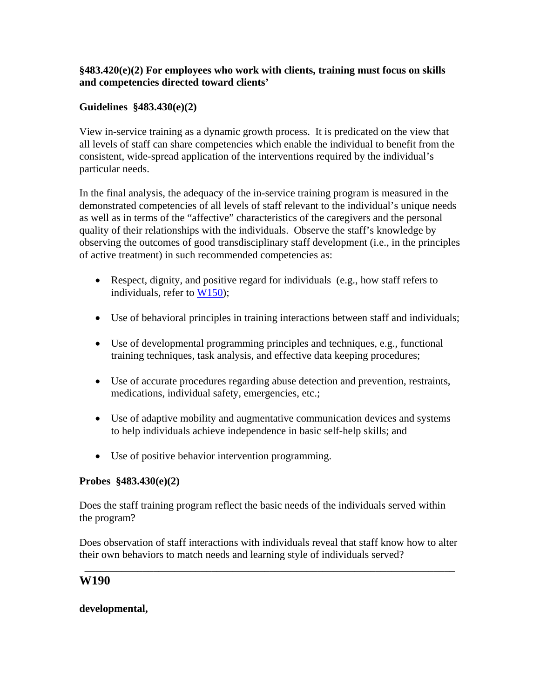### **§483.420(e)(2) For employees who work with clients, training must focus on skills and competencies directed toward clients'**

## **Guidelines §483.430(e)(2)**

View in-service training as a dynamic growth process. It is predicated on the view that all levels of staff can share competencies which enable the individual to benefit from the consistent, wide-spread application of the interventions required by the individual's particular needs.

In the final analysis, the adequacy of the in-service training program is measured in the demonstrated competencies of all levels of staff relevant to the individual's unique needs as well as in terms of the "affective" characteristics of the caregivers and the personal quality of their relationships with the individuals. Observe the staff's knowledge by observing the outcomes of good transdisciplinary staff development (i.e., in the principles of active treatment) in such recommended competencies as:

- Respect, dignity, and positive regard for individuals (e.g., how staff refers to individuals, refer to W150);
- Use of behavioral principles in training interactions between staff and individuals;
- Use of developmental programming principles and techniques, e.g., functional training techniques, task analysis, and effective data keeping procedures;
- Use of accurate procedures regarding abuse detection and prevention, restraints, medications, individual safety, emergencies, etc.;
- Use of adaptive mobility and augmentative communication devices and systems to help individuals achieve independence in basic self-help skills; and
- Use of positive behavior intervention programming.

### **Probes §483.430(e)(2)**

Does the staff training program reflect the basic needs of the individuals served within the program?

Does observation of staff interactions with individuals reveal that staff know how to alter their own behaviors to match needs and learning style of individuals served?

\_\_\_\_\_\_\_\_\_\_\_\_\_\_\_\_\_\_\_\_\_\_\_\_\_\_\_\_\_\_\_\_\_\_\_\_\_\_\_\_\_\_\_\_\_\_\_\_\_\_\_\_\_\_\_\_\_\_\_\_\_\_\_\_\_\_\_\_\_\_

### **W190**

### **developmental,**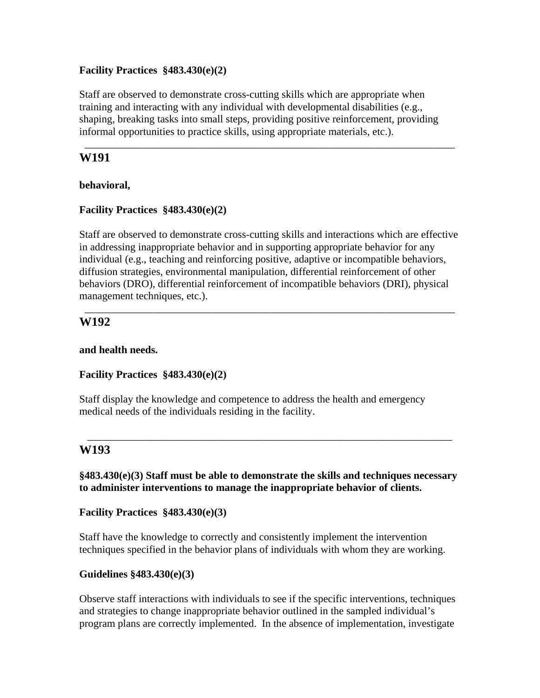#### **Facility Practices §483.430(e)(2)**

Staff are observed to demonstrate cross-cutting skills which are appropriate when training and interacting with any individual with developmental disabilities (e.g., shaping, breaking tasks into small steps, providing positive reinforcement, providing informal opportunities to practice skills, using appropriate materials, etc.).

\_\_\_\_\_\_\_\_\_\_\_\_\_\_\_\_\_\_\_\_\_\_\_\_\_\_\_\_\_\_\_\_\_\_\_\_\_\_\_\_\_\_\_\_\_\_\_\_\_\_\_\_\_\_\_\_\_\_\_\_\_\_\_\_\_\_\_\_\_\_

### **W191**

#### **behavioral,**

### **Facility Practices §483.430(e)(2)**

Staff are observed to demonstrate cross-cutting skills and interactions which are effective in addressing inappropriate behavior and in supporting appropriate behavior for any individual (e.g., teaching and reinforcing positive, adaptive or incompatible behaviors, diffusion strategies, environmental manipulation, differential reinforcement of other behaviors (DRO), differential reinforcement of incompatible behaviors (DRI), physical management techniques, etc.).

\_\_\_\_\_\_\_\_\_\_\_\_\_\_\_\_\_\_\_\_\_\_\_\_\_\_\_\_\_\_\_\_\_\_\_\_\_\_\_\_\_\_\_\_\_\_\_\_\_\_\_\_\_\_\_\_\_\_\_\_\_\_\_\_\_\_\_\_\_\_

# **W192**

#### **and health needs.**

### **Facility Practices §483.430(e)(2)**

Staff display the knowledge and competence to address the health and emergency medical needs of the individuals residing in the facility.

## **W193**

**§483.430(e)(3) Staff must be able to demonstrate the skills and techniques necessary to administer interventions to manage the inappropriate behavior of clients.** 

\_\_\_\_\_\_\_\_\_\_\_\_\_\_\_\_\_\_\_\_\_\_\_\_\_\_\_\_\_\_\_\_\_\_\_\_\_\_\_\_\_\_\_\_\_\_\_\_\_\_\_\_\_\_\_\_\_\_\_\_\_\_\_\_\_\_\_\_\_

**Facility Practices §483.430(e)(3)** 

Staff have the knowledge to correctly and consistently implement the intervention techniques specified in the behavior plans of individuals with whom they are working.

### **Guidelines §483.430(e)(3)**

Observe staff interactions with individuals to see if the specific interventions, techniques and strategies to change inappropriate behavior outlined in the sampled individual's program plans are correctly implemented. In the absence of implementation, investigate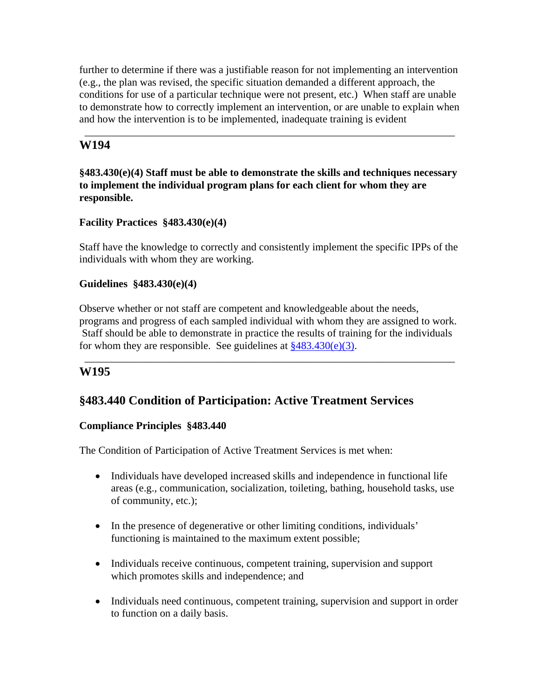further to determine if there was a justifiable reason for not implementing an intervention (e.g., the plan was revised, the specific situation demanded a different approach, the conditions for use of a particular technique were not present, etc.) When staff are unable to demonstrate how to correctly implement an intervention, or are unable to explain when and how the intervention is to be implemented, inadequate training is evident

\_\_\_\_\_\_\_\_\_\_\_\_\_\_\_\_\_\_\_\_\_\_\_\_\_\_\_\_\_\_\_\_\_\_\_\_\_\_\_\_\_\_\_\_\_\_\_\_\_\_\_\_\_\_\_\_\_\_\_\_\_\_\_\_\_\_\_\_\_\_

# **W194**

### **§483.430(e)(4) Staff must be able to demonstrate the skills and techniques necessary to implement the individual program plans for each client for whom they are responsible.**

### **Facility Practices §483.430(e)(4)**

Staff have the knowledge to correctly and consistently implement the specific IPPs of the individuals with whom they are working.

### **Guidelines §483.430(e)(4)**

Observe whether or not staff are competent and knowledgeable about the needs, programs and progress of each sampled individual with whom they are assigned to work. Staff should be able to demonstrate in practice the results of training for the individuals for whom they are responsible. See guidelines at  $\frac{$483.430(e)(3)}{483.430(e)}$ .

\_\_\_\_\_\_\_\_\_\_\_\_\_\_\_\_\_\_\_\_\_\_\_\_\_\_\_\_\_\_\_\_\_\_\_\_\_\_\_\_\_\_\_\_\_\_\_\_\_\_\_\_\_\_\_\_\_\_\_\_\_\_\_\_\_\_\_\_\_\_

## **W195**

# **§483.440 Condition of Participation: Active Treatment Services**

### **Compliance Principles §483.440**

The Condition of Participation of Active Treatment Services is met when:

- Individuals have developed increased skills and independence in functional life areas (e.g., communication, socialization, toileting, bathing, household tasks, use of community, etc.);
- In the presence of degenerative or other limiting conditions, individuals' functioning is maintained to the maximum extent possible;
- Individuals receive continuous, competent training, supervision and support which promotes skills and independence; and
- Individuals need continuous, competent training, supervision and support in order to function on a daily basis.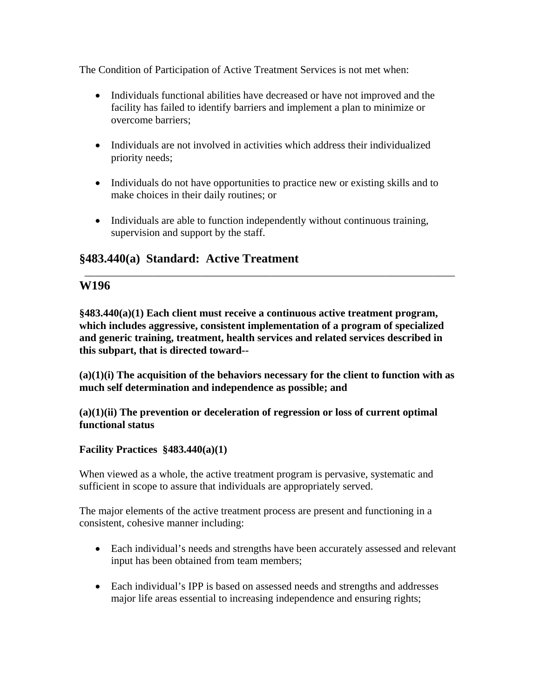The Condition of Participation of Active Treatment Services is not met when:

- Individuals functional abilities have decreased or have not improved and the facility has failed to identify barriers and implement a plan to minimize or overcome barriers;
- Individuals are not involved in activities which address their individualized priority needs;
- Individuals do not have opportunities to practice new or existing skills and to make choices in their daily routines; or
- Individuals are able to function independently without continuous training, supervision and support by the staff.

\_\_\_\_\_\_\_\_\_\_\_\_\_\_\_\_\_\_\_\_\_\_\_\_\_\_\_\_\_\_\_\_\_\_\_\_\_\_\_\_\_\_\_\_\_\_\_\_\_\_\_\_\_\_\_\_\_\_\_\_\_\_\_\_\_\_\_\_\_\_

# **§483.440(a) Standard: Active Treatment**

# **W196**

**§483.440(a)(1) Each client must receive a continuous active treatment program, which includes aggressive, consistent implementation of a program of specialized and generic training, treatment, health services and related services described in this subpart, that is directed toward--** 

**(a)(1)(i) The acquisition of the behaviors necessary for the client to function with as much self determination and independence as possible; and** 

### **(a)(1)(ii) The prevention or deceleration of regression or loss of current optimal functional status**

## **Facility Practices §483.440(a)(1)**

When viewed as a whole, the active treatment program is pervasive, systematic and sufficient in scope to assure that individuals are appropriately served.

The major elements of the active treatment process are present and functioning in a consistent, cohesive manner including:

- Each individual's needs and strengths have been accurately assessed and relevant input has been obtained from team members;
- Each individual's IPP is based on assessed needs and strengths and addresses major life areas essential to increasing independence and ensuring rights;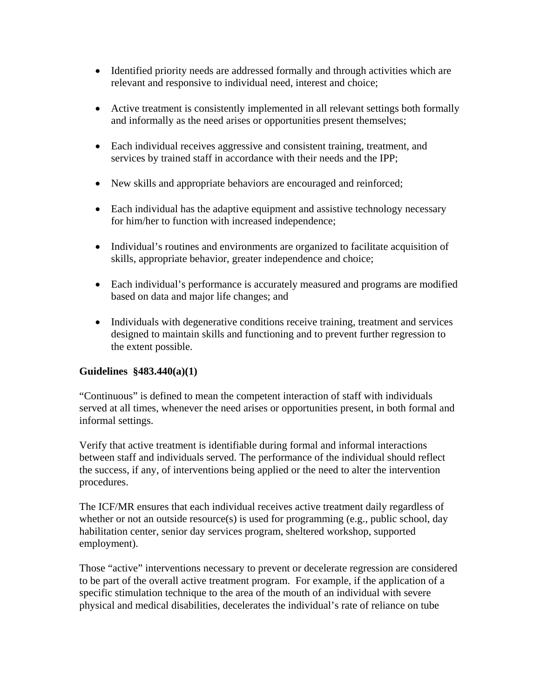- Identified priority needs are addressed formally and through activities which are relevant and responsive to individual need, interest and choice;
- Active treatment is consistently implemented in all relevant settings both formally and informally as the need arises or opportunities present themselves;
- Each individual receives aggressive and consistent training, treatment, and services by trained staff in accordance with their needs and the IPP;
- New skills and appropriate behaviors are encouraged and reinforced;
- Each individual has the adaptive equipment and assistive technology necessary for him/her to function with increased independence;
- Individual's routines and environments are organized to facilitate acquisition of skills, appropriate behavior, greater independence and choice;
- Each individual's performance is accurately measured and programs are modified based on data and major life changes; and
- Individuals with degenerative conditions receive training, treatment and services designed to maintain skills and functioning and to prevent further regression to the extent possible.

## **Guidelines §483.440(a)(1)**

"Continuous" is defined to mean the competent interaction of staff with individuals served at all times, whenever the need arises or opportunities present, in both formal and informal settings.

Verify that active treatment is identifiable during formal and informal interactions between staff and individuals served. The performance of the individual should reflect the success, if any, of interventions being applied or the need to alter the intervention procedures.

The ICF/MR ensures that each individual receives active treatment daily regardless of whether or not an outside resource(s) is used for programming (e.g., public school, day habilitation center, senior day services program, sheltered workshop, supported employment).

Those "active" interventions necessary to prevent or decelerate regression are considered to be part of the overall active treatment program. For example, if the application of a specific stimulation technique to the area of the mouth of an individual with severe physical and medical disabilities, decelerates the individual's rate of reliance on tube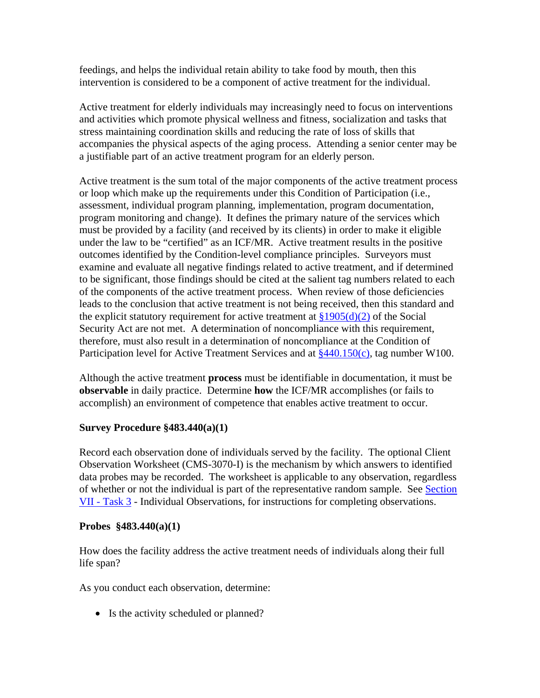feedings, and helps the individual retain ability to take food by mouth, then this intervention is considered to be a component of active treatment for the individual.

Active treatment for elderly individuals may increasingly need to focus on interventions and activities which promote physical wellness and fitness, socialization and tasks that stress maintaining coordination skills and reducing the rate of loss of skills that accompanies the physical aspects of the aging process. Attending a senior center may be a justifiable part of an active treatment program for an elderly person.

Active treatment is the sum total of the major components of the active treatment process or loop which make up the requirements under this Condition of Participation (i.e., assessment, individual program planning, implementation, program documentation, program monitoring and change). It defines the primary nature of the services which must be provided by a facility (and received by its clients) in order to make it eligible under the law to be "certified" as an ICF/MR. Active treatment results in the positive outcomes identified by the Condition-level compliance principles. Surveyors must examine and evaluate all negative findings related to active treatment, and if determined to be significant, those findings should be cited at the salient tag numbers related to each of the components of the active treatment process. When review of those deficiencies leads to the conclusion that active treatment is not being received, then this standard and the explicit statutory requirement for active treatment at  $\frac{1905(d)}{2}$  of the Social Security Act are not met. A determination of noncompliance with this requirement, therefore, must also result in a determination of noncompliance at the Condition of Participation level for Active Treatment Services and at  $\frac{$440.150(c)}{c}$ , tag number W100.

Although the active treatment **process** must be identifiable in documentation, it must be **observable** in daily practice. Determine **how** the ICF/MR accomplishes (or fails to accomplish) an environment of competence that enables active treatment to occur.

#### **Survey Procedure §483.440(a)(1)**

Record each observation done of individuals served by the facility. The optional Client Observation Worksheet (CMS-3070-I) is the mechanism by which answers to identified data probes may be recorded. The worksheet is applicable to any observation, regardless of whether or not the individual is part of the representative random sample. See Section VII - Task 3 - Individual Observations, for instructions for completing observations.

#### **Probes §483.440(a)(1)**

How does the facility address the active treatment needs of individuals along their full life span?

As you conduct each observation, determine:

• Is the activity scheduled or planned?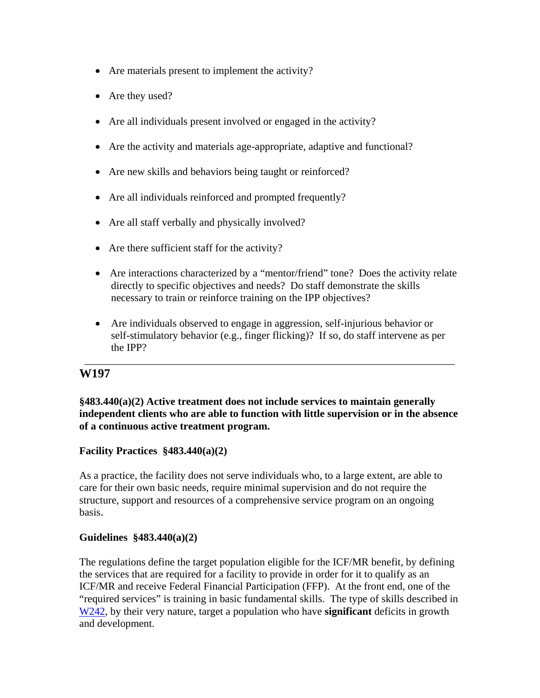- Are materials present to implement the activity?
- Are they used?
- Are all individuals present involved or engaged in the activity?
- Are the activity and materials age-appropriate, adaptive and functional?
- Are new skills and behaviors being taught or reinforced?
- Are all individuals reinforced and prompted frequently?
- Are all staff verbally and physically involved?
- Are there sufficient staff for the activity?
- Are interactions characterized by a "mentor/friend" tone? Does the activity relate directly to specific objectives and needs? Do staff demonstrate the skills necessary to train or reinforce training on the IPP objectives?
- Are individuals observed to engage in aggression, self-injurious behavior or self-stimulatory behavior (e.g., finger flicking)? If so, do staff intervene as per the IPP?

\_\_\_\_\_\_\_\_\_\_\_\_\_\_\_\_\_\_\_\_\_\_\_\_\_\_\_\_\_\_\_\_\_\_\_\_\_\_\_\_\_\_\_\_\_\_\_\_\_\_\_\_\_\_\_\_\_\_\_\_\_\_\_\_\_\_\_\_\_\_

## **W197**

### **§483.440(a)(2) Active treatment does not include services to maintain generally independent clients who are able to function with little supervision or in the absence of a continuous active treatment program.**

### **Facility Practices §483.440(a)(2)**

As a practice, the facility does not serve individuals who, to a large extent, are able to care for their own basic needs, require minimal supervision and do not require the structure, support and resources of a comprehensive service program on an ongoing basis.

### **Guidelines §483.440(a)(2)**

The regulations define the target population eligible for the ICF/MR benefit, by defining the services that are required for a facility to provide in order for it to qualify as an ICF/MR and receive Federal Financial Participation (FFP). At the front end, one of the "required services" is training in basic fundamental skills. The type of skills described in W242, by their very nature, target a population who have **significant** deficits in growth and development.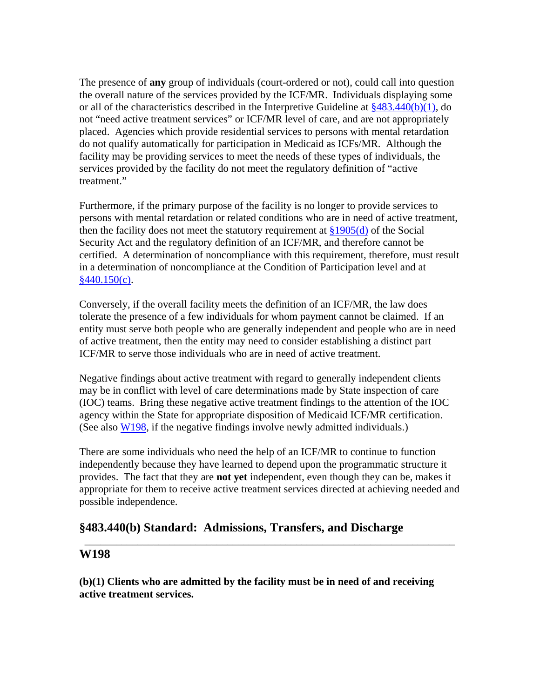The presence of **any** group of individuals (court-ordered or not), could call into question the overall nature of the services provided by the ICF/MR. Individuals displaying some or all of the characteristics described in the Interpretive Guideline at §483.440(b)(1), do not "need active treatment services" or ICF/MR level of care, and are not appropriately placed. Agencies which provide residential services to persons with mental retardation do not qualify automatically for participation in Medicaid as ICFs/MR. Although the facility may be providing services to meet the needs of these types of individuals, the services provided by the facility do not meet the regulatory definition of "active treatment."

Furthermore, if the primary purpose of the facility is no longer to provide services to persons with mental retardation or related conditions who are in need of active treatment, then the facility does not meet the statutory requirement at  $\S 1905(d)$  of the Social Security Act and the regulatory definition of an ICF/MR, and therefore cannot be certified. A determination of noncompliance with this requirement, therefore, must result in a determination of noncompliance at the Condition of Participation level and at  $§440.150(c)$ .

Conversely, if the overall facility meets the definition of an ICF/MR, the law does tolerate the presence of a few individuals for whom payment cannot be claimed. If an entity must serve both people who are generally independent and people who are in need of active treatment, then the entity may need to consider establishing a distinct part ICF/MR to serve those individuals who are in need of active treatment.

Negative findings about active treatment with regard to generally independent clients may be in conflict with level of care determinations made by State inspection of care (IOC) teams. Bring these negative active treatment findings to the attention of the IOC agency within the State for appropriate disposition of Medicaid ICF/MR certification. (See also W198, if the negative findings involve newly admitted individuals.)

There are some individuals who need the help of an ICF/MR to continue to function independently because they have learned to depend upon the programmatic structure it provides. The fact that they are **not yet** independent, even though they can be, makes it appropriate for them to receive active treatment services directed at achieving needed and possible independence.

\_\_\_\_\_\_\_\_\_\_\_\_\_\_\_\_\_\_\_\_\_\_\_\_\_\_\_\_\_\_\_\_\_\_\_\_\_\_\_\_\_\_\_\_\_\_\_\_\_\_\_\_\_\_\_\_\_\_\_\_\_\_\_\_\_\_\_\_\_\_

# **§483.440(b) Standard: Admissions, Transfers, and Discharge**

# **W198**

**(b)(1) Clients who are admitted by the facility must be in need of and receiving active treatment services.**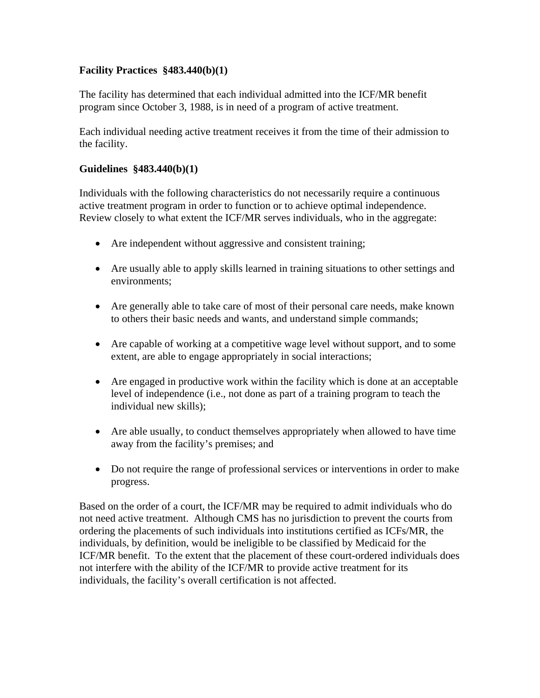### **Facility Practices §483.440(b)(1)**

The facility has determined that each individual admitted into the ICF/MR benefit program since October 3, 1988, is in need of a program of active treatment.

Each individual needing active treatment receives it from the time of their admission to the facility.

#### **Guidelines §483.440(b)(1)**

Individuals with the following characteristics do not necessarily require a continuous active treatment program in order to function or to achieve optimal independence. Review closely to what extent the ICF/MR serves individuals, who in the aggregate:

- Are independent without aggressive and consistent training;
- Are usually able to apply skills learned in training situations to other settings and environments;
- Are generally able to take care of most of their personal care needs, make known to others their basic needs and wants, and understand simple commands;
- Are capable of working at a competitive wage level without support, and to some extent, are able to engage appropriately in social interactions;
- Are engaged in productive work within the facility which is done at an acceptable level of independence (i.e., not done as part of a training program to teach the individual new skills);
- Are able usually, to conduct themselves appropriately when allowed to have time away from the facility's premises; and
- Do not require the range of professional services or interventions in order to make progress.

Based on the order of a court, the ICF/MR may be required to admit individuals who do not need active treatment. Although CMS has no jurisdiction to prevent the courts from ordering the placements of such individuals into institutions certified as ICFs/MR, the individuals, by definition, would be ineligible to be classified by Medicaid for the ICF/MR benefit. To the extent that the placement of these court-ordered individuals does not interfere with the ability of the ICF/MR to provide active treatment for its individuals, the facility's overall certification is not affected.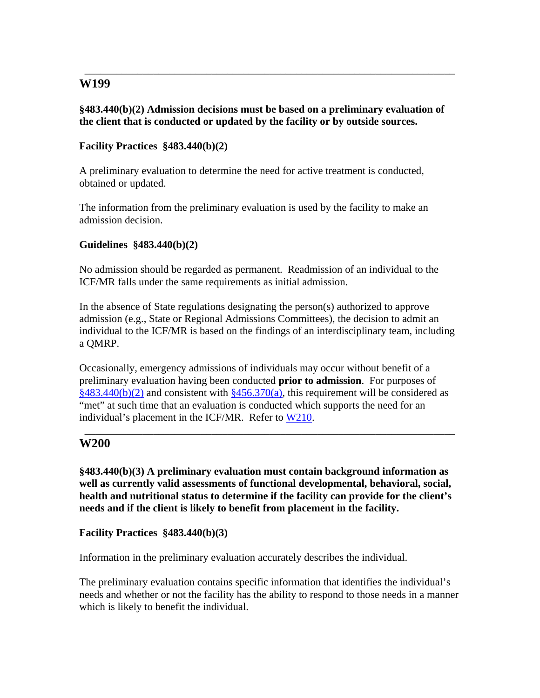### **§483.440(b)(2) Admission decisions must be based on a preliminary evaluation of the client that is conducted or updated by the facility or by outside sources.**

\_\_\_\_\_\_\_\_\_\_\_\_\_\_\_\_\_\_\_\_\_\_\_\_\_\_\_\_\_\_\_\_\_\_\_\_\_\_\_\_\_\_\_\_\_\_\_\_\_\_\_\_\_\_\_\_\_\_\_\_\_\_\_\_\_\_\_\_\_\_

### **Facility Practices §483.440(b)(2)**

A preliminary evaluation to determine the need for active treatment is conducted, obtained or updated.

The information from the preliminary evaluation is used by the facility to make an admission decision.

#### **Guidelines §483.440(b)(2)**

No admission should be regarded as permanent. Readmission of an individual to the ICF/MR falls under the same requirements as initial admission.

In the absence of State regulations designating the person(s) authorized to approve admission (e.g., State or Regional Admissions Committees), the decision to admit an individual to the ICF/MR is based on the findings of an interdisciplinary team, including a QMRP.

Occasionally, emergency admissions of individuals may occur without benefit of a preliminary evaluation having been conducted **prior to admission**. For purposes of  $§483.440(b)(2)$  and consistent with  $§456.370(a)$ , this requirement will be considered as "met" at such time that an evaluation is conducted which supports the need for an individual's placement in the ICF/MR. Refer to W210.

\_\_\_\_\_\_\_\_\_\_\_\_\_\_\_\_\_\_\_\_\_\_\_\_\_\_\_\_\_\_\_\_\_\_\_\_\_\_\_\_\_\_\_\_\_\_\_\_\_\_\_\_\_\_\_\_\_\_\_\_\_\_\_\_\_\_\_\_\_\_

### **W200**

**§483.440(b)(3) A preliminary evaluation must contain background information as well as currently valid assessments of functional developmental, behavioral, social, health and nutritional status to determine if the facility can provide for the client's needs and if the client is likely to benefit from placement in the facility.** 

#### **Facility Practices §483.440(b)(3)**

Information in the preliminary evaluation accurately describes the individual.

The preliminary evaluation contains specific information that identifies the individual's needs and whether or not the facility has the ability to respond to those needs in a manner which is likely to benefit the individual.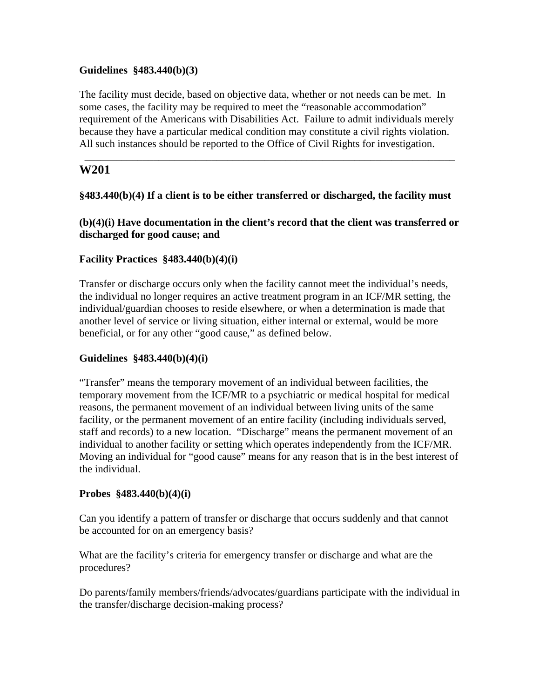#### **Guidelines §483.440(b)(3)**

The facility must decide, based on objective data, whether or not needs can be met. In some cases, the facility may be required to meet the "reasonable accommodation" requirement of the Americans with Disabilities Act. Failure to admit individuals merely because they have a particular medical condition may constitute a civil rights violation. All such instances should be reported to the Office of Civil Rights for investigation.

\_\_\_\_\_\_\_\_\_\_\_\_\_\_\_\_\_\_\_\_\_\_\_\_\_\_\_\_\_\_\_\_\_\_\_\_\_\_\_\_\_\_\_\_\_\_\_\_\_\_\_\_\_\_\_\_\_\_\_\_\_\_\_\_\_\_\_\_\_\_

### **W201**

#### **§483.440(b)(4) If a client is to be either transferred or discharged, the facility must**

**(b)(4)(i) Have documentation in the client's record that the client was transferred or discharged for good cause; and** 

#### **Facility Practices §483.440(b)(4)(i)**

Transfer or discharge occurs only when the facility cannot meet the individual's needs, the individual no longer requires an active treatment program in an ICF/MR setting, the individual/guardian chooses to reside elsewhere, or when a determination is made that another level of service or living situation, either internal or external, would be more beneficial, or for any other "good cause," as defined below.

#### **Guidelines §483.440(b)(4)(i)**

"Transfer" means the temporary movement of an individual between facilities, the temporary movement from the ICF/MR to a psychiatric or medical hospital for medical reasons, the permanent movement of an individual between living units of the same facility, or the permanent movement of an entire facility (including individuals served, staff and records) to a new location. "Discharge" means the permanent movement of an individual to another facility or setting which operates independently from the ICF/MR. Moving an individual for "good cause" means for any reason that is in the best interest of the individual.

#### **Probes §483.440(b)(4)(i)**

Can you identify a pattern of transfer or discharge that occurs suddenly and that cannot be accounted for on an emergency basis?

What are the facility's criteria for emergency transfer or discharge and what are the procedures?

Do parents/family members/friends/advocates/guardians participate with the individual in the transfer/discharge decision-making process?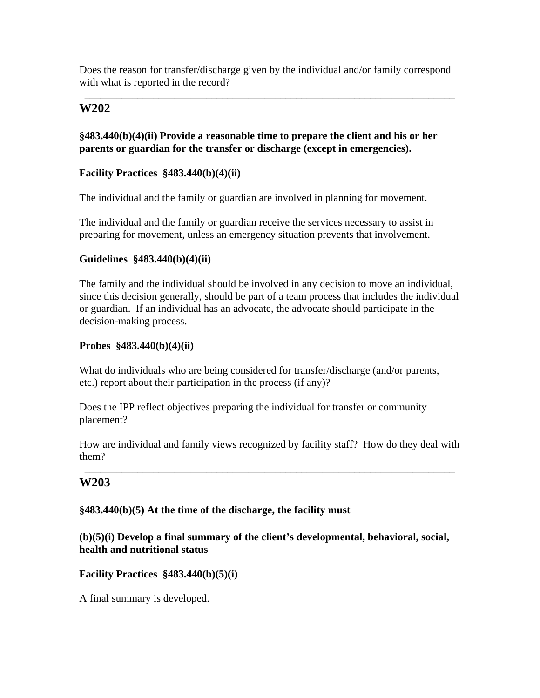Does the reason for transfer/discharge given by the individual and/or family correspond with what is reported in the record?

\_\_\_\_\_\_\_\_\_\_\_\_\_\_\_\_\_\_\_\_\_\_\_\_\_\_\_\_\_\_\_\_\_\_\_\_\_\_\_\_\_\_\_\_\_\_\_\_\_\_\_\_\_\_\_\_\_\_\_\_\_\_\_\_\_\_\_\_\_\_

## **W202**

### **§483.440(b)(4)(ii) Provide a reasonable time to prepare the client and his or her parents or guardian for the transfer or discharge (except in emergencies).**

### **Facility Practices §483.440(b)(4)(ii)**

The individual and the family or guardian are involved in planning for movement.

The individual and the family or guardian receive the services necessary to assist in preparing for movement, unless an emergency situation prevents that involvement.

#### **Guidelines §483.440(b)(4)(ii)**

The family and the individual should be involved in any decision to move an individual, since this decision generally, should be part of a team process that includes the individual or guardian. If an individual has an advocate, the advocate should participate in the decision-making process.

#### **Probes §483.440(b)(4)(ii)**

What do individuals who are being considered for transfer/discharge (and/or parents, etc.) report about their participation in the process (if any)?

Does the IPP reflect objectives preparing the individual for transfer or community placement?

How are individual and family views recognized by facility staff? How do they deal with them?

\_\_\_\_\_\_\_\_\_\_\_\_\_\_\_\_\_\_\_\_\_\_\_\_\_\_\_\_\_\_\_\_\_\_\_\_\_\_\_\_\_\_\_\_\_\_\_\_\_\_\_\_\_\_\_\_\_\_\_\_\_\_\_\_\_\_\_\_\_\_

### **W203**

### **§483.440(b)(5) At the time of the discharge, the facility must**

#### **(b)(5)(i) Develop a final summary of the client's developmental, behavioral, social, health and nutritional status**

**Facility Practices §483.440(b)(5)(i)** 

A final summary is developed.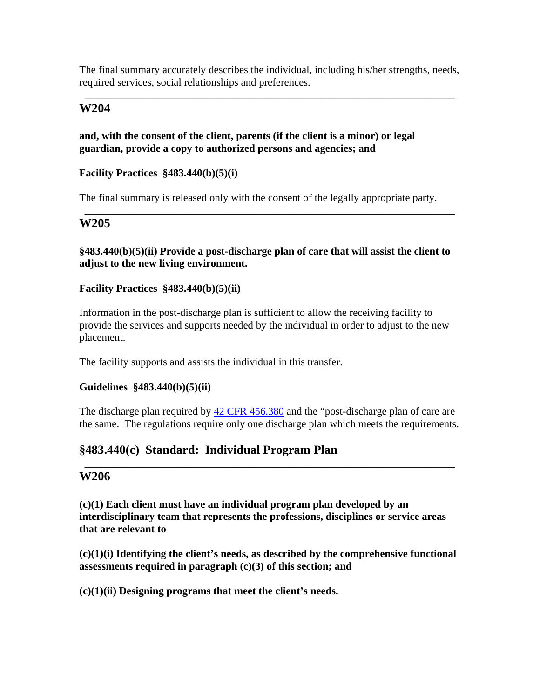The final summary accurately describes the individual, including his/her strengths, needs, required services, social relationships and preferences.

\_\_\_\_\_\_\_\_\_\_\_\_\_\_\_\_\_\_\_\_\_\_\_\_\_\_\_\_\_\_\_\_\_\_\_\_\_\_\_\_\_\_\_\_\_\_\_\_\_\_\_\_\_\_\_\_\_\_\_\_\_\_\_\_\_\_\_\_\_\_

### **W204**

#### **and, with the consent of the client, parents (if the client is a minor) or legal guardian, provide a copy to authorized persons and agencies; and**

#### **Facility Practices §483.440(b)(5)(i)**

The final summary is released only with the consent of the legally appropriate party.

### **W205**

### **§483.440(b)(5)(ii) Provide a post-discharge plan of care that will assist the client to adjust to the new living environment.**

\_\_\_\_\_\_\_\_\_\_\_\_\_\_\_\_\_\_\_\_\_\_\_\_\_\_\_\_\_\_\_\_\_\_\_\_\_\_\_\_\_\_\_\_\_\_\_\_\_\_\_\_\_\_\_\_\_\_\_\_\_\_\_\_\_\_\_\_\_\_

#### **Facility Practices §483.440(b)(5)(ii)**

Information in the post-discharge plan is sufficient to allow the receiving facility to provide the services and supports needed by the individual in order to adjust to the new placement.

The facility supports and assists the individual in this transfer.

#### **Guidelines §483.440(b)(5)(ii)**

The discharge plan required by  $42$  CFR 456.380 and the "post-discharge plan of care are the same. The regulations require only one discharge plan which meets the requirements.

\_\_\_\_\_\_\_\_\_\_\_\_\_\_\_\_\_\_\_\_\_\_\_\_\_\_\_\_\_\_\_\_\_\_\_\_\_\_\_\_\_\_\_\_\_\_\_\_\_\_\_\_\_\_\_\_\_\_\_\_\_\_\_\_\_\_\_\_\_\_

# **§483.440(c) Standard: Individual Program Plan**

### **W206**

**(c)(1) Each client must have an individual program plan developed by an interdisciplinary team that represents the professions, disciplines or service areas that are relevant to** 

**(c)(1)(i) Identifying the client's needs, as described by the comprehensive functional assessments required in paragraph (c)(3) of this section; and** 

**(c)(1)(ii) Designing programs that meet the client's needs.**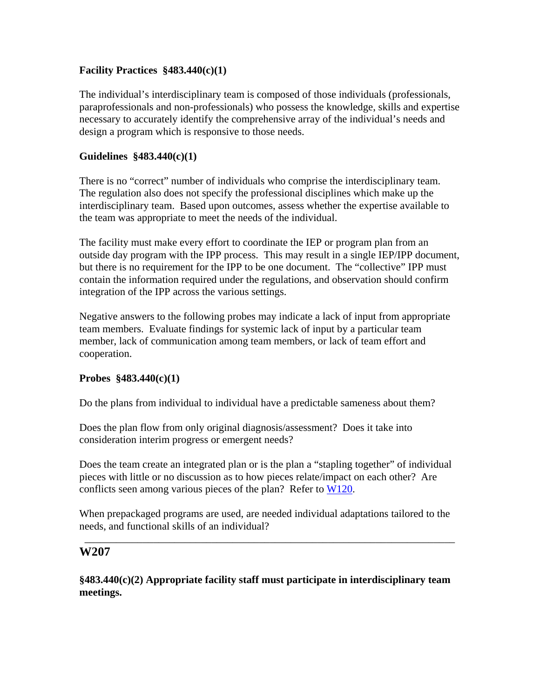### **Facility Practices §483.440(c)(1)**

The individual's interdisciplinary team is composed of those individuals (professionals, paraprofessionals and non-professionals) who possess the knowledge, skills and expertise necessary to accurately identify the comprehensive array of the individual's needs and design a program which is responsive to those needs.

### **Guidelines §483.440(c)(1)**

There is no "correct" number of individuals who comprise the interdisciplinary team. The regulation also does not specify the professional disciplines which make up the interdisciplinary team. Based upon outcomes, assess whether the expertise available to the team was appropriate to meet the needs of the individual.

The facility must make every effort to coordinate the IEP or program plan from an outside day program with the IPP process. This may result in a single IEP/IPP document, but there is no requirement for the IPP to be one document. The "collective" IPP must contain the information required under the regulations, and observation should confirm integration of the IPP across the various settings.

Negative answers to the following probes may indicate a lack of input from appropriate team members. Evaluate findings for systemic lack of input by a particular team member, lack of communication among team members, or lack of team effort and cooperation.

### **Probes §483.440(c)(1)**

Do the plans from individual to individual have a predictable sameness about them?

Does the plan flow from only original diagnosis/assessment? Does it take into consideration interim progress or emergent needs?

Does the team create an integrated plan or is the plan a "stapling together" of individual pieces with little or no discussion as to how pieces relate/impact on each other? Are conflicts seen among various pieces of the plan? Refer to W120.

When prepackaged programs are used, are needed individual adaptations tailored to the needs, and functional skills of an individual?

\_\_\_\_\_\_\_\_\_\_\_\_\_\_\_\_\_\_\_\_\_\_\_\_\_\_\_\_\_\_\_\_\_\_\_\_\_\_\_\_\_\_\_\_\_\_\_\_\_\_\_\_\_\_\_\_\_\_\_\_\_\_\_\_\_\_\_\_\_\_

# **W207**

**§483.440(c)(2) Appropriate facility staff must participate in interdisciplinary team meetings.**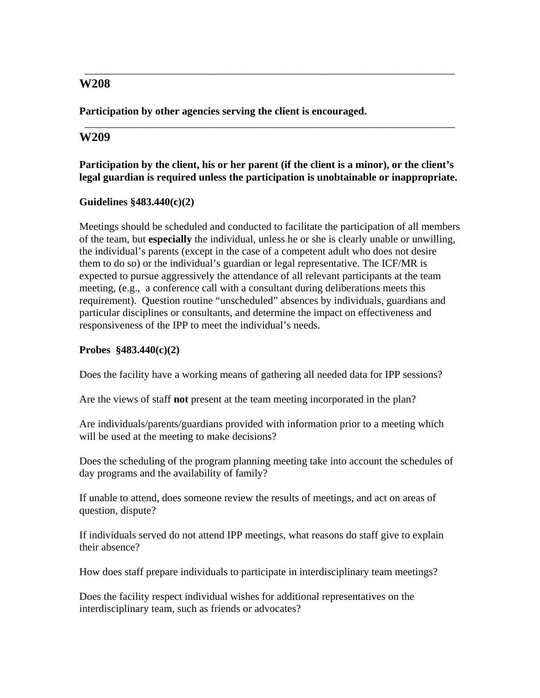**Participation by other agencies serving the client is encouraged.** 

### **W209**

**Participation by the client, his or her parent (if the client is a minor), or the client's legal guardian is required unless the participation is unobtainable or inappropriate.** 

\_\_\_\_\_\_\_\_\_\_\_\_\_\_\_\_\_\_\_\_\_\_\_\_\_\_\_\_\_\_\_\_\_\_\_\_\_\_\_\_\_\_\_\_\_\_\_\_\_\_\_\_\_\_\_\_\_\_\_\_\_\_\_\_\_\_\_\_\_\_

\_\_\_\_\_\_\_\_\_\_\_\_\_\_\_\_\_\_\_\_\_\_\_\_\_\_\_\_\_\_\_\_\_\_\_\_\_\_\_\_\_\_\_\_\_\_\_\_\_\_\_\_\_\_\_\_\_\_\_\_\_\_\_\_\_\_\_\_\_\_

#### **Guidelines §483.440(c)(2)**

Meetings should be scheduled and conducted to facilitate the participation of all members of the team, but **especially** the individual, unless he or she is clearly unable or unwilling, the individual's parents (except in the case of a competent adult who does not desire them to do so) or the individual's guardian or legal representative. The ICF/MR is expected to pursue aggressively the attendance of all relevant participants at the team meeting, (e.g., a conference call with a consultant during deliberations meets this requirement). Question routine "unscheduled" absences by individuals, guardians and particular disciplines or consultants, and determine the impact on effectiveness and responsiveness of the IPP to meet the individual's needs.

#### **Probes §483.440(c)(2)**

Does the facility have a working means of gathering all needed data for IPP sessions?

Are the views of staff **not** present at the team meeting incorporated in the plan?

Are individuals/parents/guardians provided with information prior to a meeting which will be used at the meeting to make decisions?

Does the scheduling of the program planning meeting take into account the schedules of day programs and the availability of family?

If unable to attend, does someone review the results of meetings, and act on areas of question, dispute?

If individuals served do not attend IPP meetings, what reasons do staff give to explain their absence?

How does staff prepare individuals to participate in interdisciplinary team meetings?

Does the facility respect individual wishes for additional representatives on the interdisciplinary team, such as friends or advocates?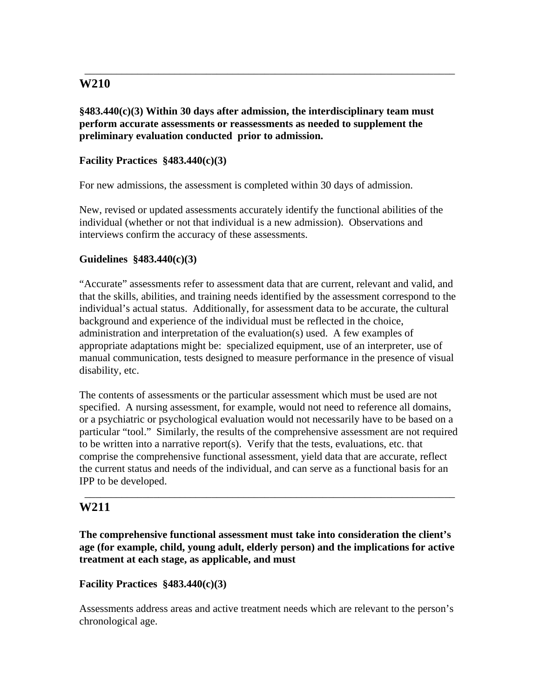**§483.440(c)(3) Within 30 days after admission, the interdisciplinary team must perform accurate assessments or reassessments as needed to supplement the preliminary evaluation conducted prior to admission.** 

\_\_\_\_\_\_\_\_\_\_\_\_\_\_\_\_\_\_\_\_\_\_\_\_\_\_\_\_\_\_\_\_\_\_\_\_\_\_\_\_\_\_\_\_\_\_\_\_\_\_\_\_\_\_\_\_\_\_\_\_\_\_\_\_\_\_\_\_\_\_

### **Facility Practices §483.440(c)(3)**

For new admissions, the assessment is completed within 30 days of admission.

New, revised or updated assessments accurately identify the functional abilities of the individual (whether or not that individual is a new admission). Observations and interviews confirm the accuracy of these assessments.

#### **Guidelines §483.440(c)(3)**

"Accurate" assessments refer to assessment data that are current, relevant and valid, and that the skills, abilities, and training needs identified by the assessment correspond to the individual's actual status. Additionally, for assessment data to be accurate, the cultural background and experience of the individual must be reflected in the choice, administration and interpretation of the evaluation(s) used. A few examples of appropriate adaptations might be: specialized equipment, use of an interpreter, use of manual communication, tests designed to measure performance in the presence of visual disability, etc.

The contents of assessments or the particular assessment which must be used are not specified. A nursing assessment, for example, would not need to reference all domains, or a psychiatric or psychological evaluation would not necessarily have to be based on a particular "tool." Similarly, the results of the comprehensive assessment are not required to be written into a narrative report(s). Verify that the tests, evaluations, etc. that comprise the comprehensive functional assessment, yield data that are accurate, reflect the current status and needs of the individual, and can serve as a functional basis for an IPP to be developed.

\_\_\_\_\_\_\_\_\_\_\_\_\_\_\_\_\_\_\_\_\_\_\_\_\_\_\_\_\_\_\_\_\_\_\_\_\_\_\_\_\_\_\_\_\_\_\_\_\_\_\_\_\_\_\_\_\_\_\_\_\_\_\_\_\_\_\_\_\_\_

### **W211**

**The comprehensive functional assessment must take into consideration the client's age (for example, child, young adult, elderly person) and the implications for active treatment at each stage, as applicable, and must** 

#### **Facility Practices §483.440(c)(3)**

Assessments address areas and active treatment needs which are relevant to the person's chronological age.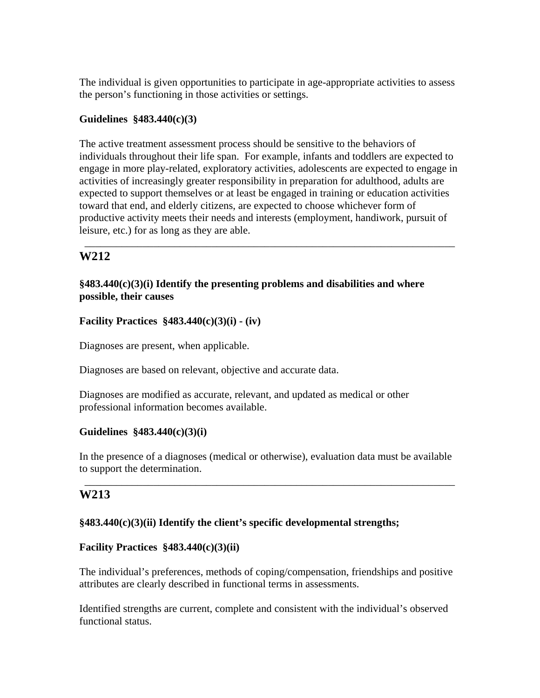The individual is given opportunities to participate in age-appropriate activities to assess the person's functioning in those activities or settings.

### **Guidelines §483.440(c)(3)**

The active treatment assessment process should be sensitive to the behaviors of individuals throughout their life span. For example, infants and toddlers are expected to engage in more play-related, exploratory activities, adolescents are expected to engage in activities of increasingly greater responsibility in preparation for adulthood, adults are expected to support themselves or at least be engaged in training or education activities toward that end, and elderly citizens, are expected to choose whichever form of productive activity meets their needs and interests (employment, handiwork, pursuit of leisure, etc.) for as long as they are able.

\_\_\_\_\_\_\_\_\_\_\_\_\_\_\_\_\_\_\_\_\_\_\_\_\_\_\_\_\_\_\_\_\_\_\_\_\_\_\_\_\_\_\_\_\_\_\_\_\_\_\_\_\_\_\_\_\_\_\_\_\_\_\_\_\_\_\_\_\_\_

# **W212**

### **§483.440(c)(3)(i) Identify the presenting problems and disabilities and where possible, their causes**

### **Facility Practices §483.440(c)(3)(i) - (iv)**

Diagnoses are present, when applicable.

Diagnoses are based on relevant, objective and accurate data.

Diagnoses are modified as accurate, relevant, and updated as medical or other professional information becomes available.

#### **Guidelines §483.440(c)(3)(i)**

In the presence of a diagnoses (medical or otherwise), evaluation data must be available to support the determination.

\_\_\_\_\_\_\_\_\_\_\_\_\_\_\_\_\_\_\_\_\_\_\_\_\_\_\_\_\_\_\_\_\_\_\_\_\_\_\_\_\_\_\_\_\_\_\_\_\_\_\_\_\_\_\_\_\_\_\_\_\_\_\_\_\_\_\_\_\_\_

# **W213**

## **§483.440(c)(3)(ii) Identify the client's specific developmental strengths;**

#### **Facility Practices §483.440(c)(3)(ii)**

The individual's preferences, methods of coping/compensation, friendships and positive attributes are clearly described in functional terms in assessments.

Identified strengths are current, complete and consistent with the individual's observed functional status.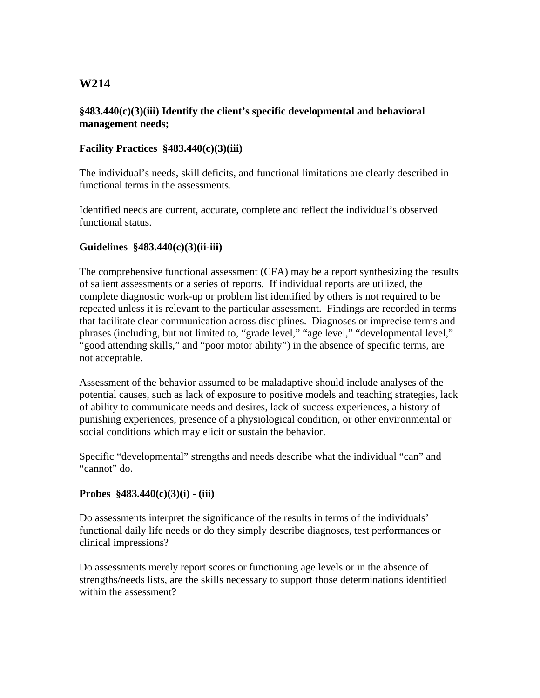### **§483.440(c)(3)(iii) Identify the client's specific developmental and behavioral management needs;**

## **Facility Practices §483.440(c)(3)(iii)**

The individual's needs, skill deficits, and functional limitations are clearly described in functional terms in the assessments.

\_\_\_\_\_\_\_\_\_\_\_\_\_\_\_\_\_\_\_\_\_\_\_\_\_\_\_\_\_\_\_\_\_\_\_\_\_\_\_\_\_\_\_\_\_\_\_\_\_\_\_\_\_\_\_\_\_\_\_\_\_\_\_\_\_\_\_\_\_\_

Identified needs are current, accurate, complete and reflect the individual's observed functional status.

## **Guidelines §483.440(c)(3)(ii-iii)**

The comprehensive functional assessment (CFA) may be a report synthesizing the results of salient assessments or a series of reports. If individual reports are utilized, the complete diagnostic work-up or problem list identified by others is not required to be repeated unless it is relevant to the particular assessment. Findings are recorded in terms that facilitate clear communication across disciplines. Diagnoses or imprecise terms and phrases (including, but not limited to, "grade level," "age level," "developmental level," "good attending skills," and "poor motor ability") in the absence of specific terms, are not acceptable.

Assessment of the behavior assumed to be maladaptive should include analyses of the potential causes, such as lack of exposure to positive models and teaching strategies, lack of ability to communicate needs and desires, lack of success experiences, a history of punishing experiences, presence of a physiological condition, or other environmental or social conditions which may elicit or sustain the behavior.

Specific "developmental" strengths and needs describe what the individual "can" and "cannot" do.

## **Probes §483.440(c)(3)(i) - (iii)**

Do assessments interpret the significance of the results in terms of the individuals' functional daily life needs or do they simply describe diagnoses, test performances or clinical impressions?

Do assessments merely report scores or functioning age levels or in the absence of strengths/needs lists, are the skills necessary to support those determinations identified within the assessment?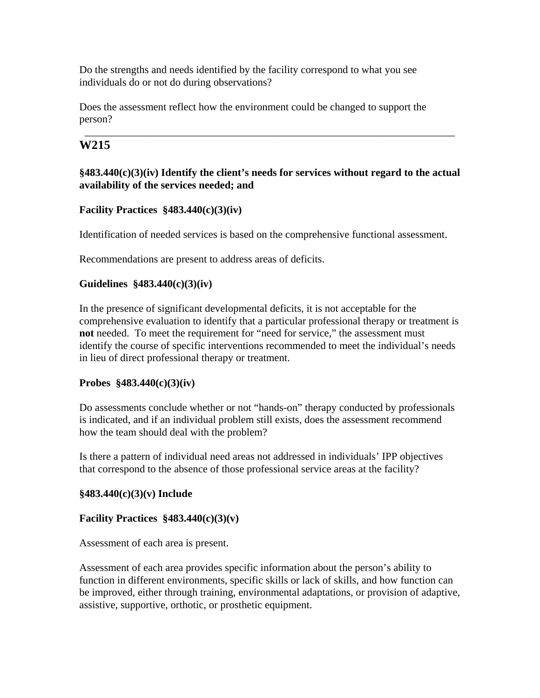Do the strengths and needs identified by the facility correspond to what you see individuals do or not do during observations?

Does the assessment reflect how the environment could be changed to support the person?

# **W215**

# **§483.440(c)(3)(iv) Identify the client's needs for services without regard to the actual availability of the services needed; and**

\_\_\_\_\_\_\_\_\_\_\_\_\_\_\_\_\_\_\_\_\_\_\_\_\_\_\_\_\_\_\_\_\_\_\_\_\_\_\_\_\_\_\_\_\_\_\_\_\_\_\_\_\_\_\_\_\_\_\_\_\_\_\_\_\_\_\_\_\_\_

# **Facility Practices §483.440(c)(3)(iv)**

Identification of needed services is based on the comprehensive functional assessment.

Recommendations are present to address areas of deficits.

## **Guidelines §483.440(c)(3)(iv)**

In the presence of significant developmental deficits, it is not acceptable for the comprehensive evaluation to identify that a particular professional therapy or treatment is **not** needed. To meet the requirement for "need for service," the assessment must identify the course of specific interventions recommended to meet the individual's needs in lieu of direct professional therapy or treatment.

## **Probes §483.440(c)(3)(iv)**

Do assessments conclude whether or not "hands-on" therapy conducted by professionals is indicated, and if an individual problem still exists, does the assessment recommend how the team should deal with the problem?

Is there a pattern of individual need areas not addressed in individuals' IPP objectives that correspond to the absence of those professional service areas at the facility?

## **§483.440(c)(3)(v) Include**

## **Facility Practices §483.440(c)(3)(v)**

Assessment of each area is present.

Assessment of each area provides specific information about the person's ability to function in different environments, specific skills or lack of skills, and how function can be improved, either through training, environmental adaptations, or provision of adaptive, assistive, supportive, orthotic, or prosthetic equipment.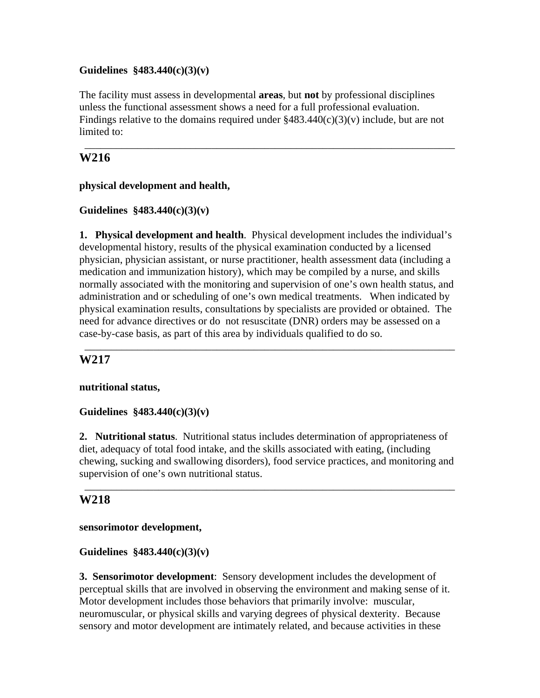### **Guidelines §483.440(c)(3)(v)**

The facility must assess in developmental **areas**, but **not** by professional disciplines unless the functional assessment shows a need for a full professional evaluation. Findings relative to the domains required under  $\frac{8483.440(c)(3)(v)}{40}$  include, but are not limited to:

\_\_\_\_\_\_\_\_\_\_\_\_\_\_\_\_\_\_\_\_\_\_\_\_\_\_\_\_\_\_\_\_\_\_\_\_\_\_\_\_\_\_\_\_\_\_\_\_\_\_\_\_\_\_\_\_\_\_\_\_\_\_\_\_\_\_\_\_\_\_

# **W216**

### **physical development and health,**

### **Guidelines §483.440(c)(3)(v)**

**1. Physical development and health**. Physical development includes the individual's developmental history, results of the physical examination conducted by a licensed physician, physician assistant, or nurse practitioner, health assessment data (including a medication and immunization history), which may be compiled by a nurse, and skills normally associated with the monitoring and supervision of one's own health status, and administration and or scheduling of one's own medical treatments. When indicated by physical examination results, consultations by specialists are provided or obtained. The need for advance directives or do not resuscitate (DNR) orders may be assessed on a case-by-case basis, as part of this area by individuals qualified to do so.

\_\_\_\_\_\_\_\_\_\_\_\_\_\_\_\_\_\_\_\_\_\_\_\_\_\_\_\_\_\_\_\_\_\_\_\_\_\_\_\_\_\_\_\_\_\_\_\_\_\_\_\_\_\_\_\_\_\_\_\_\_\_\_\_\_\_\_\_\_\_

## **W217**

#### **nutritional status,**

## **Guidelines §483.440(c)(3)(v)**

**2. Nutritional status**. Nutritional status includes determination of appropriateness of diet, adequacy of total food intake, and the skills associated with eating, (including chewing, sucking and swallowing disorders), food service practices, and monitoring and supervision of one's own nutritional status.

\_\_\_\_\_\_\_\_\_\_\_\_\_\_\_\_\_\_\_\_\_\_\_\_\_\_\_\_\_\_\_\_\_\_\_\_\_\_\_\_\_\_\_\_\_\_\_\_\_\_\_\_\_\_\_\_\_\_\_\_\_\_\_\_\_\_\_\_\_\_

# **W218**

#### **sensorimotor development,**

#### **Guidelines §483.440(c)(3)(v)**

**3. Sensorimotor development**: Sensory development includes the development of perceptual skills that are involved in observing the environment and making sense of it. Motor development includes those behaviors that primarily involve: muscular, neuromuscular, or physical skills and varying degrees of physical dexterity. Because sensory and motor development are intimately related, and because activities in these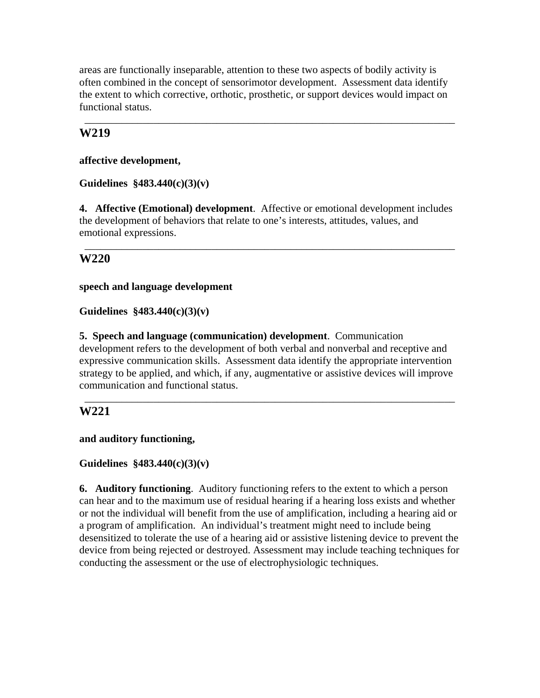areas are functionally inseparable, attention to these two aspects of bodily activity is often combined in the concept of sensorimotor development. Assessment data identify the extent to which corrective, orthotic, prosthetic, or support devices would impact on functional status.

\_\_\_\_\_\_\_\_\_\_\_\_\_\_\_\_\_\_\_\_\_\_\_\_\_\_\_\_\_\_\_\_\_\_\_\_\_\_\_\_\_\_\_\_\_\_\_\_\_\_\_\_\_\_\_\_\_\_\_\_\_\_\_\_\_\_\_\_\_\_

# **W219**

**affective development,** 

# **Guidelines §483.440(c)(3)(v)**

**4. Affective (Emotional) development**. Affective or emotional development includes the development of behaviors that relate to one's interests, attitudes, values, and emotional expressions.

\_\_\_\_\_\_\_\_\_\_\_\_\_\_\_\_\_\_\_\_\_\_\_\_\_\_\_\_\_\_\_\_\_\_\_\_\_\_\_\_\_\_\_\_\_\_\_\_\_\_\_\_\_\_\_\_\_\_\_\_\_\_\_\_\_\_\_\_\_\_

# **W220**

**speech and language development** 

**Guidelines §483.440(c)(3)(v)** 

**5. Speech and language (communication) development**. Communication development refers to the development of both verbal and nonverbal and receptive and expressive communication skills. Assessment data identify the appropriate intervention strategy to be applied, and which, if any, augmentative or assistive devices will improve communication and functional status.

\_\_\_\_\_\_\_\_\_\_\_\_\_\_\_\_\_\_\_\_\_\_\_\_\_\_\_\_\_\_\_\_\_\_\_\_\_\_\_\_\_\_\_\_\_\_\_\_\_\_\_\_\_\_\_\_\_\_\_\_\_\_\_\_\_\_\_\_\_\_

# **W221**

**and auditory functioning,** 

# **Guidelines §483.440(c)(3)(v)**

**6. Auditory functioning**. Auditory functioning refers to the extent to which a person can hear and to the maximum use of residual hearing if a hearing loss exists and whether or not the individual will benefit from the use of amplification, including a hearing aid or a program of amplification. An individual's treatment might need to include being desensitized to tolerate the use of a hearing aid or assistive listening device to prevent the device from being rejected or destroyed. Assessment may include teaching techniques for conducting the assessment or the use of electrophysiologic techniques.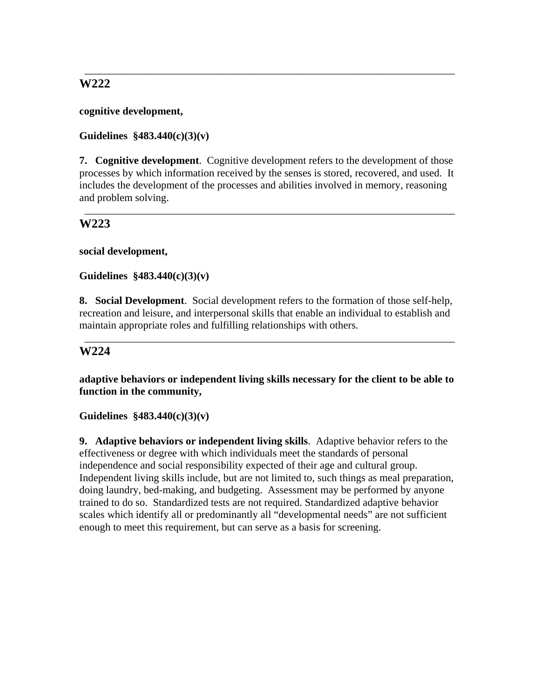**cognitive development,** 

**Guidelines §483.440(c)(3)(v)** 

**7. Cognitive development**. Cognitive development refers to the development of those processes by which information received by the senses is stored, recovered, and used. It includes the development of the processes and abilities involved in memory, reasoning and problem solving.

\_\_\_\_\_\_\_\_\_\_\_\_\_\_\_\_\_\_\_\_\_\_\_\_\_\_\_\_\_\_\_\_\_\_\_\_\_\_\_\_\_\_\_\_\_\_\_\_\_\_\_\_\_\_\_\_\_\_\_\_\_\_\_\_\_\_\_\_\_\_

\_\_\_\_\_\_\_\_\_\_\_\_\_\_\_\_\_\_\_\_\_\_\_\_\_\_\_\_\_\_\_\_\_\_\_\_\_\_\_\_\_\_\_\_\_\_\_\_\_\_\_\_\_\_\_\_\_\_\_\_\_\_\_\_\_\_\_\_\_\_

# **W223**

**social development,** 

**Guidelines §483.440(c)(3)(v)** 

**8. Social Development**. Social development refers to the formation of those self-help, recreation and leisure, and interpersonal skills that enable an individual to establish and maintain appropriate roles and fulfilling relationships with others.

\_\_\_\_\_\_\_\_\_\_\_\_\_\_\_\_\_\_\_\_\_\_\_\_\_\_\_\_\_\_\_\_\_\_\_\_\_\_\_\_\_\_\_\_\_\_\_\_\_\_\_\_\_\_\_\_\_\_\_\_\_\_\_\_\_\_\_\_\_\_

## **W224**

**adaptive behaviors or independent living skills necessary for the client to be able to function in the community,** 

**Guidelines §483.440(c)(3)(v)** 

**9. Adaptive behaviors or independent living skills**. Adaptive behavior refers to the effectiveness or degree with which individuals meet the standards of personal independence and social responsibility expected of their age and cultural group. Independent living skills include, but are not limited to, such things as meal preparation, doing laundry, bed-making, and budgeting. Assessment may be performed by anyone trained to do so. Standardized tests are not required. Standardized adaptive behavior scales which identify all or predominantly all "developmental needs" are not sufficient enough to meet this requirement, but can serve as a basis for screening.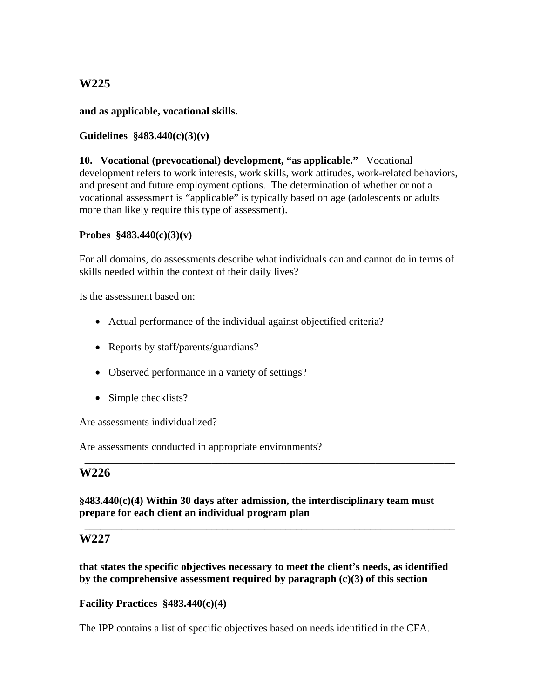**and as applicable, vocational skills.** 

# **Guidelines §483.440(c)(3)(v)**

**10. Vocational (prevocational) development, "as applicable."** Vocational development refers to work interests, work skills, work attitudes, work-related behaviors, and present and future employment options. The determination of whether or not a vocational assessment is "applicable" is typically based on age (adolescents or adults more than likely require this type of assessment).

\_\_\_\_\_\_\_\_\_\_\_\_\_\_\_\_\_\_\_\_\_\_\_\_\_\_\_\_\_\_\_\_\_\_\_\_\_\_\_\_\_\_\_\_\_\_\_\_\_\_\_\_\_\_\_\_\_\_\_\_\_\_\_\_\_\_\_\_\_\_

### **Probes §483.440(c)(3)(v)**

For all domains, do assessments describe what individuals can and cannot do in terms of skills needed within the context of their daily lives?

Is the assessment based on:

- Actual performance of the individual against objectified criteria?
- Reports by staff/parents/guardians?
- Observed performance in a variety of settings?
- Simple checklists?

Are assessments individualized?

Are assessments conducted in appropriate environments?

# **W226**

## **§483.440(c)(4) Within 30 days after admission, the interdisciplinary team must prepare for each client an individual program plan**

\_\_\_\_\_\_\_\_\_\_\_\_\_\_\_\_\_\_\_\_\_\_\_\_\_\_\_\_\_\_\_\_\_\_\_\_\_\_\_\_\_\_\_\_\_\_\_\_\_\_\_\_\_\_\_\_\_\_\_\_\_\_\_\_\_\_\_\_\_\_

\_\_\_\_\_\_\_\_\_\_\_\_\_\_\_\_\_\_\_\_\_\_\_\_\_\_\_\_\_\_\_\_\_\_\_\_\_\_\_\_\_\_\_\_\_\_\_\_\_\_\_\_\_\_\_\_\_\_\_\_\_\_\_\_\_\_\_\_\_\_

## **W227**

**that states the specific objectives necessary to meet the client's needs, as identified by the comprehensive assessment required by paragraph (c)(3) of this section** 

## **Facility Practices §483.440(c)(4)**

The IPP contains a list of specific objectives based on needs identified in the CFA.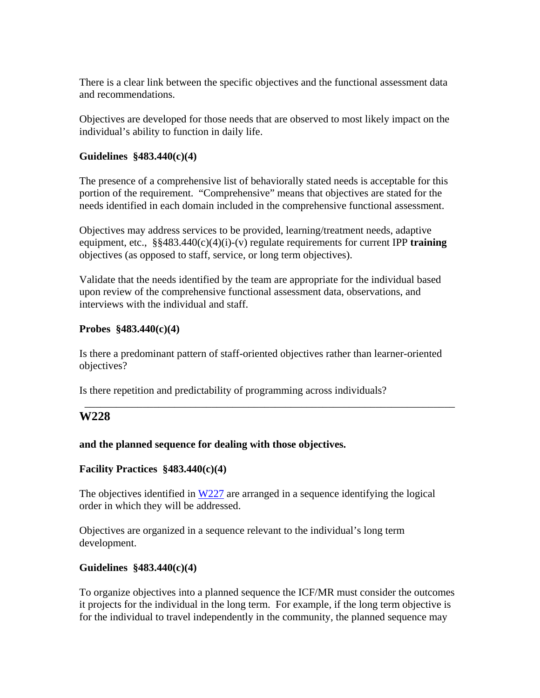There is a clear link between the specific objectives and the functional assessment data and recommendations.

Objectives are developed for those needs that are observed to most likely impact on the individual's ability to function in daily life.

### **Guidelines §483.440(c)(4)**

The presence of a comprehensive list of behaviorally stated needs is acceptable for this portion of the requirement. "Comprehensive" means that objectives are stated for the needs identified in each domain included in the comprehensive functional assessment.

Objectives may address services to be provided, learning/treatment needs, adaptive equipment, etc., §§483.440(c)(4)(i)-(v) regulate requirements for current IPP **training** objectives (as opposed to staff, service, or long term objectives).

Validate that the needs identified by the team are appropriate for the individual based upon review of the comprehensive functional assessment data, observations, and interviews with the individual and staff.

### **Probes §483.440(c)(4)**

Is there a predominant pattern of staff-oriented objectives rather than learner-oriented objectives?

\_\_\_\_\_\_\_\_\_\_\_\_\_\_\_\_\_\_\_\_\_\_\_\_\_\_\_\_\_\_\_\_\_\_\_\_\_\_\_\_\_\_\_\_\_\_\_\_\_\_\_\_\_\_\_\_\_\_\_\_\_\_\_\_\_\_\_\_\_\_

Is there repetition and predictability of programming across individuals?

## **W228**

## **and the planned sequence for dealing with those objectives.**

## **Facility Practices §483.440(c)(4)**

The objectives identified in  $W227$  are arranged in a sequence identifying the logical order in which they will be addressed.

Objectives are organized in a sequence relevant to the individual's long term development.

## **Guidelines §483.440(c)(4)**

To organize objectives into a planned sequence the ICF/MR must consider the outcomes it projects for the individual in the long term. For example, if the long term objective is for the individual to travel independently in the community, the planned sequence may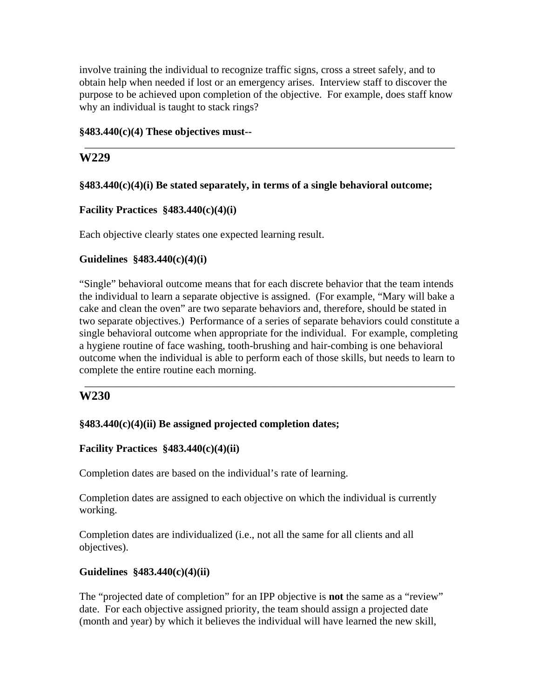involve training the individual to recognize traffic signs, cross a street safely, and to obtain help when needed if lost or an emergency arises. Interview staff to discover the purpose to be achieved upon completion of the objective. For example, does staff know why an individual is taught to stack rings?

\_\_\_\_\_\_\_\_\_\_\_\_\_\_\_\_\_\_\_\_\_\_\_\_\_\_\_\_\_\_\_\_\_\_\_\_\_\_\_\_\_\_\_\_\_\_\_\_\_\_\_\_\_\_\_\_\_\_\_\_\_\_\_\_\_\_\_\_\_\_

### **§483.440(c)(4) These objectives must--**

# **W229**

## **§483.440(c)(4)(i) Be stated separately, in terms of a single behavioral outcome;**

## **Facility Practices §483.440(c)(4)(i)**

Each objective clearly states one expected learning result.

## **Guidelines §483.440(c)(4)(i)**

"Single" behavioral outcome means that for each discrete behavior that the team intends the individual to learn a separate objective is assigned. (For example, "Mary will bake a cake and clean the oven" are two separate behaviors and, therefore, should be stated in two separate objectives.) Performance of a series of separate behaviors could constitute a single behavioral outcome when appropriate for the individual. For example, completing a hygiene routine of face washing, tooth-brushing and hair-combing is one behavioral outcome when the individual is able to perform each of those skills, but needs to learn to complete the entire routine each morning.

\_\_\_\_\_\_\_\_\_\_\_\_\_\_\_\_\_\_\_\_\_\_\_\_\_\_\_\_\_\_\_\_\_\_\_\_\_\_\_\_\_\_\_\_\_\_\_\_\_\_\_\_\_\_\_\_\_\_\_\_\_\_\_\_\_\_\_\_\_\_

## **W230**

## **§483.440(c)(4)(ii) Be assigned projected completion dates;**

## **Facility Practices §483.440(c)(4)(ii)**

Completion dates are based on the individual's rate of learning.

Completion dates are assigned to each objective on which the individual is currently working.

Completion dates are individualized (i.e., not all the same for all clients and all objectives).

## **Guidelines §483.440(c)(4)(ii)**

The "projected date of completion" for an IPP objective is **not** the same as a "review" date. For each objective assigned priority, the team should assign a projected date (month and year) by which it believes the individual will have learned the new skill,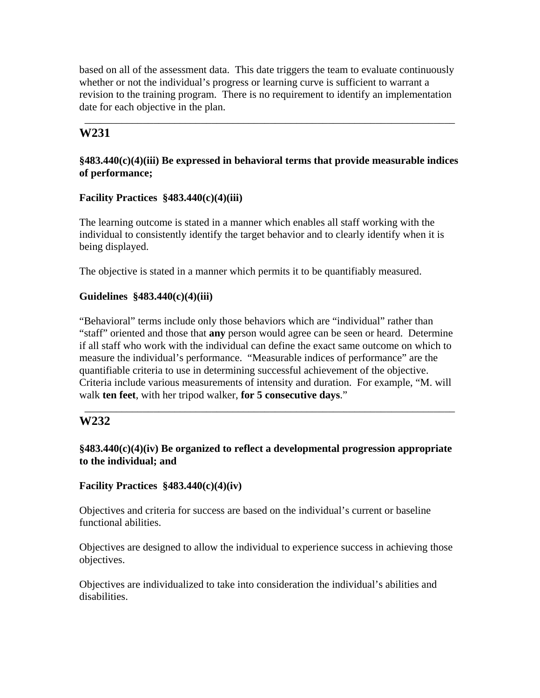based on all of the assessment data. This date triggers the team to evaluate continuously whether or not the individual's progress or learning curve is sufficient to warrant a revision to the training program. There is no requirement to identify an implementation date for each objective in the plan.

\_\_\_\_\_\_\_\_\_\_\_\_\_\_\_\_\_\_\_\_\_\_\_\_\_\_\_\_\_\_\_\_\_\_\_\_\_\_\_\_\_\_\_\_\_\_\_\_\_\_\_\_\_\_\_\_\_\_\_\_\_\_\_\_\_\_\_\_\_\_

# **W231**

## **§483.440(c)(4)(iii) Be expressed in behavioral terms that provide measurable indices of performance;**

# **Facility Practices §483.440(c)(4)(iii)**

The learning outcome is stated in a manner which enables all staff working with the individual to consistently identify the target behavior and to clearly identify when it is being displayed.

The objective is stated in a manner which permits it to be quantifiably measured.

# **Guidelines §483.440(c)(4)(iii)**

"Behavioral" terms include only those behaviors which are "individual" rather than "staff" oriented and those that **any** person would agree can be seen or heard. Determine if all staff who work with the individual can define the exact same outcome on which to measure the individual's performance. "Measurable indices of performance" are the quantifiable criteria to use in determining successful achievement of the objective. Criteria include various measurements of intensity and duration. For example, "M. will walk **ten feet**, with her tripod walker, **for 5 consecutive days**."

# **W232**

**§483.440(c)(4)(iv) Be organized to reflect a developmental progression appropriate to the individual; and** 

\_\_\_\_\_\_\_\_\_\_\_\_\_\_\_\_\_\_\_\_\_\_\_\_\_\_\_\_\_\_\_\_\_\_\_\_\_\_\_\_\_\_\_\_\_\_\_\_\_\_\_\_\_\_\_\_\_\_\_\_\_\_\_\_\_\_\_\_\_\_

# **Facility Practices §483.440(c)(4)(iv)**

Objectives and criteria for success are based on the individual's current or baseline functional abilities.

Objectives are designed to allow the individual to experience success in achieving those objectives.

Objectives are individualized to take into consideration the individual's abilities and disabilities.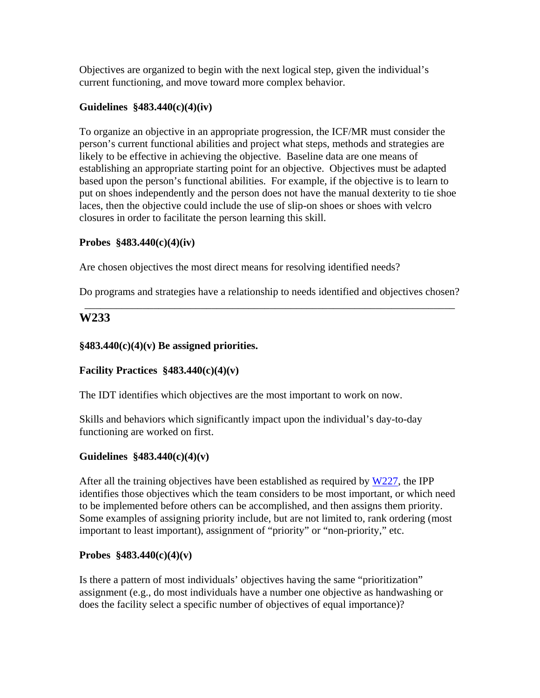Objectives are organized to begin with the next logical step, given the individual's current functioning, and move toward more complex behavior.

# **Guidelines §483.440(c)(4)(iv)**

To organize an objective in an appropriate progression, the ICF/MR must consider the person's current functional abilities and project what steps, methods and strategies are likely to be effective in achieving the objective. Baseline data are one means of establishing an appropriate starting point for an objective. Objectives must be adapted based upon the person's functional abilities. For example, if the objective is to learn to put on shoes independently and the person does not have the manual dexterity to tie shoe laces, then the objective could include the use of slip-on shoes or shoes with velcro closures in order to facilitate the person learning this skill.

# **Probes §483.440(c)(4)(iv)**

Are chosen objectives the most direct means for resolving identified needs?

Do programs and strategies have a relationship to needs identified and objectives chosen? \_\_\_\_\_\_\_\_\_\_\_\_\_\_\_\_\_\_\_\_\_\_\_\_\_\_\_\_\_\_\_\_\_\_\_\_\_\_\_\_\_\_\_\_\_\_\_\_\_\_\_\_\_\_\_\_\_\_\_\_\_\_\_\_\_\_\_\_\_\_

# **W233**

# **§483.440(c)(4)(v) Be assigned priorities.**

# **Facility Practices §483.440(c)(4)(v)**

The IDT identifies which objectives are the most important to work on now.

Skills and behaviors which significantly impact upon the individual's day-to-day functioning are worked on first.

# **Guidelines §483.440(c)(4)(v)**

After all the training objectives have been established as required by W227, the IPP identifies those objectives which the team considers to be most important, or which need to be implemented before others can be accomplished, and then assigns them priority. Some examples of assigning priority include, but are not limited to, rank ordering (most important to least important), assignment of "priority" or "non-priority," etc.

## **Probes §483.440(c)(4)(v)**

Is there a pattern of most individuals' objectives having the same "prioritization" assignment (e.g., do most individuals have a number one objective as handwashing or does the facility select a specific number of objectives of equal importance)?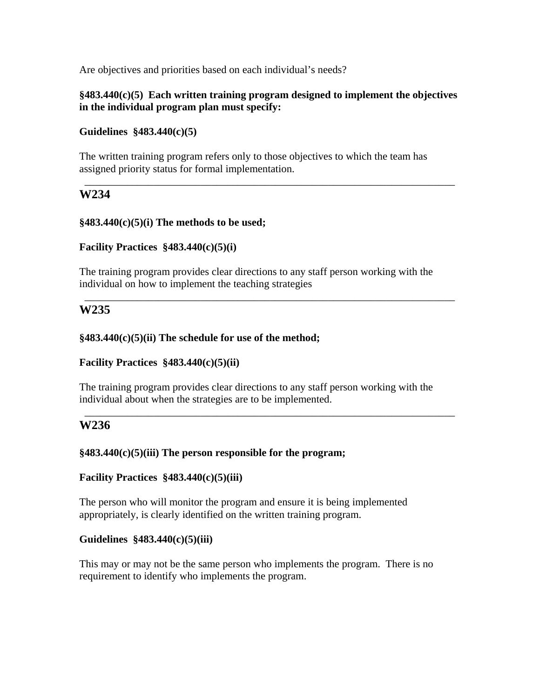Are objectives and priorities based on each individual's needs?

### **§483.440(c)(5) Each written training program designed to implement the objectives in the individual program plan must specify:**

\_\_\_\_\_\_\_\_\_\_\_\_\_\_\_\_\_\_\_\_\_\_\_\_\_\_\_\_\_\_\_\_\_\_\_\_\_\_\_\_\_\_\_\_\_\_\_\_\_\_\_\_\_\_\_\_\_\_\_\_\_\_\_\_\_\_\_\_\_\_

### **Guidelines §483.440(c)(5)**

The written training program refers only to those objectives to which the team has assigned priority status for formal implementation.

# **W234**

## **§483.440(c)(5)(i) The methods to be used;**

## **Facility Practices §483.440(c)(5)(i)**

The training program provides clear directions to any staff person working with the individual on how to implement the teaching strategies

\_\_\_\_\_\_\_\_\_\_\_\_\_\_\_\_\_\_\_\_\_\_\_\_\_\_\_\_\_\_\_\_\_\_\_\_\_\_\_\_\_\_\_\_\_\_\_\_\_\_\_\_\_\_\_\_\_\_\_\_\_\_\_\_\_\_\_\_\_\_

# **W235**

### **§483.440(c)(5)(ii) The schedule for use of the method;**

## **Facility Practices §483.440(c)(5)(ii)**

The training program provides clear directions to any staff person working with the individual about when the strategies are to be implemented.

\_\_\_\_\_\_\_\_\_\_\_\_\_\_\_\_\_\_\_\_\_\_\_\_\_\_\_\_\_\_\_\_\_\_\_\_\_\_\_\_\_\_\_\_\_\_\_\_\_\_\_\_\_\_\_\_\_\_\_\_\_\_\_\_\_\_\_\_\_\_

## **W236**

#### **§483.440(c)(5)(iii) The person responsible for the program;**

## **Facility Practices §483.440(c)(5)(iii)**

The person who will monitor the program and ensure it is being implemented appropriately, is clearly identified on the written training program.

#### **Guidelines §483.440(c)(5)(iii)**

This may or may not be the same person who implements the program. There is no requirement to identify who implements the program.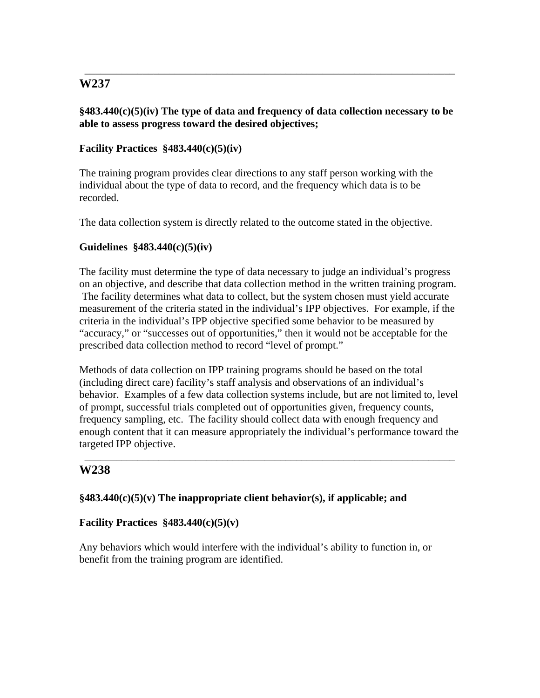## **§483.440(c)(5)(iv) The type of data and frequency of data collection necessary to be able to assess progress toward the desired objectives;**

\_\_\_\_\_\_\_\_\_\_\_\_\_\_\_\_\_\_\_\_\_\_\_\_\_\_\_\_\_\_\_\_\_\_\_\_\_\_\_\_\_\_\_\_\_\_\_\_\_\_\_\_\_\_\_\_\_\_\_\_\_\_\_\_\_\_\_\_\_\_

# **Facility Practices §483.440(c)(5)(iv)**

The training program provides clear directions to any staff person working with the individual about the type of data to record, and the frequency which data is to be recorded.

The data collection system is directly related to the outcome stated in the objective.

## **Guidelines §483.440(c)(5)(iv)**

The facility must determine the type of data necessary to judge an individual's progress on an objective, and describe that data collection method in the written training program. The facility determines what data to collect, but the system chosen must yield accurate measurement of the criteria stated in the individual's IPP objectives. For example, if the criteria in the individual's IPP objective specified some behavior to be measured by "accuracy," or "successes out of opportunities," then it would not be acceptable for the prescribed data collection method to record "level of prompt."

Methods of data collection on IPP training programs should be based on the total (including direct care) facility's staff analysis and observations of an individual's behavior. Examples of a few data collection systems include, but are not limited to, level of prompt, successful trials completed out of opportunities given, frequency counts, frequency sampling, etc. The facility should collect data with enough frequency and enough content that it can measure appropriately the individual's performance toward the targeted IPP objective.

\_\_\_\_\_\_\_\_\_\_\_\_\_\_\_\_\_\_\_\_\_\_\_\_\_\_\_\_\_\_\_\_\_\_\_\_\_\_\_\_\_\_\_\_\_\_\_\_\_\_\_\_\_\_\_\_\_\_\_\_\_\_\_\_\_\_\_\_\_\_

# **W238**

## **§483.440(c)(5)(v) The inappropriate client behavior(s), if applicable; and**

## **Facility Practices §483.440(c)(5)(v)**

Any behaviors which would interfere with the individual's ability to function in, or benefit from the training program are identified.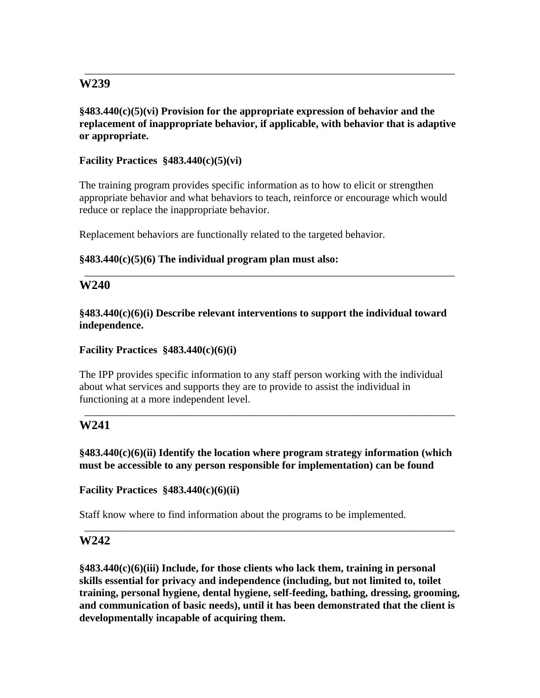**§483.440(c)(5)(vi) Provision for the appropriate expression of behavior and the replacement of inappropriate behavior, if applicable, with behavior that is adaptive or appropriate.** 

\_\_\_\_\_\_\_\_\_\_\_\_\_\_\_\_\_\_\_\_\_\_\_\_\_\_\_\_\_\_\_\_\_\_\_\_\_\_\_\_\_\_\_\_\_\_\_\_\_\_\_\_\_\_\_\_\_\_\_\_\_\_\_\_\_\_\_\_\_\_

**Facility Practices §483.440(c)(5)(vi)** 

The training program provides specific information as to how to elicit or strengthen appropriate behavior and what behaviors to teach, reinforce or encourage which would reduce or replace the inappropriate behavior.

Replacement behaviors are functionally related to the targeted behavior.

# **§483.440(c)(5)(6) The individual program plan must also:**

# **W240**

**§483.440(c)(6)(i) Describe relevant interventions to support the individual toward independence.** 

\_\_\_\_\_\_\_\_\_\_\_\_\_\_\_\_\_\_\_\_\_\_\_\_\_\_\_\_\_\_\_\_\_\_\_\_\_\_\_\_\_\_\_\_\_\_\_\_\_\_\_\_\_\_\_\_\_\_\_\_\_\_\_\_\_\_\_\_\_\_

## **Facility Practices §483.440(c)(6)(i)**

The IPP provides specific information to any staff person working with the individual about what services and supports they are to provide to assist the individual in functioning at a more independent level.

# **W241**

**§483.440(c)(6)(ii) Identify the location where program strategy information (which must be accessible to any person responsible for implementation) can be found** 

\_\_\_\_\_\_\_\_\_\_\_\_\_\_\_\_\_\_\_\_\_\_\_\_\_\_\_\_\_\_\_\_\_\_\_\_\_\_\_\_\_\_\_\_\_\_\_\_\_\_\_\_\_\_\_\_\_\_\_\_\_\_\_\_\_\_\_\_\_\_

**Facility Practices §483.440(c)(6)(ii)** 

Staff know where to find information about the programs to be implemented.

# **W242**

**§483.440(c)(6)(iii) Include, for those clients who lack them, training in personal skills essential for privacy and independence (including, but not limited to, toilet training, personal hygiene, dental hygiene, self-feeding, bathing, dressing, grooming, and communication of basic needs), until it has been demonstrated that the client is developmentally incapable of acquiring them.** 

\_\_\_\_\_\_\_\_\_\_\_\_\_\_\_\_\_\_\_\_\_\_\_\_\_\_\_\_\_\_\_\_\_\_\_\_\_\_\_\_\_\_\_\_\_\_\_\_\_\_\_\_\_\_\_\_\_\_\_\_\_\_\_\_\_\_\_\_\_\_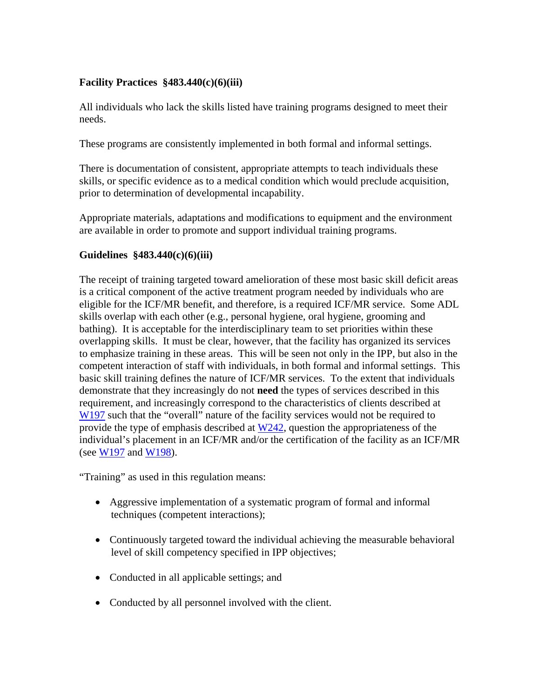# **Facility Practices §483.440(c)(6)(iii)**

All individuals who lack the skills listed have training programs designed to meet their needs.

These programs are consistently implemented in both formal and informal settings.

There is documentation of consistent, appropriate attempts to teach individuals these skills, or specific evidence as to a medical condition which would preclude acquisition, prior to determination of developmental incapability.

Appropriate materials, adaptations and modifications to equipment and the environment are available in order to promote and support individual training programs.

## **Guidelines §483.440(c)(6)(iii)**

The receipt of training targeted toward amelioration of these most basic skill deficit areas is a critical component of the active treatment program needed by individuals who are eligible for the ICF/MR benefit, and therefore, is a required ICF/MR service. Some ADL skills overlap with each other (e.g., personal hygiene, oral hygiene, grooming and bathing). It is acceptable for the interdisciplinary team to set priorities within these overlapping skills. It must be clear, however, that the facility has organized its services to emphasize training in these areas. This will be seen not only in the IPP, but also in the competent interaction of staff with individuals, in both formal and informal settings. This basic skill training defines the nature of ICF/MR services. To the extent that individuals demonstrate that they increasingly do not **need** the types of services described in this requirement, and increasingly correspond to the characteristics of clients described at W<sub>197</sub> such that the "overall" nature of the facility services would not be required to provide the type of emphasis described at  $W<sub>242</sub>$ , question the appropriateness of the individual's placement in an ICF/MR and/or the certification of the facility as an ICF/MR (see W197 and W198).

"Training" as used in this regulation means:

- Aggressive implementation of a systematic program of formal and informal techniques (competent interactions);
- Continuously targeted toward the individual achieving the measurable behavioral level of skill competency specified in IPP objectives;
- Conducted in all applicable settings; and
- Conducted by all personnel involved with the client.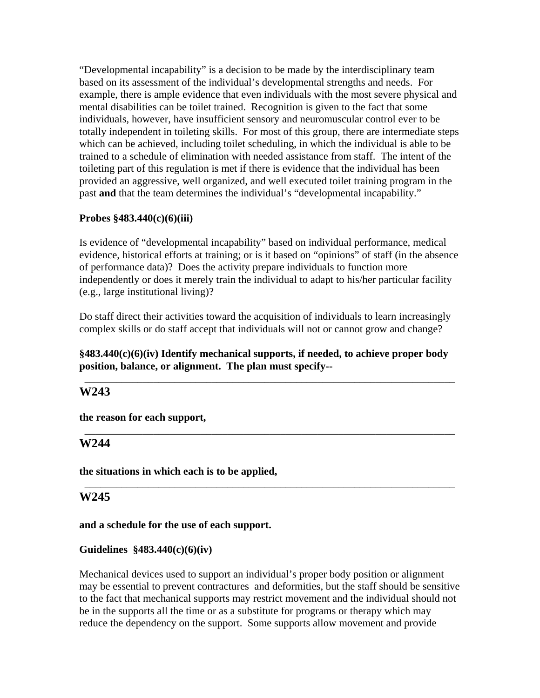"Developmental incapability" is a decision to be made by the interdisciplinary team based on its assessment of the individual's developmental strengths and needs. For example, there is ample evidence that even individuals with the most severe physical and mental disabilities can be toilet trained. Recognition is given to the fact that some individuals, however, have insufficient sensory and neuromuscular control ever to be totally independent in toileting skills. For most of this group, there are intermediate steps which can be achieved, including toilet scheduling, in which the individual is able to be trained to a schedule of elimination with needed assistance from staff. The intent of the toileting part of this regulation is met if there is evidence that the individual has been provided an aggressive, well organized, and well executed toilet training program in the past **and** that the team determines the individual's "developmental incapability."

## **Probes §483.440(c)(6)(iii)**

Is evidence of "developmental incapability" based on individual performance, medical evidence, historical efforts at training; or is it based on "opinions" of staff (in the absence of performance data)? Does the activity prepare individuals to function more independently or does it merely train the individual to adapt to his/her particular facility (e.g., large institutional living)?

Do staff direct their activities toward the acquisition of individuals to learn increasingly complex skills or do staff accept that individuals will not or cannot grow and change?

# **§483.440(c)(6)(iv) Identify mechanical supports, if needed, to achieve proper body position, balance, or alignment. The plan must specify--**

\_\_\_\_\_\_\_\_\_\_\_\_\_\_\_\_\_\_\_\_\_\_\_\_\_\_\_\_\_\_\_\_\_\_\_\_\_\_\_\_\_\_\_\_\_\_\_\_\_\_\_\_\_\_\_\_\_\_\_\_\_\_\_\_\_\_\_\_\_\_

\_\_\_\_\_\_\_\_\_\_\_\_\_\_\_\_\_\_\_\_\_\_\_\_\_\_\_\_\_\_\_\_\_\_\_\_\_\_\_\_\_\_\_\_\_\_\_\_\_\_\_\_\_\_\_\_\_\_\_\_\_\_\_\_\_\_\_\_\_\_

\_\_\_\_\_\_\_\_\_\_\_\_\_\_\_\_\_\_\_\_\_\_\_\_\_\_\_\_\_\_\_\_\_\_\_\_\_\_\_\_\_\_\_\_\_\_\_\_\_\_\_\_\_\_\_\_\_\_\_\_\_\_\_\_\_\_\_\_\_\_

# **W243**

**the reason for each support,** 

# **W244**

**the situations in which each is to be applied,** 

# **W245**

#### **and a schedule for the use of each support.**

## **Guidelines §483.440(c)(6)(iv)**

Mechanical devices used to support an individual's proper body position or alignment may be essential to prevent contractures and deformities, but the staff should be sensitive to the fact that mechanical supports may restrict movement and the individual should not be in the supports all the time or as a substitute for programs or therapy which may reduce the dependency on the support. Some supports allow movement and provide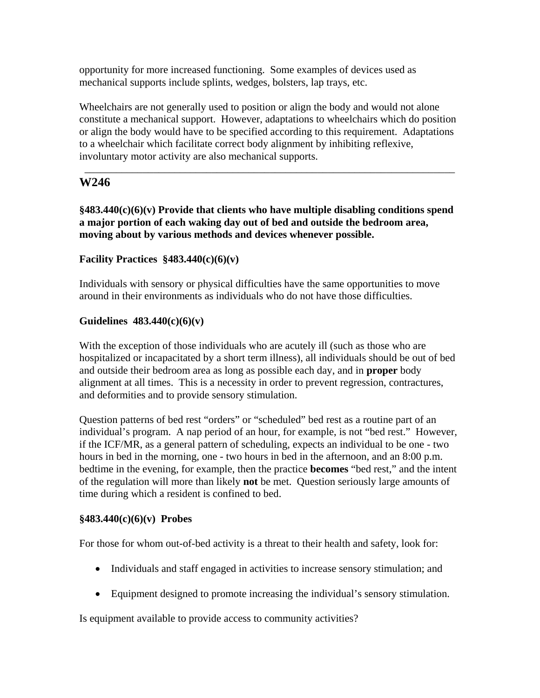opportunity for more increased functioning. Some examples of devices used as mechanical supports include splints, wedges, bolsters, lap trays, etc.

Wheelchairs are not generally used to position or align the body and would not alone constitute a mechanical support. However, adaptations to wheelchairs which do position or align the body would have to be specified according to this requirement. Adaptations to a wheelchair which facilitate correct body alignment by inhibiting reflexive, involuntary motor activity are also mechanical supports.

\_\_\_\_\_\_\_\_\_\_\_\_\_\_\_\_\_\_\_\_\_\_\_\_\_\_\_\_\_\_\_\_\_\_\_\_\_\_\_\_\_\_\_\_\_\_\_\_\_\_\_\_\_\_\_\_\_\_\_\_\_\_\_\_\_\_\_\_\_\_

# **W246**

**§483.440(c)(6)(v) Provide that clients who have multiple disabling conditions spend a major portion of each waking day out of bed and outside the bedroom area, moving about by various methods and devices whenever possible.** 

# **Facility Practices §483.440(c)(6)(v)**

Individuals with sensory or physical difficulties have the same opportunities to move around in their environments as individuals who do not have those difficulties.

## **Guidelines 483.440(c)(6)(v)**

With the exception of those individuals who are acutely ill (such as those who are hospitalized or incapacitated by a short term illness), all individuals should be out of bed and outside their bedroom area as long as possible each day, and in **proper** body alignment at all times. This is a necessity in order to prevent regression, contractures, and deformities and to provide sensory stimulation.

Question patterns of bed rest "orders" or "scheduled" bed rest as a routine part of an individual's program. A nap period of an hour, for example, is not "bed rest." However, if the ICF/MR, as a general pattern of scheduling, expects an individual to be one - two hours in bed in the morning, one - two hours in bed in the afternoon, and an 8:00 p.m. bedtime in the evening, for example, then the practice **becomes** "bed rest," and the intent of the regulation will more than likely **not** be met. Question seriously large amounts of time during which a resident is confined to bed.

## **§483.440(c)(6)(v) Probes**

For those for whom out-of-bed activity is a threat to their health and safety, look for:

- Individuals and staff engaged in activities to increase sensory stimulation; and
- Equipment designed to promote increasing the individual's sensory stimulation.

Is equipment available to provide access to community activities?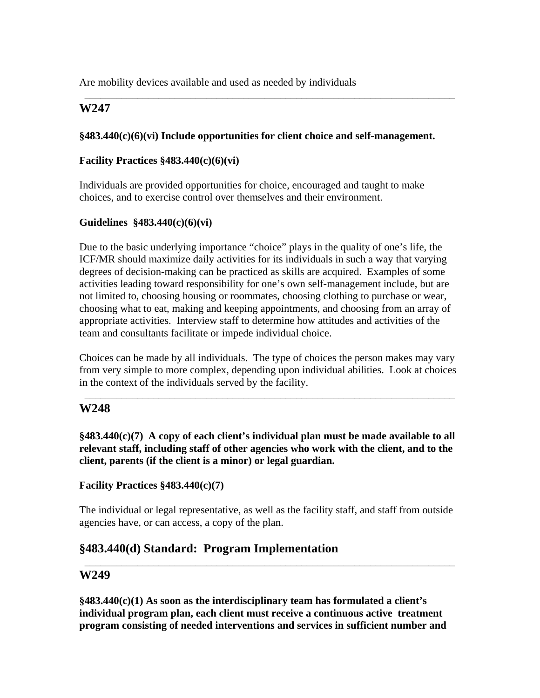Are mobility devices available and used as needed by individuals

# **W247**

### **§483.440(c)(6)(vi) Include opportunities for client choice and self-management.**

\_\_\_\_\_\_\_\_\_\_\_\_\_\_\_\_\_\_\_\_\_\_\_\_\_\_\_\_\_\_\_\_\_\_\_\_\_\_\_\_\_\_\_\_\_\_\_\_\_\_\_\_\_\_\_\_\_\_\_\_\_\_\_\_\_\_\_\_\_\_

### **Facility Practices §483.440(c)(6)(vi)**

Individuals are provided opportunities for choice, encouraged and taught to make choices, and to exercise control over themselves and their environment.

### **Guidelines §483.440(c)(6)(vi)**

Due to the basic underlying importance "choice" plays in the quality of one's life, the ICF/MR should maximize daily activities for its individuals in such a way that varying degrees of decision-making can be practiced as skills are acquired. Examples of some activities leading toward responsibility for one's own self-management include, but are not limited to, choosing housing or roommates, choosing clothing to purchase or wear, choosing what to eat, making and keeping appointments, and choosing from an array of appropriate activities. Interview staff to determine how attitudes and activities of the team and consultants facilitate or impede individual choice.

Choices can be made by all individuals. The type of choices the person makes may vary from very simple to more complex, depending upon individual abilities. Look at choices in the context of the individuals served by the facility.

\_\_\_\_\_\_\_\_\_\_\_\_\_\_\_\_\_\_\_\_\_\_\_\_\_\_\_\_\_\_\_\_\_\_\_\_\_\_\_\_\_\_\_\_\_\_\_\_\_\_\_\_\_\_\_\_\_\_\_\_\_\_\_\_\_\_\_\_\_\_

# **W248**

**§483.440(c)(7) A copy of each client's individual plan must be made available to all relevant staff, including staff of other agencies who work with the client, and to the client, parents (if the client is a minor) or legal guardian.** 

## **Facility Practices §483.440(c)(7)**

The individual or legal representative, as well as the facility staff, and staff from outside agencies have, or can access, a copy of the plan.

\_\_\_\_\_\_\_\_\_\_\_\_\_\_\_\_\_\_\_\_\_\_\_\_\_\_\_\_\_\_\_\_\_\_\_\_\_\_\_\_\_\_\_\_\_\_\_\_\_\_\_\_\_\_\_\_\_\_\_\_\_\_\_\_\_\_\_\_\_\_

# **§483.440(d) Standard: Program Implementation**

## **W249**

**§483.440(c)(1) As soon as the interdisciplinary team has formulated a client's individual program plan, each client must receive a continuous active treatment program consisting of needed interventions and services in sufficient number and**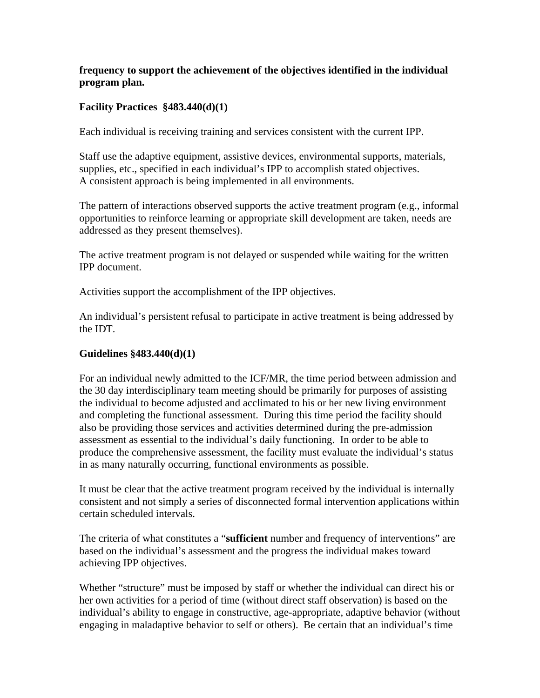# **frequency to support the achievement of the objectives identified in the individual program plan.**

# **Facility Practices §483.440(d)(1)**

Each individual is receiving training and services consistent with the current IPP.

Staff use the adaptive equipment, assistive devices, environmental supports, materials, supplies, etc., specified in each individual's IPP to accomplish stated objectives. A consistent approach is being implemented in all environments.

The pattern of interactions observed supports the active treatment program (e.g., informal opportunities to reinforce learning or appropriate skill development are taken, needs are addressed as they present themselves).

The active treatment program is not delayed or suspended while waiting for the written IPP document.

Activities support the accomplishment of the IPP objectives.

An individual's persistent refusal to participate in active treatment is being addressed by the IDT.

## **Guidelines §483.440(d)(1)**

For an individual newly admitted to the ICF/MR, the time period between admission and the 30 day interdisciplinary team meeting should be primarily for purposes of assisting the individual to become adjusted and acclimated to his or her new living environment and completing the functional assessment. During this time period the facility should also be providing those services and activities determined during the pre-admission assessment as essential to the individual's daily functioning. In order to be able to produce the comprehensive assessment, the facility must evaluate the individual's status in as many naturally occurring, functional environments as possible.

It must be clear that the active treatment program received by the individual is internally consistent and not simply a series of disconnected formal intervention applications within certain scheduled intervals.

The criteria of what constitutes a "**sufficient** number and frequency of interventions" are based on the individual's assessment and the progress the individual makes toward achieving IPP objectives.

Whether "structure" must be imposed by staff or whether the individual can direct his or her own activities for a period of time (without direct staff observation) is based on the individual's ability to engage in constructive, age-appropriate, adaptive behavior (without engaging in maladaptive behavior to self or others). Be certain that an individual's time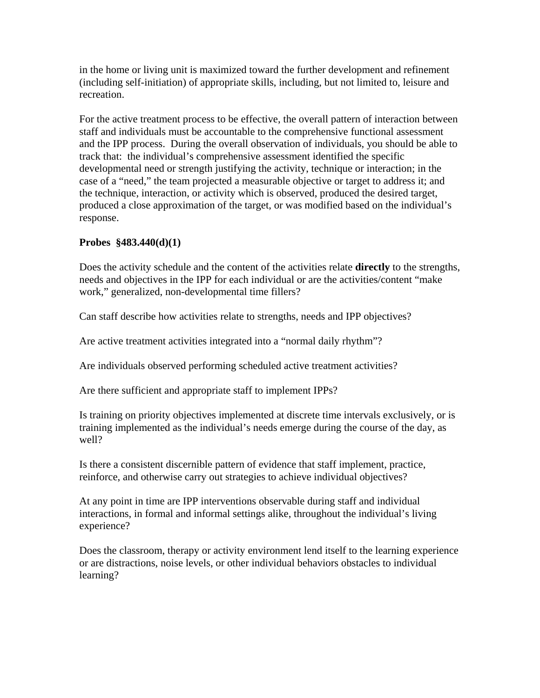in the home or living unit is maximized toward the further development and refinement (including self-initiation) of appropriate skills, including, but not limited to, leisure and recreation.

For the active treatment process to be effective, the overall pattern of interaction between staff and individuals must be accountable to the comprehensive functional assessment and the IPP process. During the overall observation of individuals, you should be able to track that: the individual's comprehensive assessment identified the specific developmental need or strength justifying the activity, technique or interaction; in the case of a "need," the team projected a measurable objective or target to address it; and the technique, interaction, or activity which is observed, produced the desired target, produced a close approximation of the target, or was modified based on the individual's response.

## **Probes §483.440(d)(1)**

Does the activity schedule and the content of the activities relate **directly** to the strengths, needs and objectives in the IPP for each individual or are the activities/content "make work," generalized, non-developmental time fillers?

Can staff describe how activities relate to strengths, needs and IPP objectives?

Are active treatment activities integrated into a "normal daily rhythm"?

Are individuals observed performing scheduled active treatment activities?

Are there sufficient and appropriate staff to implement IPPs?

Is training on priority objectives implemented at discrete time intervals exclusively, or is training implemented as the individual's needs emerge during the course of the day, as well?

Is there a consistent discernible pattern of evidence that staff implement, practice, reinforce, and otherwise carry out strategies to achieve individual objectives?

At any point in time are IPP interventions observable during staff and individual interactions, in formal and informal settings alike, throughout the individual's living experience?

Does the classroom, therapy or activity environment lend itself to the learning experience or are distractions, noise levels, or other individual behaviors obstacles to individual learning?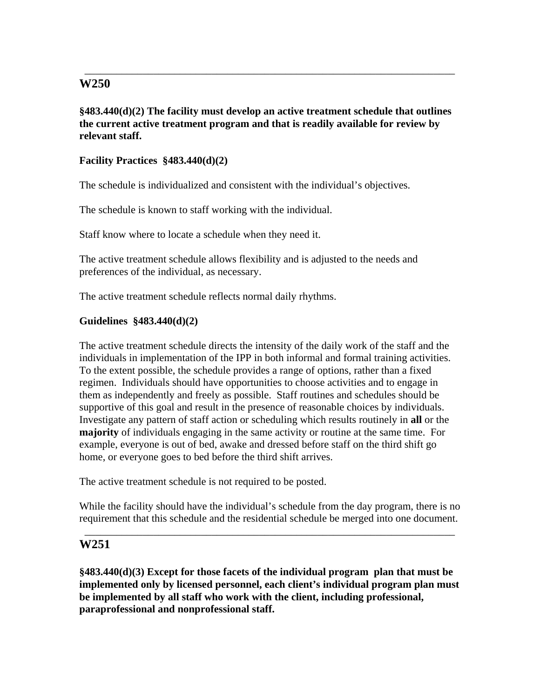**§483.440(d)(2) The facility must develop an active treatment schedule that outlines the current active treatment program and that is readily available for review by relevant staff.** 

\_\_\_\_\_\_\_\_\_\_\_\_\_\_\_\_\_\_\_\_\_\_\_\_\_\_\_\_\_\_\_\_\_\_\_\_\_\_\_\_\_\_\_\_\_\_\_\_\_\_\_\_\_\_\_\_\_\_\_\_\_\_\_\_\_\_\_\_\_\_

## **Facility Practices §483.440(d)(2)**

The schedule is individualized and consistent with the individual's objectives.

The schedule is known to staff working with the individual.

Staff know where to locate a schedule when they need it.

The active treatment schedule allows flexibility and is adjusted to the needs and preferences of the individual, as necessary.

The active treatment schedule reflects normal daily rhythms.

### **Guidelines §483.440(d)(2)**

The active treatment schedule directs the intensity of the daily work of the staff and the individuals in implementation of the IPP in both informal and formal training activities. To the extent possible, the schedule provides a range of options, rather than a fixed regimen. Individuals should have opportunities to choose activities and to engage in them as independently and freely as possible. Staff routines and schedules should be supportive of this goal and result in the presence of reasonable choices by individuals. Investigate any pattern of staff action or scheduling which results routinely in **all** or the **majority** of individuals engaging in the same activity or routine at the same time. For example, everyone is out of bed, awake and dressed before staff on the third shift go home, or everyone goes to bed before the third shift arrives.

The active treatment schedule is not required to be posted.

While the facility should have the individual's schedule from the day program, there is no requirement that this schedule and the residential schedule be merged into one document.

\_\_\_\_\_\_\_\_\_\_\_\_\_\_\_\_\_\_\_\_\_\_\_\_\_\_\_\_\_\_\_\_\_\_\_\_\_\_\_\_\_\_\_\_\_\_\_\_\_\_\_\_\_\_\_\_\_\_\_\_\_\_\_\_\_\_\_\_\_\_

# **W251**

**§483.440(d)(3) Except for those facets of the individual program plan that must be implemented only by licensed personnel, each client's individual program plan must be implemented by all staff who work with the client, including professional, paraprofessional and nonprofessional staff.**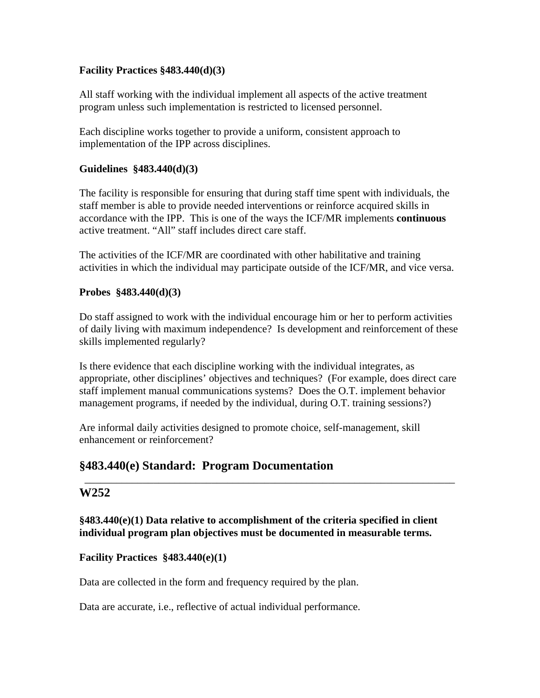## **Facility Practices §483.440(d)(3)**

All staff working with the individual implement all aspects of the active treatment program unless such implementation is restricted to licensed personnel.

Each discipline works together to provide a uniform, consistent approach to implementation of the IPP across disciplines.

## **Guidelines §483.440(d)(3)**

The facility is responsible for ensuring that during staff time spent with individuals, the staff member is able to provide needed interventions or reinforce acquired skills in accordance with the IPP. This is one of the ways the ICF/MR implements **continuous** active treatment. "All" staff includes direct care staff.

The activities of the ICF/MR are coordinated with other habilitative and training activities in which the individual may participate outside of the ICF/MR, and vice versa.

## **Probes §483.440(d)(3)**

Do staff assigned to work with the individual encourage him or her to perform activities of daily living with maximum independence? Is development and reinforcement of these skills implemented regularly?

Is there evidence that each discipline working with the individual integrates, as appropriate, other disciplines' objectives and techniques? (For example, does direct care staff implement manual communications systems? Does the O.T. implement behavior management programs, if needed by the individual, during O.T. training sessions?)

\_\_\_\_\_\_\_\_\_\_\_\_\_\_\_\_\_\_\_\_\_\_\_\_\_\_\_\_\_\_\_\_\_\_\_\_\_\_\_\_\_\_\_\_\_\_\_\_\_\_\_\_\_\_\_\_\_\_\_\_\_\_\_\_\_\_\_\_\_\_

Are informal daily activities designed to promote choice, self-management, skill enhancement or reinforcement?

# **§483.440(e) Standard: Program Documentation**

# **W252**

**§483.440(e)(1) Data relative to accomplishment of the criteria specified in client individual program plan objectives must be documented in measurable terms.** 

# **Facility Practices §483.440(e)(1)**

Data are collected in the form and frequency required by the plan.

Data are accurate, i.e., reflective of actual individual performance.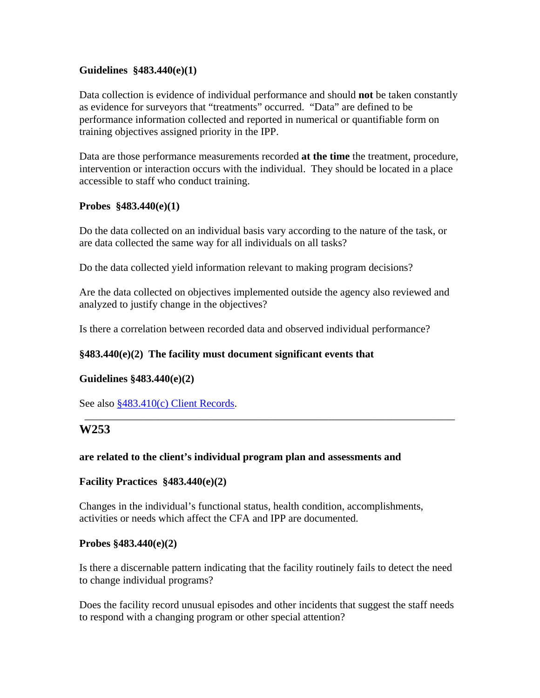### **Guidelines §483.440(e)(1)**

Data collection is evidence of individual performance and should **not** be taken constantly as evidence for surveyors that "treatments" occurred. "Data" are defined to be performance information collected and reported in numerical or quantifiable form on training objectives assigned priority in the IPP.

Data are those performance measurements recorded **at the time** the treatment, procedure, intervention or interaction occurs with the individual. They should be located in a place accessible to staff who conduct training.

#### **Probes §483.440(e)(1)**

Do the data collected on an individual basis vary according to the nature of the task, or are data collected the same way for all individuals on all tasks?

Do the data collected yield information relevant to making program decisions?

Are the data collected on objectives implemented outside the agency also reviewed and analyzed to justify change in the objectives?

\_\_\_\_\_\_\_\_\_\_\_\_\_\_\_\_\_\_\_\_\_\_\_\_\_\_\_\_\_\_\_\_\_\_\_\_\_\_\_\_\_\_\_\_\_\_\_\_\_\_\_\_\_\_\_\_\_\_\_\_\_\_\_\_\_\_\_\_\_\_

Is there a correlation between recorded data and observed individual performance?

## **§483.440(e)(2) The facility must document significant events that**

## **Guidelines §483.440(e)(2)**

See also §483.410(c) Client Records.

# **W253**

#### **are related to the client's individual program plan and assessments and**

#### **Facility Practices §483.440(e)(2)**

Changes in the individual's functional status, health condition, accomplishments, activities or needs which affect the CFA and IPP are documented.

#### **Probes §483.440(e)(2)**

Is there a discernable pattern indicating that the facility routinely fails to detect the need to change individual programs?

Does the facility record unusual episodes and other incidents that suggest the staff needs to respond with a changing program or other special attention?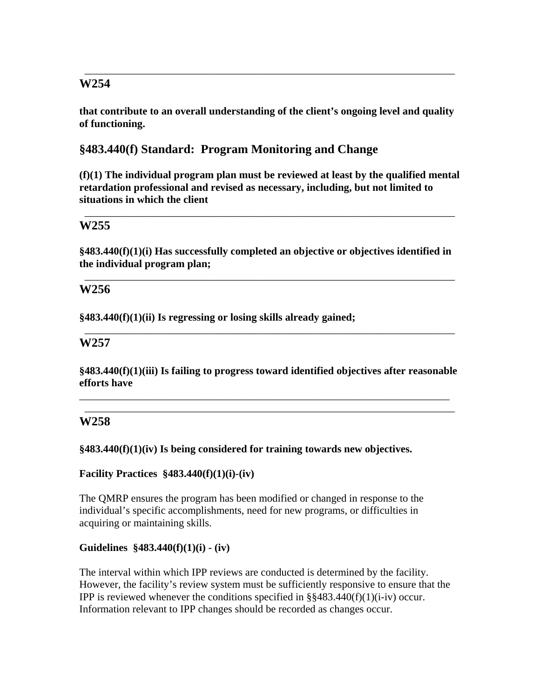**that contribute to an overall understanding of the client's ongoing level and quality of functioning.** 

\_\_\_\_\_\_\_\_\_\_\_\_\_\_\_\_\_\_\_\_\_\_\_\_\_\_\_\_\_\_\_\_\_\_\_\_\_\_\_\_\_\_\_\_\_\_\_\_\_\_\_\_\_\_\_\_\_\_\_\_\_\_\_\_\_\_\_\_\_\_

# **§483.440(f) Standard: Program Monitoring and Change**

**(f)(1) The individual program plan must be reviewed at least by the qualified mental retardation professional and revised as necessary, including, but not limited to situations in which the client** 

\_\_\_\_\_\_\_\_\_\_\_\_\_\_\_\_\_\_\_\_\_\_\_\_\_\_\_\_\_\_\_\_\_\_\_\_\_\_\_\_\_\_\_\_\_\_\_\_\_\_\_\_\_\_\_\_\_\_\_\_\_\_\_\_\_\_\_\_\_\_

# **W255**

**§483.440(f)(1)(i) Has successfully completed an objective or objectives identified in the individual program plan;** 

\_\_\_\_\_\_\_\_\_\_\_\_\_\_\_\_\_\_\_\_\_\_\_\_\_\_\_\_\_\_\_\_\_\_\_\_\_\_\_\_\_\_\_\_\_\_\_\_\_\_\_\_\_\_\_\_\_\_\_\_\_\_\_\_\_\_\_\_\_\_

\_\_\_\_\_\_\_\_\_\_\_\_\_\_\_\_\_\_\_\_\_\_\_\_\_\_\_\_\_\_\_\_\_\_\_\_\_\_\_\_\_\_\_\_\_\_\_\_\_\_\_\_\_\_\_\_\_\_\_\_\_\_\_\_\_\_\_\_\_\_

# **W256**

**§483.440(f)(1)(ii) Is regressing or losing skills already gained;** 

## **W257**

**§483.440(f)(1)(iii) Is failing to progress toward identified objectives after reasonable efforts have** 

\_\_\_\_\_\_\_\_\_\_\_\_\_\_\_\_\_\_\_\_\_\_\_\_\_\_\_\_\_\_\_\_\_\_\_\_\_\_\_\_\_\_\_\_\_\_\_\_\_\_\_\_\_\_\_\_\_\_\_\_\_\_\_\_\_\_\_\_\_\_ \_\_\_\_\_\_\_\_\_\_\_\_\_\_\_\_\_\_\_\_\_\_\_\_\_\_\_\_\_\_\_\_\_\_\_\_\_\_\_\_\_\_\_\_\_\_\_\_\_\_\_\_\_\_\_\_\_\_\_\_\_\_\_\_\_\_\_\_\_\_

# **W258**

#### **§483.440(f)(1)(iv) Is being considered for training towards new objectives.**

#### **Facility Practices §483.440(f)(1)(i)-(iv)**

The QMRP ensures the program has been modified or changed in response to the individual's specific accomplishments, need for new programs, or difficulties in acquiring or maintaining skills.

## **Guidelines §483.440(f)(1)(i) - (iv)**

The interval within which IPP reviews are conducted is determined by the facility. However, the facility's review system must be sufficiently responsive to ensure that the IPP is reviewed whenever the conditions specified in  $\S$ §483.440(f)(1)(i-iv) occur. Information relevant to IPP changes should be recorded as changes occur.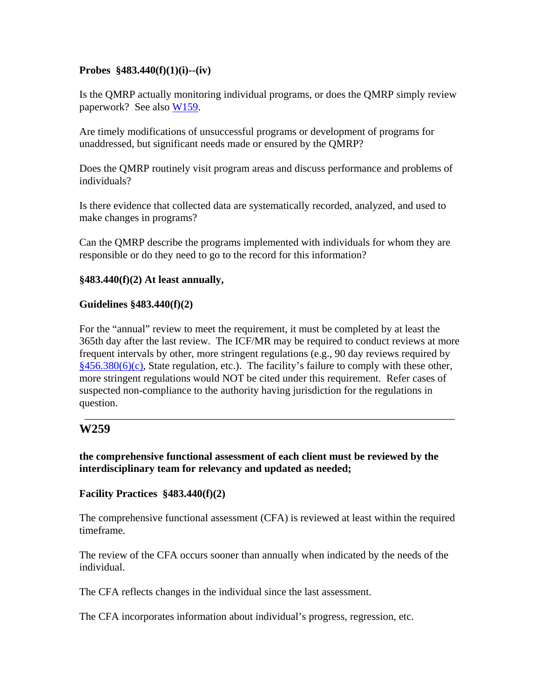### **Probes §483.440(f)(1)(i)--(iv)**

Is the QMRP actually monitoring individual programs, or does the QMRP simply review paperwork? See also W159.

Are timely modifications of unsuccessful programs or development of programs for unaddressed, but significant needs made or ensured by the QMRP?

Does the QMRP routinely visit program areas and discuss performance and problems of individuals?

Is there evidence that collected data are systematically recorded, analyzed, and used to make changes in programs?

Can the QMRP describe the programs implemented with individuals for whom they are responsible or do they need to go to the record for this information?

### **§483.440(f)(2) At least annually,**

### **Guidelines §483.440(f)(2)**

For the "annual" review to meet the requirement, it must be completed by at least the 365th day after the last review. The ICF/MR may be required to conduct reviews at more frequent intervals by other, more stringent regulations (e.g., 90 day reviews required by  $§456.380(6)(c)$ , State regulation, etc.). The facility's failure to comply with these other, more stringent regulations would NOT be cited under this requirement. Refer cases of suspected non-compliance to the authority having jurisdiction for the regulations in question.

\_\_\_\_\_\_\_\_\_\_\_\_\_\_\_\_\_\_\_\_\_\_\_\_\_\_\_\_\_\_\_\_\_\_\_\_\_\_\_\_\_\_\_\_\_\_\_\_\_\_\_\_\_\_\_\_\_\_\_\_\_\_\_\_\_\_\_\_\_\_

## **W259**

**the comprehensive functional assessment of each client must be reviewed by the interdisciplinary team for relevancy and updated as needed;** 

#### **Facility Practices §483.440(f)(2)**

The comprehensive functional assessment (CFA) is reviewed at least within the required timeframe.

The review of the CFA occurs sooner than annually when indicated by the needs of the individual.

The CFA reflects changes in the individual since the last assessment.

The CFA incorporates information about individual's progress, regression, etc.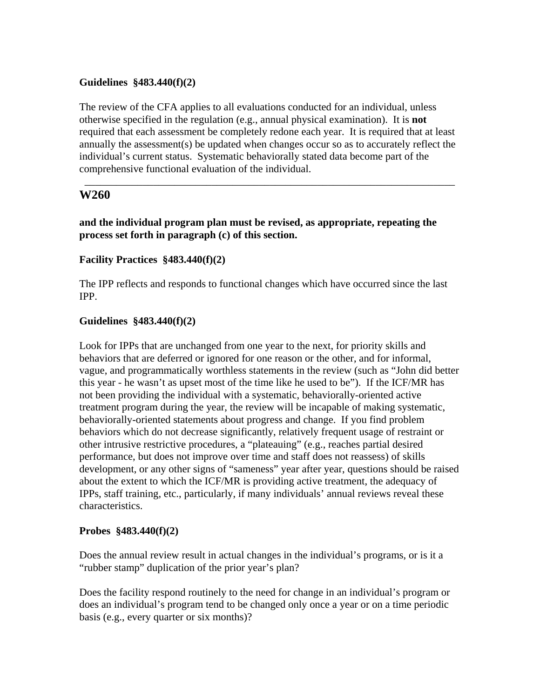### **Guidelines §483.440(f)(2)**

The review of the CFA applies to all evaluations conducted for an individual, unless otherwise specified in the regulation (e.g., annual physical examination). It is **not** required that each assessment be completely redone each year. It is required that at least annually the assessment(s) be updated when changes occur so as to accurately reflect the individual's current status. Systematic behaviorally stated data become part of the comprehensive functional evaluation of the individual.

\_\_\_\_\_\_\_\_\_\_\_\_\_\_\_\_\_\_\_\_\_\_\_\_\_\_\_\_\_\_\_\_\_\_\_\_\_\_\_\_\_\_\_\_\_\_\_\_\_\_\_\_\_\_\_\_\_\_\_\_\_\_\_\_\_\_\_\_\_\_

# **W260**

**and the individual program plan must be revised, as appropriate, repeating the process set forth in paragraph (c) of this section.** 

### **Facility Practices §483.440(f)(2)**

The IPP reflects and responds to functional changes which have occurred since the last IPP.

#### **Guidelines §483.440(f)(2)**

Look for IPPs that are unchanged from one year to the next, for priority skills and behaviors that are deferred or ignored for one reason or the other, and for informal, vague, and programmatically worthless statements in the review (such as "John did better this year - he wasn't as upset most of the time like he used to be"). If the ICF/MR has not been providing the individual with a systematic, behaviorally-oriented active treatment program during the year, the review will be incapable of making systematic, behaviorally-oriented statements about progress and change. If you find problem behaviors which do not decrease significantly, relatively frequent usage of restraint or other intrusive restrictive procedures, a "plateauing" (e.g., reaches partial desired performance, but does not improve over time and staff does not reassess) of skills development, or any other signs of "sameness" year after year, questions should be raised about the extent to which the ICF/MR is providing active treatment, the adequacy of IPPs, staff training, etc., particularly, if many individuals' annual reviews reveal these characteristics.

#### **Probes §483.440(f)(2)**

Does the annual review result in actual changes in the individual's programs, or is it a "rubber stamp" duplication of the prior year's plan?

Does the facility respond routinely to the need for change in an individual's program or does an individual's program tend to be changed only once a year or on a time periodic basis (e.g., every quarter or six months)?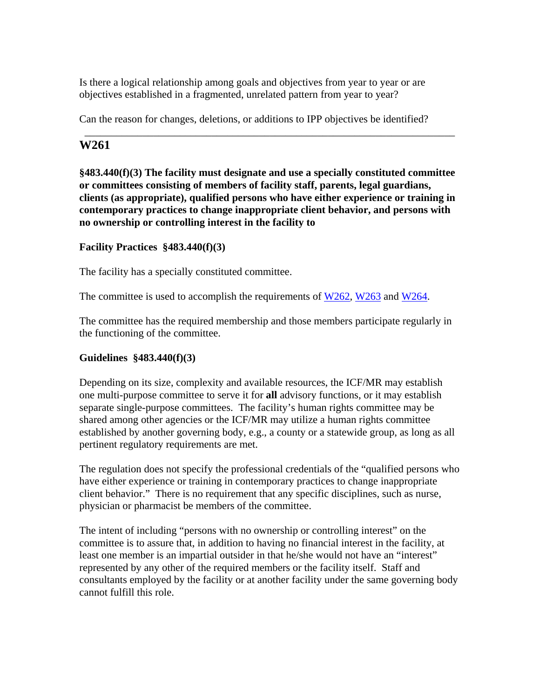Is there a logical relationship among goals and objectives from year to year or are objectives established in a fragmented, unrelated pattern from year to year?

Can the reason for changes, deletions, or additions to IPP objectives be identified?

# **W261**

**§483.440(f)(3) The facility must designate and use a specially constituted committee or committees consisting of members of facility staff, parents, legal guardians, clients (as appropriate), qualified persons who have either experience or training in contemporary practices to change inappropriate client behavior, and persons with no ownership or controlling interest in the facility to** 

\_\_\_\_\_\_\_\_\_\_\_\_\_\_\_\_\_\_\_\_\_\_\_\_\_\_\_\_\_\_\_\_\_\_\_\_\_\_\_\_\_\_\_\_\_\_\_\_\_\_\_\_\_\_\_\_\_\_\_\_\_\_\_\_\_\_\_\_\_\_

# **Facility Practices §483.440(f)(3)**

The facility has a specially constituted committee.

The committee is used to accomplish the requirements of W262, W263 and W264.

The committee has the required membership and those members participate regularly in the functioning of the committee.

## **Guidelines §483.440(f)(3)**

Depending on its size, complexity and available resources, the ICF/MR may establish one multi-purpose committee to serve it for **all** advisory functions, or it may establish separate single-purpose committees. The facility's human rights committee may be shared among other agencies or the ICF/MR may utilize a human rights committee established by another governing body, e.g., a county or a statewide group, as long as all pertinent regulatory requirements are met.

The regulation does not specify the professional credentials of the "qualified persons who have either experience or training in contemporary practices to change inappropriate client behavior." There is no requirement that any specific disciplines, such as nurse, physician or pharmacist be members of the committee.

The intent of including "persons with no ownership or controlling interest" on the committee is to assure that, in addition to having no financial interest in the facility, at least one member is an impartial outsider in that he/she would not have an "interest" represented by any other of the required members or the facility itself. Staff and consultants employed by the facility or at another facility under the same governing body cannot fulfill this role.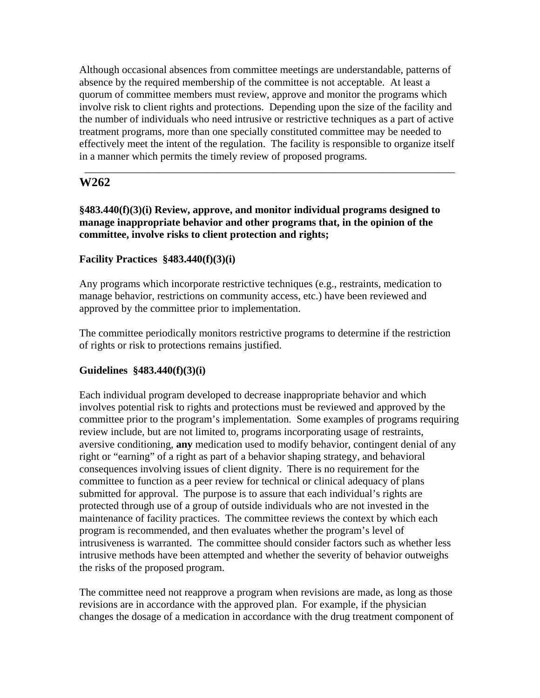Although occasional absences from committee meetings are understandable, patterns of absence by the required membership of the committee is not acceptable. At least a quorum of committee members must review, approve and monitor the programs which involve risk to client rights and protections. Depending upon the size of the facility and the number of individuals who need intrusive or restrictive techniques as a part of active treatment programs, more than one specially constituted committee may be needed to effectively meet the intent of the regulation. The facility is responsible to organize itself in a manner which permits the timely review of proposed programs.

\_\_\_\_\_\_\_\_\_\_\_\_\_\_\_\_\_\_\_\_\_\_\_\_\_\_\_\_\_\_\_\_\_\_\_\_\_\_\_\_\_\_\_\_\_\_\_\_\_\_\_\_\_\_\_\_\_\_\_\_\_\_\_\_\_\_\_\_\_\_

# **W262**

**§483.440(f)(3)(i) Review, approve, and monitor individual programs designed to manage inappropriate behavior and other programs that, in the opinion of the committee, involve risks to client protection and rights;** 

## **Facility Practices §483.440(f)(3)(i)**

Any programs which incorporate restrictive techniques (e.g., restraints, medication to manage behavior, restrictions on community access, etc.) have been reviewed and approved by the committee prior to implementation.

The committee periodically monitors restrictive programs to determine if the restriction of rights or risk to protections remains justified.

## **Guidelines §483.440(f)(3)(i)**

Each individual program developed to decrease inappropriate behavior and which involves potential risk to rights and protections must be reviewed and approved by the committee prior to the program's implementation. Some examples of programs requiring review include, but are not limited to, programs incorporating usage of restraints, aversive conditioning, **any** medication used to modify behavior, contingent denial of any right or "earning" of a right as part of a behavior shaping strategy, and behavioral consequences involving issues of client dignity. There is no requirement for the committee to function as a peer review for technical or clinical adequacy of plans submitted for approval. The purpose is to assure that each individual's rights are protected through use of a group of outside individuals who are not invested in the maintenance of facility practices. The committee reviews the context by which each program is recommended, and then evaluates whether the program's level of intrusiveness is warranted. The committee should consider factors such as whether less intrusive methods have been attempted and whether the severity of behavior outweighs the risks of the proposed program.

The committee need not reapprove a program when revisions are made, as long as those revisions are in accordance with the approved plan. For example, if the physician changes the dosage of a medication in accordance with the drug treatment component of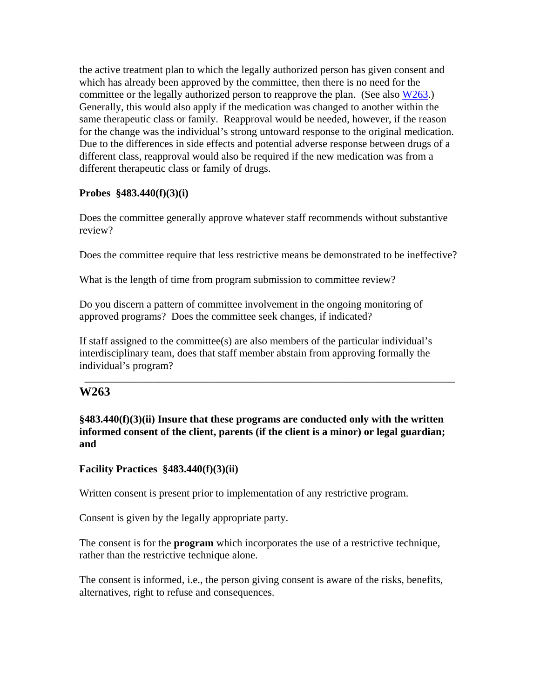the active treatment plan to which the legally authorized person has given consent and which has already been approved by the committee, then there is no need for the committee or the legally authorized person to reapprove the plan. (See also W263.) Generally, this would also apply if the medication was changed to another within the same therapeutic class or family. Reapproval would be needed, however, if the reason for the change was the individual's strong untoward response to the original medication. Due to the differences in side effects and potential adverse response between drugs of a different class, reapproval would also be required if the new medication was from a different therapeutic class or family of drugs.

## **Probes §483.440(f)(3)(i)**

Does the committee generally approve whatever staff recommends without substantive review?

Does the committee require that less restrictive means be demonstrated to be ineffective?

What is the length of time from program submission to committee review?

Do you discern a pattern of committee involvement in the ongoing monitoring of approved programs? Does the committee seek changes, if indicated?

If staff assigned to the committee(s) are also members of the particular individual's interdisciplinary team, does that staff member abstain from approving formally the individual's program?

# **W263**

**§483.440(f)(3)(ii) Insure that these programs are conducted only with the written informed consent of the client, parents (if the client is a minor) or legal guardian; and** 

\_\_\_\_\_\_\_\_\_\_\_\_\_\_\_\_\_\_\_\_\_\_\_\_\_\_\_\_\_\_\_\_\_\_\_\_\_\_\_\_\_\_\_\_\_\_\_\_\_\_\_\_\_\_\_\_\_\_\_\_\_\_\_\_\_\_\_\_\_\_

## **Facility Practices §483.440(f)(3)(ii)**

Written consent is present prior to implementation of any restrictive program.

Consent is given by the legally appropriate party.

The consent is for the **program** which incorporates the use of a restrictive technique, rather than the restrictive technique alone.

The consent is informed, i.e., the person giving consent is aware of the risks, benefits, alternatives, right to refuse and consequences.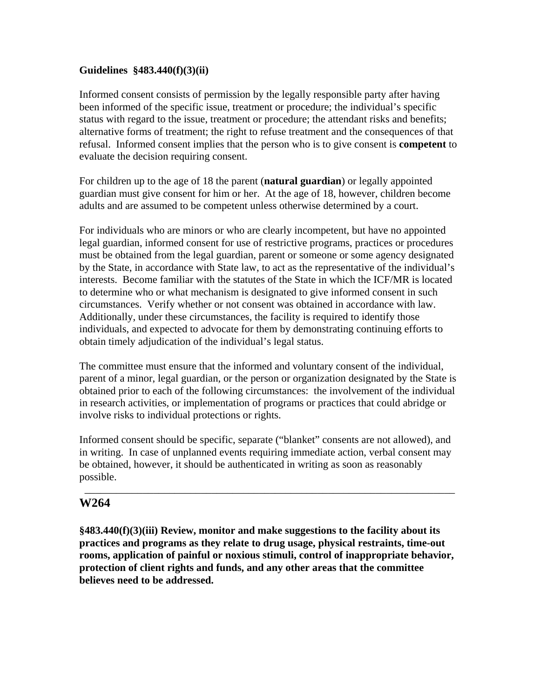### **Guidelines §483.440(f)(3)(ii)**

Informed consent consists of permission by the legally responsible party after having been informed of the specific issue, treatment or procedure; the individual's specific status with regard to the issue, treatment or procedure; the attendant risks and benefits; alternative forms of treatment; the right to refuse treatment and the consequences of that refusal. Informed consent implies that the person who is to give consent is **competent** to evaluate the decision requiring consent.

For children up to the age of 18 the parent (**natural guardian**) or legally appointed guardian must give consent for him or her. At the age of 18, however, children become adults and are assumed to be competent unless otherwise determined by a court.

For individuals who are minors or who are clearly incompetent, but have no appointed legal guardian, informed consent for use of restrictive programs, practices or procedures must be obtained from the legal guardian, parent or someone or some agency designated by the State, in accordance with State law, to act as the representative of the individual's interests. Become familiar with the statutes of the State in which the ICF/MR is located to determine who or what mechanism is designated to give informed consent in such circumstances. Verify whether or not consent was obtained in accordance with law. Additionally, under these circumstances, the facility is required to identify those individuals, and expected to advocate for them by demonstrating continuing efforts to obtain timely adjudication of the individual's legal status.

The committee must ensure that the informed and voluntary consent of the individual, parent of a minor, legal guardian, or the person or organization designated by the State is obtained prior to each of the following circumstances: the involvement of the individual in research activities, or implementation of programs or practices that could abridge or involve risks to individual protections or rights.

Informed consent should be specific, separate ("blanket" consents are not allowed), and in writing. In case of unplanned events requiring immediate action, verbal consent may be obtained, however, it should be authenticated in writing as soon as reasonably possible.

\_\_\_\_\_\_\_\_\_\_\_\_\_\_\_\_\_\_\_\_\_\_\_\_\_\_\_\_\_\_\_\_\_\_\_\_\_\_\_\_\_\_\_\_\_\_\_\_\_\_\_\_\_\_\_\_\_\_\_\_\_\_\_\_\_\_\_\_\_\_

# **W264**

**§483.440(f)(3)(iii) Review, monitor and make suggestions to the facility about its practices and programs as they relate to drug usage, physical restraints, time-out rooms, application of painful or noxious stimuli, control of inappropriate behavior, protection of client rights and funds, and any other areas that the committee believes need to be addressed.**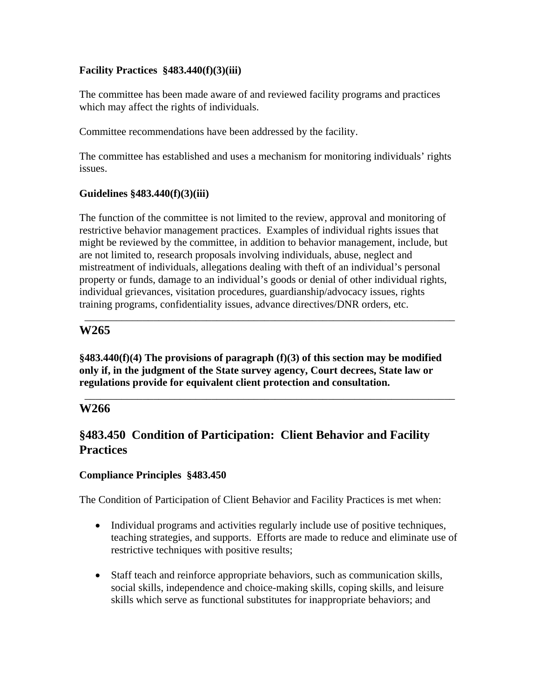# **Facility Practices §483.440(f)(3)(iii)**

The committee has been made aware of and reviewed facility programs and practices which may affect the rights of individuals.

Committee recommendations have been addressed by the facility.

The committee has established and uses a mechanism for monitoring individuals' rights issues.

# **Guidelines §483.440(f)(3)(iii)**

The function of the committee is not limited to the review, approval and monitoring of restrictive behavior management practices. Examples of individual rights issues that might be reviewed by the committee, in addition to behavior management, include, but are not limited to, research proposals involving individuals, abuse, neglect and mistreatment of individuals, allegations dealing with theft of an individual's personal property or funds, damage to an individual's goods or denial of other individual rights, individual grievances, visitation procedures, guardianship/advocacy issues, rights training programs, confidentiality issues, advance directives/DNR orders, etc.

\_\_\_\_\_\_\_\_\_\_\_\_\_\_\_\_\_\_\_\_\_\_\_\_\_\_\_\_\_\_\_\_\_\_\_\_\_\_\_\_\_\_\_\_\_\_\_\_\_\_\_\_\_\_\_\_\_\_\_\_\_\_\_\_\_\_\_\_\_\_

# **W265**

**§483.440(f)(4) The provisions of paragraph (f)(3) of this section may be modified only if, in the judgment of the State survey agency, Court decrees, State law or regulations provide for equivalent client protection and consultation.** 

\_\_\_\_\_\_\_\_\_\_\_\_\_\_\_\_\_\_\_\_\_\_\_\_\_\_\_\_\_\_\_\_\_\_\_\_\_\_\_\_\_\_\_\_\_\_\_\_\_\_\_\_\_\_\_\_\_\_\_\_\_\_\_\_\_\_\_\_\_\_

# **W266**

# **§483.450 Condition of Participation: Client Behavior and Facility Practices**

## **Compliance Principles §483.450**

The Condition of Participation of Client Behavior and Facility Practices is met when:

- Individual programs and activities regularly include use of positive techniques, teaching strategies, and supports. Efforts are made to reduce and eliminate use of restrictive techniques with positive results;
- Staff teach and reinforce appropriate behaviors, such as communication skills, social skills, independence and choice-making skills, coping skills, and leisure skills which serve as functional substitutes for inappropriate behaviors; and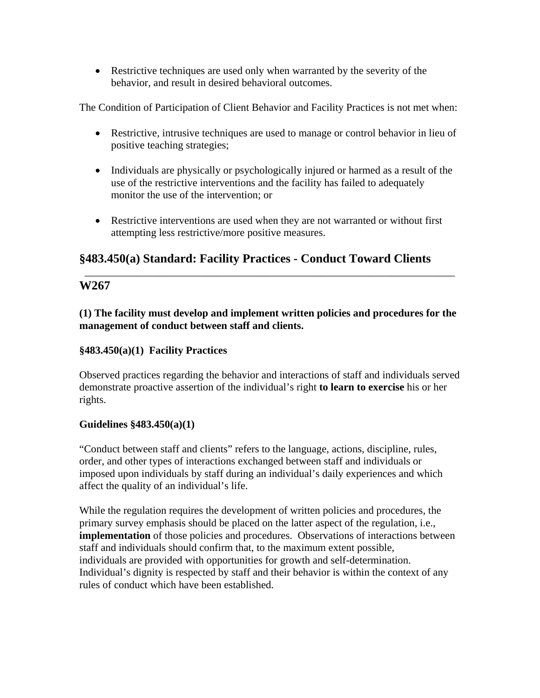• Restrictive techniques are used only when warranted by the severity of the behavior, and result in desired behavioral outcomes.

The Condition of Participation of Client Behavior and Facility Practices is not met when:

- Restrictive, intrusive techniques are used to manage or control behavior in lieu of positive teaching strategies;
- Individuals are physically or psychologically injured or harmed as a result of the use of the restrictive interventions and the facility has failed to adequately monitor the use of the intervention; or
- Restrictive interventions are used when they are not warranted or without first attempting less restrictive/more positive measures.

\_\_\_\_\_\_\_\_\_\_\_\_\_\_\_\_\_\_\_\_\_\_\_\_\_\_\_\_\_\_\_\_\_\_\_\_\_\_\_\_\_\_\_\_\_\_\_\_\_\_\_\_\_\_\_\_\_\_\_\_\_\_\_\_\_\_\_\_\_\_

# **§483.450(a) Standard: Facility Practices - Conduct Toward Clients**

# **W267**

**(1) The facility must develop and implement written policies and procedures for the management of conduct between staff and clients.** 

# **§483.450(a)(1) Facility Practices**

Observed practices regarding the behavior and interactions of staff and individuals served demonstrate proactive assertion of the individual's right **to learn to exercise** his or her rights.

# **Guidelines §483.450(a)(1)**

"Conduct between staff and clients" refers to the language, actions, discipline, rules, order, and other types of interactions exchanged between staff and individuals or imposed upon individuals by staff during an individual's daily experiences and which affect the quality of an individual's life.

While the regulation requires the development of written policies and procedures, the primary survey emphasis should be placed on the latter aspect of the regulation, i.e., **implementation** of those policies and procedures. Observations of interactions between staff and individuals should confirm that, to the maximum extent possible, individuals are provided with opportunities for growth and self-determination. Individual's dignity is respected by staff and their behavior is within the context of any rules of conduct which have been established.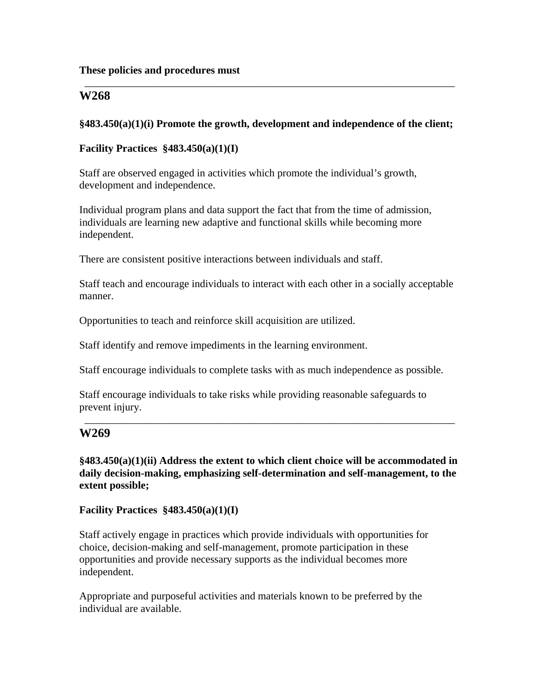#### **These policies and procedures must**

# **W268**

### **§483.450(a)(1)(i) Promote the growth, development and independence of the client;**

\_\_\_\_\_\_\_\_\_\_\_\_\_\_\_\_\_\_\_\_\_\_\_\_\_\_\_\_\_\_\_\_\_\_\_\_\_\_\_\_\_\_\_\_\_\_\_\_\_\_\_\_\_\_\_\_\_\_\_\_\_\_\_\_\_\_\_\_\_\_

#### **Facility Practices §483.450(a)(1)(I)**

Staff are observed engaged in activities which promote the individual's growth, development and independence.

Individual program plans and data support the fact that from the time of admission, individuals are learning new adaptive and functional skills while becoming more independent.

There are consistent positive interactions between individuals and staff.

Staff teach and encourage individuals to interact with each other in a socially acceptable manner.

Opportunities to teach and reinforce skill acquisition are utilized.

Staff identify and remove impediments in the learning environment.

Staff encourage individuals to complete tasks with as much independence as possible.

Staff encourage individuals to take risks while providing reasonable safeguards to prevent injury.

## **W269**

**§483.450(a)(1)(ii) Address the extent to which client choice will be accommodated in daily decision-making, emphasizing self-determination and self-management, to the extent possible;** 

\_\_\_\_\_\_\_\_\_\_\_\_\_\_\_\_\_\_\_\_\_\_\_\_\_\_\_\_\_\_\_\_\_\_\_\_\_\_\_\_\_\_\_\_\_\_\_\_\_\_\_\_\_\_\_\_\_\_\_\_\_\_\_\_\_\_\_\_\_\_

**Facility Practices §483.450(a)(1)(I)** 

Staff actively engage in practices which provide individuals with opportunities for choice, decision-making and self-management, promote participation in these opportunities and provide necessary supports as the individual becomes more independent.

Appropriate and purposeful activities and materials known to be preferred by the individual are available.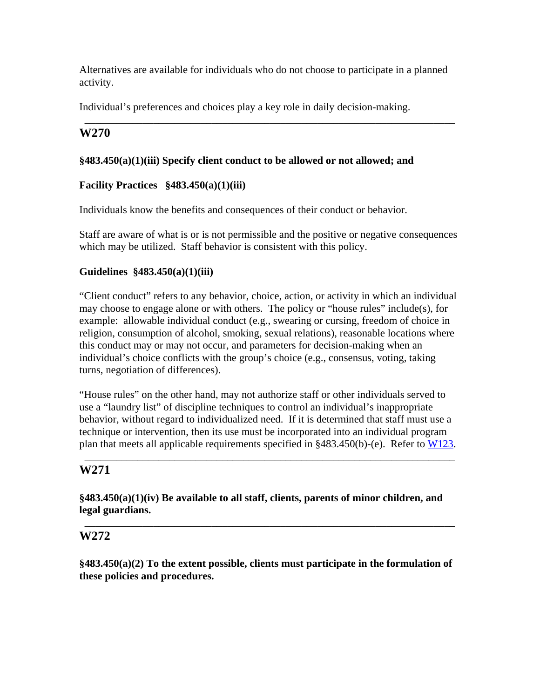Alternatives are available for individuals who do not choose to participate in a planned activity.

\_\_\_\_\_\_\_\_\_\_\_\_\_\_\_\_\_\_\_\_\_\_\_\_\_\_\_\_\_\_\_\_\_\_\_\_\_\_\_\_\_\_\_\_\_\_\_\_\_\_\_\_\_\_\_\_\_\_\_\_\_\_\_\_\_\_\_\_\_\_

Individual's preferences and choices play a key role in daily decision-making.

# **W270**

# **§483.450(a)(1)(iii) Specify client conduct to be allowed or not allowed; and**

# **Facility Practices §483.450(a)(1)(iii)**

Individuals know the benefits and consequences of their conduct or behavior.

Staff are aware of what is or is not permissible and the positive or negative consequences which may be utilized. Staff behavior is consistent with this policy.

# **Guidelines §483.450(a)(1)(iii)**

"Client conduct" refers to any behavior, choice, action, or activity in which an individual may choose to engage alone or with others. The policy or "house rules" include(s), for example: allowable individual conduct (e.g., swearing or cursing, freedom of choice in religion, consumption of alcohol, smoking, sexual relations), reasonable locations where this conduct may or may not occur, and parameters for decision-making when an individual's choice conflicts with the group's choice (e.g., consensus, voting, taking turns, negotiation of differences).

"House rules" on the other hand, may not authorize staff or other individuals served to use a "laundry list" of discipline techniques to control an individual's inappropriate behavior, without regard to individualized need. If it is determined that staff must use a technique or intervention, then its use must be incorporated into an individual program plan that meets all applicable requirements specified in §483.450(b)-(e). Refer to W123.

\_\_\_\_\_\_\_\_\_\_\_\_\_\_\_\_\_\_\_\_\_\_\_\_\_\_\_\_\_\_\_\_\_\_\_\_\_\_\_\_\_\_\_\_\_\_\_\_\_\_\_\_\_\_\_\_\_\_\_\_\_\_\_\_\_\_\_\_\_\_

# **W271**

**§483.450(a)(1)(iv) Be available to all staff, clients, parents of minor children, and legal guardians.** 

\_\_\_\_\_\_\_\_\_\_\_\_\_\_\_\_\_\_\_\_\_\_\_\_\_\_\_\_\_\_\_\_\_\_\_\_\_\_\_\_\_\_\_\_\_\_\_\_\_\_\_\_\_\_\_\_\_\_\_\_\_\_\_\_\_\_\_\_\_\_

# **W272**

**§483.450(a)(2) To the extent possible, clients must participate in the formulation of these policies and procedures.**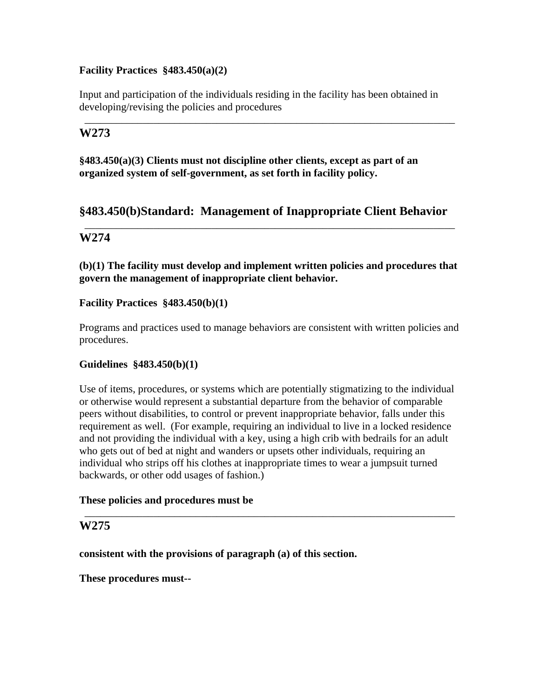## **Facility Practices §483.450(a)(2)**

Input and participation of the individuals residing in the facility has been obtained in developing/revising the policies and procedures

\_\_\_\_\_\_\_\_\_\_\_\_\_\_\_\_\_\_\_\_\_\_\_\_\_\_\_\_\_\_\_\_\_\_\_\_\_\_\_\_\_\_\_\_\_\_\_\_\_\_\_\_\_\_\_\_\_\_\_\_\_\_\_\_\_\_\_\_\_\_

# **W273**

**§483.450(a)(3) Clients must not discipline other clients, except as part of an organized system of self-government, as set forth in facility policy.** 

# **§483.450(b)Standard: Management of Inappropriate Client Behavior**

\_\_\_\_\_\_\_\_\_\_\_\_\_\_\_\_\_\_\_\_\_\_\_\_\_\_\_\_\_\_\_\_\_\_\_\_\_\_\_\_\_\_\_\_\_\_\_\_\_\_\_\_\_\_\_\_\_\_\_\_\_\_\_\_\_\_\_\_\_\_

# **W274**

**(b)(1) The facility must develop and implement written policies and procedures that govern the management of inappropriate client behavior.** 

## **Facility Practices §483.450(b)(1)**

Programs and practices used to manage behaviors are consistent with written policies and procedures.

#### **Guidelines §483.450(b)(1)**

Use of items, procedures, or systems which are potentially stigmatizing to the individual or otherwise would represent a substantial departure from the behavior of comparable peers without disabilities, to control or prevent inappropriate behavior, falls under this requirement as well. (For example, requiring an individual to live in a locked residence and not providing the individual with a key, using a high crib with bedrails for an adult who gets out of bed at night and wanders or upsets other individuals, requiring an individual who strips off his clothes at inappropriate times to wear a jumpsuit turned backwards, or other odd usages of fashion.)

\_\_\_\_\_\_\_\_\_\_\_\_\_\_\_\_\_\_\_\_\_\_\_\_\_\_\_\_\_\_\_\_\_\_\_\_\_\_\_\_\_\_\_\_\_\_\_\_\_\_\_\_\_\_\_\_\_\_\_\_\_\_\_\_\_\_\_\_\_\_

#### **These policies and procedures must be**

## **W275**

**consistent with the provisions of paragraph (a) of this section.** 

**These procedures must--**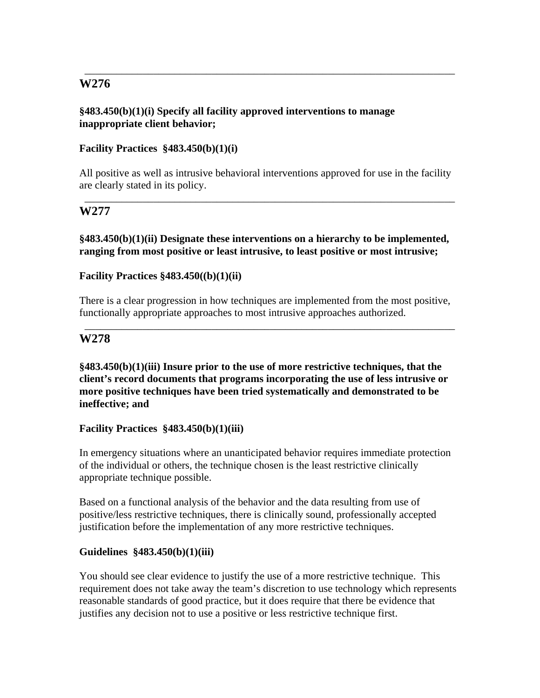## **§483.450(b)(1)(i) Specify all facility approved interventions to manage inappropriate client behavior;**

## **Facility Practices §483.450(b)(1)(i)**

All positive as well as intrusive behavioral interventions approved for use in the facility are clearly stated in its policy.

\_\_\_\_\_\_\_\_\_\_\_\_\_\_\_\_\_\_\_\_\_\_\_\_\_\_\_\_\_\_\_\_\_\_\_\_\_\_\_\_\_\_\_\_\_\_\_\_\_\_\_\_\_\_\_\_\_\_\_\_\_\_\_\_\_\_\_\_\_\_

\_\_\_\_\_\_\_\_\_\_\_\_\_\_\_\_\_\_\_\_\_\_\_\_\_\_\_\_\_\_\_\_\_\_\_\_\_\_\_\_\_\_\_\_\_\_\_\_\_\_\_\_\_\_\_\_\_\_\_\_\_\_\_\_\_\_\_\_\_\_

# **W277**

### **§483.450(b)(1)(ii) Designate these interventions on a hierarchy to be implemented, ranging from most positive or least intrusive, to least positive or most intrusive;**

## **Facility Practices §483.450((b)(1)(ii)**

There is a clear progression in how techniques are implemented from the most positive, functionally appropriate approaches to most intrusive approaches authorized.

\_\_\_\_\_\_\_\_\_\_\_\_\_\_\_\_\_\_\_\_\_\_\_\_\_\_\_\_\_\_\_\_\_\_\_\_\_\_\_\_\_\_\_\_\_\_\_\_\_\_\_\_\_\_\_\_\_\_\_\_\_\_\_\_\_\_\_\_\_\_

# **W278**

**§483.450(b)(1)(iii) Insure prior to the use of more restrictive techniques, that the client's record documents that programs incorporating the use of less intrusive or more positive techniques have been tried systematically and demonstrated to be ineffective; and** 

#### **Facility Practices §483.450(b)(1)(iii)**

In emergency situations where an unanticipated behavior requires immediate protection of the individual or others, the technique chosen is the least restrictive clinically appropriate technique possible.

Based on a functional analysis of the behavior and the data resulting from use of positive/less restrictive techniques, there is clinically sound, professionally accepted justification before the implementation of any more restrictive techniques.

#### **Guidelines §483.450(b)(1)(iii)**

You should see clear evidence to justify the use of a more restrictive technique. This requirement does not take away the team's discretion to use technology which represents reasonable standards of good practice, but it does require that there be evidence that justifies any decision not to use a positive or less restrictive technique first.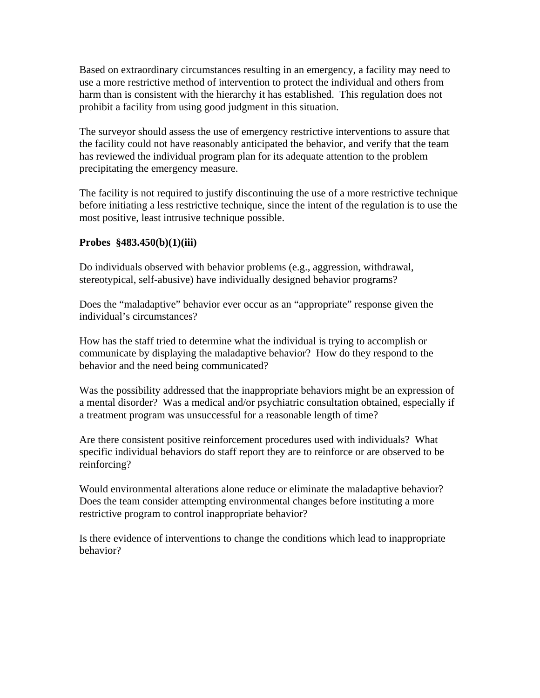Based on extraordinary circumstances resulting in an emergency, a facility may need to use a more restrictive method of intervention to protect the individual and others from harm than is consistent with the hierarchy it has established. This regulation does not prohibit a facility from using good judgment in this situation.

The surveyor should assess the use of emergency restrictive interventions to assure that the facility could not have reasonably anticipated the behavior, and verify that the team has reviewed the individual program plan for its adequate attention to the problem precipitating the emergency measure.

The facility is not required to justify discontinuing the use of a more restrictive technique before initiating a less restrictive technique, since the intent of the regulation is to use the most positive, least intrusive technique possible.

# **Probes §483.450(b)(1)(iii)**

Do individuals observed with behavior problems (e.g., aggression, withdrawal, stereotypical, self-abusive) have individually designed behavior programs?

Does the "maladaptive" behavior ever occur as an "appropriate" response given the individual's circumstances?

How has the staff tried to determine what the individual is trying to accomplish or communicate by displaying the maladaptive behavior? How do they respond to the behavior and the need being communicated?

Was the possibility addressed that the inappropriate behaviors might be an expression of a mental disorder? Was a medical and/or psychiatric consultation obtained, especially if a treatment program was unsuccessful for a reasonable length of time?

Are there consistent positive reinforcement procedures used with individuals? What specific individual behaviors do staff report they are to reinforce or are observed to be reinforcing?

Would environmental alterations alone reduce or eliminate the maladaptive behavior? Does the team consider attempting environmental changes before instituting a more restrictive program to control inappropriate behavior?

Is there evidence of interventions to change the conditions which lead to inappropriate behavior?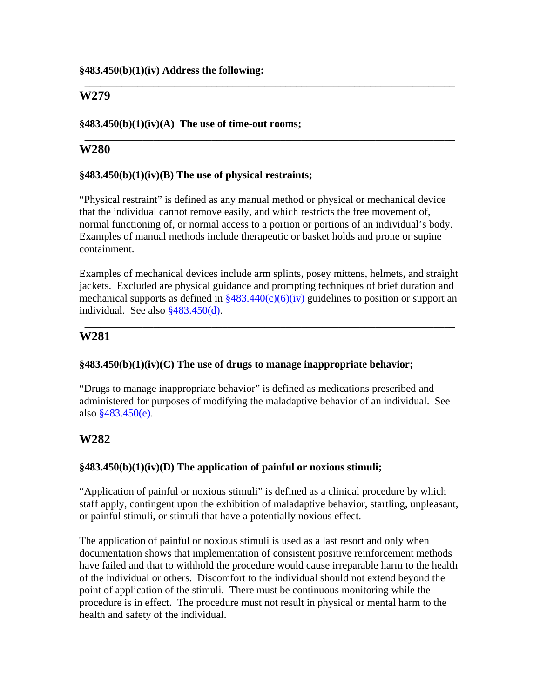#### **§483.450(b)(1)(iv) Address the following:**

# **W279**

### **§483.450(b)(1)(iv)(A) The use of time-out rooms;**

# **W280**

### **§483.450(b)(1)(iv)(B) The use of physical restraints;**

"Physical restraint" is defined as any manual method or physical or mechanical device that the individual cannot remove easily, and which restricts the free movement of, normal functioning of, or normal access to a portion or portions of an individual's body. Examples of manual methods include therapeutic or basket holds and prone or supine containment.

\_\_\_\_\_\_\_\_\_\_\_\_\_\_\_\_\_\_\_\_\_\_\_\_\_\_\_\_\_\_\_\_\_\_\_\_\_\_\_\_\_\_\_\_\_\_\_\_\_\_\_\_\_\_\_\_\_\_\_\_\_\_\_\_\_\_\_\_\_\_

\_\_\_\_\_\_\_\_\_\_\_\_\_\_\_\_\_\_\_\_\_\_\_\_\_\_\_\_\_\_\_\_\_\_\_\_\_\_\_\_\_\_\_\_\_\_\_\_\_\_\_\_\_\_\_\_\_\_\_\_\_\_\_\_\_\_\_\_\_\_

Examples of mechanical devices include arm splints, posey mittens, helmets, and straight jackets. Excluded are physical guidance and prompting techniques of brief duration and mechanical supports as defined in  $\frac{$483.440(c)(6)(iv)}{40}$  guidelines to position or support an individual. See also §483.450(d).

\_\_\_\_\_\_\_\_\_\_\_\_\_\_\_\_\_\_\_\_\_\_\_\_\_\_\_\_\_\_\_\_\_\_\_\_\_\_\_\_\_\_\_\_\_\_\_\_\_\_\_\_\_\_\_\_\_\_\_\_\_\_\_\_\_\_\_\_\_\_

# **W281**

# **§483.450(b)(1)(iv)(C) The use of drugs to manage inappropriate behavior;**

"Drugs to manage inappropriate behavior" is defined as medications prescribed and administered for purposes of modifying the maladaptive behavior of an individual. See also §483.450(e).

\_\_\_\_\_\_\_\_\_\_\_\_\_\_\_\_\_\_\_\_\_\_\_\_\_\_\_\_\_\_\_\_\_\_\_\_\_\_\_\_\_\_\_\_\_\_\_\_\_\_\_\_\_\_\_\_\_\_\_\_\_\_\_\_\_\_\_\_\_\_

# **W282**

# **§483.450(b)(1)(iv)(D) The application of painful or noxious stimuli;**

"Application of painful or noxious stimuli" is defined as a clinical procedure by which staff apply, contingent upon the exhibition of maladaptive behavior, startling, unpleasant, or painful stimuli, or stimuli that have a potentially noxious effect.

The application of painful or noxious stimuli is used as a last resort and only when documentation shows that implementation of consistent positive reinforcement methods have failed and that to withhold the procedure would cause irreparable harm to the health of the individual or others. Discomfort to the individual should not extend beyond the point of application of the stimuli. There must be continuous monitoring while the procedure is in effect. The procedure must not result in physical or mental harm to the health and safety of the individual.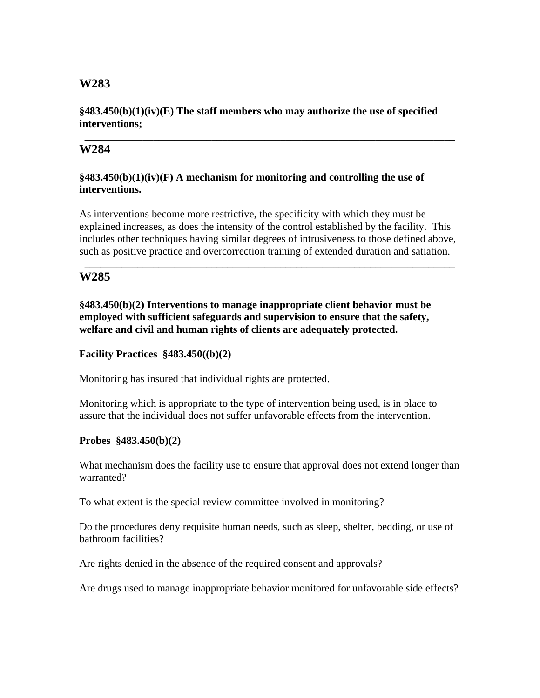### **§483.450(b)(1)(iv)(E) The staff members who may authorize the use of specified interventions;**

\_\_\_\_\_\_\_\_\_\_\_\_\_\_\_\_\_\_\_\_\_\_\_\_\_\_\_\_\_\_\_\_\_\_\_\_\_\_\_\_\_\_\_\_\_\_\_\_\_\_\_\_\_\_\_\_\_\_\_\_\_\_\_\_\_\_\_\_\_\_

\_\_\_\_\_\_\_\_\_\_\_\_\_\_\_\_\_\_\_\_\_\_\_\_\_\_\_\_\_\_\_\_\_\_\_\_\_\_\_\_\_\_\_\_\_\_\_\_\_\_\_\_\_\_\_\_\_\_\_\_\_\_\_\_\_\_\_\_\_\_

# **W284**

# **§483.450(b)(1)(iv)(F) A mechanism for monitoring and controlling the use of interventions.**

As interventions become more restrictive, the specificity with which they must be explained increases, as does the intensity of the control established by the facility. This includes other techniques having similar degrees of intrusiveness to those defined above, such as positive practice and overcorrection training of extended duration and satiation.

\_\_\_\_\_\_\_\_\_\_\_\_\_\_\_\_\_\_\_\_\_\_\_\_\_\_\_\_\_\_\_\_\_\_\_\_\_\_\_\_\_\_\_\_\_\_\_\_\_\_\_\_\_\_\_\_\_\_\_\_\_\_\_\_\_\_\_\_\_\_

# **W285**

**§483.450(b)(2) Interventions to manage inappropriate client behavior must be employed with sufficient safeguards and supervision to ensure that the safety, welfare and civil and human rights of clients are adequately protected.** 

### **Facility Practices §483.450((b)(2)**

Monitoring has insured that individual rights are protected.

Monitoring which is appropriate to the type of intervention being used, is in place to assure that the individual does not suffer unfavorable effects from the intervention.

# **Probes §483.450(b)(2)**

What mechanism does the facility use to ensure that approval does not extend longer than warranted?

To what extent is the special review committee involved in monitoring?

Do the procedures deny requisite human needs, such as sleep, shelter, bedding, or use of bathroom facilities?

Are rights denied in the absence of the required consent and approvals?

Are drugs used to manage inappropriate behavior monitored for unfavorable side effects?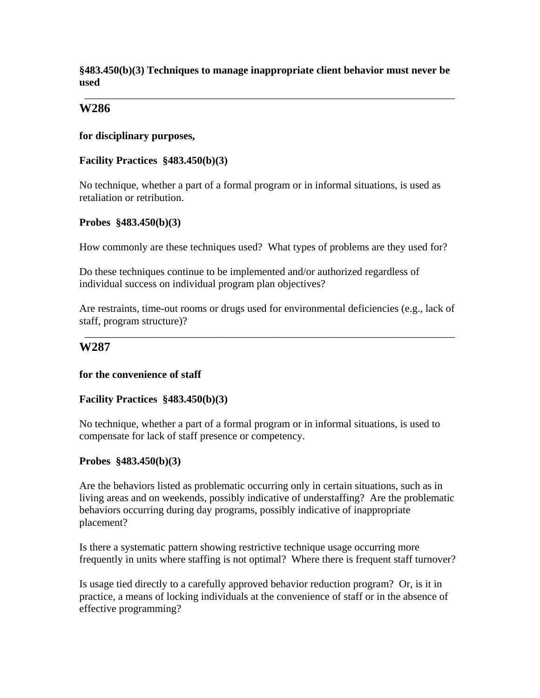**§483.450(b)(3) Techniques to manage inappropriate client behavior must never be used** 

\_\_\_\_\_\_\_\_\_\_\_\_\_\_\_\_\_\_\_\_\_\_\_\_\_\_\_\_\_\_\_\_\_\_\_\_\_\_\_\_\_\_\_\_\_\_\_\_\_\_\_\_\_\_\_\_\_\_\_\_\_\_\_\_\_\_\_\_\_\_

# **W286**

**for disciplinary purposes,** 

#### **Facility Practices §483.450(b)(3)**

No technique, whether a part of a formal program or in informal situations, is used as retaliation or retribution.

#### **Probes §483.450(b)(3)**

How commonly are these techniques used? What types of problems are they used for?

Do these techniques continue to be implemented and/or authorized regardless of individual success on individual program plan objectives?

Are restraints, time-out rooms or drugs used for environmental deficiencies (e.g., lack of staff, program structure)?

\_\_\_\_\_\_\_\_\_\_\_\_\_\_\_\_\_\_\_\_\_\_\_\_\_\_\_\_\_\_\_\_\_\_\_\_\_\_\_\_\_\_\_\_\_\_\_\_\_\_\_\_\_\_\_\_\_\_\_\_\_\_\_\_\_\_\_\_\_\_

# **W287**

#### **for the convenience of staff**

#### **Facility Practices §483.450(b)(3)**

No technique, whether a part of a formal program or in informal situations, is used to compensate for lack of staff presence or competency.

# **Probes §483.450(b)(3)**

Are the behaviors listed as problematic occurring only in certain situations, such as in living areas and on weekends, possibly indicative of understaffing? Are the problematic behaviors occurring during day programs, possibly indicative of inappropriate placement?

Is there a systematic pattern showing restrictive technique usage occurring more frequently in units where staffing is not optimal? Where there is frequent staff turnover?

Is usage tied directly to a carefully approved behavior reduction program? Or, is it in practice, a means of locking individuals at the convenience of staff or in the absence of effective programming?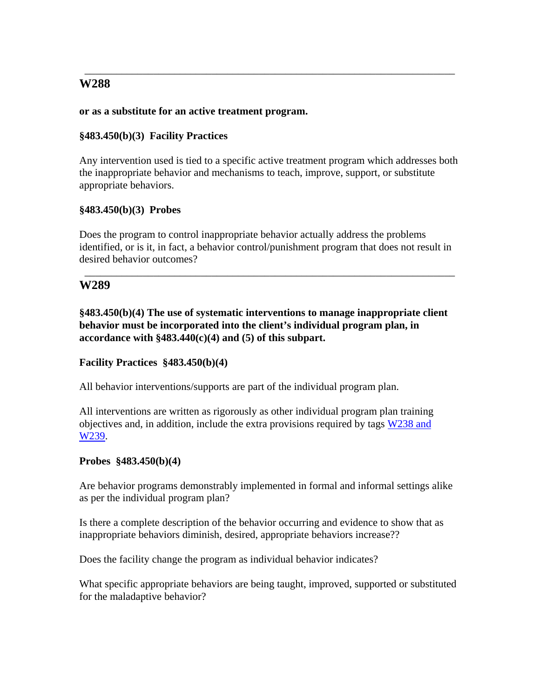### **or as a substitute for an active treatment program.**

### **§483.450(b)(3) Facility Practices**

Any intervention used is tied to a specific active treatment program which addresses both the inappropriate behavior and mechanisms to teach, improve, support, or substitute appropriate behaviors.

\_\_\_\_\_\_\_\_\_\_\_\_\_\_\_\_\_\_\_\_\_\_\_\_\_\_\_\_\_\_\_\_\_\_\_\_\_\_\_\_\_\_\_\_\_\_\_\_\_\_\_\_\_\_\_\_\_\_\_\_\_\_\_\_\_\_\_\_\_\_

#### **§483.450(b)(3) Probes**

Does the program to control inappropriate behavior actually address the problems identified, or is it, in fact, a behavior control/punishment program that does not result in desired behavior outcomes?

\_\_\_\_\_\_\_\_\_\_\_\_\_\_\_\_\_\_\_\_\_\_\_\_\_\_\_\_\_\_\_\_\_\_\_\_\_\_\_\_\_\_\_\_\_\_\_\_\_\_\_\_\_\_\_\_\_\_\_\_\_\_\_\_\_\_\_\_\_\_

# **W289**

**§483.450(b)(4) The use of systematic interventions to manage inappropriate client behavior must be incorporated into the client's individual program plan, in accordance with §483.440(c)(4) and (5) of this subpart.** 

#### **Facility Practices §483.450(b)(4)**

All behavior interventions/supports are part of the individual program plan.

All interventions are written as rigorously as other individual program plan training objectives and, in addition, include the extra provisions required by tags W238 and W239.

#### **Probes §483.450(b)(4)**

Are behavior programs demonstrably implemented in formal and informal settings alike as per the individual program plan?

Is there a complete description of the behavior occurring and evidence to show that as inappropriate behaviors diminish, desired, appropriate behaviors increase??

Does the facility change the program as individual behavior indicates?

What specific appropriate behaviors are being taught, improved, supported or substituted for the maladaptive behavior?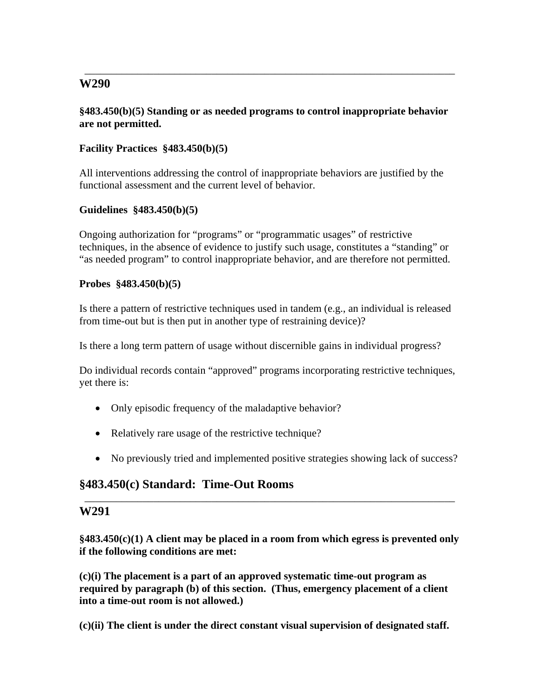### **§483.450(b)(5) Standing or as needed programs to control inappropriate behavior are not permitted.**

\_\_\_\_\_\_\_\_\_\_\_\_\_\_\_\_\_\_\_\_\_\_\_\_\_\_\_\_\_\_\_\_\_\_\_\_\_\_\_\_\_\_\_\_\_\_\_\_\_\_\_\_\_\_\_\_\_\_\_\_\_\_\_\_\_\_\_\_\_\_

# **Facility Practices §483.450(b)(5)**

All interventions addressing the control of inappropriate behaviors are justified by the functional assessment and the current level of behavior.

#### **Guidelines §483.450(b)(5)**

Ongoing authorization for "programs" or "programmatic usages" of restrictive techniques, in the absence of evidence to justify such usage, constitutes a "standing" or "as needed program" to control inappropriate behavior, and are therefore not permitted.

#### **Probes §483.450(b)(5)**

Is there a pattern of restrictive techniques used in tandem (e.g., an individual is released from time-out but is then put in another type of restraining device)?

Is there a long term pattern of usage without discernible gains in individual progress?

Do individual records contain "approved" programs incorporating restrictive techniques, yet there is:

- Only episodic frequency of the maladaptive behavior?
- Relatively rare usage of the restrictive technique?
- No previously tried and implemented positive strategies showing lack of success?

# **§483.450(c) Standard: Time-Out Rooms**

#### **W291**

**§483.450(c)(1) A client may be placed in a room from which egress is prevented only if the following conditions are met:** 

\_\_\_\_\_\_\_\_\_\_\_\_\_\_\_\_\_\_\_\_\_\_\_\_\_\_\_\_\_\_\_\_\_\_\_\_\_\_\_\_\_\_\_\_\_\_\_\_\_\_\_\_\_\_\_\_\_\_\_\_\_\_\_\_\_\_\_\_\_\_

**(c)(i) The placement is a part of an approved systematic time-out program as required by paragraph (b) of this section. (Thus, emergency placement of a client into a time-out room is not allowed.)** 

**(c)(ii) The client is under the direct constant visual supervision of designated staff.**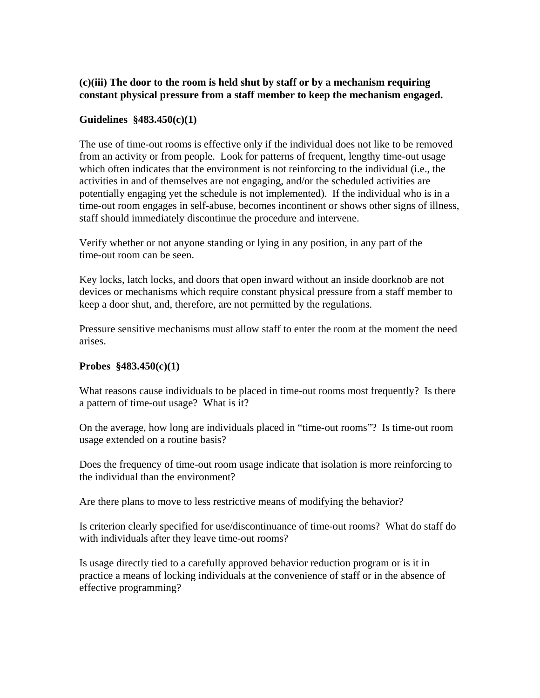# **(c)(iii) The door to the room is held shut by staff or by a mechanism requiring constant physical pressure from a staff member to keep the mechanism engaged.**

#### **Guidelines §483.450(c)(1)**

The use of time-out rooms is effective only if the individual does not like to be removed from an activity or from people. Look for patterns of frequent, lengthy time-out usage which often indicates that the environment is not reinforcing to the individual (i.e., the activities in and of themselves are not engaging, and/or the scheduled activities are potentially engaging yet the schedule is not implemented). If the individual who is in a time-out room engages in self-abuse, becomes incontinent or shows other signs of illness, staff should immediately discontinue the procedure and intervene.

Verify whether or not anyone standing or lying in any position, in any part of the time-out room can be seen.

Key locks, latch locks, and doors that open inward without an inside doorknob are not devices or mechanisms which require constant physical pressure from a staff member to keep a door shut, and, therefore, are not permitted by the regulations.

Pressure sensitive mechanisms must allow staff to enter the room at the moment the need arises.

#### **Probes §483.450(c)(1)**

What reasons cause individuals to be placed in time-out rooms most frequently? Is there a pattern of time-out usage? What is it?

On the average, how long are individuals placed in "time-out rooms"? Is time-out room usage extended on a routine basis?

Does the frequency of time-out room usage indicate that isolation is more reinforcing to the individual than the environment?

Are there plans to move to less restrictive means of modifying the behavior?

Is criterion clearly specified for use/discontinuance of time-out rooms? What do staff do with individuals after they leave time-out rooms?

Is usage directly tied to a carefully approved behavior reduction program or is it in practice a means of locking individuals at the convenience of staff or in the absence of effective programming?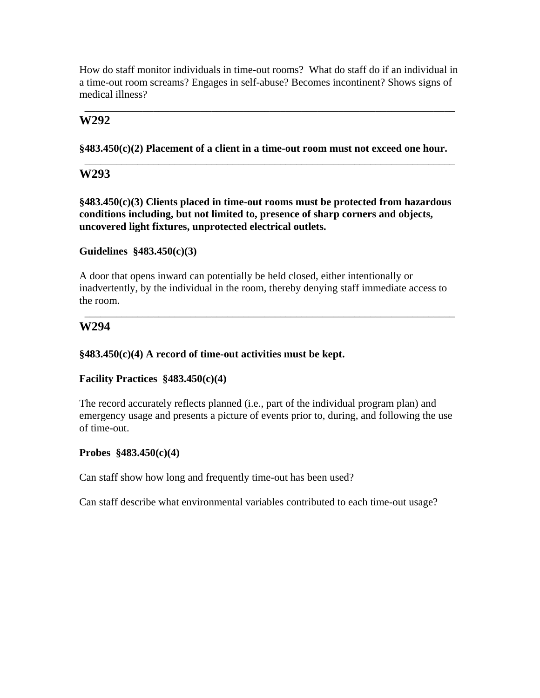How do staff monitor individuals in time-out rooms? What do staff do if an individual in a time-out room screams? Engages in self-abuse? Becomes incontinent? Shows signs of medical illness?

### \_\_\_\_\_\_\_\_\_\_\_\_\_\_\_\_\_\_\_\_\_\_\_\_\_\_\_\_\_\_\_\_\_\_\_\_\_\_\_\_\_\_\_\_\_\_\_\_\_\_\_\_\_\_\_\_\_\_\_\_\_\_\_\_\_\_\_\_\_\_ **W292**

**§483.450(c)(2) Placement of a client in a time-out room must not exceed one hour.** 

\_\_\_\_\_\_\_\_\_\_\_\_\_\_\_\_\_\_\_\_\_\_\_\_\_\_\_\_\_\_\_\_\_\_\_\_\_\_\_\_\_\_\_\_\_\_\_\_\_\_\_\_\_\_\_\_\_\_\_\_\_\_\_\_\_\_\_\_\_\_

# **W293**

**§483.450(c)(3) Clients placed in time-out rooms must be protected from hazardous conditions including, but not limited to, presence of sharp corners and objects, uncovered light fixtures, unprotected electrical outlets.** 

#### **Guidelines §483.450(c)(3)**

A door that opens inward can potentially be held closed, either intentionally or inadvertently, by the individual in the room, thereby denying staff immediate access to the room.

\_\_\_\_\_\_\_\_\_\_\_\_\_\_\_\_\_\_\_\_\_\_\_\_\_\_\_\_\_\_\_\_\_\_\_\_\_\_\_\_\_\_\_\_\_\_\_\_\_\_\_\_\_\_\_\_\_\_\_\_\_\_\_\_\_\_\_\_\_\_

# **W294**

### **§483.450(c)(4) A record of time-out activities must be kept.**

# **Facility Practices §483.450(c)(4)**

The record accurately reflects planned (i.e., part of the individual program plan) and emergency usage and presents a picture of events prior to, during, and following the use of time-out.

#### **Probes §483.450(c)(4)**

Can staff show how long and frequently time-out has been used?

Can staff describe what environmental variables contributed to each time-out usage?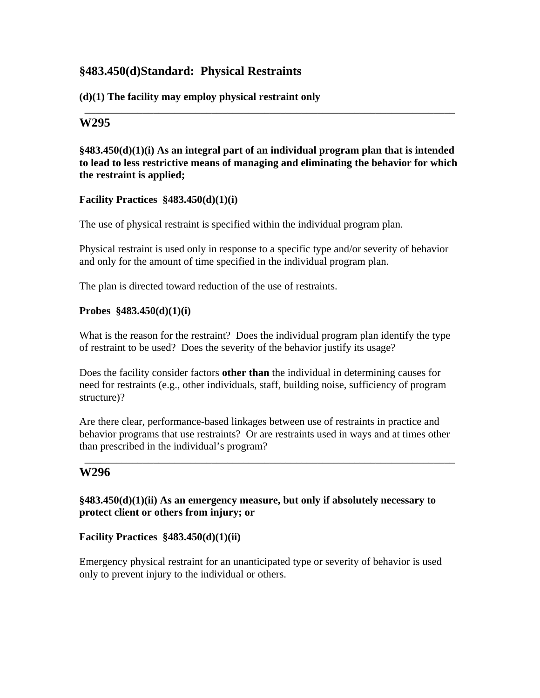# **§483.450(d)Standard: Physical Restraints**

# **(d)(1) The facility may employ physical restraint only**

# **W295**

## **§483.450(d)(1)(i) As an integral part of an individual program plan that is intended to lead to less restrictive means of managing and eliminating the behavior for which the restraint is applied;**

\_\_\_\_\_\_\_\_\_\_\_\_\_\_\_\_\_\_\_\_\_\_\_\_\_\_\_\_\_\_\_\_\_\_\_\_\_\_\_\_\_\_\_\_\_\_\_\_\_\_\_\_\_\_\_\_\_\_\_\_\_\_\_\_\_\_\_\_\_\_

# **Facility Practices §483.450(d)(1)(i)**

The use of physical restraint is specified within the individual program plan.

Physical restraint is used only in response to a specific type and/or severity of behavior and only for the amount of time specified in the individual program plan.

The plan is directed toward reduction of the use of restraints.

# **Probes §483.450(d)(1)(i)**

What is the reason for the restraint? Does the individual program plan identify the type of restraint to be used? Does the severity of the behavior justify its usage?

Does the facility consider factors **other than** the individual in determining causes for need for restraints (e.g., other individuals, staff, building noise, sufficiency of program structure)?

Are there clear, performance-based linkages between use of restraints in practice and behavior programs that use restraints? Or are restraints used in ways and at times other than prescribed in the individual's program?

\_\_\_\_\_\_\_\_\_\_\_\_\_\_\_\_\_\_\_\_\_\_\_\_\_\_\_\_\_\_\_\_\_\_\_\_\_\_\_\_\_\_\_\_\_\_\_\_\_\_\_\_\_\_\_\_\_\_\_\_\_\_\_\_\_\_\_\_\_\_

# **W296**

**§483.450(d)(1)(ii) As an emergency measure, but only if absolutely necessary to protect client or others from injury; or** 

# **Facility Practices §483.450(d)(1)(ii)**

Emergency physical restraint for an unanticipated type or severity of behavior is used only to prevent injury to the individual or others.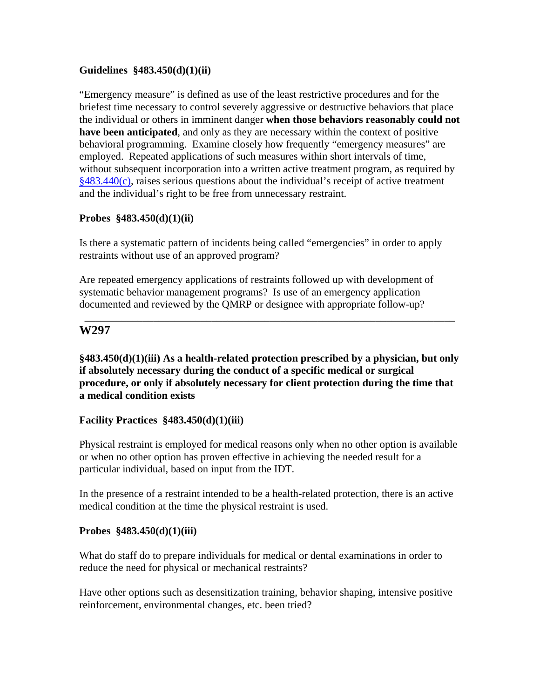### **Guidelines §483.450(d)(1)(ii)**

"Emergency measure" is defined as use of the least restrictive procedures and for the briefest time necessary to control severely aggressive or destructive behaviors that place the individual or others in imminent danger **when those behaviors reasonably could not have been anticipated**, and only as they are necessary within the context of positive behavioral programming. Examine closely how frequently "emergency measures" are employed. Repeated applications of such measures within short intervals of time, without subsequent incorporation into a written active treatment program, as required by §483.440(c), raises serious questions about the individual's receipt of active treatment and the individual's right to be free from unnecessary restraint.

#### **Probes §483.450(d)(1)(ii)**

Is there a systematic pattern of incidents being called "emergencies" in order to apply restraints without use of an approved program?

Are repeated emergency applications of restraints followed up with development of systematic behavior management programs? Is use of an emergency application documented and reviewed by the QMRP or designee with appropriate follow-up?

### **W297**

**§483.450(d)(1)(iii) As a health-related protection prescribed by a physician, but only if absolutely necessary during the conduct of a specific medical or surgical procedure, or only if absolutely necessary for client protection during the time that a medical condition exists** 

\_\_\_\_\_\_\_\_\_\_\_\_\_\_\_\_\_\_\_\_\_\_\_\_\_\_\_\_\_\_\_\_\_\_\_\_\_\_\_\_\_\_\_\_\_\_\_\_\_\_\_\_\_\_\_\_\_\_\_\_\_\_\_\_\_\_\_\_\_\_

#### **Facility Practices §483.450(d)(1)(iii)**

Physical restraint is employed for medical reasons only when no other option is available or when no other option has proven effective in achieving the needed result for a particular individual, based on input from the IDT.

In the presence of a restraint intended to be a health-related protection, there is an active medical condition at the time the physical restraint is used.

#### **Probes §483.450(d)(1)(iii)**

What do staff do to prepare individuals for medical or dental examinations in order to reduce the need for physical or mechanical restraints?

Have other options such as desensitization training, behavior shaping, intensive positive reinforcement, environmental changes, etc. been tried?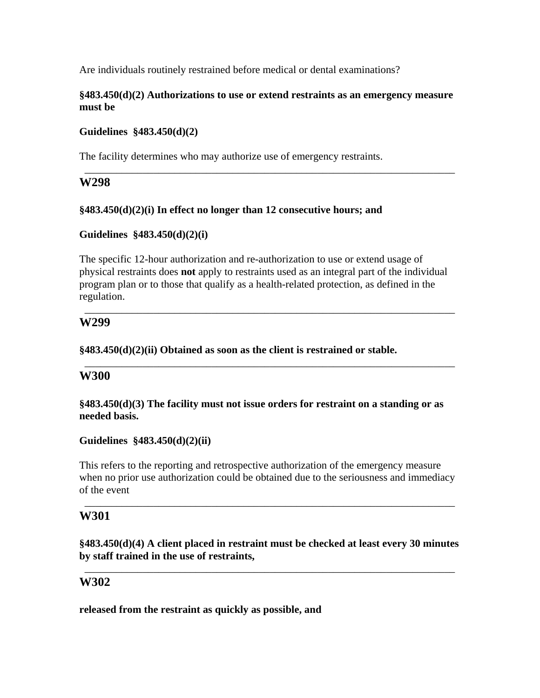Are individuals routinely restrained before medical or dental examinations?

#### **§483.450(d)(2) Authorizations to use or extend restraints as an emergency measure must be**

\_\_\_\_\_\_\_\_\_\_\_\_\_\_\_\_\_\_\_\_\_\_\_\_\_\_\_\_\_\_\_\_\_\_\_\_\_\_\_\_\_\_\_\_\_\_\_\_\_\_\_\_\_\_\_\_\_\_\_\_\_\_\_\_\_\_\_\_\_\_

#### **Guidelines §483.450(d)(2)**

The facility determines who may authorize use of emergency restraints.

# **W298**

#### **§483.450(d)(2)(i) In effect no longer than 12 consecutive hours; and**

#### **Guidelines §483.450(d)(2)(i)**

The specific 12-hour authorization and re-authorization to use or extend usage of physical restraints does **not** apply to restraints used as an integral part of the individual program plan or to those that qualify as a health-related protection, as defined in the regulation.

\_\_\_\_\_\_\_\_\_\_\_\_\_\_\_\_\_\_\_\_\_\_\_\_\_\_\_\_\_\_\_\_\_\_\_\_\_\_\_\_\_\_\_\_\_\_\_\_\_\_\_\_\_\_\_\_\_\_\_\_\_\_\_\_\_\_\_\_\_\_

\_\_\_\_\_\_\_\_\_\_\_\_\_\_\_\_\_\_\_\_\_\_\_\_\_\_\_\_\_\_\_\_\_\_\_\_\_\_\_\_\_\_\_\_\_\_\_\_\_\_\_\_\_\_\_\_\_\_\_\_\_\_\_\_\_\_\_\_\_\_

# **W299**

#### **§483.450(d)(2)(ii) Obtained as soon as the client is restrained or stable.**

# **W300**

**§483.450(d)(3) The facility must not issue orders for restraint on a standing or as needed basis.** 

# **Guidelines §483.450(d)(2)(ii)**

This refers to the reporting and retrospective authorization of the emergency measure when no prior use authorization could be obtained due to the seriousness and immediacy of the event

\_\_\_\_\_\_\_\_\_\_\_\_\_\_\_\_\_\_\_\_\_\_\_\_\_\_\_\_\_\_\_\_\_\_\_\_\_\_\_\_\_\_\_\_\_\_\_\_\_\_\_\_\_\_\_\_\_\_\_\_\_\_\_\_\_\_\_\_\_\_

# **W301**

**§483.450(d)(4) A client placed in restraint must be checked at least every 30 minutes by staff trained in the use of restraints,** 

\_\_\_\_\_\_\_\_\_\_\_\_\_\_\_\_\_\_\_\_\_\_\_\_\_\_\_\_\_\_\_\_\_\_\_\_\_\_\_\_\_\_\_\_\_\_\_\_\_\_\_\_\_\_\_\_\_\_\_\_\_\_\_\_\_\_\_\_\_\_

# **W302**

**released from the restraint as quickly as possible, and**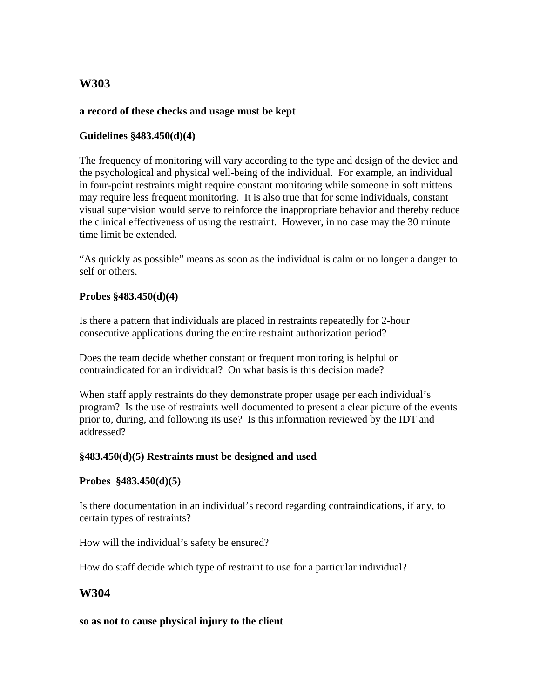# **a record of these checks and usage must be kept**

# **Guidelines §483.450(d)(4)**

The frequency of monitoring will vary according to the type and design of the device and the psychological and physical well-being of the individual. For example, an individual in four-point restraints might require constant monitoring while someone in soft mittens may require less frequent monitoring. It is also true that for some individuals, constant visual supervision would serve to reinforce the inappropriate behavior and thereby reduce the clinical effectiveness of using the restraint. However, in no case may the 30 minute time limit be extended.

\_\_\_\_\_\_\_\_\_\_\_\_\_\_\_\_\_\_\_\_\_\_\_\_\_\_\_\_\_\_\_\_\_\_\_\_\_\_\_\_\_\_\_\_\_\_\_\_\_\_\_\_\_\_\_\_\_\_\_\_\_\_\_\_\_\_\_\_\_\_

"As quickly as possible" means as soon as the individual is calm or no longer a danger to self or others.

# **Probes §483.450(d)(4)**

Is there a pattern that individuals are placed in restraints repeatedly for 2-hour consecutive applications during the entire restraint authorization period?

Does the team decide whether constant or frequent monitoring is helpful or contraindicated for an individual? On what basis is this decision made?

When staff apply restraints do they demonstrate proper usage per each individual's program? Is the use of restraints well documented to present a clear picture of the events prior to, during, and following its use? Is this information reviewed by the IDT and addressed?

# **§483.450(d)(5) Restraints must be designed and used**

# **Probes §483.450(d)(5)**

Is there documentation in an individual's record regarding contraindications, if any, to certain types of restraints?

\_\_\_\_\_\_\_\_\_\_\_\_\_\_\_\_\_\_\_\_\_\_\_\_\_\_\_\_\_\_\_\_\_\_\_\_\_\_\_\_\_\_\_\_\_\_\_\_\_\_\_\_\_\_\_\_\_\_\_\_\_\_\_\_\_\_\_\_\_\_

How will the individual's safety be ensured?

How do staff decide which type of restraint to use for a particular individual?

# **W304**

#### **so as not to cause physical injury to the client**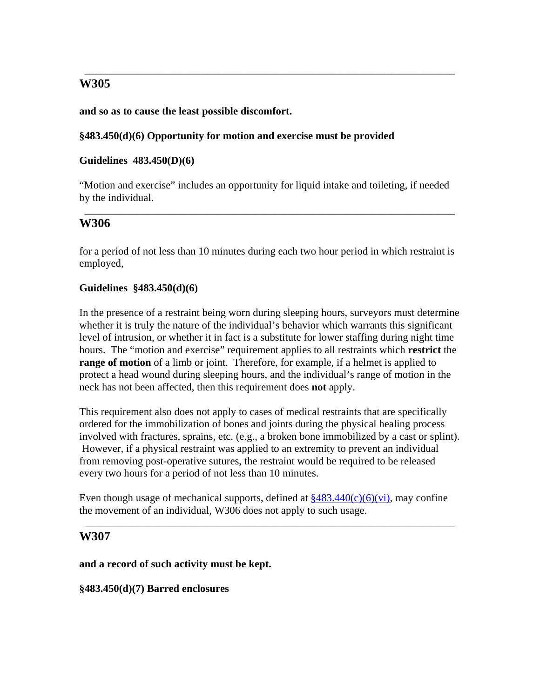### **and so as to cause the least possible discomfort.**

### **§483.450(d)(6) Opportunity for motion and exercise must be provided**

#### **Guidelines 483.450(D)(6)**

"Motion and exercise" includes an opportunity for liquid intake and toileting, if needed by the individual.

\_\_\_\_\_\_\_\_\_\_\_\_\_\_\_\_\_\_\_\_\_\_\_\_\_\_\_\_\_\_\_\_\_\_\_\_\_\_\_\_\_\_\_\_\_\_\_\_\_\_\_\_\_\_\_\_\_\_\_\_\_\_\_\_\_\_\_\_\_\_

\_\_\_\_\_\_\_\_\_\_\_\_\_\_\_\_\_\_\_\_\_\_\_\_\_\_\_\_\_\_\_\_\_\_\_\_\_\_\_\_\_\_\_\_\_\_\_\_\_\_\_\_\_\_\_\_\_\_\_\_\_\_\_\_\_\_\_\_\_\_

# **W306**

for a period of not less than 10 minutes during each two hour period in which restraint is employed,

#### **Guidelines §483.450(d)(6)**

In the presence of a restraint being worn during sleeping hours, surveyors must determine whether it is truly the nature of the individual's behavior which warrants this significant level of intrusion, or whether it in fact is a substitute for lower staffing during night time hours. The "motion and exercise" requirement applies to all restraints which **restrict** the **range of motion** of a limb or joint. Therefore, for example, if a helmet is applied to protect a head wound during sleeping hours, and the individual's range of motion in the neck has not been affected, then this requirement does **not** apply.

This requirement also does not apply to cases of medical restraints that are specifically ordered for the immobilization of bones and joints during the physical healing process involved with fractures, sprains, etc. (e.g., a broken bone immobilized by a cast or splint). However, if a physical restraint was applied to an extremity to prevent an individual from removing post-operative sutures, the restraint would be required to be released every two hours for a period of not less than 10 minutes.

Even though usage of mechanical supports, defined at  $\frac{8483.440(c)(6)(vi)}{40}$ , may confine the movement of an individual, W306 does not apply to such usage.

\_\_\_\_\_\_\_\_\_\_\_\_\_\_\_\_\_\_\_\_\_\_\_\_\_\_\_\_\_\_\_\_\_\_\_\_\_\_\_\_\_\_\_\_\_\_\_\_\_\_\_\_\_\_\_\_\_\_\_\_\_\_\_\_\_\_\_\_\_\_

# **W307**

**and a record of such activity must be kept.** 

**§483.450(d)(7) Barred enclosures**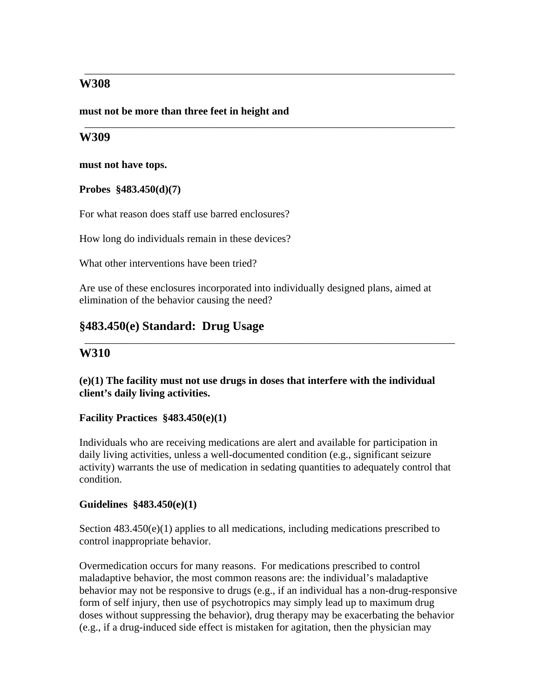**must not be more than three feet in height and** 

# **W309**

**must not have tops.** 

**Probes §483.450(d)(7)** 

For what reason does staff use barred enclosures?

How long do individuals remain in these devices?

What other interventions have been tried?

Are use of these enclosures incorporated into individually designed plans, aimed at elimination of the behavior causing the need?

\_\_\_\_\_\_\_\_\_\_\_\_\_\_\_\_\_\_\_\_\_\_\_\_\_\_\_\_\_\_\_\_\_\_\_\_\_\_\_\_\_\_\_\_\_\_\_\_\_\_\_\_\_\_\_\_\_\_\_\_\_\_\_\_\_\_\_\_\_\_

\_\_\_\_\_\_\_\_\_\_\_\_\_\_\_\_\_\_\_\_\_\_\_\_\_\_\_\_\_\_\_\_\_\_\_\_\_\_\_\_\_\_\_\_\_\_\_\_\_\_\_\_\_\_\_\_\_\_\_\_\_\_\_\_\_\_\_\_\_\_

# **§483.450(e) Standard: Drug Usage**

# **W310**

**(e)(1) The facility must not use drugs in doses that interfere with the individual client's daily living activities.** 

\_\_\_\_\_\_\_\_\_\_\_\_\_\_\_\_\_\_\_\_\_\_\_\_\_\_\_\_\_\_\_\_\_\_\_\_\_\_\_\_\_\_\_\_\_\_\_\_\_\_\_\_\_\_\_\_\_\_\_\_\_\_\_\_\_\_\_\_\_\_

#### **Facility Practices §483.450(e)(1)**

Individuals who are receiving medications are alert and available for participation in daily living activities, unless a well-documented condition (e.g., significant seizure activity) warrants the use of medication in sedating quantities to adequately control that condition.

#### **Guidelines §483.450(e)(1)**

Section  $483.450(e)(1)$  applies to all medications, including medications prescribed to control inappropriate behavior.

Overmedication occurs for many reasons. For medications prescribed to control maladaptive behavior, the most common reasons are: the individual's maladaptive behavior may not be responsive to drugs (e.g., if an individual has a non-drug-responsive form of self injury, then use of psychotropics may simply lead up to maximum drug doses without suppressing the behavior), drug therapy may be exacerbating the behavior (e.g., if a drug-induced side effect is mistaken for agitation, then the physician may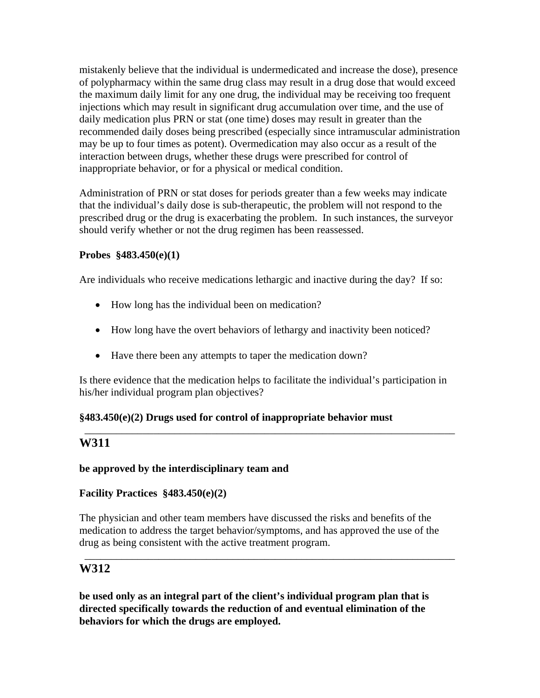mistakenly believe that the individual is undermedicated and increase the dose), presence of polypharmacy within the same drug class may result in a drug dose that would exceed the maximum daily limit for any one drug, the individual may be receiving too frequent injections which may result in significant drug accumulation over time, and the use of daily medication plus PRN or stat (one time) doses may result in greater than the recommended daily doses being prescribed (especially since intramuscular administration may be up to four times as potent). Overmedication may also occur as a result of the interaction between drugs, whether these drugs were prescribed for control of inappropriate behavior, or for a physical or medical condition.

Administration of PRN or stat doses for periods greater than a few weeks may indicate that the individual's daily dose is sub-therapeutic, the problem will not respond to the prescribed drug or the drug is exacerbating the problem. In such instances, the surveyor should verify whether or not the drug regimen has been reassessed.

# **Probes §483.450(e)(1)**

Are individuals who receive medications lethargic and inactive during the day? If so:

- How long has the individual been on medication?
- How long have the overt behaviors of lethargy and inactivity been noticed?
- Have there been any attempts to taper the medication down?

Is there evidence that the medication helps to facilitate the individual's participation in his/her individual program plan objectives?

\_\_\_\_\_\_\_\_\_\_\_\_\_\_\_\_\_\_\_\_\_\_\_\_\_\_\_\_\_\_\_\_\_\_\_\_\_\_\_\_\_\_\_\_\_\_\_\_\_\_\_\_\_\_\_\_\_\_\_\_\_\_\_\_\_\_\_\_\_\_

# **§483.450(e)(2) Drugs used for control of inappropriate behavior must**

# **W311**

# **be approved by the interdisciplinary team and**

# **Facility Practices §483.450(e)(2)**

The physician and other team members have discussed the risks and benefits of the medication to address the target behavior/symptoms, and has approved the use of the drug as being consistent with the active treatment program.

\_\_\_\_\_\_\_\_\_\_\_\_\_\_\_\_\_\_\_\_\_\_\_\_\_\_\_\_\_\_\_\_\_\_\_\_\_\_\_\_\_\_\_\_\_\_\_\_\_\_\_\_\_\_\_\_\_\_\_\_\_\_\_\_\_\_\_\_\_\_

# **W312**

**be used only as an integral part of the client's individual program plan that is directed specifically towards the reduction of and eventual elimination of the behaviors for which the drugs are employed.**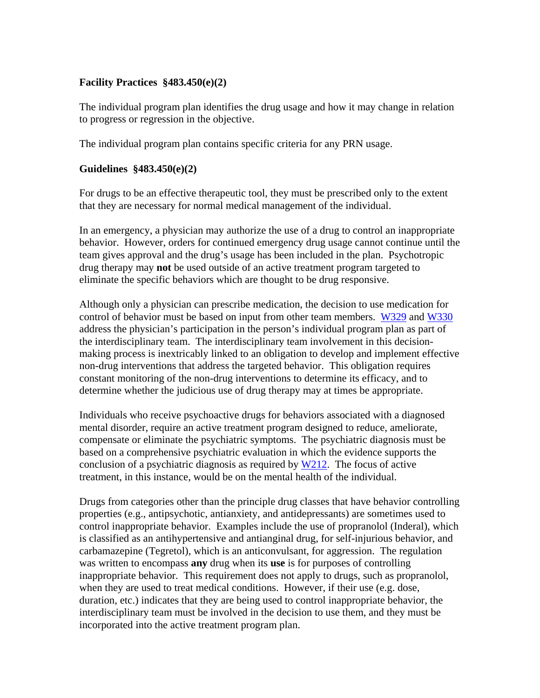### **Facility Practices §483.450(e)(2)**

The individual program plan identifies the drug usage and how it may change in relation to progress or regression in the objective.

The individual program plan contains specific criteria for any PRN usage.

#### **Guidelines §483.450(e)(2)**

For drugs to be an effective therapeutic tool, they must be prescribed only to the extent that they are necessary for normal medical management of the individual.

In an emergency, a physician may authorize the use of a drug to control an inappropriate behavior. However, orders for continued emergency drug usage cannot continue until the team gives approval and the drug's usage has been included in the plan. Psychotropic drug therapy may **not** be used outside of an active treatment program targeted to eliminate the specific behaviors which are thought to be drug responsive.

Although only a physician can prescribe medication, the decision to use medication for control of behavior must be based on input from other team members. W329 and W330 address the physician's participation in the person's individual program plan as part of the interdisciplinary team. The interdisciplinary team involvement in this decisionmaking process is inextricably linked to an obligation to develop and implement effective non-drug interventions that address the targeted behavior. This obligation requires constant monitoring of the non-drug interventions to determine its efficacy, and to determine whether the judicious use of drug therapy may at times be appropriate.

Individuals who receive psychoactive drugs for behaviors associated with a diagnosed mental disorder, require an active treatment program designed to reduce, ameliorate, compensate or eliminate the psychiatric symptoms. The psychiatric diagnosis must be based on a comprehensive psychiatric evaluation in which the evidence supports the conclusion of a psychiatric diagnosis as required by W212. The focus of active treatment, in this instance, would be on the mental health of the individual.

Drugs from categories other than the principle drug classes that have behavior controlling properties (e.g., antipsychotic, antianxiety, and antidepressants) are sometimes used to control inappropriate behavior. Examples include the use of propranolol (Inderal), which is classified as an antihypertensive and antianginal drug, for self-injurious behavior, and carbamazepine (Tegretol), which is an anticonvulsant, for aggression. The regulation was written to encompass **any** drug when its **use** is for purposes of controlling inappropriate behavior. This requirement does not apply to drugs, such as propranolol, when they are used to treat medical conditions. However, if their use (e.g. dose, duration, etc.) indicates that they are being used to control inappropriate behavior, the interdisciplinary team must be involved in the decision to use them, and they must be incorporated into the active treatment program plan.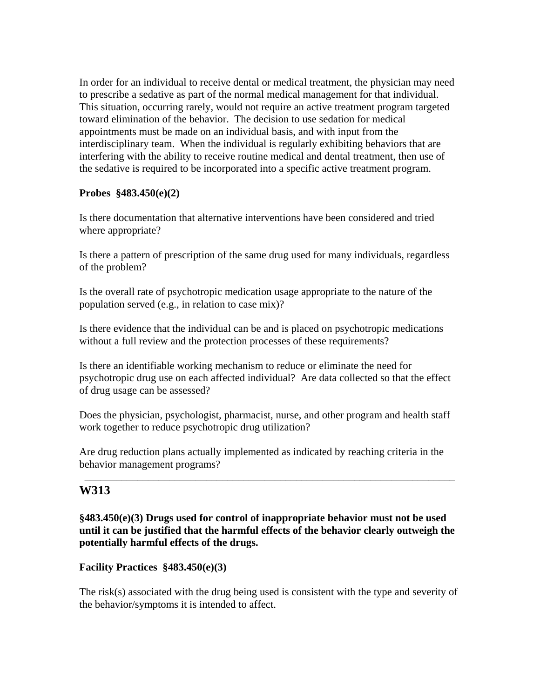In order for an individual to receive dental or medical treatment, the physician may need to prescribe a sedative as part of the normal medical management for that individual. This situation, occurring rarely, would not require an active treatment program targeted toward elimination of the behavior. The decision to use sedation for medical appointments must be made on an individual basis, and with input from the interdisciplinary team. When the individual is regularly exhibiting behaviors that are interfering with the ability to receive routine medical and dental treatment, then use of the sedative is required to be incorporated into a specific active treatment program.

# **Probes §483.450(e)(2)**

Is there documentation that alternative interventions have been considered and tried where appropriate?

Is there a pattern of prescription of the same drug used for many individuals, regardless of the problem?

Is the overall rate of psychotropic medication usage appropriate to the nature of the population served (e.g., in relation to case mix)?

Is there evidence that the individual can be and is placed on psychotropic medications without a full review and the protection processes of these requirements?

Is there an identifiable working mechanism to reduce or eliminate the need for psychotropic drug use on each affected individual? Are data collected so that the effect of drug usage can be assessed?

Does the physician, psychologist, pharmacist, nurse, and other program and health staff work together to reduce psychotropic drug utilization?

Are drug reduction plans actually implemented as indicated by reaching criteria in the behavior management programs?

\_\_\_\_\_\_\_\_\_\_\_\_\_\_\_\_\_\_\_\_\_\_\_\_\_\_\_\_\_\_\_\_\_\_\_\_\_\_\_\_\_\_\_\_\_\_\_\_\_\_\_\_\_\_\_\_\_\_\_\_\_\_\_\_\_\_\_\_\_\_

# **W313**

# **§483.450(e)(3) Drugs used for control of inappropriate behavior must not be used until it can be justified that the harmful effects of the behavior clearly outweigh the potentially harmful effects of the drugs.**

# **Facility Practices §483.450(e)(3)**

The risk(s) associated with the drug being used is consistent with the type and severity of the behavior/symptoms it is intended to affect.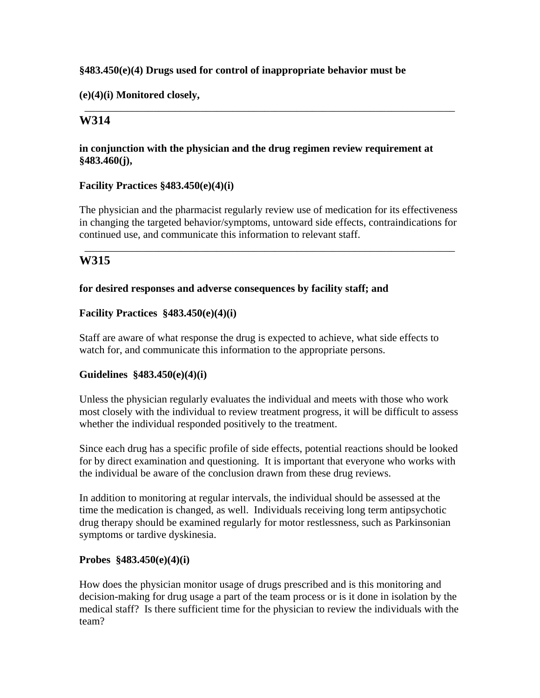### **§483.450(e)(4) Drugs used for control of inappropriate behavior must be**

**(e)(4)(i) Monitored closely,** 

# **W314**

### **in conjunction with the physician and the drug regimen review requirement at §483.460(j),**

\_\_\_\_\_\_\_\_\_\_\_\_\_\_\_\_\_\_\_\_\_\_\_\_\_\_\_\_\_\_\_\_\_\_\_\_\_\_\_\_\_\_\_\_\_\_\_\_\_\_\_\_\_\_\_\_\_\_\_\_\_\_\_\_\_\_\_\_\_\_

#### **Facility Practices §483.450(e)(4)(i)**

The physician and the pharmacist regularly review use of medication for its effectiveness in changing the targeted behavior/symptoms, untoward side effects, contraindications for continued use, and communicate this information to relevant staff.

\_\_\_\_\_\_\_\_\_\_\_\_\_\_\_\_\_\_\_\_\_\_\_\_\_\_\_\_\_\_\_\_\_\_\_\_\_\_\_\_\_\_\_\_\_\_\_\_\_\_\_\_\_\_\_\_\_\_\_\_\_\_\_\_\_\_\_\_\_\_

# **W315**

#### **for desired responses and adverse consequences by facility staff; and**

#### **Facility Practices §483.450(e)(4)(i)**

Staff are aware of what response the drug is expected to achieve, what side effects to watch for, and communicate this information to the appropriate persons.

#### **Guidelines §483.450(e)(4)(i)**

Unless the physician regularly evaluates the individual and meets with those who work most closely with the individual to review treatment progress, it will be difficult to assess whether the individual responded positively to the treatment.

Since each drug has a specific profile of side effects, potential reactions should be looked for by direct examination and questioning. It is important that everyone who works with the individual be aware of the conclusion drawn from these drug reviews.

In addition to monitoring at regular intervals, the individual should be assessed at the time the medication is changed, as well. Individuals receiving long term antipsychotic drug therapy should be examined regularly for motor restlessness, such as Parkinsonian symptoms or tardive dyskinesia.

#### **Probes §483.450(e)(4)(i)**

How does the physician monitor usage of drugs prescribed and is this monitoring and decision-making for drug usage a part of the team process or is it done in isolation by the medical staff? Is there sufficient time for the physician to review the individuals with the team?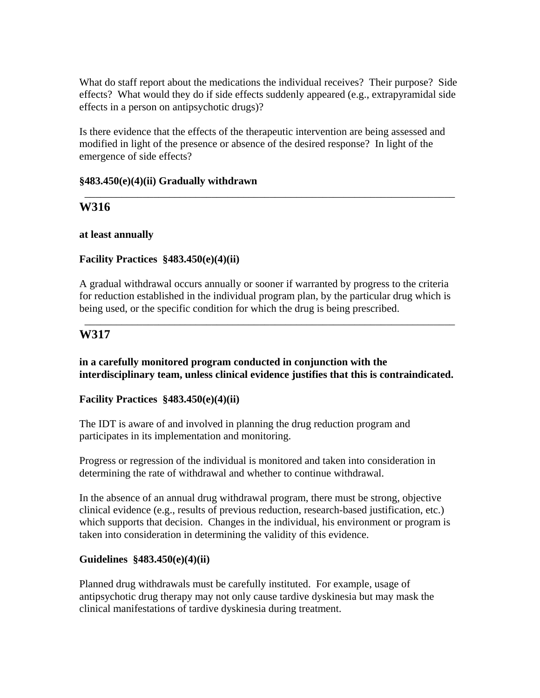What do staff report about the medications the individual receives? Their purpose? Side effects? What would they do if side effects suddenly appeared (e.g., extrapyramidal side effects in a person on antipsychotic drugs)?

Is there evidence that the effects of the therapeutic intervention are being assessed and modified in light of the presence or absence of the desired response? In light of the emergence of side effects?

\_\_\_\_\_\_\_\_\_\_\_\_\_\_\_\_\_\_\_\_\_\_\_\_\_\_\_\_\_\_\_\_\_\_\_\_\_\_\_\_\_\_\_\_\_\_\_\_\_\_\_\_\_\_\_\_\_\_\_\_\_\_\_\_\_\_\_\_\_\_

#### **§483.450(e)(4)(ii) Gradually withdrawn**

# **W316**

#### **at least annually**

# **Facility Practices §483.450(e)(4)(ii)**

A gradual withdrawal occurs annually or sooner if warranted by progress to the criteria for reduction established in the individual program plan, by the particular drug which is being used, or the specific condition for which the drug is being prescribed.

\_\_\_\_\_\_\_\_\_\_\_\_\_\_\_\_\_\_\_\_\_\_\_\_\_\_\_\_\_\_\_\_\_\_\_\_\_\_\_\_\_\_\_\_\_\_\_\_\_\_\_\_\_\_\_\_\_\_\_\_\_\_\_\_\_\_\_\_\_\_

# **W317**

**in a carefully monitored program conducted in conjunction with the interdisciplinary team, unless clinical evidence justifies that this is contraindicated.** 

#### **Facility Practices §483.450(e)(4)(ii)**

The IDT is aware of and involved in planning the drug reduction program and participates in its implementation and monitoring.

Progress or regression of the individual is monitored and taken into consideration in determining the rate of withdrawal and whether to continue withdrawal.

In the absence of an annual drug withdrawal program, there must be strong, objective clinical evidence (e.g., results of previous reduction, research-based justification, etc.) which supports that decision. Changes in the individual, his environment or program is taken into consideration in determining the validity of this evidence.

# **Guidelines §483.450(e)(4)(ii)**

Planned drug withdrawals must be carefully instituted. For example, usage of antipsychotic drug therapy may not only cause tardive dyskinesia but may mask the clinical manifestations of tardive dyskinesia during treatment.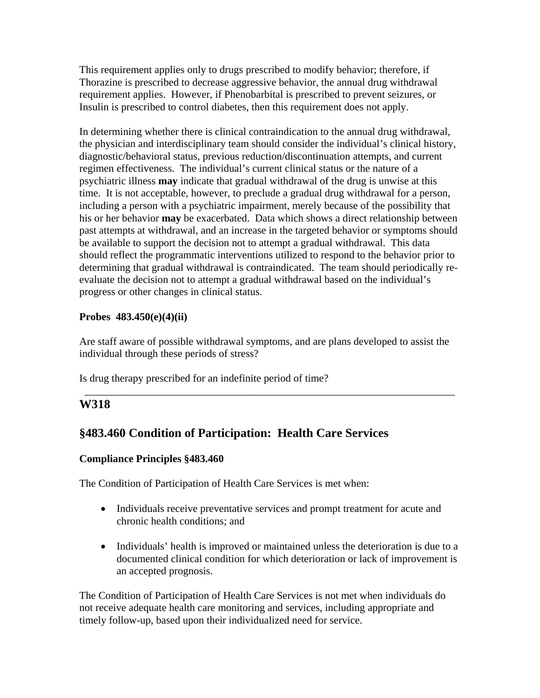This requirement applies only to drugs prescribed to modify behavior; therefore, if Thorazine is prescribed to decrease aggressive behavior, the annual drug withdrawal requirement applies. However, if Phenobarbital is prescribed to prevent seizures, or Insulin is prescribed to control diabetes, then this requirement does not apply.

In determining whether there is clinical contraindication to the annual drug withdrawal, the physician and interdisciplinary team should consider the individual's clinical history, diagnostic/behavioral status, previous reduction/discontinuation attempts, and current regimen effectiveness. The individual's current clinical status or the nature of a psychiatric illness **may** indicate that gradual withdrawal of the drug is unwise at this time. It is not acceptable, however, to preclude a gradual drug withdrawal for a person, including a person with a psychiatric impairment, merely because of the possibility that his or her behavior **may** be exacerbated. Data which shows a direct relationship between past attempts at withdrawal, and an increase in the targeted behavior or symptoms should be available to support the decision not to attempt a gradual withdrawal. This data should reflect the programmatic interventions utilized to respond to the behavior prior to determining that gradual withdrawal is contraindicated. The team should periodically reevaluate the decision not to attempt a gradual withdrawal based on the individual's progress or other changes in clinical status.

# **Probes 483.450(e)(4)(ii)**

Are staff aware of possible withdrawal symptoms, and are plans developed to assist the individual through these periods of stress?

\_\_\_\_\_\_\_\_\_\_\_\_\_\_\_\_\_\_\_\_\_\_\_\_\_\_\_\_\_\_\_\_\_\_\_\_\_\_\_\_\_\_\_\_\_\_\_\_\_\_\_\_\_\_\_\_\_\_\_\_\_\_\_\_\_\_\_\_\_\_

Is drug therapy prescribed for an indefinite period of time?

# **W318**

# **§483.460 Condition of Participation: Health Care Services**

# **Compliance Principles §483.460**

The Condition of Participation of Health Care Services is met when:

- Individuals receive preventative services and prompt treatment for acute and chronic health conditions; and
- Individuals' health is improved or maintained unless the deterioration is due to a documented clinical condition for which deterioration or lack of improvement is an accepted prognosis.

The Condition of Participation of Health Care Services is not met when individuals do not receive adequate health care monitoring and services, including appropriate and timely follow-up, based upon their individualized need for service.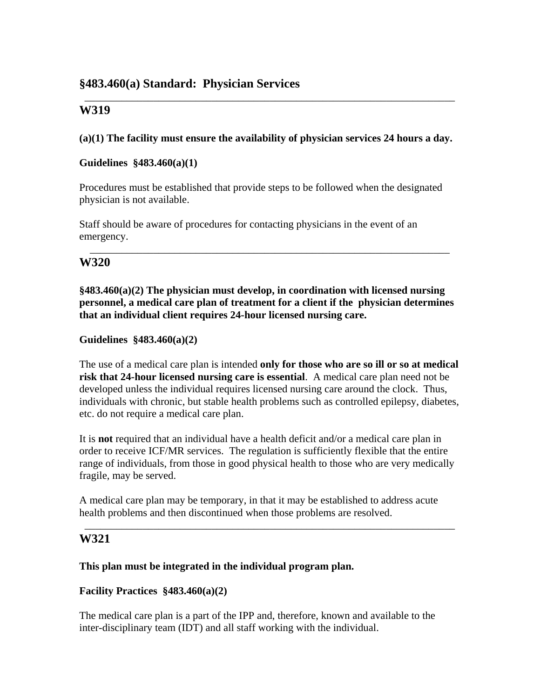**(a)(1) The facility must ensure the availability of physician services 24 hours a day.** 

\_\_\_\_\_\_\_\_\_\_\_\_\_\_\_\_\_\_\_\_\_\_\_\_\_\_\_\_\_\_\_\_\_\_\_\_\_\_\_\_\_\_\_\_\_\_\_\_\_\_\_\_\_\_\_\_\_\_\_\_\_\_\_\_\_\_\_\_\_\_

# **Guidelines §483.460(a)(1)**

Procedures must be established that provide steps to be followed when the designated physician is not available.

Staff should be aware of procedures for contacting physicians in the event of an emergency.

# **W320**

**§483.460(a)(2) The physician must develop, in coordination with licensed nursing personnel, a medical care plan of treatment for a client if the physician determines that an individual client requires 24-hour licensed nursing care.** 

\_\_\_\_\_\_\_\_\_\_\_\_\_\_\_\_\_\_\_\_\_\_\_\_\_\_\_\_\_\_\_\_\_\_\_\_\_\_\_\_\_\_\_\_\_\_\_\_\_\_\_\_\_\_\_\_\_\_\_\_\_\_\_\_\_\_\_\_

# **Guidelines §483.460(a)(2)**

The use of a medical care plan is intended **only for those who are so ill or so at medical risk that 24-hour licensed nursing care is essential**. A medical care plan need not be developed unless the individual requires licensed nursing care around the clock. Thus, individuals with chronic, but stable health problems such as controlled epilepsy, diabetes, etc. do not require a medical care plan.

It is **not** required that an individual have a health deficit and/or a medical care plan in order to receive ICF/MR services. The regulation is sufficiently flexible that the entire range of individuals, from those in good physical health to those who are very medically fragile, may be served.

A medical care plan may be temporary, in that it may be established to address acute health problems and then discontinued when those problems are resolved.

\_\_\_\_\_\_\_\_\_\_\_\_\_\_\_\_\_\_\_\_\_\_\_\_\_\_\_\_\_\_\_\_\_\_\_\_\_\_\_\_\_\_\_\_\_\_\_\_\_\_\_\_\_\_\_\_\_\_\_\_\_\_\_\_\_\_\_\_\_\_

# **W321**

# **This plan must be integrated in the individual program plan.**

# **Facility Practices §483.460(a)(2)**

The medical care plan is a part of the IPP and, therefore, known and available to the inter-disciplinary team (IDT) and all staff working with the individual.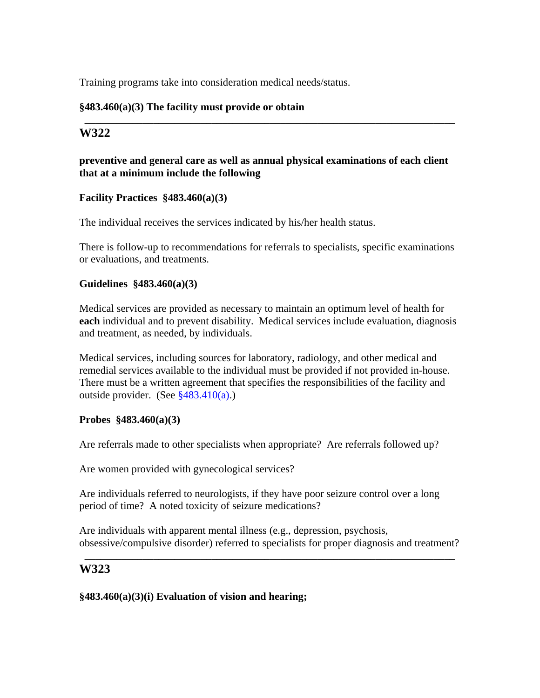Training programs take into consideration medical needs/status.

# **§483.460(a)(3) The facility must provide or obtain**

# **W322**

## **preventive and general care as well as annual physical examinations of each client that at a minimum include the following**

\_\_\_\_\_\_\_\_\_\_\_\_\_\_\_\_\_\_\_\_\_\_\_\_\_\_\_\_\_\_\_\_\_\_\_\_\_\_\_\_\_\_\_\_\_\_\_\_\_\_\_\_\_\_\_\_\_\_\_\_\_\_\_\_\_\_\_\_\_\_

#### **Facility Practices §483.460(a)(3)**

The individual receives the services indicated by his/her health status.

There is follow-up to recommendations for referrals to specialists, specific examinations or evaluations, and treatments.

#### **Guidelines §483.460(a)(3)**

Medical services are provided as necessary to maintain an optimum level of health for **each** individual and to prevent disability. Medical services include evaluation, diagnosis and treatment, as needed, by individuals.

Medical services, including sources for laboratory, radiology, and other medical and remedial services available to the individual must be provided if not provided in-house. There must be a written agreement that specifies the responsibilities of the facility and outside provider. (See §483.410(a).)

#### **Probes §483.460(a)(3)**

Are referrals made to other specialists when appropriate? Are referrals followed up?

Are women provided with gynecological services?

Are individuals referred to neurologists, if they have poor seizure control over a long period of time? A noted toxicity of seizure medications?

Are individuals with apparent mental illness (e.g., depression, psychosis, obsessive/compulsive disorder) referred to specialists for proper diagnosis and treatment?

\_\_\_\_\_\_\_\_\_\_\_\_\_\_\_\_\_\_\_\_\_\_\_\_\_\_\_\_\_\_\_\_\_\_\_\_\_\_\_\_\_\_\_\_\_\_\_\_\_\_\_\_\_\_\_\_\_\_\_\_\_\_\_\_\_\_\_\_\_\_

# **W323**

#### **§483.460(a)(3)(i) Evaluation of vision and hearing;**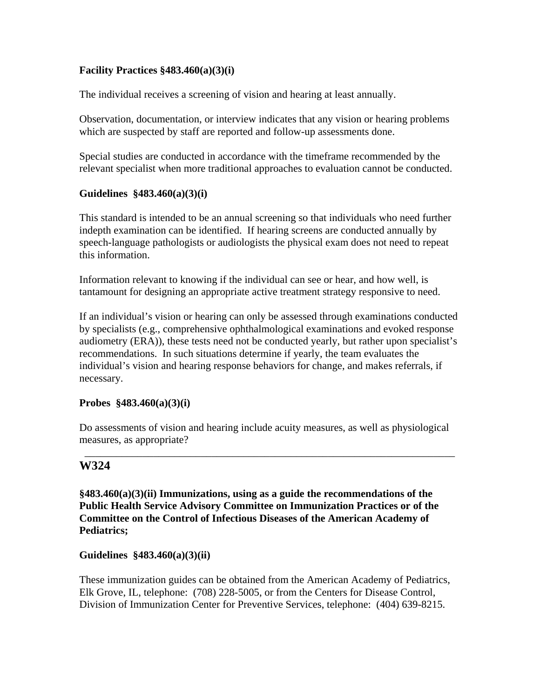# **Facility Practices §483.460(a)(3)(i)**

The individual receives a screening of vision and hearing at least annually.

Observation, documentation, or interview indicates that any vision or hearing problems which are suspected by staff are reported and follow-up assessments done.

Special studies are conducted in accordance with the timeframe recommended by the relevant specialist when more traditional approaches to evaluation cannot be conducted.

#### **Guidelines §483.460(a)(3)(i)**

This standard is intended to be an annual screening so that individuals who need further indepth examination can be identified. If hearing screens are conducted annually by speech-language pathologists or audiologists the physical exam does not need to repeat this information.

Information relevant to knowing if the individual can see or hear, and how well, is tantamount for designing an appropriate active treatment strategy responsive to need.

If an individual's vision or hearing can only be assessed through examinations conducted by specialists (e.g., comprehensive ophthalmological examinations and evoked response audiometry (ERA)), these tests need not be conducted yearly, but rather upon specialist's recommendations. In such situations determine if yearly, the team evaluates the individual's vision and hearing response behaviors for change, and makes referrals, if necessary.

# **Probes §483.460(a)(3)(i)**

Do assessments of vision and hearing include acuity measures, as well as physiological measures, as appropriate?

\_\_\_\_\_\_\_\_\_\_\_\_\_\_\_\_\_\_\_\_\_\_\_\_\_\_\_\_\_\_\_\_\_\_\_\_\_\_\_\_\_\_\_\_\_\_\_\_\_\_\_\_\_\_\_\_\_\_\_\_\_\_\_\_\_\_\_\_\_\_

# **W324**

**§483.460(a)(3)(ii) Immunizations, using as a guide the recommendations of the Public Health Service Advisory Committee on Immunization Practices or of the Committee on the Control of Infectious Diseases of the American Academy of Pediatrics;** 

**Guidelines §483.460(a)(3)(ii)** 

These immunization guides can be obtained from the American Academy of Pediatrics, Elk Grove, IL, telephone: (708) 228-5005, or from the Centers for Disease Control, Division of Immunization Center for Preventive Services, telephone: (404) 639-8215.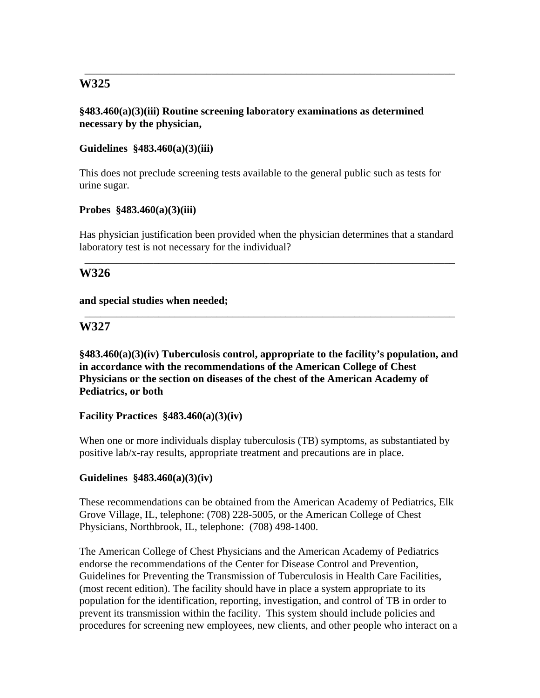### **§483.460(a)(3)(iii) Routine screening laboratory examinations as determined necessary by the physician,**

\_\_\_\_\_\_\_\_\_\_\_\_\_\_\_\_\_\_\_\_\_\_\_\_\_\_\_\_\_\_\_\_\_\_\_\_\_\_\_\_\_\_\_\_\_\_\_\_\_\_\_\_\_\_\_\_\_\_\_\_\_\_\_\_\_\_\_\_\_\_

### **Guidelines §483.460(a)(3)(iii)**

This does not preclude screening tests available to the general public such as tests for urine sugar.

#### **Probes §483.460(a)(3)(iii)**

Has physician justification been provided when the physician determines that a standard laboratory test is not necessary for the individual?

\_\_\_\_\_\_\_\_\_\_\_\_\_\_\_\_\_\_\_\_\_\_\_\_\_\_\_\_\_\_\_\_\_\_\_\_\_\_\_\_\_\_\_\_\_\_\_\_\_\_\_\_\_\_\_\_\_\_\_\_\_\_\_\_\_\_\_\_\_\_

\_\_\_\_\_\_\_\_\_\_\_\_\_\_\_\_\_\_\_\_\_\_\_\_\_\_\_\_\_\_\_\_\_\_\_\_\_\_\_\_\_\_\_\_\_\_\_\_\_\_\_\_\_\_\_\_\_\_\_\_\_\_\_\_\_\_\_\_\_\_

# **W326**

#### **and special studies when needed;**

# **W327**

**§483.460(a)(3)(iv) Tuberculosis control, appropriate to the facility's population, and in accordance with the recommendations of the American College of Chest Physicians or the section on diseases of the chest of the American Academy of Pediatrics, or both** 

# **Facility Practices §483.460(a)(3)(iv)**

When one or more individuals display tuberculosis (TB) symptoms, as substantiated by positive lab/x-ray results, appropriate treatment and precautions are in place.

# **Guidelines §483.460(a)(3)(iv)**

These recommendations can be obtained from the American Academy of Pediatrics, Elk Grove Village, IL, telephone: (708) 228-5005, or the American College of Chest Physicians, Northbrook, IL, telephone: (708) 498-1400.

The American College of Chest Physicians and the American Academy of Pediatrics endorse the recommendations of the Center for Disease Control and Prevention, Guidelines for Preventing the Transmission of Tuberculosis in Health Care Facilities, (most recent edition). The facility should have in place a system appropriate to its population for the identification, reporting, investigation, and control of TB in order to prevent its transmission within the facility. This system should include policies and procedures for screening new employees, new clients, and other people who interact on a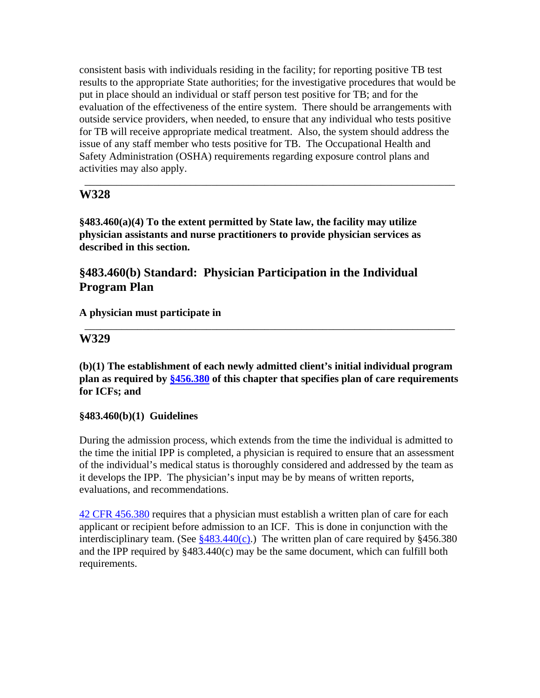consistent basis with individuals residing in the facility; for reporting positive TB test results to the appropriate State authorities; for the investigative procedures that would be put in place should an individual or staff person test positive for TB; and for the evaluation of the effectiveness of the entire system. There should be arrangements with outside service providers, when needed, to ensure that any individual who tests positive for TB will receive appropriate medical treatment. Also, the system should address the issue of any staff member who tests positive for TB. The Occupational Health and Safety Administration (OSHA) requirements regarding exposure control plans and activities may also apply.

\_\_\_\_\_\_\_\_\_\_\_\_\_\_\_\_\_\_\_\_\_\_\_\_\_\_\_\_\_\_\_\_\_\_\_\_\_\_\_\_\_\_\_\_\_\_\_\_\_\_\_\_\_\_\_\_\_\_\_\_\_\_\_\_\_\_\_\_\_\_

# **W328**

**§483.460(a)(4) To the extent permitted by State law, the facility may utilize physician assistants and nurse practitioners to provide physician services as described in this section.** 

# **§483.460(b) Standard: Physician Participation in the Individual Program Plan**

# **A physician must participate in**

# **W329**

**(b)(1) The establishment of each newly admitted client's initial individual program plan as required by §456.380 of this chapter that specifies plan of care requirements for ICFs; and** 

\_\_\_\_\_\_\_\_\_\_\_\_\_\_\_\_\_\_\_\_\_\_\_\_\_\_\_\_\_\_\_\_\_\_\_\_\_\_\_\_\_\_\_\_\_\_\_\_\_\_\_\_\_\_\_\_\_\_\_\_\_\_\_\_\_\_\_\_\_\_

#### **§483.460(b)(1) Guidelines**

During the admission process, which extends from the time the individual is admitted to the time the initial IPP is completed, a physician is required to ensure that an assessment of the individual's medical status is thoroughly considered and addressed by the team as it develops the IPP. The physician's input may be by means of written reports, evaluations, and recommendations.

42 CFR 456.380 requires that a physician must establish a written plan of care for each applicant or recipient before admission to an ICF. This is done in conjunction with the interdisciplinary team. (See  $\frac{8483.440(c)}{c}$ ). The written plan of care required by  $\frac{8456.380}{c}$ and the IPP required by §483.440(c) may be the same document, which can fulfill both requirements.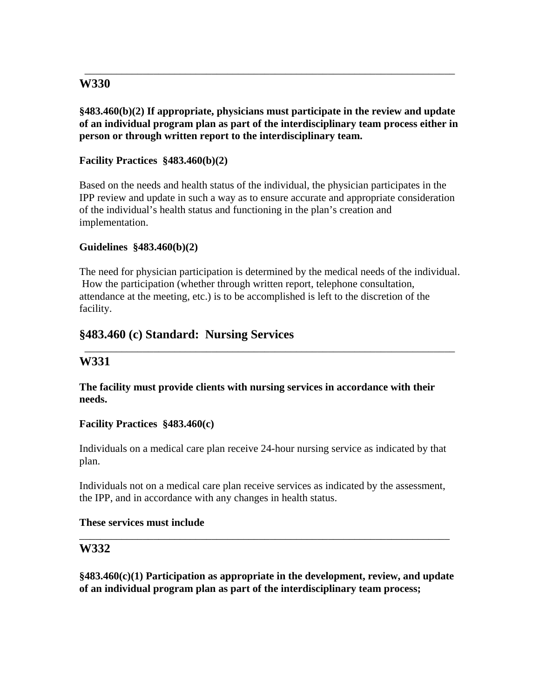# **§483.460(b)(2) If appropriate, physicians must participate in the review and update of an individual program plan as part of the interdisciplinary team process either in person or through written report to the interdisciplinary team.**

\_\_\_\_\_\_\_\_\_\_\_\_\_\_\_\_\_\_\_\_\_\_\_\_\_\_\_\_\_\_\_\_\_\_\_\_\_\_\_\_\_\_\_\_\_\_\_\_\_\_\_\_\_\_\_\_\_\_\_\_\_\_\_\_\_\_\_\_\_\_

# **Facility Practices §483.460(b)(2)**

Based on the needs and health status of the individual, the physician participates in the IPP review and update in such a way as to ensure accurate and appropriate consideration of the individual's health status and functioning in the plan's creation and implementation.

# **Guidelines §483.460(b)(2)**

The need for physician participation is determined by the medical needs of the individual. How the participation (whether through written report, telephone consultation, attendance at the meeting, etc.) is to be accomplished is left to the discretion of the facility.

\_\_\_\_\_\_\_\_\_\_\_\_\_\_\_\_\_\_\_\_\_\_\_\_\_\_\_\_\_\_\_\_\_\_\_\_\_\_\_\_\_\_\_\_\_\_\_\_\_\_\_\_\_\_\_\_\_\_\_\_\_\_\_\_\_\_\_\_\_\_

# **§483.460 (c) Standard: Nursing Services**

# **W331**

#### **The facility must provide clients with nursing services in accordance with their needs.**

#### **Facility Practices §483.460(c)**

Individuals on a medical care plan receive 24-hour nursing service as indicated by that plan.

Individuals not on a medical care plan receive services as indicated by the assessment, the IPP, and in accordance with any changes in health status.

#### **These services must include**

# **W332**

**§483.460(c)(1) Participation as appropriate in the development, review, and update of an individual program plan as part of the interdisciplinary team process;** 

\_\_\_\_\_\_\_\_\_\_\_\_\_\_\_\_\_\_\_\_\_\_\_\_\_\_\_\_\_\_\_\_\_\_\_\_\_\_\_\_\_\_\_\_\_\_\_\_\_\_\_\_\_\_\_\_\_\_\_\_\_\_\_\_\_\_\_\_\_\_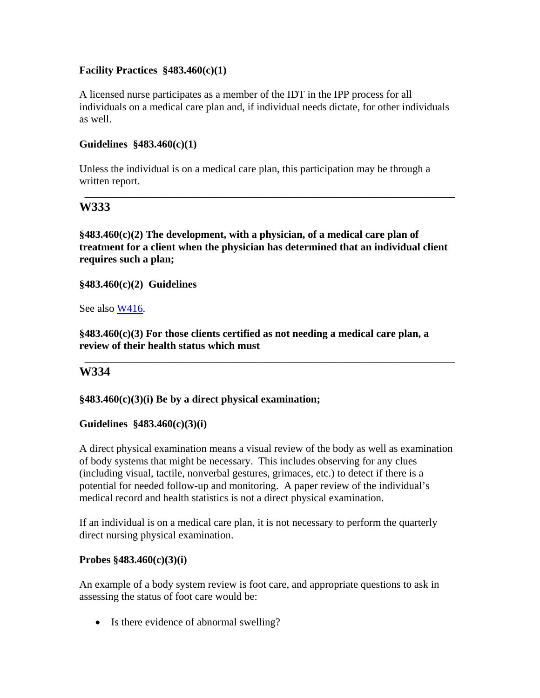# **Facility Practices §483.460(c)(1)**

A licensed nurse participates as a member of the IDT in the IPP process for all individuals on a medical care plan and, if individual needs dictate, for other individuals as well.

# **Guidelines §483.460(c)(1)**

Unless the individual is on a medical care plan, this participation may be through a written report.

# **W333**

**§483.460(c)(2) The development, with a physician, of a medical care plan of treatment for a client when the physician has determined that an individual client requires such a plan;** 

\_\_\_\_\_\_\_\_\_\_\_\_\_\_\_\_\_\_\_\_\_\_\_\_\_\_\_\_\_\_\_\_\_\_\_\_\_\_\_\_\_\_\_\_\_\_\_\_\_\_\_\_\_\_\_\_\_\_\_\_\_\_\_\_\_\_\_\_\_\_

**§483.460(c)(2) Guidelines** 

See also W416.

**§483.460(c)(3) For those clients certified as not needing a medical care plan, a review of their health status which must** 

\_\_\_\_\_\_\_\_\_\_\_\_\_\_\_\_\_\_\_\_\_\_\_\_\_\_\_\_\_\_\_\_\_\_\_\_\_\_\_\_\_\_\_\_\_\_\_\_\_\_\_\_\_\_\_\_\_\_\_\_\_\_\_\_\_\_\_\_\_\_

# **W334**

#### **§483.460(c)(3)(i) Be by a direct physical examination;**

#### **Guidelines §483.460(c)(3)(i)**

A direct physical examination means a visual review of the body as well as examination of body systems that might be necessary. This includes observing for any clues (including visual, tactile, nonverbal gestures, grimaces, etc.) to detect if there is a potential for needed follow-up and monitoring. A paper review of the individual's medical record and health statistics is not a direct physical examination.

If an individual is on a medical care plan, it is not necessary to perform the quarterly direct nursing physical examination.

#### **Probes §483.460(c)(3)(i)**

An example of a body system review is foot care, and appropriate questions to ask in assessing the status of foot care would be:

• Is there evidence of abnormal swelling?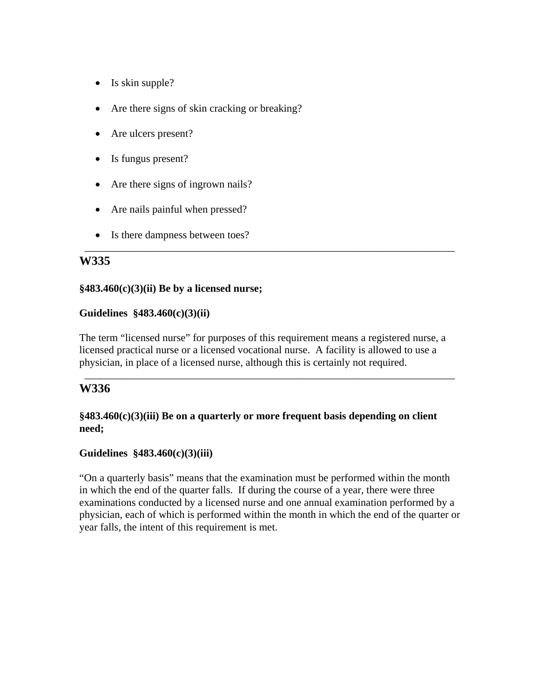- Is skin supple?
- Are there signs of skin cracking or breaking?
- Are ulcers present?
- Is fungus present?
- Are there signs of ingrown nails?
- Are nails painful when pressed?
- Is there dampness between toes?

#### **§483.460(c)(3)(ii) Be by a licensed nurse;**

#### **Guidelines §483.460(c)(3)(ii)**

The term "licensed nurse" for purposes of this requirement means a registered nurse, a licensed practical nurse or a licensed vocational nurse. A facility is allowed to use a physician, in place of a licensed nurse, although this is certainly not required.

\_\_\_\_\_\_\_\_\_\_\_\_\_\_\_\_\_\_\_\_\_\_\_\_\_\_\_\_\_\_\_\_\_\_\_\_\_\_\_\_\_\_\_\_\_\_\_\_\_\_\_\_\_\_\_\_\_\_\_\_\_\_\_\_\_\_\_\_\_\_

\_\_\_\_\_\_\_\_\_\_\_\_\_\_\_\_\_\_\_\_\_\_\_\_\_\_\_\_\_\_\_\_\_\_\_\_\_\_\_\_\_\_\_\_\_\_\_\_\_\_\_\_\_\_\_\_\_\_\_\_\_\_\_\_\_\_\_\_\_\_

# **W336**

# **§483.460(c)(3)(iii) Be on a quarterly or more frequent basis depending on client need;**

# **Guidelines §483.460(c)(3)(iii)**

"On a quarterly basis" means that the examination must be performed within the month in which the end of the quarter falls. If during the course of a year, there were three examinations conducted by a licensed nurse and one annual examination performed by a physician, each of which is performed within the month in which the end of the quarter or year falls, the intent of this requirement is met.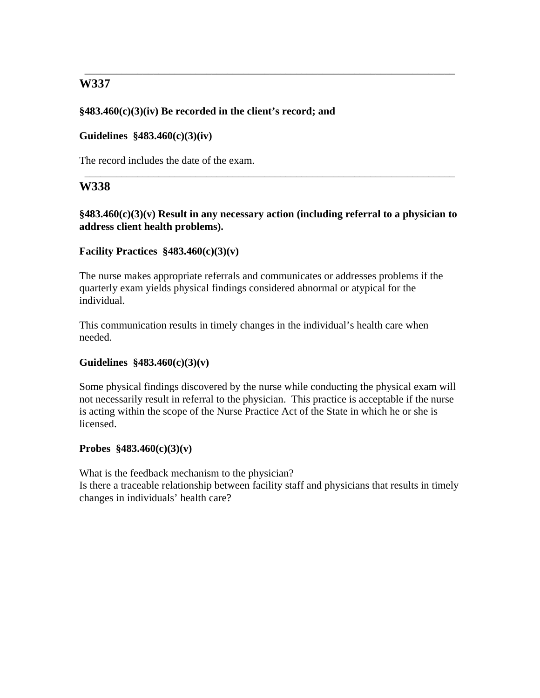# **§483.460(c)(3)(iv) Be recorded in the client's record; and**

### **Guidelines §483.460(c)(3)(iv)**

The record includes the date of the exam.

# **W338**

**§483.460(c)(3)(v) Result in any necessary action (including referral to a physician to address client health problems).** 

\_\_\_\_\_\_\_\_\_\_\_\_\_\_\_\_\_\_\_\_\_\_\_\_\_\_\_\_\_\_\_\_\_\_\_\_\_\_\_\_\_\_\_\_\_\_\_\_\_\_\_\_\_\_\_\_\_\_\_\_\_\_\_\_\_\_\_\_\_\_

\_\_\_\_\_\_\_\_\_\_\_\_\_\_\_\_\_\_\_\_\_\_\_\_\_\_\_\_\_\_\_\_\_\_\_\_\_\_\_\_\_\_\_\_\_\_\_\_\_\_\_\_\_\_\_\_\_\_\_\_\_\_\_\_\_\_\_\_\_\_

#### **Facility Practices §483.460(c)(3)(v)**

The nurse makes appropriate referrals and communicates or addresses problems if the quarterly exam yields physical findings considered abnormal or atypical for the individual.

This communication results in timely changes in the individual's health care when needed.

# **Guidelines §483.460(c)(3)(v)**

Some physical findings discovered by the nurse while conducting the physical exam will not necessarily result in referral to the physician. This practice is acceptable if the nurse is acting within the scope of the Nurse Practice Act of the State in which he or she is licensed.

# **Probes §483.460(c)(3)(v)**

What is the feedback mechanism to the physician? Is there a traceable relationship between facility staff and physicians that results in timely changes in individuals' health care?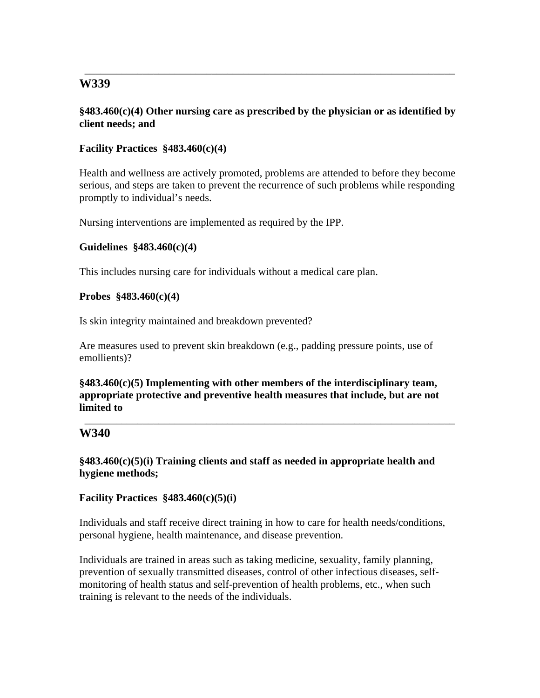### **§483.460(c)(4) Other nursing care as prescribed by the physician or as identified by client needs; and**

\_\_\_\_\_\_\_\_\_\_\_\_\_\_\_\_\_\_\_\_\_\_\_\_\_\_\_\_\_\_\_\_\_\_\_\_\_\_\_\_\_\_\_\_\_\_\_\_\_\_\_\_\_\_\_\_\_\_\_\_\_\_\_\_\_\_\_\_\_\_

# **Facility Practices §483.460(c)(4)**

Health and wellness are actively promoted, problems are attended to before they become serious, and steps are taken to prevent the recurrence of such problems while responding promptly to individual's needs.

Nursing interventions are implemented as required by the IPP.

#### **Guidelines §483.460(c)(4)**

This includes nursing care for individuals without a medical care plan.

#### **Probes §483.460(c)(4)**

Is skin integrity maintained and breakdown prevented?

Are measures used to prevent skin breakdown (e.g., padding pressure points, use of emollients)?

**§483.460(c)(5) Implementing with other members of the interdisciplinary team, appropriate protective and preventive health measures that include, but are not limited to** 

\_\_\_\_\_\_\_\_\_\_\_\_\_\_\_\_\_\_\_\_\_\_\_\_\_\_\_\_\_\_\_\_\_\_\_\_\_\_\_\_\_\_\_\_\_\_\_\_\_\_\_\_\_\_\_\_\_\_\_\_\_\_\_\_\_\_\_\_\_\_

# **W340**

**§483.460(c)(5)(i) Training clients and staff as needed in appropriate health and hygiene methods;** 

#### **Facility Practices §483.460(c)(5)(i)**

Individuals and staff receive direct training in how to care for health needs/conditions, personal hygiene, health maintenance, and disease prevention.

Individuals are trained in areas such as taking medicine, sexuality, family planning, prevention of sexually transmitted diseases, control of other infectious diseases, selfmonitoring of health status and self-prevention of health problems, etc., when such training is relevant to the needs of the individuals.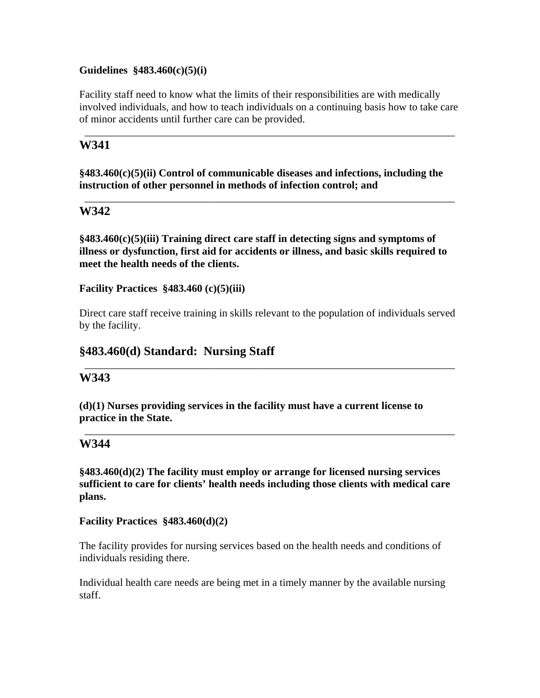### **Guidelines §483.460(c)(5)(i)**

Facility staff need to know what the limits of their responsibilities are with medically involved individuals, and how to teach individuals on a continuing basis how to take care of minor accidents until further care can be provided.

\_\_\_\_\_\_\_\_\_\_\_\_\_\_\_\_\_\_\_\_\_\_\_\_\_\_\_\_\_\_\_\_\_\_\_\_\_\_\_\_\_\_\_\_\_\_\_\_\_\_\_\_\_\_\_\_\_\_\_\_\_\_\_\_\_\_\_\_\_\_

# **W341**

**§483.460(c)(5)(ii) Control of communicable diseases and infections, including the instruction of other personnel in methods of infection control; and** 

\_\_\_\_\_\_\_\_\_\_\_\_\_\_\_\_\_\_\_\_\_\_\_\_\_\_\_\_\_\_\_\_\_\_\_\_\_\_\_\_\_\_\_\_\_\_\_\_\_\_\_\_\_\_\_\_\_\_\_\_\_\_\_\_\_\_\_\_\_\_

# **W342**

**§483.460(c)(5)(iii) Training direct care staff in detecting signs and symptoms of illness or dysfunction, first aid for accidents or illness, and basic skills required to meet the health needs of the clients.** 

**Facility Practices §483.460 (c)(5)(iii)** 

Direct care staff receive training in skills relevant to the population of individuals served by the facility.

\_\_\_\_\_\_\_\_\_\_\_\_\_\_\_\_\_\_\_\_\_\_\_\_\_\_\_\_\_\_\_\_\_\_\_\_\_\_\_\_\_\_\_\_\_\_\_\_\_\_\_\_\_\_\_\_\_\_\_\_\_\_\_\_\_\_\_\_\_\_

\_\_\_\_\_\_\_\_\_\_\_\_\_\_\_\_\_\_\_\_\_\_\_\_\_\_\_\_\_\_\_\_\_\_\_\_\_\_\_\_\_\_\_\_\_\_\_\_\_\_\_\_\_\_\_\_\_\_\_\_\_\_\_\_\_\_\_\_\_\_

# **§483.460(d) Standard: Nursing Staff**

# **W343**

**(d)(1) Nurses providing services in the facility must have a current license to practice in the State.** 

# **W344**

**§483.460(d)(2) The facility must employ or arrange for licensed nursing services sufficient to care for clients' health needs including those clients with medical care plans.** 

**Facility Practices §483.460(d)(2)** 

The facility provides for nursing services based on the health needs and conditions of individuals residing there.

Individual health care needs are being met in a timely manner by the available nursing staff.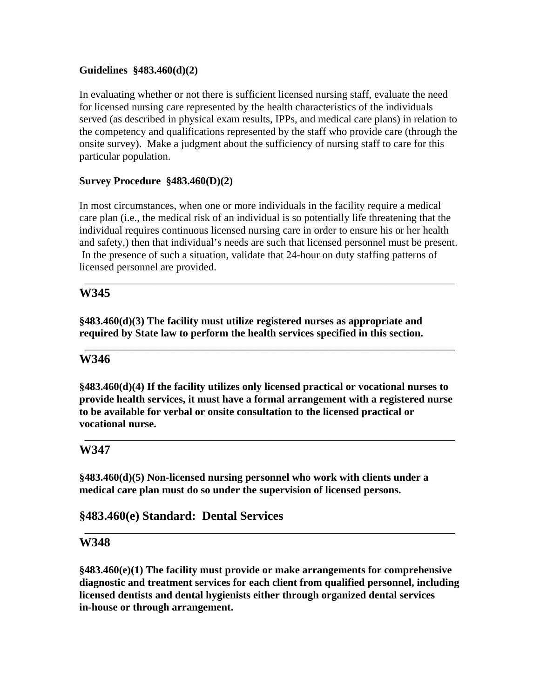# **Guidelines §483.460(d)(2)**

In evaluating whether or not there is sufficient licensed nursing staff, evaluate the need for licensed nursing care represented by the health characteristics of the individuals served (as described in physical exam results, IPPs, and medical care plans) in relation to the competency and qualifications represented by the staff who provide care (through the onsite survey). Make a judgment about the sufficiency of nursing staff to care for this particular population.

# **Survey Procedure §483.460(D)(2)**

In most circumstances, when one or more individuals in the facility require a medical care plan (i.e., the medical risk of an individual is so potentially life threatening that the individual requires continuous licensed nursing care in order to ensure his or her health and safety,) then that individual's needs are such that licensed personnel must be present. In the presence of such a situation, validate that 24-hour on duty staffing patterns of licensed personnel are provided.

\_\_\_\_\_\_\_\_\_\_\_\_\_\_\_\_\_\_\_\_\_\_\_\_\_\_\_\_\_\_\_\_\_\_\_\_\_\_\_\_\_\_\_\_\_\_\_\_\_\_\_\_\_\_\_\_\_\_\_\_\_\_\_\_\_\_\_\_\_\_

\_\_\_\_\_\_\_\_\_\_\_\_\_\_\_\_\_\_\_\_\_\_\_\_\_\_\_\_\_\_\_\_\_\_\_\_\_\_\_\_\_\_\_\_\_\_\_\_\_\_\_\_\_\_\_\_\_\_\_\_\_\_\_\_\_\_\_\_\_\_

# **W345**

**§483.460(d)(3) The facility must utilize registered nurses as appropriate and required by State law to perform the health services specified in this section.** 

# **W346**

**§483.460(d)(4) If the facility utilizes only licensed practical or vocational nurses to provide health services, it must have a formal arrangement with a registered nurse to be available for verbal or onsite consultation to the licensed practical or vocational nurse.** 

\_\_\_\_\_\_\_\_\_\_\_\_\_\_\_\_\_\_\_\_\_\_\_\_\_\_\_\_\_\_\_\_\_\_\_\_\_\_\_\_\_\_\_\_\_\_\_\_\_\_\_\_\_\_\_\_\_\_\_\_\_\_\_\_\_\_\_\_\_\_

# **W347**

**§483.460(d)(5) Non-licensed nursing personnel who work with clients under a medical care plan must do so under the supervision of licensed persons.** 

# **§483.460(e) Standard: Dental Services**

# **W348**

**§483.460(e)(1) The facility must provide or make arrangements for comprehensive diagnostic and treatment services for each client from qualified personnel, including licensed dentists and dental hygienists either through organized dental services in-house or through arrangement.** 

\_\_\_\_\_\_\_\_\_\_\_\_\_\_\_\_\_\_\_\_\_\_\_\_\_\_\_\_\_\_\_\_\_\_\_\_\_\_\_\_\_\_\_\_\_\_\_\_\_\_\_\_\_\_\_\_\_\_\_\_\_\_\_\_\_\_\_\_\_\_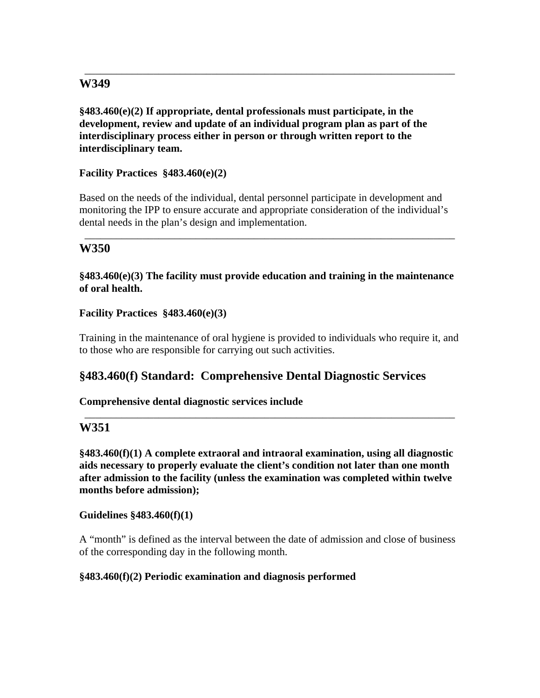**§483.460(e)(2) If appropriate, dental professionals must participate, in the development, review and update of an individual program plan as part of the interdisciplinary process either in person or through written report to the interdisciplinary team.** 

\_\_\_\_\_\_\_\_\_\_\_\_\_\_\_\_\_\_\_\_\_\_\_\_\_\_\_\_\_\_\_\_\_\_\_\_\_\_\_\_\_\_\_\_\_\_\_\_\_\_\_\_\_\_\_\_\_\_\_\_\_\_\_\_\_\_\_\_\_\_

**Facility Practices §483.460(e)(2)** 

Based on the needs of the individual, dental personnel participate in development and monitoring the IPP to ensure accurate and appropriate consideration of the individual's dental needs in the plan's design and implementation.

\_\_\_\_\_\_\_\_\_\_\_\_\_\_\_\_\_\_\_\_\_\_\_\_\_\_\_\_\_\_\_\_\_\_\_\_\_\_\_\_\_\_\_\_\_\_\_\_\_\_\_\_\_\_\_\_\_\_\_\_\_\_\_\_\_\_\_\_\_\_

# **W350**

# **§483.460(e)(3) The facility must provide education and training in the maintenance of oral health.**

# **Facility Practices §483.460(e)(3)**

Training in the maintenance of oral hygiene is provided to individuals who require it, and to those who are responsible for carrying out such activities.

# **§483.460(f) Standard: Comprehensive Dental Diagnostic Services**

# **Comprehensive dental diagnostic services include**

# **W351**

**§483.460(f)(1) A complete extraoral and intraoral examination, using all diagnostic aids necessary to properly evaluate the client's condition not later than one month after admission to the facility (unless the examination was completed within twelve months before admission);** 

\_\_\_\_\_\_\_\_\_\_\_\_\_\_\_\_\_\_\_\_\_\_\_\_\_\_\_\_\_\_\_\_\_\_\_\_\_\_\_\_\_\_\_\_\_\_\_\_\_\_\_\_\_\_\_\_\_\_\_\_\_\_\_\_\_\_\_\_\_\_

#### **Guidelines §483.460(f)(1)**

A "month" is defined as the interval between the date of admission and close of business of the corresponding day in the following month.

# **§483.460(f)(2) Periodic examination and diagnosis performed**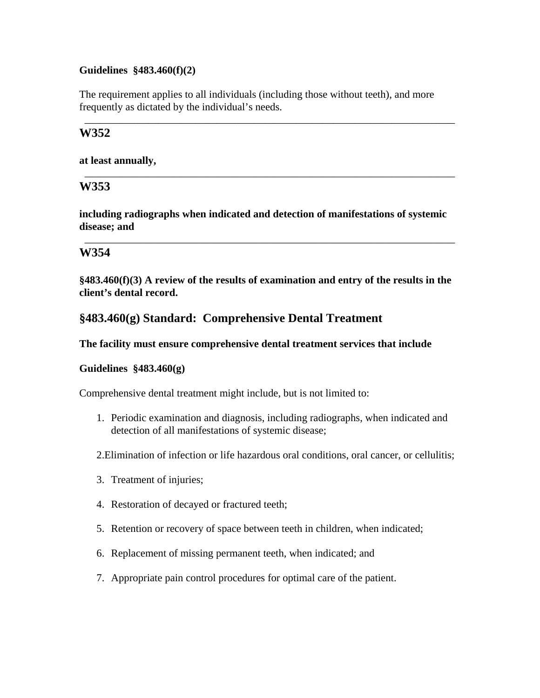## **Guidelines §483.460(f)(2)**

The requirement applies to all individuals (including those without teeth), and more frequently as dictated by the individual's needs.

\_\_\_\_\_\_\_\_\_\_\_\_\_\_\_\_\_\_\_\_\_\_\_\_\_\_\_\_\_\_\_\_\_\_\_\_\_\_\_\_\_\_\_\_\_\_\_\_\_\_\_\_\_\_\_\_\_\_\_\_\_\_\_\_\_\_\_\_\_\_

\_\_\_\_\_\_\_\_\_\_\_\_\_\_\_\_\_\_\_\_\_\_\_\_\_\_\_\_\_\_\_\_\_\_\_\_\_\_\_\_\_\_\_\_\_\_\_\_\_\_\_\_\_\_\_\_\_\_\_\_\_\_\_\_\_\_\_\_\_\_

# **W352**

**at least annually,** 

# **W353**

**including radiographs when indicated and detection of manifestations of systemic disease; and** 

\_\_\_\_\_\_\_\_\_\_\_\_\_\_\_\_\_\_\_\_\_\_\_\_\_\_\_\_\_\_\_\_\_\_\_\_\_\_\_\_\_\_\_\_\_\_\_\_\_\_\_\_\_\_\_\_\_\_\_\_\_\_\_\_\_\_\_\_\_\_

# **W354**

**§483.460(f)(3) A review of the results of examination and entry of the results in the client's dental record.** 

# **§483.460(g) Standard: Comprehensive Dental Treatment**

#### **The facility must ensure comprehensive dental treatment services that include**

# **Guidelines §483.460(g)**

Comprehensive dental treatment might include, but is not limited to:

1. Periodic examination and diagnosis, including radiographs, when indicated and detection of all manifestations of systemic disease;

2.Elimination of infection or life hazardous oral conditions, oral cancer, or cellulitis;

- 3. Treatment of injuries;
- 4. Restoration of decayed or fractured teeth;
- 5. Retention or recovery of space between teeth in children, when indicated;
- 6. Replacement of missing permanent teeth, when indicated; and
- 7. Appropriate pain control procedures for optimal care of the patient.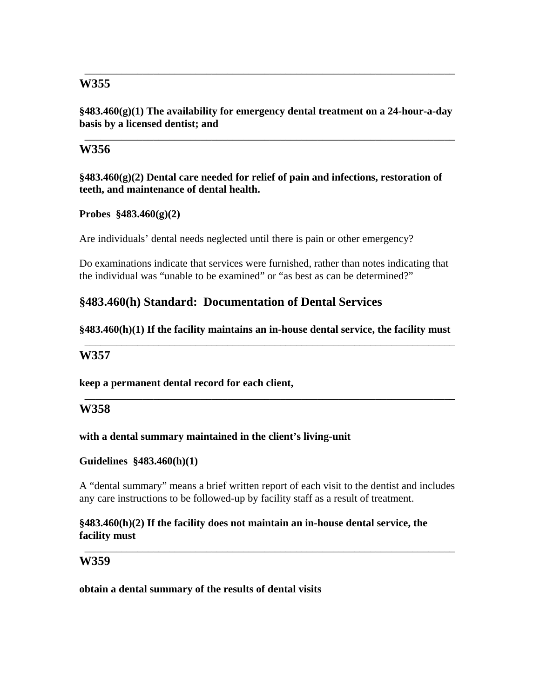**§483.460(g)(1) The availability for emergency dental treatment on a 24-hour-a-day basis by a licensed dentist; and** 

\_\_\_\_\_\_\_\_\_\_\_\_\_\_\_\_\_\_\_\_\_\_\_\_\_\_\_\_\_\_\_\_\_\_\_\_\_\_\_\_\_\_\_\_\_\_\_\_\_\_\_\_\_\_\_\_\_\_\_\_\_\_\_\_\_\_\_\_\_\_

\_\_\_\_\_\_\_\_\_\_\_\_\_\_\_\_\_\_\_\_\_\_\_\_\_\_\_\_\_\_\_\_\_\_\_\_\_\_\_\_\_\_\_\_\_\_\_\_\_\_\_\_\_\_\_\_\_\_\_\_\_\_\_\_\_\_\_\_\_\_

# **W356**

**§483.460(g)(2) Dental care needed for relief of pain and infections, restoration of teeth, and maintenance of dental health.** 

# **Probes §483.460(g)(2)**

Are individuals' dental needs neglected until there is pain or other emergency?

Do examinations indicate that services were furnished, rather than notes indicating that the individual was "unable to be examined" or "as best as can be determined?"

# **§483.460(h) Standard: Documentation of Dental Services**

#### **§483.460(h)(1) If the facility maintains an in-house dental service, the facility must**  \_\_\_\_\_\_\_\_\_\_\_\_\_\_\_\_\_\_\_\_\_\_\_\_\_\_\_\_\_\_\_\_\_\_\_\_\_\_\_\_\_\_\_\_\_\_\_\_\_\_\_\_\_\_\_\_\_\_\_\_\_\_\_\_\_\_\_\_\_\_

\_\_\_\_\_\_\_\_\_\_\_\_\_\_\_\_\_\_\_\_\_\_\_\_\_\_\_\_\_\_\_\_\_\_\_\_\_\_\_\_\_\_\_\_\_\_\_\_\_\_\_\_\_\_\_\_\_\_\_\_\_\_\_\_\_\_\_\_\_\_

# **W357**

**keep a permanent dental record for each client,** 

# **W358**

#### **with a dental summary maintained in the client's living-unit**

#### **Guidelines §483.460(h)(1)**

A "dental summary" means a brief written report of each visit to the dentist and includes any care instructions to be followed-up by facility staff as a result of treatment.

\_\_\_\_\_\_\_\_\_\_\_\_\_\_\_\_\_\_\_\_\_\_\_\_\_\_\_\_\_\_\_\_\_\_\_\_\_\_\_\_\_\_\_\_\_\_\_\_\_\_\_\_\_\_\_\_\_\_\_\_\_\_\_\_\_\_\_\_\_\_

# **§483.460(h)(2) If the facility does not maintain an in-house dental service, the facility must**

# **W359**

**obtain a dental summary of the results of dental visits**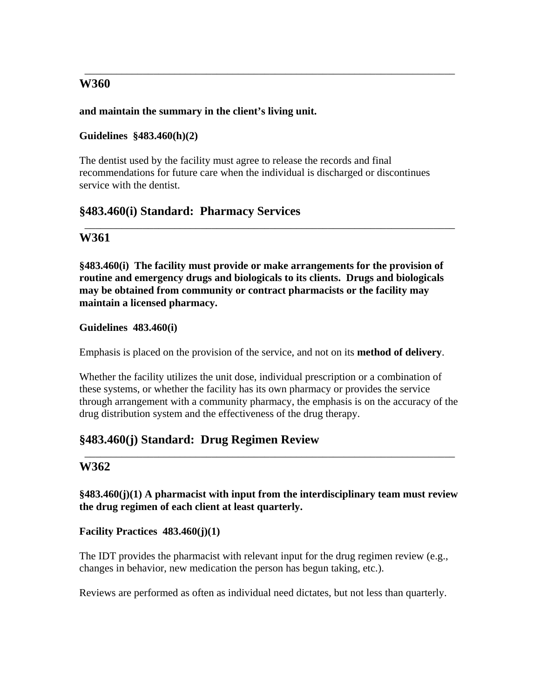# **and maintain the summary in the client's living unit.**

# **Guidelines §483.460(h)(2)**

The dentist used by the facility must agree to release the records and final recommendations for future care when the individual is discharged or discontinues service with the dentist.

\_\_\_\_\_\_\_\_\_\_\_\_\_\_\_\_\_\_\_\_\_\_\_\_\_\_\_\_\_\_\_\_\_\_\_\_\_\_\_\_\_\_\_\_\_\_\_\_\_\_\_\_\_\_\_\_\_\_\_\_\_\_\_\_\_\_\_\_\_\_

# **§483.460(i) Standard: Pharmacy Services**

# **W361**

**§483.460(i) The facility must provide or make arrangements for the provision of routine and emergency drugs and biologicals to its clients. Drugs and biologicals may be obtained from community or contract pharmacists or the facility may maintain a licensed pharmacy.** 

\_\_\_\_\_\_\_\_\_\_\_\_\_\_\_\_\_\_\_\_\_\_\_\_\_\_\_\_\_\_\_\_\_\_\_\_\_\_\_\_\_\_\_\_\_\_\_\_\_\_\_\_\_\_\_\_\_\_\_\_\_\_\_\_\_\_\_\_\_\_

# **Guidelines 483.460(i)**

Emphasis is placed on the provision of the service, and not on its **method of delivery**.

Whether the facility utilizes the unit dose, individual prescription or a combination of these systems, or whether the facility has its own pharmacy or provides the service through arrangement with a community pharmacy, the emphasis is on the accuracy of the drug distribution system and the effectiveness of the drug therapy.

# **§483.460(j) Standard: Drug Regimen Review**

# **W362**

**§483.460(j)(1) A pharmacist with input from the interdisciplinary team must review the drug regimen of each client at least quarterly.** 

\_\_\_\_\_\_\_\_\_\_\_\_\_\_\_\_\_\_\_\_\_\_\_\_\_\_\_\_\_\_\_\_\_\_\_\_\_\_\_\_\_\_\_\_\_\_\_\_\_\_\_\_\_\_\_\_\_\_\_\_\_\_\_\_\_\_\_\_\_\_

# **Facility Practices 483.460(j)(1)**

The IDT provides the pharmacist with relevant input for the drug regimen review (e.g., changes in behavior, new medication the person has begun taking, etc.).

Reviews are performed as often as individual need dictates, but not less than quarterly.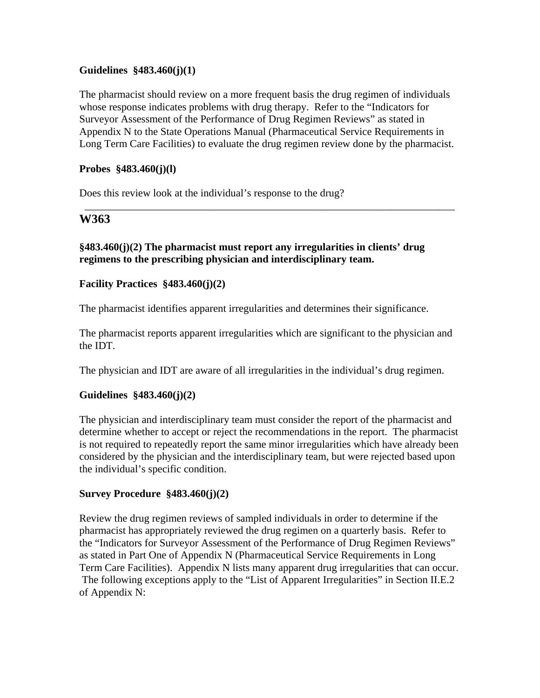#### **Guidelines §483.460(j)(1)**

The pharmacist should review on a more frequent basis the drug regimen of individuals whose response indicates problems with drug therapy. Refer to the "Indicators for Surveyor Assessment of the Performance of Drug Regimen Reviews" as stated in Appendix N to the State Operations Manual (Pharmaceutical Service Requirements in Long Term Care Facilities) to evaluate the drug regimen review done by the pharmacist.

\_\_\_\_\_\_\_\_\_\_\_\_\_\_\_\_\_\_\_\_\_\_\_\_\_\_\_\_\_\_\_\_\_\_\_\_\_\_\_\_\_\_\_\_\_\_\_\_\_\_\_\_\_\_\_\_\_\_\_\_\_\_\_\_\_\_\_\_\_\_

#### **Probes §483.460(j)(l)**

Does this review look at the individual's response to the drug?

## **W363**

## **§483.460(j)(2) The pharmacist must report any irregularities in clients' drug regimens to the prescribing physician and interdisciplinary team.**

#### **Facility Practices §483.460(j)(2)**

The pharmacist identifies apparent irregularities and determines their significance.

The pharmacist reports apparent irregularities which are significant to the physician and the IDT.

The physician and IDT are aware of all irregularities in the individual's drug regimen.

#### **Guidelines §483.460(j)(2)**

The physician and interdisciplinary team must consider the report of the pharmacist and determine whether to accept or reject the recommendations in the report. The pharmacist is not required to repeatedly report the same minor irregularities which have already been considered by the physician and the interdisciplinary team, but were rejected based upon the individual's specific condition.

## **Survey Procedure §483.460(j)(2)**

Review the drug regimen reviews of sampled individuals in order to determine if the pharmacist has appropriately reviewed the drug regimen on a quarterly basis. Refer to the "Indicators for Surveyor Assessment of the Performance of Drug Regimen Reviews" as stated in Part One of Appendix N (Pharmaceutical Service Requirements in Long Term Care Facilities). Appendix N lists many apparent drug irregularities that can occur. The following exceptions apply to the "List of Apparent Irregularities" in Section II.E.2 of Appendix N: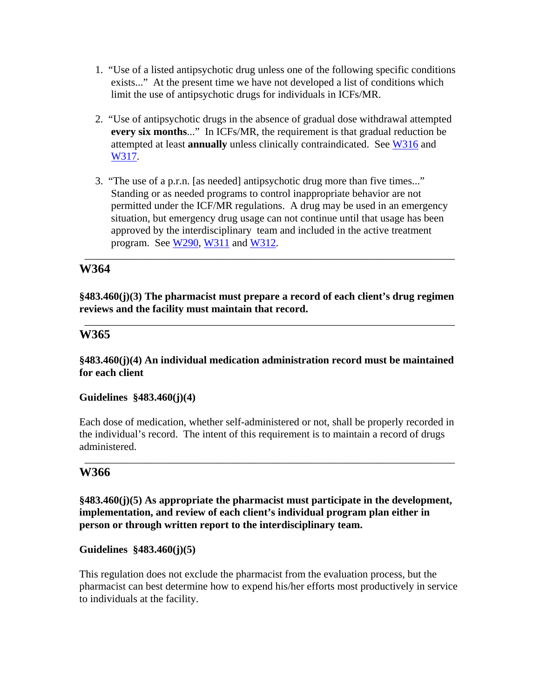- 1. "Use of a listed antipsychotic drug unless one of the following specific conditions exists..." At the present time we have not developed a list of conditions which limit the use of antipsychotic drugs for individuals in ICFs/MR.
- 2. "Use of antipsychotic drugs in the absence of gradual dose withdrawal attempted **every six months**..." In ICFs/MR, the requirement is that gradual reduction be attempted at least **annually** unless clinically contraindicated. See W316 and W317.
- 3. "The use of a p.r.n. [as needed] antipsychotic drug more than five times..." Standing or as needed programs to control inappropriate behavior are not permitted under the ICF/MR regulations. A drug may be used in an emergency situation, but emergency drug usage can not continue until that usage has been approved by the interdisciplinary team and included in the active treatment program. See W290, W311 and W312.

\_\_\_\_\_\_\_\_\_\_\_\_\_\_\_\_\_\_\_\_\_\_\_\_\_\_\_\_\_\_\_\_\_\_\_\_\_\_\_\_\_\_\_\_\_\_\_\_\_\_\_\_\_\_\_\_\_\_\_\_\_\_\_\_\_\_\_\_\_\_

# **W364**

**§483.460(j)(3) The pharmacist must prepare a record of each client's drug regimen reviews and the facility must maintain that record.** 

\_\_\_\_\_\_\_\_\_\_\_\_\_\_\_\_\_\_\_\_\_\_\_\_\_\_\_\_\_\_\_\_\_\_\_\_\_\_\_\_\_\_\_\_\_\_\_\_\_\_\_\_\_\_\_\_\_\_\_\_\_\_\_\_\_\_\_\_\_\_

## **W365**

#### **§483.460(j)(4) An individual medication administration record must be maintained for each client**

#### **Guidelines §483.460(j)(4)**

Each dose of medication, whether self-administered or not, shall be properly recorded in the individual's record. The intent of this requirement is to maintain a record of drugs administered.

\_\_\_\_\_\_\_\_\_\_\_\_\_\_\_\_\_\_\_\_\_\_\_\_\_\_\_\_\_\_\_\_\_\_\_\_\_\_\_\_\_\_\_\_\_\_\_\_\_\_\_\_\_\_\_\_\_\_\_\_\_\_\_\_\_\_\_\_\_\_

## **W366**

**§483.460(j)(5) As appropriate the pharmacist must participate in the development, implementation, and review of each client's individual program plan either in person or through written report to the interdisciplinary team.** 

#### **Guidelines §483.460(j)(5)**

This regulation does not exclude the pharmacist from the evaluation process, but the pharmacist can best determine how to expend his/her efforts most productively in service to individuals at the facility.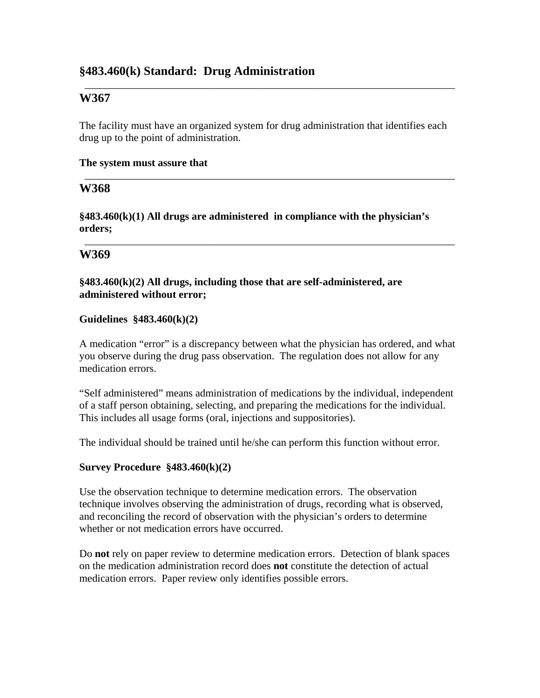# **§483.460(k) Standard: Drug Administration**

# **W367**

The facility must have an organized system for drug administration that identifies each drug up to the point of administration.

\_\_\_\_\_\_\_\_\_\_\_\_\_\_\_\_\_\_\_\_\_\_\_\_\_\_\_\_\_\_\_\_\_\_\_\_\_\_\_\_\_\_\_\_\_\_\_\_\_\_\_\_\_\_\_\_\_\_\_\_\_\_\_\_\_\_\_\_\_\_

\_\_\_\_\_\_\_\_\_\_\_\_\_\_\_\_\_\_\_\_\_\_\_\_\_\_\_\_\_\_\_\_\_\_\_\_\_\_\_\_\_\_\_\_\_\_\_\_\_\_\_\_\_\_\_\_\_\_\_\_\_\_\_\_\_\_\_\_\_\_

\_\_\_\_\_\_\_\_\_\_\_\_\_\_\_\_\_\_\_\_\_\_\_\_\_\_\_\_\_\_\_\_\_\_\_\_\_\_\_\_\_\_\_\_\_\_\_\_\_\_\_\_\_\_\_\_\_\_\_\_\_\_\_\_\_\_\_\_\_\_

#### **The system must assure that**

## **W368**

**§483.460(k)(1) All drugs are administered in compliance with the physician's orders;** 

## **W369**

**§483.460(k)(2) All drugs, including those that are self-administered, are administered without error;** 

#### **Guidelines §483.460(k)(2)**

A medication "error" is a discrepancy between what the physician has ordered, and what you observe during the drug pass observation. The regulation does not allow for any medication errors.

"Self administered" means administration of medications by the individual, independent of a staff person obtaining, selecting, and preparing the medications for the individual. This includes all usage forms (oral, injections and suppositories).

The individual should be trained until he/she can perform this function without error.

#### **Survey Procedure §483.460(k)(2)**

Use the observation technique to determine medication errors. The observation technique involves observing the administration of drugs, recording what is observed, and reconciling the record of observation with the physician's orders to determine whether or not medication errors have occurred.

Do **not** rely on paper review to determine medication errors. Detection of blank spaces on the medication administration record does **not** constitute the detection of actual medication errors. Paper review only identifies possible errors.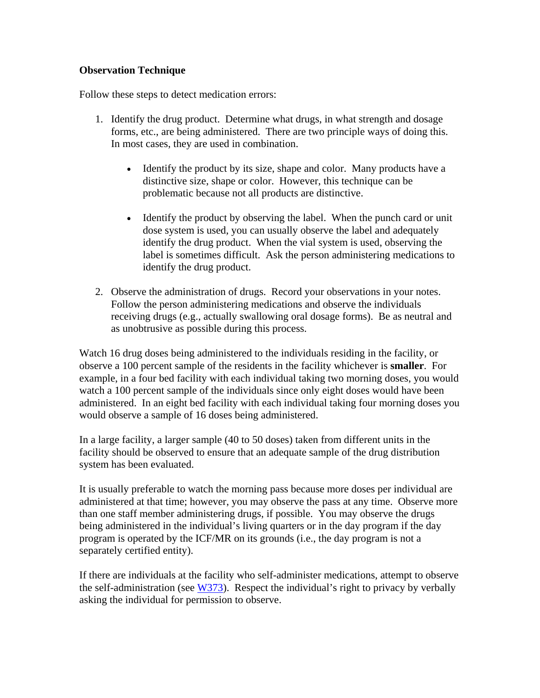#### **Observation Technique**

Follow these steps to detect medication errors:

- 1. Identify the drug product. Determine what drugs, in what strength and dosage forms, etc., are being administered. There are two principle ways of doing this. In most cases, they are used in combination.
	- Identify the product by its size, shape and color. Many products have a distinctive size, shape or color. However, this technique can be problematic because not all products are distinctive.
	- Identify the product by observing the label. When the punch card or unit dose system is used, you can usually observe the label and adequately identify the drug product. When the vial system is used, observing the label is sometimes difficult. Ask the person administering medications to identify the drug product.
- 2. Observe the administration of drugs. Record your observations in your notes. Follow the person administering medications and observe the individuals receiving drugs (e.g., actually swallowing oral dosage forms). Be as neutral and as unobtrusive as possible during this process.

Watch 16 drug doses being administered to the individuals residing in the facility, or observe a 100 percent sample of the residents in the facility whichever is **smaller**. For example, in a four bed facility with each individual taking two morning doses, you would watch a 100 percent sample of the individuals since only eight doses would have been administered. In an eight bed facility with each individual taking four morning doses you would observe a sample of 16 doses being administered.

In a large facility, a larger sample (40 to 50 doses) taken from different units in the facility should be observed to ensure that an adequate sample of the drug distribution system has been evaluated.

It is usually preferable to watch the morning pass because more doses per individual are administered at that time; however, you may observe the pass at any time. Observe more than one staff member administering drugs, if possible. You may observe the drugs being administered in the individual's living quarters or in the day program if the day program is operated by the ICF/MR on its grounds (i.e., the day program is not a separately certified entity).

If there are individuals at the facility who self-administer medications, attempt to observe the self-administration (see W373). Respect the individual's right to privacy by verbally asking the individual for permission to observe.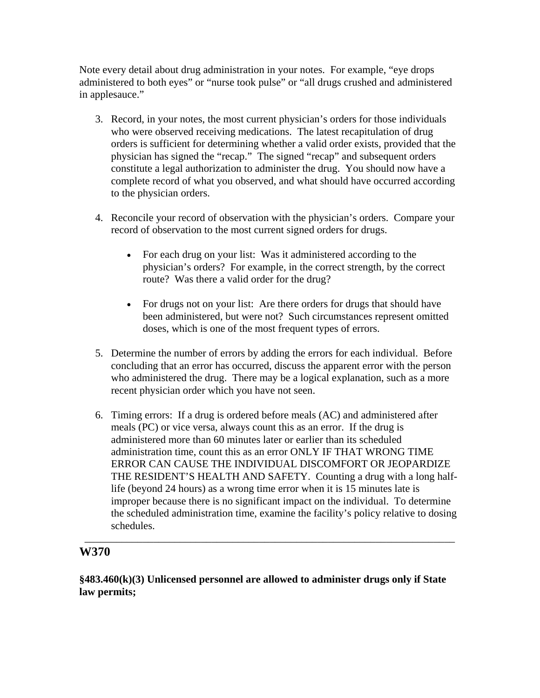Note every detail about drug administration in your notes. For example, "eye drops administered to both eyes" or "nurse took pulse" or "all drugs crushed and administered in applesauce."

- 3. Record, in your notes, the most current physician's orders for those individuals who were observed receiving medications. The latest recapitulation of drug orders is sufficient for determining whether a valid order exists, provided that the physician has signed the "recap." The signed "recap" and subsequent orders constitute a legal authorization to administer the drug. You should now have a complete record of what you observed, and what should have occurred according to the physician orders.
- 4. Reconcile your record of observation with the physician's orders. Compare your record of observation to the most current signed orders for drugs.
	- For each drug on your list: Was it administered according to the physician's orders? For example, in the correct strength, by the correct route? Was there a valid order for the drug?
	- For drugs not on your list: Are there orders for drugs that should have been administered, but were not? Such circumstances represent omitted doses, which is one of the most frequent types of errors.
- 5. Determine the number of errors by adding the errors for each individual. Before concluding that an error has occurred, discuss the apparent error with the person who administered the drug. There may be a logical explanation, such as a more recent physician order which you have not seen.
- 6. Timing errors: If a drug is ordered before meals (AC) and administered after meals (PC) or vice versa, always count this as an error. If the drug is administered more than 60 minutes later or earlier than its scheduled administration time, count this as an error ONLY IF THAT WRONG TIME ERROR CAN CAUSE THE INDIVIDUAL DISCOMFORT OR JEOPARDIZE THE RESIDENT'S HEALTH AND SAFETY. Counting a drug with a long halflife (beyond 24 hours) as a wrong time error when it is 15 minutes late is improper because there is no significant impact on the individual. To determine the scheduled administration time, examine the facility's policy relative to dosing schedules.

# **W370**

# **§483.460(k)(3) Unlicensed personnel are allowed to administer drugs only if State law permits;**

\_\_\_\_\_\_\_\_\_\_\_\_\_\_\_\_\_\_\_\_\_\_\_\_\_\_\_\_\_\_\_\_\_\_\_\_\_\_\_\_\_\_\_\_\_\_\_\_\_\_\_\_\_\_\_\_\_\_\_\_\_\_\_\_\_\_\_\_\_\_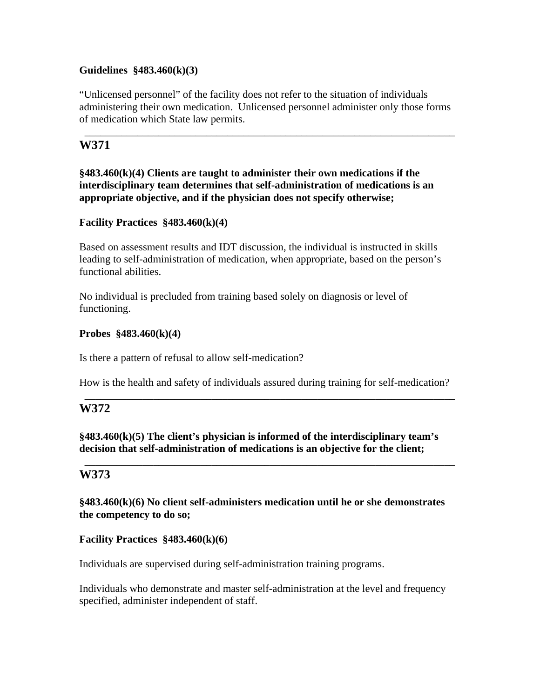#### **Guidelines §483.460(k)(3)**

"Unlicensed personnel" of the facility does not refer to the situation of individuals administering their own medication. Unlicensed personnel administer only those forms of medication which State law permits.

\_\_\_\_\_\_\_\_\_\_\_\_\_\_\_\_\_\_\_\_\_\_\_\_\_\_\_\_\_\_\_\_\_\_\_\_\_\_\_\_\_\_\_\_\_\_\_\_\_\_\_\_\_\_\_\_\_\_\_\_\_\_\_\_\_\_\_\_\_\_

# **W371**

**§483.460(k)(4) Clients are taught to administer their own medications if the interdisciplinary team determines that self-administration of medications is an appropriate objective, and if the physician does not specify otherwise;** 

## **Facility Practices §483.460(k)(4)**

Based on assessment results and IDT discussion, the individual is instructed in skills leading to self-administration of medication, when appropriate, based on the person's functional abilities.

No individual is precluded from training based solely on diagnosis or level of functioning.

#### **Probes §483.460(k)(4)**

Is there a pattern of refusal to allow self-medication?

How is the health and safety of individuals assured during training for self-medication?

\_\_\_\_\_\_\_\_\_\_\_\_\_\_\_\_\_\_\_\_\_\_\_\_\_\_\_\_\_\_\_\_\_\_\_\_\_\_\_\_\_\_\_\_\_\_\_\_\_\_\_\_\_\_\_\_\_\_\_\_\_\_\_\_\_\_\_\_\_\_

\_\_\_\_\_\_\_\_\_\_\_\_\_\_\_\_\_\_\_\_\_\_\_\_\_\_\_\_\_\_\_\_\_\_\_\_\_\_\_\_\_\_\_\_\_\_\_\_\_\_\_\_\_\_\_\_\_\_\_\_\_\_\_\_\_\_\_\_\_\_

# **W372**

**§483.460(k)(5) The client's physician is informed of the interdisciplinary team's decision that self-administration of medications is an objective for the client;** 

## **W373**

**§483.460(k)(6) No client self-administers medication until he or she demonstrates the competency to do so;** 

#### **Facility Practices §483.460(k)(6)**

Individuals are supervised during self-administration training programs.

Individuals who demonstrate and master self-administration at the level and frequency specified, administer independent of staff.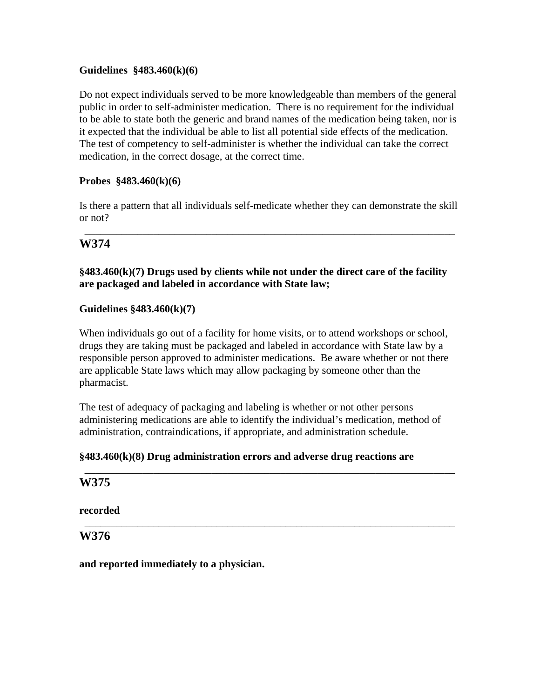#### **Guidelines §483.460(k)(6)**

Do not expect individuals served to be more knowledgeable than members of the general public in order to self-administer medication. There is no requirement for the individual to be able to state both the generic and brand names of the medication being taken, nor is it expected that the individual be able to list all potential side effects of the medication. The test of competency to self-administer is whether the individual can take the correct medication, in the correct dosage, at the correct time.

#### **Probes §483.460(k)(6)**

Is there a pattern that all individuals self-medicate whether they can demonstrate the skill or not?

\_\_\_\_\_\_\_\_\_\_\_\_\_\_\_\_\_\_\_\_\_\_\_\_\_\_\_\_\_\_\_\_\_\_\_\_\_\_\_\_\_\_\_\_\_\_\_\_\_\_\_\_\_\_\_\_\_\_\_\_\_\_\_\_\_\_\_\_\_\_

## **W374**

## **§483.460(k)(7) Drugs used by clients while not under the direct care of the facility are packaged and labeled in accordance with State law;**

#### **Guidelines §483.460(k)(7)**

When individuals go out of a facility for home visits, or to attend workshops or school, drugs they are taking must be packaged and labeled in accordance with State law by a responsible person approved to administer medications. Be aware whether or not there are applicable State laws which may allow packaging by someone other than the pharmacist.

The test of adequacy of packaging and labeling is whether or not other persons administering medications are able to identify the individual's medication, method of administration, contraindications, if appropriate, and administration schedule.

\_\_\_\_\_\_\_\_\_\_\_\_\_\_\_\_\_\_\_\_\_\_\_\_\_\_\_\_\_\_\_\_\_\_\_\_\_\_\_\_\_\_\_\_\_\_\_\_\_\_\_\_\_\_\_\_\_\_\_\_\_\_\_\_\_\_\_\_\_\_

\_\_\_\_\_\_\_\_\_\_\_\_\_\_\_\_\_\_\_\_\_\_\_\_\_\_\_\_\_\_\_\_\_\_\_\_\_\_\_\_\_\_\_\_\_\_\_\_\_\_\_\_\_\_\_\_\_\_\_\_\_\_\_\_\_\_\_\_\_\_

#### **§483.460(k)(8) Drug administration errors and adverse drug reactions are**

#### **W375**

**recorded** 

**W376** 

**and reported immediately to a physician.**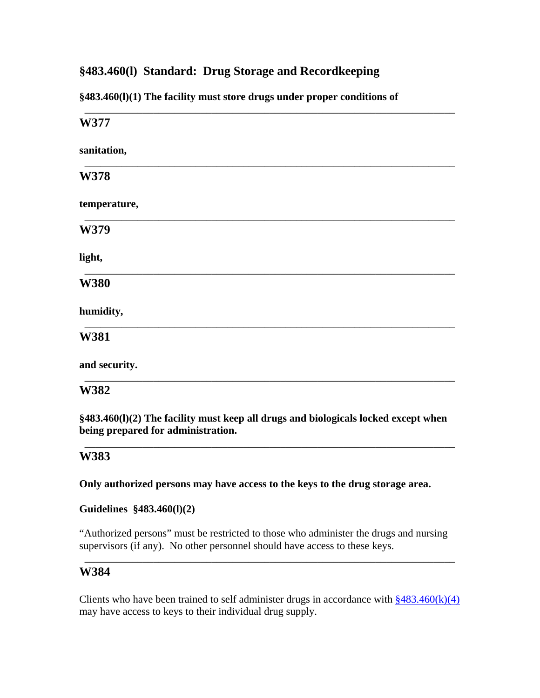# **§483.460(l) Standard: Drug Storage and Recordkeeping**

**§483.460(l)(1) The facility must store drugs under proper conditions of** 

| W377          |
|---------------|
| sanitation,   |
|               |
| W378          |
| temperature,  |
| W379          |
| light,        |
| <b>W380</b>   |
| humidity,     |
| W381          |
| and security. |
| W382          |

**§483.460(l)(2) The facility must keep all drugs and biologicals locked except when being prepared for administration.** 

\_\_\_\_\_\_\_\_\_\_\_\_\_\_\_\_\_\_\_\_\_\_\_\_\_\_\_\_\_\_\_\_\_\_\_\_\_\_\_\_\_\_\_\_\_\_\_\_\_\_\_\_\_\_\_\_\_\_\_\_\_\_\_\_\_\_\_\_\_\_

## **W383**

**Only authorized persons may have access to the keys to the drug storage area.** 

**Guidelines §483.460(l)(2)** 

"Authorized persons" must be restricted to those who administer the drugs and nursing supervisors (if any). No other personnel should have access to these keys.

\_\_\_\_\_\_\_\_\_\_\_\_\_\_\_\_\_\_\_\_\_\_\_\_\_\_\_\_\_\_\_\_\_\_\_\_\_\_\_\_\_\_\_\_\_\_\_\_\_\_\_\_\_\_\_\_\_\_\_\_\_\_\_\_\_\_\_\_\_\_

## **W384**

Clients who have been trained to self administer drugs in accordance with  $\frac{\$483.460(k)(4)}{4}$ may have access to keys to their individual drug supply.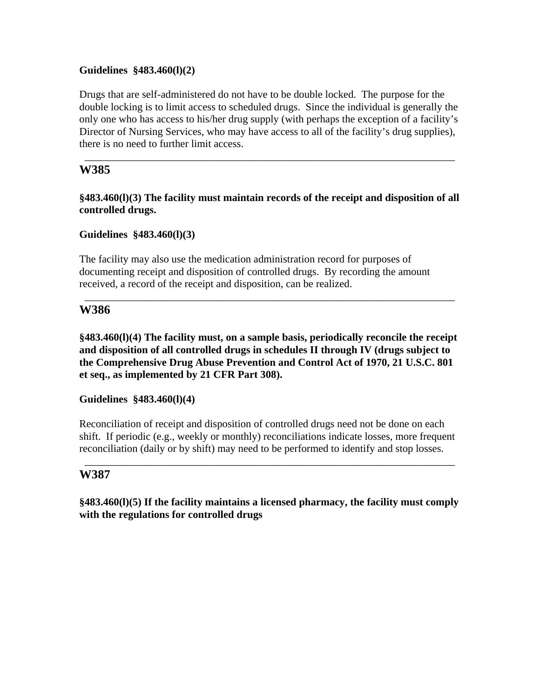#### **Guidelines §483.460(l)(2)**

Drugs that are self-administered do not have to be double locked. The purpose for the double locking is to limit access to scheduled drugs. Since the individual is generally the only one who has access to his/her drug supply (with perhaps the exception of a facility's Director of Nursing Services, who may have access to all of the facility's drug supplies), there is no need to further limit access.

\_\_\_\_\_\_\_\_\_\_\_\_\_\_\_\_\_\_\_\_\_\_\_\_\_\_\_\_\_\_\_\_\_\_\_\_\_\_\_\_\_\_\_\_\_\_\_\_\_\_\_\_\_\_\_\_\_\_\_\_\_\_\_\_\_\_\_\_\_\_

## **W385**

**§483.460(l)(3) The facility must maintain records of the receipt and disposition of all controlled drugs.** 

**Guidelines §483.460(l)(3)** 

The facility may also use the medication administration record for purposes of documenting receipt and disposition of controlled drugs. By recording the amount received, a record of the receipt and disposition, can be realized.

## **W386**

**§483.460(l)(4) The facility must, on a sample basis, periodically reconcile the receipt and disposition of all controlled drugs in schedules II through IV (drugs subject to the Comprehensive Drug Abuse Prevention and Control Act of 1970, 21 U.S.C. 801 et seq., as implemented by 21 CFR Part 308).** 

\_\_\_\_\_\_\_\_\_\_\_\_\_\_\_\_\_\_\_\_\_\_\_\_\_\_\_\_\_\_\_\_\_\_\_\_\_\_\_\_\_\_\_\_\_\_\_\_\_\_\_\_\_\_\_\_\_\_\_\_\_\_\_\_\_\_\_\_\_\_

**Guidelines §483.460(l)(4)** 

Reconciliation of receipt and disposition of controlled drugs need not be done on each shift. If periodic (e.g., weekly or monthly) reconciliations indicate losses, more frequent reconciliation (daily or by shift) may need to be performed to identify and stop losses.

\_\_\_\_\_\_\_\_\_\_\_\_\_\_\_\_\_\_\_\_\_\_\_\_\_\_\_\_\_\_\_\_\_\_\_\_\_\_\_\_\_\_\_\_\_\_\_\_\_\_\_\_\_\_\_\_\_\_\_\_\_\_\_\_\_\_\_\_\_\_

## **W387**

**§483.460(l)(5) If the facility maintains a licensed pharmacy, the facility must comply with the regulations for controlled drugs**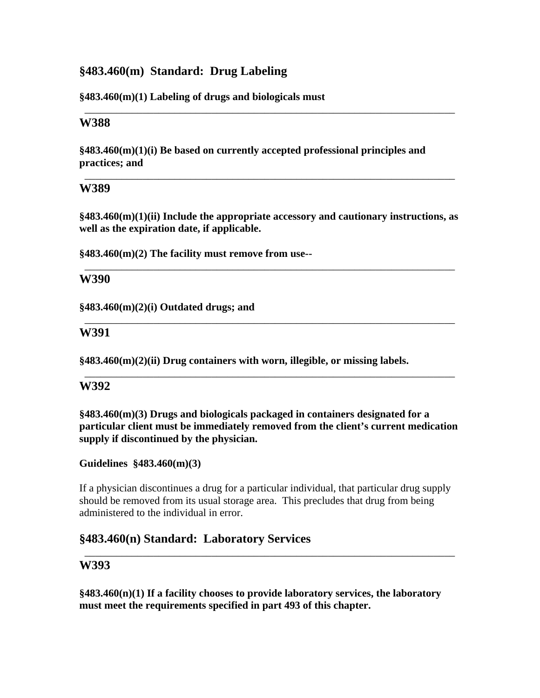# **§483.460(m) Standard: Drug Labeling**

#### **§483.460(m)(1) Labeling of drugs and biologicals must**

#### **W388**

**§483.460(m)(1)(i) Be based on currently accepted professional principles and practices; and** 

## **W389**

**§483.460(m)(1)(ii) Include the appropriate accessory and cautionary instructions, as well as the expiration date, if applicable.** 

\_\_\_\_\_\_\_\_\_\_\_\_\_\_\_\_\_\_\_\_\_\_\_\_\_\_\_\_\_\_\_\_\_\_\_\_\_\_\_\_\_\_\_\_\_\_\_\_\_\_\_\_\_\_\_\_\_\_\_\_\_\_\_\_\_\_\_\_\_\_

\_\_\_\_\_\_\_\_\_\_\_\_\_\_\_\_\_\_\_\_\_\_\_\_\_\_\_\_\_\_\_\_\_\_\_\_\_\_\_\_\_\_\_\_\_\_\_\_\_\_\_\_\_\_\_\_\_\_\_\_\_\_\_\_\_\_\_\_\_\_

\_\_\_\_\_\_\_\_\_\_\_\_\_\_\_\_\_\_\_\_\_\_\_\_\_\_\_\_\_\_\_\_\_\_\_\_\_\_\_\_\_\_\_\_\_\_\_\_\_\_\_\_\_\_\_\_\_\_\_\_\_\_\_\_\_\_\_\_\_\_

\_\_\_\_\_\_\_\_\_\_\_\_\_\_\_\_\_\_\_\_\_\_\_\_\_\_\_\_\_\_\_\_\_\_\_\_\_\_\_\_\_\_\_\_\_\_\_\_\_\_\_\_\_\_\_\_\_\_\_\_\_\_\_\_\_\_\_\_\_\_

\_\_\_\_\_\_\_\_\_\_\_\_\_\_\_\_\_\_\_\_\_\_\_\_\_\_\_\_\_\_\_\_\_\_\_\_\_\_\_\_\_\_\_\_\_\_\_\_\_\_\_\_\_\_\_\_\_\_\_\_\_\_\_\_\_\_\_\_\_\_

**§483.460(m)(2) The facility must remove from use--** 

## **W390**

**§483.460(m)(2)(i) Outdated drugs; and** 

## **W391**

**§483.460(m)(2)(ii) Drug containers with worn, illegible, or missing labels.** 

## **W392**

**§483.460(m)(3) Drugs and biologicals packaged in containers designated for a particular client must be immediately removed from the client's current medication supply if discontinued by the physician.** 

## **Guidelines §483.460(m)(3)**

If a physician discontinues a drug for a particular individual, that particular drug supply should be removed from its usual storage area. This precludes that drug from being administered to the individual in error.

\_\_\_\_\_\_\_\_\_\_\_\_\_\_\_\_\_\_\_\_\_\_\_\_\_\_\_\_\_\_\_\_\_\_\_\_\_\_\_\_\_\_\_\_\_\_\_\_\_\_\_\_\_\_\_\_\_\_\_\_\_\_\_\_\_\_\_\_\_\_

# **§483.460(n) Standard: Laboratory Services**

## **W393**

**§483.460(n)(1) If a facility chooses to provide laboratory services, the laboratory must meet the requirements specified in part 493 of this chapter.**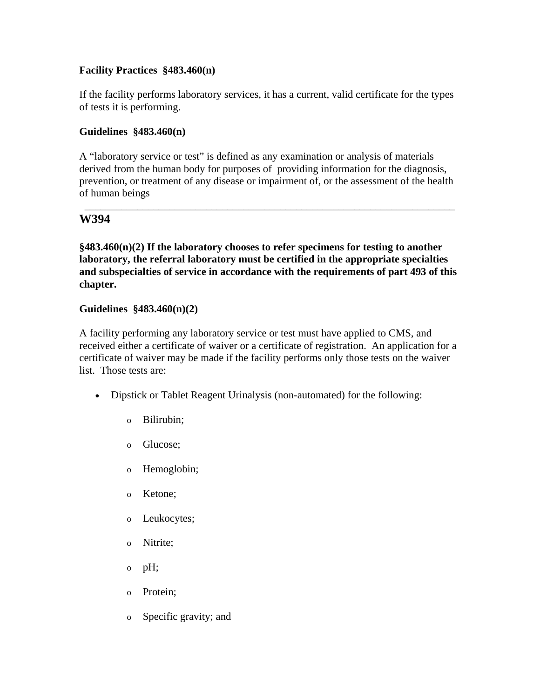## **Facility Practices §483.460(n)**

If the facility performs laboratory services, it has a current, valid certificate for the types of tests it is performing.

## **Guidelines §483.460(n)**

A "laboratory service or test" is defined as any examination or analysis of materials derived from the human body for purposes of providing information for the diagnosis, prevention, or treatment of any disease or impairment of, or the assessment of the health of human beings

\_\_\_\_\_\_\_\_\_\_\_\_\_\_\_\_\_\_\_\_\_\_\_\_\_\_\_\_\_\_\_\_\_\_\_\_\_\_\_\_\_\_\_\_\_\_\_\_\_\_\_\_\_\_\_\_\_\_\_\_\_\_\_\_\_\_\_\_\_\_

# **W394**

**§483.460(n)(2) If the laboratory chooses to refer specimens for testing to another laboratory, the referral laboratory must be certified in the appropriate specialties and subspecialties of service in accordance with the requirements of part 493 of this chapter.** 

## **Guidelines §483.460(n)(2)**

A facility performing any laboratory service or test must have applied to CMS, and received either a certificate of waiver or a certificate of registration. An application for a certificate of waiver may be made if the facility performs only those tests on the waiver list. Those tests are:

- Dipstick or Tablet Reagent Urinalysis (non-automated) for the following:
	- o Bilirubin;
	- o Glucose;
	- o Hemoglobin;
	- o Ketone;
	- o Leukocytes;
	- o Nitrite;
	- o pH;
	- o Protein;
	- o Specific gravity; and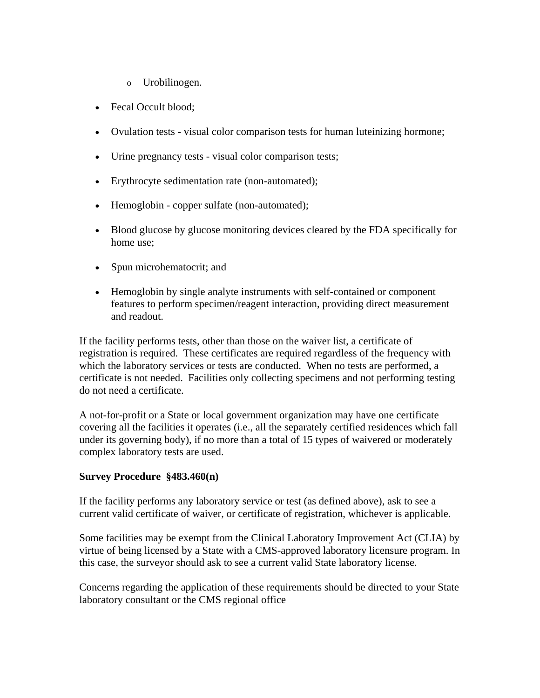- o Urobilinogen.
- Fecal Occult blood;
- Ovulation tests visual color comparison tests for human luteinizing hormone;
- Urine pregnancy tests visual color comparison tests;
- Erythrocyte sedimentation rate (non-automated);
- Hemoglobin copper sulfate (non-automated);
- Blood glucose by glucose monitoring devices cleared by the FDA specifically for home use;
- Spun microhematocrit; and
- Hemoglobin by single analyte instruments with self-contained or component features to perform specimen/reagent interaction, providing direct measurement and readout.

If the facility performs tests, other than those on the waiver list, a certificate of registration is required. These certificates are required regardless of the frequency with which the laboratory services or tests are conducted. When no tests are performed, a certificate is not needed. Facilities only collecting specimens and not performing testing do not need a certificate.

A not-for-profit or a State or local government organization may have one certificate covering all the facilities it operates (i.e., all the separately certified residences which fall under its governing body), if no more than a total of 15 types of waivered or moderately complex laboratory tests are used.

#### **Survey Procedure §483.460(n)**

If the facility performs any laboratory service or test (as defined above), ask to see a current valid certificate of waiver, or certificate of registration, whichever is applicable.

Some facilities may be exempt from the Clinical Laboratory Improvement Act (CLIA) by virtue of being licensed by a State with a CMS-approved laboratory licensure program. In this case, the surveyor should ask to see a current valid State laboratory license.

Concerns regarding the application of these requirements should be directed to your State laboratory consultant or the CMS regional office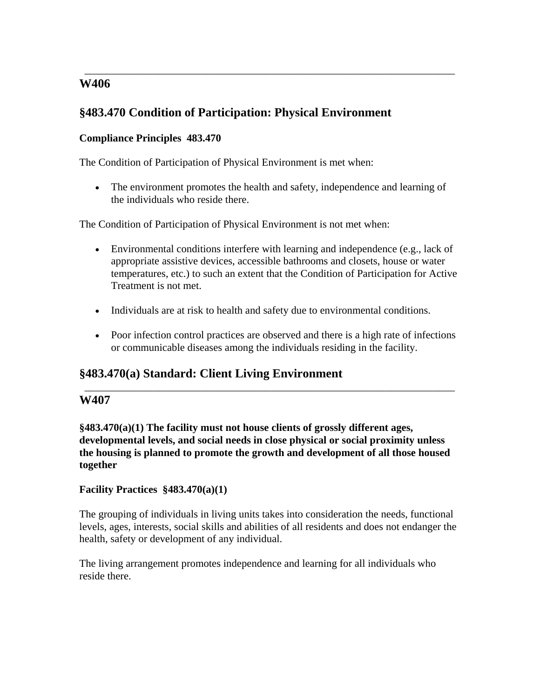# **W406**

# **§483.470 Condition of Participation: Physical Environment**

## **Compliance Principles 483.470**

The Condition of Participation of Physical Environment is met when:

• The environment promotes the health and safety, independence and learning of the individuals who reside there.

\_\_\_\_\_\_\_\_\_\_\_\_\_\_\_\_\_\_\_\_\_\_\_\_\_\_\_\_\_\_\_\_\_\_\_\_\_\_\_\_\_\_\_\_\_\_\_\_\_\_\_\_\_\_\_\_\_\_\_\_\_\_\_\_\_\_\_\_\_\_

The Condition of Participation of Physical Environment is not met when:

- Environmental conditions interfere with learning and independence (e.g., lack of appropriate assistive devices, accessible bathrooms and closets, house or water temperatures, etc.) to such an extent that the Condition of Participation for Active Treatment is not met.
- Individuals are at risk to health and safety due to environmental conditions.
- Poor infection control practices are observed and there is a high rate of infections or communicable diseases among the individuals residing in the facility.

\_\_\_\_\_\_\_\_\_\_\_\_\_\_\_\_\_\_\_\_\_\_\_\_\_\_\_\_\_\_\_\_\_\_\_\_\_\_\_\_\_\_\_\_\_\_\_\_\_\_\_\_\_\_\_\_\_\_\_\_\_\_\_\_\_\_\_\_\_\_

# **§483.470(a) Standard: Client Living Environment**

# **W407**

**§483.470(a)(1) The facility must not house clients of grossly different ages, developmental levels, and social needs in close physical or social proximity unless the housing is planned to promote the growth and development of all those housed together** 

## **Facility Practices §483.470(a)(1)**

The grouping of individuals in living units takes into consideration the needs, functional levels, ages, interests, social skills and abilities of all residents and does not endanger the health, safety or development of any individual.

The living arrangement promotes independence and learning for all individuals who reside there.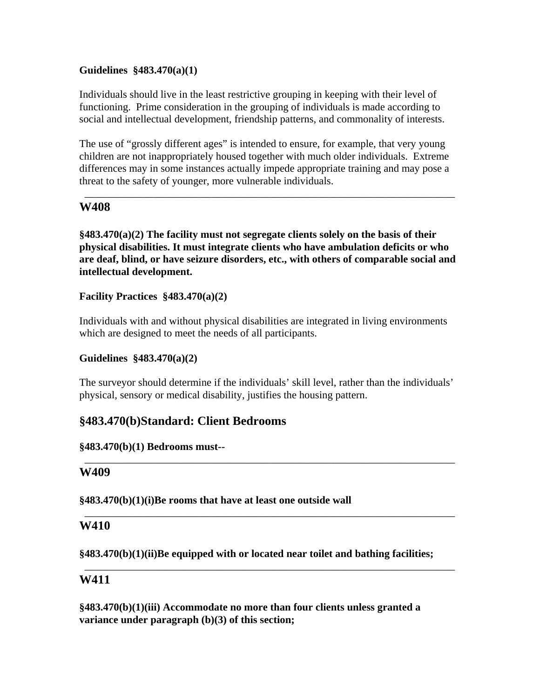## **Guidelines §483.470(a)(1)**

Individuals should live in the least restrictive grouping in keeping with their level of functioning. Prime consideration in the grouping of individuals is made according to social and intellectual development, friendship patterns, and commonality of interests.

The use of "grossly different ages" is intended to ensure, for example, that very young children are not inappropriately housed together with much older individuals. Extreme differences may in some instances actually impede appropriate training and may pose a threat to the safety of younger, more vulnerable individuals.

\_\_\_\_\_\_\_\_\_\_\_\_\_\_\_\_\_\_\_\_\_\_\_\_\_\_\_\_\_\_\_\_\_\_\_\_\_\_\_\_\_\_\_\_\_\_\_\_\_\_\_\_\_\_\_\_\_\_\_\_\_\_\_\_\_\_\_\_\_\_

# **W408**

**§483.470(a)(2) The facility must not segregate clients solely on the basis of their physical disabilities. It must integrate clients who have ambulation deficits or who are deaf, blind, or have seizure disorders, etc., with others of comparable social and intellectual development.** 

**Facility Practices §483.470(a)(2)** 

Individuals with and without physical disabilities are integrated in living environments which are designed to meet the needs of all participants.

## **Guidelines §483.470(a)(2)**

The surveyor should determine if the individuals' skill level, rather than the individuals' physical, sensory or medical disability, justifies the housing pattern.

\_\_\_\_\_\_\_\_\_\_\_\_\_\_\_\_\_\_\_\_\_\_\_\_\_\_\_\_\_\_\_\_\_\_\_\_\_\_\_\_\_\_\_\_\_\_\_\_\_\_\_\_\_\_\_\_\_\_\_\_\_\_\_\_\_\_\_\_\_\_

\_\_\_\_\_\_\_\_\_\_\_\_\_\_\_\_\_\_\_\_\_\_\_\_\_\_\_\_\_\_\_\_\_\_\_\_\_\_\_\_\_\_\_\_\_\_\_\_\_\_\_\_\_\_\_\_\_\_\_\_\_\_\_\_\_\_\_\_\_\_

\_\_\_\_\_\_\_\_\_\_\_\_\_\_\_\_\_\_\_\_\_\_\_\_\_\_\_\_\_\_\_\_\_\_\_\_\_\_\_\_\_\_\_\_\_\_\_\_\_\_\_\_\_\_\_\_\_\_\_\_\_\_\_\_\_\_\_\_\_\_

# **§483.470(b)Standard: Client Bedrooms**

## **§483.470(b)(1) Bedrooms must--**

## **W409**

**§483.470(b)(1)(i)Be rooms that have at least one outside wall** 

## **W410**

**§483.470(b)(1)(ii)Be equipped with or located near toilet and bathing facilities;** 

# **W411**

**§483.470(b)(1)(iii) Accommodate no more than four clients unless granted a variance under paragraph (b)(3) of this section;**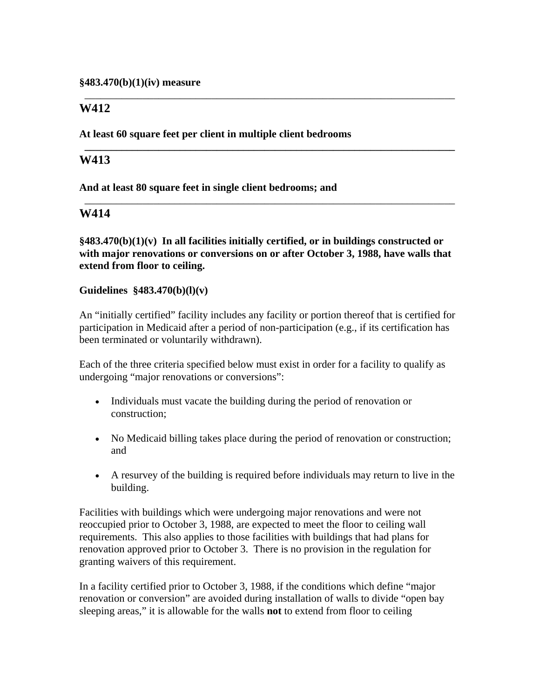# **W412**

**At least 60 square feet per client in multiple client bedrooms** 

# **W413**

**And at least 80 square feet in single client bedrooms; and** 

## **W414**

**§483.470(b)(1)(v) In all facilities initially certified, or in buildings constructed or with major renovations or conversions on or after October 3, 1988, have walls that extend from floor to ceiling.** 

\_\_\_\_\_\_\_\_\_\_\_\_\_\_\_\_\_\_\_\_\_\_\_\_\_\_\_\_\_\_\_\_\_\_\_\_\_\_\_\_\_\_\_\_\_\_\_\_\_\_\_\_\_\_\_\_\_\_\_\_\_\_\_\_\_\_\_\_\_\_

**\_\_\_\_\_\_\_\_\_\_\_\_\_\_\_\_\_\_\_\_\_\_\_\_\_\_\_\_\_\_\_\_\_\_\_\_\_\_\_\_\_\_\_\_\_\_\_\_\_\_\_\_\_\_\_\_\_\_\_\_\_\_\_\_\_\_\_\_\_\_** 

\_\_\_\_\_\_\_\_\_\_\_\_\_\_\_\_\_\_\_\_\_\_\_\_\_\_\_\_\_\_\_\_\_\_\_\_\_\_\_\_\_\_\_\_\_\_\_\_\_\_\_\_\_\_\_\_\_\_\_\_\_\_\_\_\_\_\_\_\_\_

#### **Guidelines §483.470(b)(l)(v)**

An "initially certified" facility includes any facility or portion thereof that is certified for participation in Medicaid after a period of non-participation (e.g., if its certification has been terminated or voluntarily withdrawn).

Each of the three criteria specified below must exist in order for a facility to qualify as undergoing "major renovations or conversions":

- Individuals must vacate the building during the period of renovation or construction;
- No Medicaid billing takes place during the period of renovation or construction; and
- A resurvey of the building is required before individuals may return to live in the building.

Facilities with buildings which were undergoing major renovations and were not reoccupied prior to October 3, 1988, are expected to meet the floor to ceiling wall requirements. This also applies to those facilities with buildings that had plans for renovation approved prior to October 3. There is no provision in the regulation for granting waivers of this requirement.

In a facility certified prior to October 3, 1988, if the conditions which define "major renovation or conversion" are avoided during installation of walls to divide "open bay sleeping areas," it is allowable for the walls **not** to extend from floor to ceiling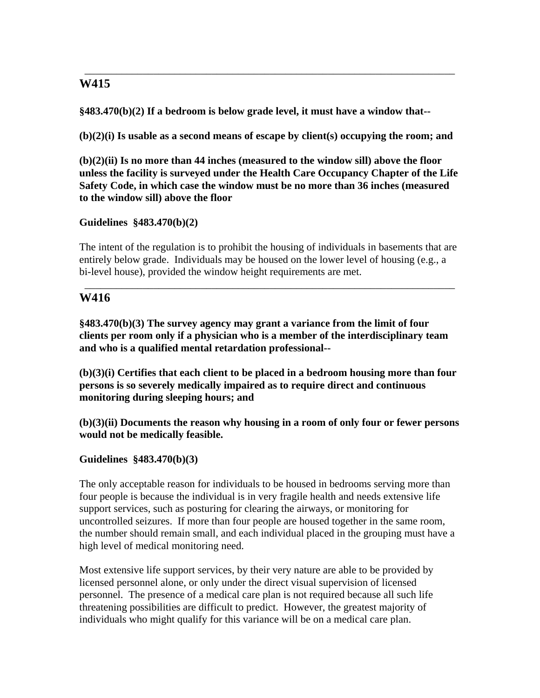# **W415**

**§483.470(b)(2) If a bedroom is below grade level, it must have a window that--** 

**(b)(2)(i) Is usable as a second means of escape by client(s) occupying the room; and** 

\_\_\_\_\_\_\_\_\_\_\_\_\_\_\_\_\_\_\_\_\_\_\_\_\_\_\_\_\_\_\_\_\_\_\_\_\_\_\_\_\_\_\_\_\_\_\_\_\_\_\_\_\_\_\_\_\_\_\_\_\_\_\_\_\_\_\_\_\_\_

**(b)(2)(ii) Is no more than 44 inches (measured to the window sill) above the floor unless the facility is surveyed under the Health Care Occupancy Chapter of the Life Safety Code, in which case the window must be no more than 36 inches (measured to the window sill) above the floor** 

## **Guidelines §483.470(b)(2)**

The intent of the regulation is to prohibit the housing of individuals in basements that are entirely below grade. Individuals may be housed on the lower level of housing (e.g., a bi-level house), provided the window height requirements are met.

\_\_\_\_\_\_\_\_\_\_\_\_\_\_\_\_\_\_\_\_\_\_\_\_\_\_\_\_\_\_\_\_\_\_\_\_\_\_\_\_\_\_\_\_\_\_\_\_\_\_\_\_\_\_\_\_\_\_\_\_\_\_\_\_\_\_\_\_\_\_

# **W416**

**§483.470(b)(3) The survey agency may grant a variance from the limit of four clients per room only if a physician who is a member of the interdisciplinary team and who is a qualified mental retardation professional--** 

**(b)(3)(i) Certifies that each client to be placed in a bedroom housing more than four persons is so severely medically impaired as to require direct and continuous monitoring during sleeping hours; and** 

**(b)(3)(ii) Documents the reason why housing in a room of only four or fewer persons would not be medically feasible.** 

# **Guidelines §483.470(b)(3)**

The only acceptable reason for individuals to be housed in bedrooms serving more than four people is because the individual is in very fragile health and needs extensive life support services, such as posturing for clearing the airways, or monitoring for uncontrolled seizures. If more than four people are housed together in the same room, the number should remain small, and each individual placed in the grouping must have a high level of medical monitoring need.

Most extensive life support services, by their very nature are able to be provided by licensed personnel alone, or only under the direct visual supervision of licensed personnel. The presence of a medical care plan is not required because all such life threatening possibilities are difficult to predict. However, the greatest majority of individuals who might qualify for this variance will be on a medical care plan.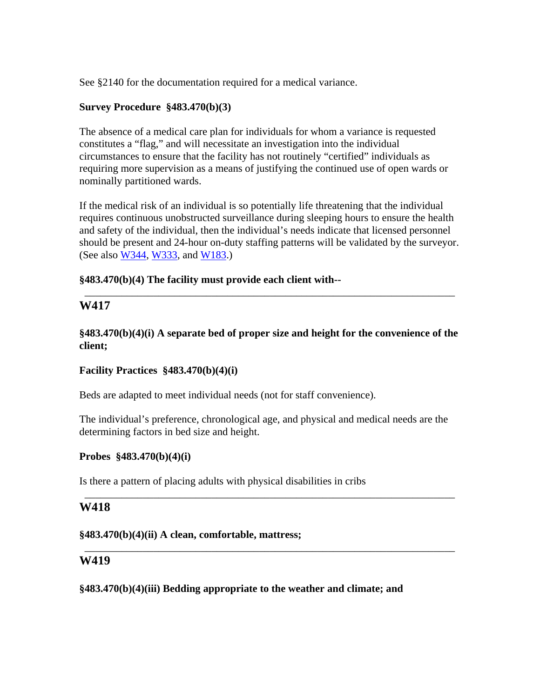See §2140 for the documentation required for a medical variance.

#### **Survey Procedure §483.470(b)(3)**

The absence of a medical care plan for individuals for whom a variance is requested constitutes a "flag," and will necessitate an investigation into the individual circumstances to ensure that the facility has not routinely "certified" individuals as requiring more supervision as a means of justifying the continued use of open wards or nominally partitioned wards.

If the medical risk of an individual is so potentially life threatening that the individual requires continuous unobstructed surveillance during sleeping hours to ensure the health and safety of the individual, then the individual's needs indicate that licensed personnel should be present and 24-hour on-duty staffing patterns will be validated by the surveyor. (See also W344, W333, and W183.)

#### **§483.470(b)(4) The facility must provide each client with--**

# **W417**

**§483.470(b)(4)(i) A separate bed of proper size and height for the convenience of the client;** 

\_\_\_\_\_\_\_\_\_\_\_\_\_\_\_\_\_\_\_\_\_\_\_\_\_\_\_\_\_\_\_\_\_\_\_\_\_\_\_\_\_\_\_\_\_\_\_\_\_\_\_\_\_\_\_\_\_\_\_\_\_\_\_\_\_\_\_\_\_\_

## **Facility Practices §483.470(b)(4)(i)**

Beds are adapted to meet individual needs (not for staff convenience).

The individual's preference, chronological age, and physical and medical needs are the determining factors in bed size and height.

\_\_\_\_\_\_\_\_\_\_\_\_\_\_\_\_\_\_\_\_\_\_\_\_\_\_\_\_\_\_\_\_\_\_\_\_\_\_\_\_\_\_\_\_\_\_\_\_\_\_\_\_\_\_\_\_\_\_\_\_\_\_\_\_\_\_\_\_\_\_

\_\_\_\_\_\_\_\_\_\_\_\_\_\_\_\_\_\_\_\_\_\_\_\_\_\_\_\_\_\_\_\_\_\_\_\_\_\_\_\_\_\_\_\_\_\_\_\_\_\_\_\_\_\_\_\_\_\_\_\_\_\_\_\_\_\_\_\_\_\_

#### **Probes §483.470(b)(4)(i)**

Is there a pattern of placing adults with physical disabilities in cribs

## **W418**

#### **§483.470(b)(4)(ii) A clean, comfortable, mattress;**

## **W419**

**§483.470(b)(4)(iii) Bedding appropriate to the weather and climate; and**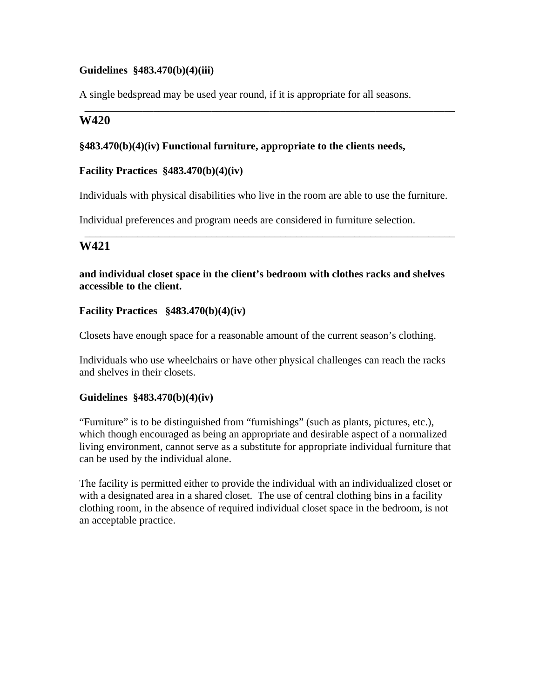#### **Guidelines §483.470(b)(4)(iii)**

A single bedspread may be used year round, if it is appropriate for all seasons.

# **W420**

#### **§483.470(b)(4)(iv) Functional furniture, appropriate to the clients needs,**

#### **Facility Practices §483.470(b)(4)(iv)**

Individuals with physical disabilities who live in the room are able to use the furniture.

\_\_\_\_\_\_\_\_\_\_\_\_\_\_\_\_\_\_\_\_\_\_\_\_\_\_\_\_\_\_\_\_\_\_\_\_\_\_\_\_\_\_\_\_\_\_\_\_\_\_\_\_\_\_\_\_\_\_\_\_\_\_\_\_\_\_\_\_\_\_

\_\_\_\_\_\_\_\_\_\_\_\_\_\_\_\_\_\_\_\_\_\_\_\_\_\_\_\_\_\_\_\_\_\_\_\_\_\_\_\_\_\_\_\_\_\_\_\_\_\_\_\_\_\_\_\_\_\_\_\_\_\_\_\_\_\_\_\_\_\_

Individual preferences and program needs are considered in furniture selection.

# **W421**

#### **and individual closet space in the client's bedroom with clothes racks and shelves accessible to the client.**

#### **Facility Practices §483.470(b)(4)(iv)**

Closets have enough space for a reasonable amount of the current season's clothing.

Individuals who use wheelchairs or have other physical challenges can reach the racks and shelves in their closets.

#### **Guidelines §483.470(b)(4)(iv)**

"Furniture" is to be distinguished from "furnishings" (such as plants, pictures, etc.), which though encouraged as being an appropriate and desirable aspect of a normalized living environment, cannot serve as a substitute for appropriate individual furniture that can be used by the individual alone.

The facility is permitted either to provide the individual with an individualized closet or with a designated area in a shared closet. The use of central clothing bins in a facility clothing room, in the absence of required individual closet space in the bedroom, is not an acceptable practice.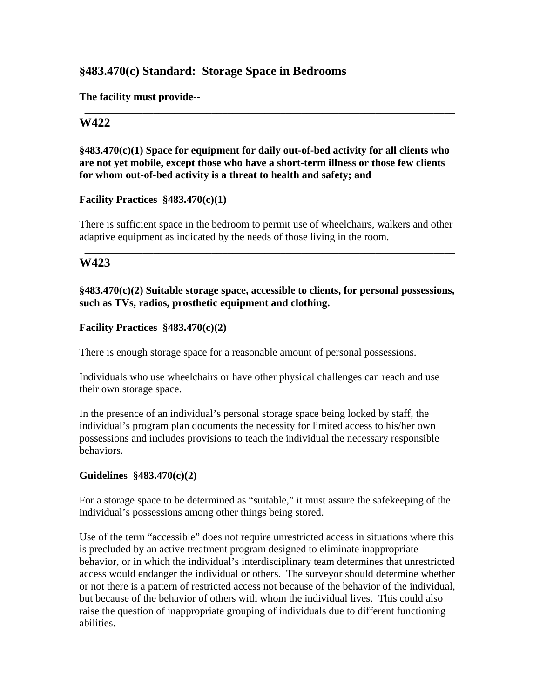# **§483.470(c) Standard: Storage Space in Bedrooms**

**The facility must provide--** 

## **W422**

## **§483.470(c)(1) Space for equipment for daily out-of-bed activity for all clients who are not yet mobile, except those who have a short-term illness or those few clients for whom out-of-bed activity is a threat to health and safety; and**

\_\_\_\_\_\_\_\_\_\_\_\_\_\_\_\_\_\_\_\_\_\_\_\_\_\_\_\_\_\_\_\_\_\_\_\_\_\_\_\_\_\_\_\_\_\_\_\_\_\_\_\_\_\_\_\_\_\_\_\_\_\_\_\_\_\_\_\_\_\_

#### **Facility Practices §483.470(c)(1)**

There is sufficient space in the bedroom to permit use of wheelchairs, walkers and other adaptive equipment as indicated by the needs of those living in the room.

\_\_\_\_\_\_\_\_\_\_\_\_\_\_\_\_\_\_\_\_\_\_\_\_\_\_\_\_\_\_\_\_\_\_\_\_\_\_\_\_\_\_\_\_\_\_\_\_\_\_\_\_\_\_\_\_\_\_\_\_\_\_\_\_\_\_\_\_\_\_

# **W423**

**§483.470(c)(2) Suitable storage space, accessible to clients, for personal possessions, such as TVs, radios, prosthetic equipment and clothing.** 

#### **Facility Practices §483.470(c)(2)**

There is enough storage space for a reasonable amount of personal possessions.

Individuals who use wheelchairs or have other physical challenges can reach and use their own storage space.

In the presence of an individual's personal storage space being locked by staff, the individual's program plan documents the necessity for limited access to his/her own possessions and includes provisions to teach the individual the necessary responsible behaviors.

## **Guidelines §483.470(c)(2)**

For a storage space to be determined as "suitable," it must assure the safekeeping of the individual's possessions among other things being stored.

Use of the term "accessible" does not require unrestricted access in situations where this is precluded by an active treatment program designed to eliminate inappropriate behavior, or in which the individual's interdisciplinary team determines that unrestricted access would endanger the individual or others. The surveyor should determine whether or not there is a pattern of restricted access not because of the behavior of the individual, but because of the behavior of others with whom the individual lives. This could also raise the question of inappropriate grouping of individuals due to different functioning abilities.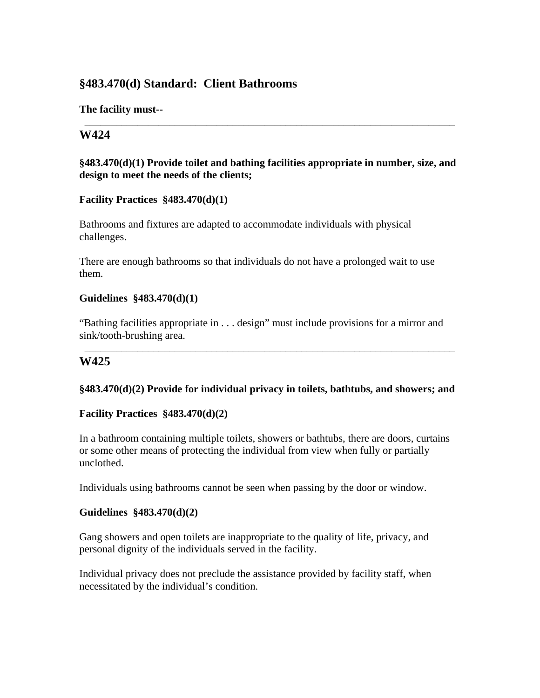# **§483.470(d) Standard: Client Bathrooms**

**The facility must--** 

# **W424**

## **§483.470(d)(1) Provide toilet and bathing facilities appropriate in number, size, and design to meet the needs of the clients;**

\_\_\_\_\_\_\_\_\_\_\_\_\_\_\_\_\_\_\_\_\_\_\_\_\_\_\_\_\_\_\_\_\_\_\_\_\_\_\_\_\_\_\_\_\_\_\_\_\_\_\_\_\_\_\_\_\_\_\_\_\_\_\_\_\_\_\_\_\_\_

## **Facility Practices §483.470(d)(1)**

Bathrooms and fixtures are adapted to accommodate individuals with physical challenges.

There are enough bathrooms so that individuals do not have a prolonged wait to use them.

## **Guidelines §483.470(d)(1)**

"Bathing facilities appropriate in . . . design" must include provisions for a mirror and sink/tooth-brushing area.

# **W425**

## **§483.470(d)(2) Provide for individual privacy in toilets, bathtubs, and showers; and**

\_\_\_\_\_\_\_\_\_\_\_\_\_\_\_\_\_\_\_\_\_\_\_\_\_\_\_\_\_\_\_\_\_\_\_\_\_\_\_\_\_\_\_\_\_\_\_\_\_\_\_\_\_\_\_\_\_\_\_\_\_\_\_\_\_\_\_\_\_\_

## **Facility Practices §483.470(d)(2)**

In a bathroom containing multiple toilets, showers or bathtubs, there are doors, curtains or some other means of protecting the individual from view when fully or partially unclothed.

Individuals using bathrooms cannot be seen when passing by the door or window.

## **Guidelines §483.470(d)(2)**

Gang showers and open toilets are inappropriate to the quality of life, privacy, and personal dignity of the individuals served in the facility.

Individual privacy does not preclude the assistance provided by facility staff, when necessitated by the individual's condition.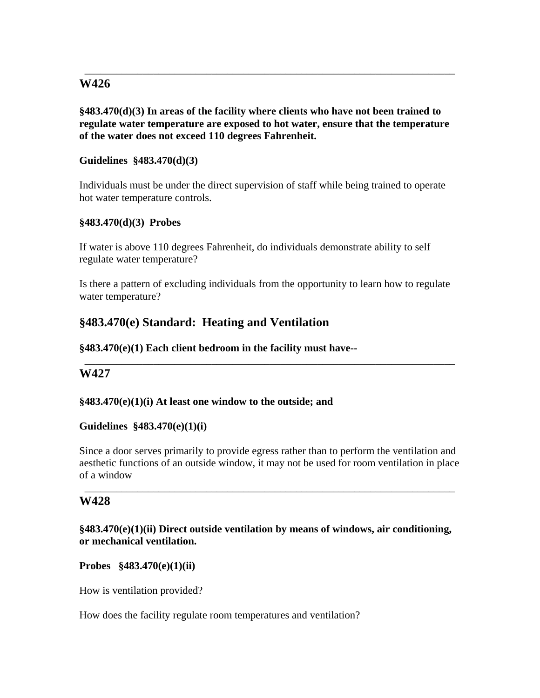# **W426**

**§483.470(d)(3) In areas of the facility where clients who have not been trained to regulate water temperature are exposed to hot water, ensure that the temperature of the water does not exceed 110 degrees Fahrenheit.** 

\_\_\_\_\_\_\_\_\_\_\_\_\_\_\_\_\_\_\_\_\_\_\_\_\_\_\_\_\_\_\_\_\_\_\_\_\_\_\_\_\_\_\_\_\_\_\_\_\_\_\_\_\_\_\_\_\_\_\_\_\_\_\_\_\_\_\_\_\_\_

#### **Guidelines §483.470(d)(3)**

Individuals must be under the direct supervision of staff while being trained to operate hot water temperature controls.

#### **§483.470(d)(3) Probes**

If water is above 110 degrees Fahrenheit, do individuals demonstrate ability to self regulate water temperature?

Is there a pattern of excluding individuals from the opportunity to learn how to regulate water temperature?

\_\_\_\_\_\_\_\_\_\_\_\_\_\_\_\_\_\_\_\_\_\_\_\_\_\_\_\_\_\_\_\_\_\_\_\_\_\_\_\_\_\_\_\_\_\_\_\_\_\_\_\_\_\_\_\_\_\_\_\_\_\_\_\_\_\_\_\_\_\_

# **§483.470(e) Standard: Heating and Ventilation**

#### **§483.470(e)(1) Each client bedroom in the facility must have--**

## **W427**

#### **§483.470(e)(1)(i) At least one window to the outside; and**

#### **Guidelines §483.470(e)(1)(i)**

Since a door serves primarily to provide egress rather than to perform the ventilation and aesthetic functions of an outside window, it may not be used for room ventilation in place of a window

\_\_\_\_\_\_\_\_\_\_\_\_\_\_\_\_\_\_\_\_\_\_\_\_\_\_\_\_\_\_\_\_\_\_\_\_\_\_\_\_\_\_\_\_\_\_\_\_\_\_\_\_\_\_\_\_\_\_\_\_\_\_\_\_\_\_\_\_\_\_

## **W428**

## **§483.470(e)(1)(ii) Direct outside ventilation by means of windows, air conditioning, or mechanical ventilation.**

**Probes §483.470(e)(1)(ii)** 

How is ventilation provided?

How does the facility regulate room temperatures and ventilation?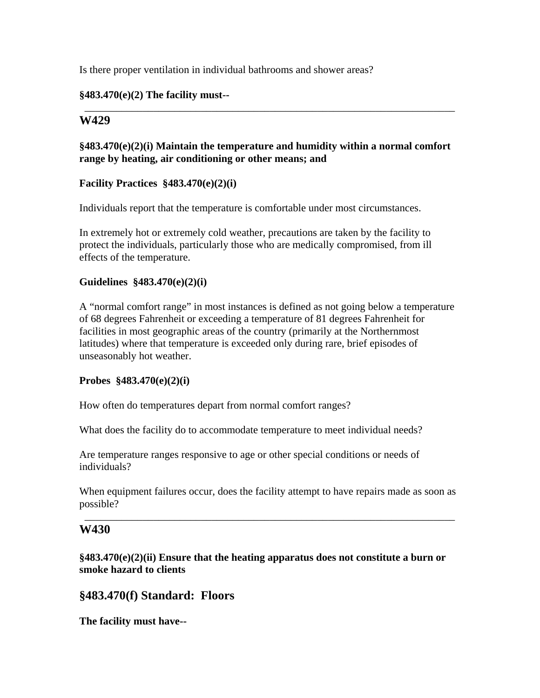Is there proper ventilation in individual bathrooms and shower areas?

#### **§483.470(e)(2) The facility must--**

# **W429**

## **§483.470(e)(2)(i) Maintain the temperature and humidity within a normal comfort range by heating, air conditioning or other means; and**

\_\_\_\_\_\_\_\_\_\_\_\_\_\_\_\_\_\_\_\_\_\_\_\_\_\_\_\_\_\_\_\_\_\_\_\_\_\_\_\_\_\_\_\_\_\_\_\_\_\_\_\_\_\_\_\_\_\_\_\_\_\_\_\_\_\_\_\_\_\_

#### **Facility Practices §483.470(e)(2)(i)**

Individuals report that the temperature is comfortable under most circumstances.

In extremely hot or extremely cold weather, precautions are taken by the facility to protect the individuals, particularly those who are medically compromised, from ill effects of the temperature.

#### **Guidelines §483.470(e)(2)(i)**

A "normal comfort range" in most instances is defined as not going below a temperature of 68 degrees Fahrenheit or exceeding a temperature of 81 degrees Fahrenheit for facilities in most geographic areas of the country (primarily at the Northernmost latitudes) where that temperature is exceeded only during rare, brief episodes of unseasonably hot weather.

#### **Probes §483.470(e)(2)(i)**

How often do temperatures depart from normal comfort ranges?

What does the facility do to accommodate temperature to meet individual needs?

Are temperature ranges responsive to age or other special conditions or needs of individuals?

When equipment failures occur, does the facility attempt to have repairs made as soon as possible?

\_\_\_\_\_\_\_\_\_\_\_\_\_\_\_\_\_\_\_\_\_\_\_\_\_\_\_\_\_\_\_\_\_\_\_\_\_\_\_\_\_\_\_\_\_\_\_\_\_\_\_\_\_\_\_\_\_\_\_\_\_\_\_\_\_\_\_\_\_\_

## **W430**

**§483.470(e)(2)(ii) Ensure that the heating apparatus does not constitute a burn or smoke hazard to clients** 

## **§483.470(f) Standard: Floors**

**The facility must have--**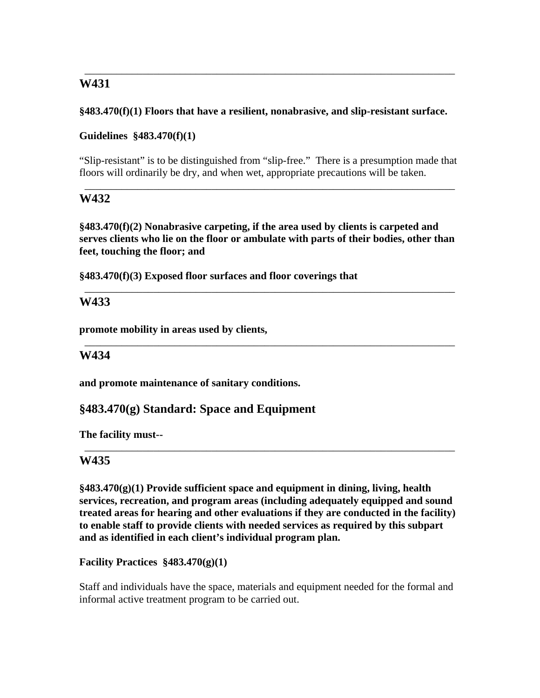# **W431**

## **§483.470(f)(1) Floors that have a resilient, nonabrasive, and slip-resistant surface.**

\_\_\_\_\_\_\_\_\_\_\_\_\_\_\_\_\_\_\_\_\_\_\_\_\_\_\_\_\_\_\_\_\_\_\_\_\_\_\_\_\_\_\_\_\_\_\_\_\_\_\_\_\_\_\_\_\_\_\_\_\_\_\_\_\_\_\_\_\_\_

## **Guidelines §483.470(f)(1)**

"Slip-resistant" is to be distinguished from "slip-free." There is a presumption made that floors will ordinarily be dry, and when wet, appropriate precautions will be taken.

\_\_\_\_\_\_\_\_\_\_\_\_\_\_\_\_\_\_\_\_\_\_\_\_\_\_\_\_\_\_\_\_\_\_\_\_\_\_\_\_\_\_\_\_\_\_\_\_\_\_\_\_\_\_\_\_\_\_\_\_\_\_\_\_\_\_\_\_\_\_

## **W432**

**§483.470(f)(2) Nonabrasive carpeting, if the area used by clients is carpeted and serves clients who lie on the floor or ambulate with parts of their bodies, other than feet, touching the floor; and** 

\_\_\_\_\_\_\_\_\_\_\_\_\_\_\_\_\_\_\_\_\_\_\_\_\_\_\_\_\_\_\_\_\_\_\_\_\_\_\_\_\_\_\_\_\_\_\_\_\_\_\_\_\_\_\_\_\_\_\_\_\_\_\_\_\_\_\_\_\_\_

\_\_\_\_\_\_\_\_\_\_\_\_\_\_\_\_\_\_\_\_\_\_\_\_\_\_\_\_\_\_\_\_\_\_\_\_\_\_\_\_\_\_\_\_\_\_\_\_\_\_\_\_\_\_\_\_\_\_\_\_\_\_\_\_\_\_\_\_\_\_

**§483.470(f)(3) Exposed floor surfaces and floor coverings that** 

## **W433**

**promote mobility in areas used by clients,** 

## **W434**

**and promote maintenance of sanitary conditions.** 

# **§483.470(g) Standard: Space and Equipment**

**The facility must--** 

## **W435**

**§483.470(g)(1) Provide sufficient space and equipment in dining, living, health services, recreation, and program areas (including adequately equipped and sound treated areas for hearing and other evaluations if they are conducted in the facility) to enable staff to provide clients with needed services as required by this subpart and as identified in each client's individual program plan.** 

\_\_\_\_\_\_\_\_\_\_\_\_\_\_\_\_\_\_\_\_\_\_\_\_\_\_\_\_\_\_\_\_\_\_\_\_\_\_\_\_\_\_\_\_\_\_\_\_\_\_\_\_\_\_\_\_\_\_\_\_\_\_\_\_\_\_\_\_\_\_

**Facility Practices §483.470(g)(1)** 

Staff and individuals have the space, materials and equipment needed for the formal and informal active treatment program to be carried out.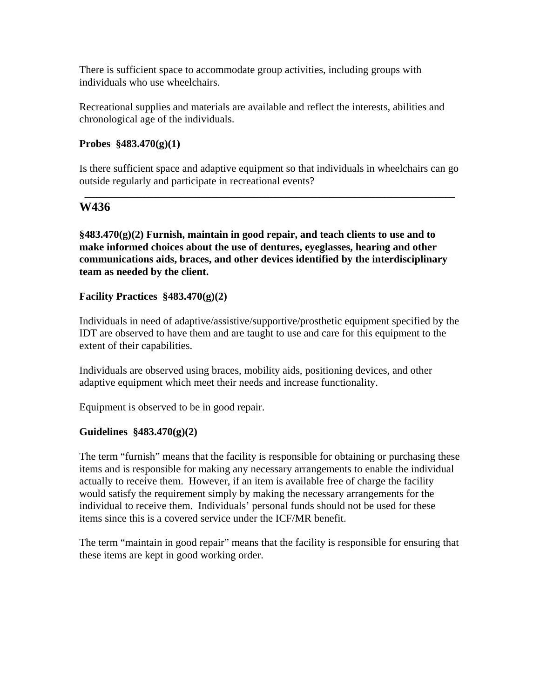There is sufficient space to accommodate group activities, including groups with individuals who use wheelchairs.

Recreational supplies and materials are available and reflect the interests, abilities and chronological age of the individuals.

#### **Probes §483.470(g)(1)**

Is there sufficient space and adaptive equipment so that individuals in wheelchairs can go outside regularly and participate in recreational events?

\_\_\_\_\_\_\_\_\_\_\_\_\_\_\_\_\_\_\_\_\_\_\_\_\_\_\_\_\_\_\_\_\_\_\_\_\_\_\_\_\_\_\_\_\_\_\_\_\_\_\_\_\_\_\_\_\_\_\_\_\_\_\_\_\_\_\_\_\_\_

## **W436**

**§483.470(g)(2) Furnish, maintain in good repair, and teach clients to use and to make informed choices about the use of dentures, eyeglasses, hearing and other communications aids, braces, and other devices identified by the interdisciplinary team as needed by the client.** 

#### **Facility Practices §483.470(g)(2)**

Individuals in need of adaptive/assistive/supportive/prosthetic equipment specified by the IDT are observed to have them and are taught to use and care for this equipment to the extent of their capabilities.

Individuals are observed using braces, mobility aids, positioning devices, and other adaptive equipment which meet their needs and increase functionality.

Equipment is observed to be in good repair.

#### **Guidelines §483.470(g)(2)**

The term "furnish" means that the facility is responsible for obtaining or purchasing these items and is responsible for making any necessary arrangements to enable the individual actually to receive them. However, if an item is available free of charge the facility would satisfy the requirement simply by making the necessary arrangements for the individual to receive them. Individuals' personal funds should not be used for these items since this is a covered service under the ICF/MR benefit.

The term "maintain in good repair" means that the facility is responsible for ensuring that these items are kept in good working order.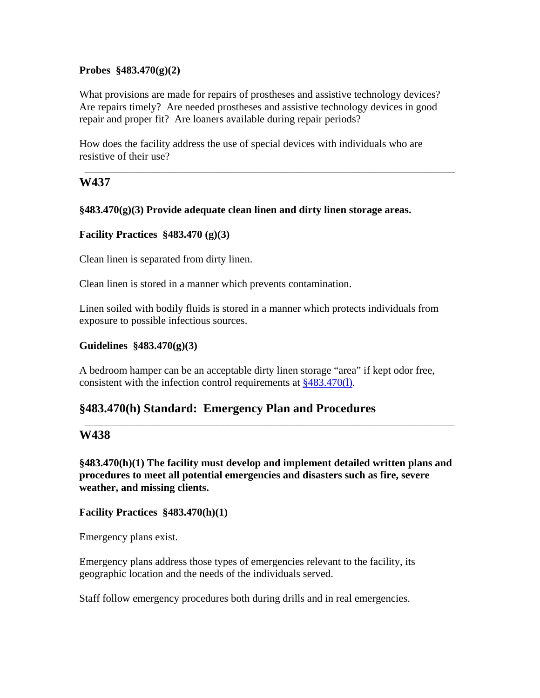#### **Probes §483.470(g)(2)**

What provisions are made for repairs of prostheses and assistive technology devices? Are repairs timely? Are needed prostheses and assistive technology devices in good repair and proper fit? Are loaners available during repair periods?

How does the facility address the use of special devices with individuals who are resistive of their use?

\_\_\_\_\_\_\_\_\_\_\_\_\_\_\_\_\_\_\_\_\_\_\_\_\_\_\_\_\_\_\_\_\_\_\_\_\_\_\_\_\_\_\_\_\_\_\_\_\_\_\_\_\_\_\_\_\_\_\_\_\_\_\_\_\_\_\_\_\_\_

## **W437**

#### **§483.470(g)(3) Provide adequate clean linen and dirty linen storage areas.**

#### **Facility Practices §483.470 (g)(3)**

Clean linen is separated from dirty linen.

Clean linen is stored in a manner which prevents contamination.

Linen soiled with bodily fluids is stored in a manner which protects individuals from exposure to possible infectious sources.

#### **Guidelines §483.470(g)(3)**

A bedroom hamper can be an acceptable dirty linen storage "area" if kept odor free, consistent with the infection control requirements at §483.470(l).

## **§483.470(h) Standard: Emergency Plan and Procedures**

## **W438**

**§483.470(h)(1) The facility must develop and implement detailed written plans and procedures to meet all potential emergencies and disasters such as fire, severe weather, and missing clients.** 

\_\_\_\_\_\_\_\_\_\_\_\_\_\_\_\_\_\_\_\_\_\_\_\_\_\_\_\_\_\_\_\_\_\_\_\_\_\_\_\_\_\_\_\_\_\_\_\_\_\_\_\_\_\_\_\_\_\_\_\_\_\_\_\_\_\_\_\_\_\_

#### **Facility Practices §483.470(h)(1)**

Emergency plans exist.

Emergency plans address those types of emergencies relevant to the facility, its geographic location and the needs of the individuals served.

Staff follow emergency procedures both during drills and in real emergencies.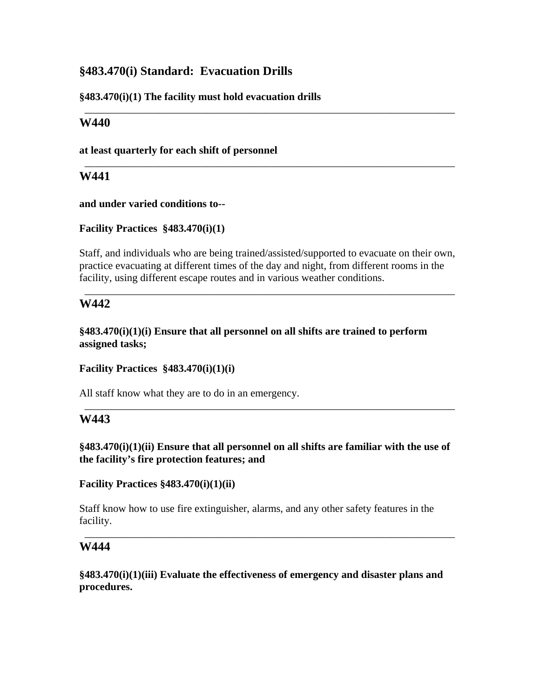# **§483.470(i) Standard: Evacuation Drills**

**§483.470(i)(1) The facility must hold evacuation drills** 

# **W440**

**at least quarterly for each shift of personnel** 

# **W441**

**and under varied conditions to--** 

**Facility Practices §483.470(i)(1)** 

Staff, and individuals who are being trained/assisted/supported to evacuate on their own, practice evacuating at different times of the day and night, from different rooms in the facility, using different escape routes and in various weather conditions.

\_\_\_\_\_\_\_\_\_\_\_\_\_\_\_\_\_\_\_\_\_\_\_\_\_\_\_\_\_\_\_\_\_\_\_\_\_\_\_\_\_\_\_\_\_\_\_\_\_\_\_\_\_\_\_\_\_\_\_\_\_\_\_\_\_\_\_\_\_\_

\_\_\_\_\_\_\_\_\_\_\_\_\_\_\_\_\_\_\_\_\_\_\_\_\_\_\_\_\_\_\_\_\_\_\_\_\_\_\_\_\_\_\_\_\_\_\_\_\_\_\_\_\_\_\_\_\_\_\_\_\_\_\_\_\_\_\_\_\_\_

\_\_\_\_\_\_\_\_\_\_\_\_\_\_\_\_\_\_\_\_\_\_\_\_\_\_\_\_\_\_\_\_\_\_\_\_\_\_\_\_\_\_\_\_\_\_\_\_\_\_\_\_\_\_\_\_\_\_\_\_\_\_\_\_\_\_\_\_\_\_

# **W442**

**§483.470(i)(1)(i) Ensure that all personnel on all shifts are trained to perform assigned tasks;** 

**Facility Practices §483.470(i)(1)(i)** 

All staff know what they are to do in an emergency.

# **W443**

**§483.470(i)(1)(ii) Ensure that all personnel on all shifts are familiar with the use of the facility's fire protection features; and** 

\_\_\_\_\_\_\_\_\_\_\_\_\_\_\_\_\_\_\_\_\_\_\_\_\_\_\_\_\_\_\_\_\_\_\_\_\_\_\_\_\_\_\_\_\_\_\_\_\_\_\_\_\_\_\_\_\_\_\_\_\_\_\_\_\_\_\_\_\_\_

**Facility Practices §483.470(i)(1)(ii)** 

Staff know how to use fire extinguisher, alarms, and any other safety features in the facility.

\_\_\_\_\_\_\_\_\_\_\_\_\_\_\_\_\_\_\_\_\_\_\_\_\_\_\_\_\_\_\_\_\_\_\_\_\_\_\_\_\_\_\_\_\_\_\_\_\_\_\_\_\_\_\_\_\_\_\_\_\_\_\_\_\_\_\_\_\_\_

# **W444**

**§483.470(i)(1)(iii) Evaluate the effectiveness of emergency and disaster plans and procedures.**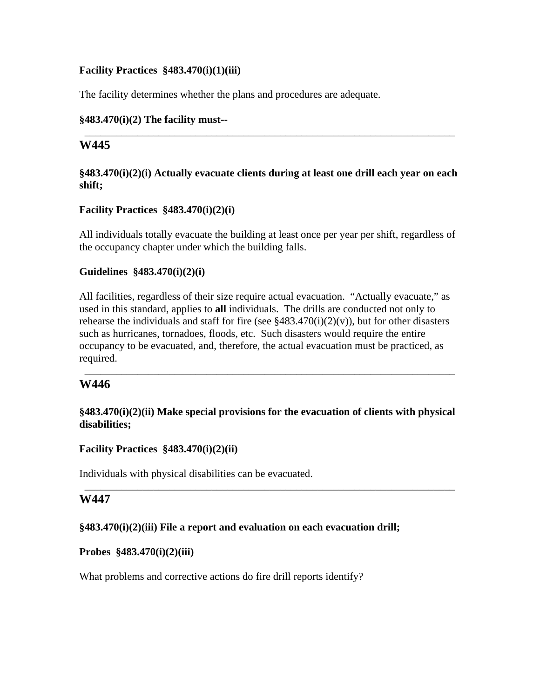#### **Facility Practices §483.470(i)(1)(iii)**

The facility determines whether the plans and procedures are adequate.

#### **§483.470(i)(2) The facility must--**

## **W445**

#### **§483.470(i)(2)(i) Actually evacuate clients during at least one drill each year on each shift;**

\_\_\_\_\_\_\_\_\_\_\_\_\_\_\_\_\_\_\_\_\_\_\_\_\_\_\_\_\_\_\_\_\_\_\_\_\_\_\_\_\_\_\_\_\_\_\_\_\_\_\_\_\_\_\_\_\_\_\_\_\_\_\_\_\_\_\_\_\_\_

#### **Facility Practices §483.470(i)(2)(i)**

All individuals totally evacuate the building at least once per year per shift, regardless of the occupancy chapter under which the building falls.

#### **Guidelines §483.470(i)(2)(i)**

All facilities, regardless of their size require actual evacuation. "Actually evacuate," as used in this standard, applies to **all** individuals. The drills are conducted not only to rehearse the individuals and staff for fire (see  $§483.470(i)(2)(v)$ ), but for other disasters such as hurricanes, tornadoes, floods, etc. Such disasters would require the entire occupancy to be evacuated, and, therefore, the actual evacuation must be practiced, as required.

## **W446**

#### **§483.470(i)(2)(ii) Make special provisions for the evacuation of clients with physical disabilities;**

\_\_\_\_\_\_\_\_\_\_\_\_\_\_\_\_\_\_\_\_\_\_\_\_\_\_\_\_\_\_\_\_\_\_\_\_\_\_\_\_\_\_\_\_\_\_\_\_\_\_\_\_\_\_\_\_\_\_\_\_\_\_\_\_\_\_\_\_\_\_

\_\_\_\_\_\_\_\_\_\_\_\_\_\_\_\_\_\_\_\_\_\_\_\_\_\_\_\_\_\_\_\_\_\_\_\_\_\_\_\_\_\_\_\_\_\_\_\_\_\_\_\_\_\_\_\_\_\_\_\_\_\_\_\_\_\_\_\_\_\_

## **Facility Practices §483.470(i)(2)(ii)**

Individuals with physical disabilities can be evacuated.

## **W447**

#### **§483.470(i)(2)(iii) File a report and evaluation on each evacuation drill;**

#### **Probes §483.470(i)(2)(iii)**

What problems and corrective actions do fire drill reports identify?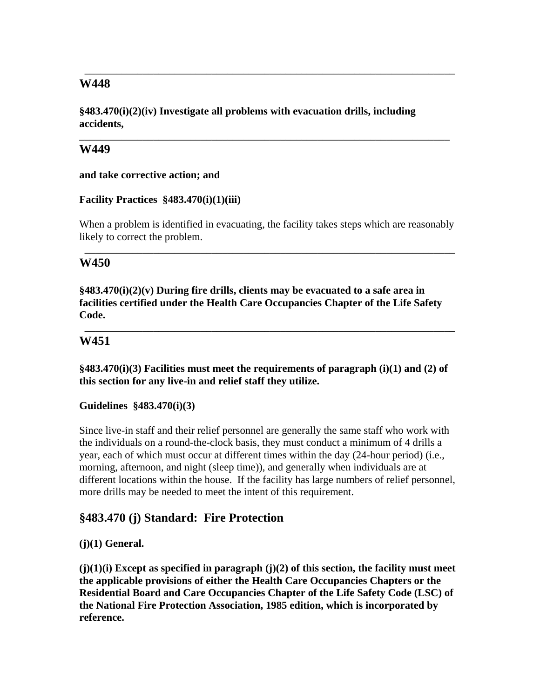# **W448**

**§483.470(i)(2)(iv) Investigate all problems with evacuation drills, including accidents,** 

\_\_\_\_\_\_\_\_\_\_\_\_\_\_\_\_\_\_\_\_\_\_\_\_\_\_\_\_\_\_\_\_\_\_\_\_\_\_\_\_\_\_\_\_\_\_\_\_\_\_\_\_\_\_\_\_\_\_\_\_\_\_\_\_\_\_\_\_\_\_

\_\_\_\_\_\_\_\_\_\_\_\_\_\_\_\_\_\_\_\_\_\_\_\_\_\_\_\_\_\_\_\_\_\_\_\_\_\_\_\_\_\_\_\_\_\_\_\_\_\_\_\_\_\_\_\_\_\_\_\_\_\_\_\_\_\_\_\_\_\_

## **W449**

**and take corrective action; and** 

#### **Facility Practices §483.470(i)(1)(iii)**

When a problem is identified in evacuating, the facility takes steps which are reasonably likely to correct the problem.

\_\_\_\_\_\_\_\_\_\_\_\_\_\_\_\_\_\_\_\_\_\_\_\_\_\_\_\_\_\_\_\_\_\_\_\_\_\_\_\_\_\_\_\_\_\_\_\_\_\_\_\_\_\_\_\_\_\_\_\_\_\_\_\_\_\_\_\_\_\_

## **W450**

**§483.470(i)(2)(v) During fire drills, clients may be evacuated to a safe area in facilities certified under the Health Care Occupancies Chapter of the Life Safety Code.** 

\_\_\_\_\_\_\_\_\_\_\_\_\_\_\_\_\_\_\_\_\_\_\_\_\_\_\_\_\_\_\_\_\_\_\_\_\_\_\_\_\_\_\_\_\_\_\_\_\_\_\_\_\_\_\_\_\_\_\_\_\_\_\_\_\_\_\_\_\_\_

# **W451**

**§483.470(i)(3) Facilities must meet the requirements of paragraph (i)(1) and (2) of this section for any live-in and relief staff they utilize.** 

#### **Guidelines §483.470(i)(3)**

Since live-in staff and their relief personnel are generally the same staff who work with the individuals on a round-the-clock basis, they must conduct a minimum of 4 drills a year, each of which must occur at different times within the day (24-hour period) (i.e., morning, afternoon, and night (sleep time)), and generally when individuals are at different locations within the house. If the facility has large numbers of relief personnel, more drills may be needed to meet the intent of this requirement.

# **§483.470 (j) Standard: Fire Protection**

## **(j)(1) General.**

**(j)(1)(i) Except as specified in paragraph (j)(2) of this section, the facility must meet the applicable provisions of either the Health Care Occupancies Chapters or the Residential Board and Care Occupancies Chapter of the Life Safety Code (LSC) of the National Fire Protection Association, 1985 edition, which is incorporated by reference.**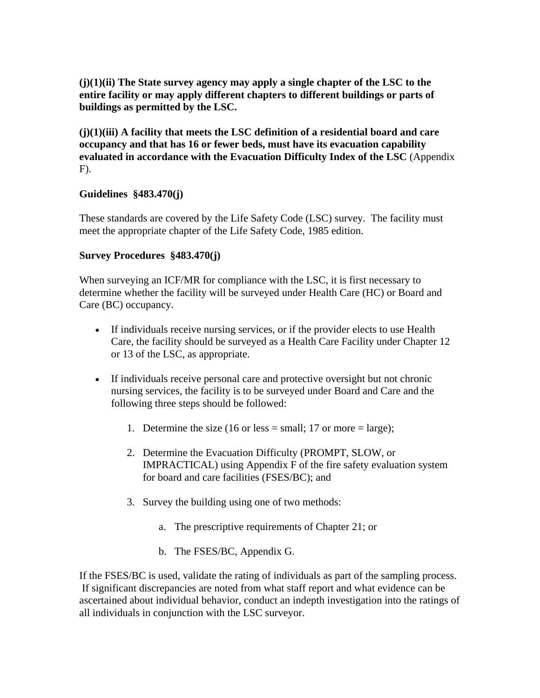**(j)(1)(ii) The State survey agency may apply a single chapter of the LSC to the entire facility or may apply different chapters to different buildings or parts of buildings as permitted by the LSC.** 

**(j)(1)(iii) A facility that meets the LSC definition of a residential board and care occupancy and that has 16 or fewer beds, must have its evacuation capability evaluated in accordance with the Evacuation Difficulty Index of the LSC** (Appendix F).

## **Guidelines §483.470(j)**

These standards are covered by the Life Safety Code (LSC) survey. The facility must meet the appropriate chapter of the Life Safety Code, 1985 edition.

#### **Survey Procedures §483.470(j)**

When surveying an ICF/MR for compliance with the LSC, it is first necessary to determine whether the facility will be surveyed under Health Care (HC) or Board and Care (BC) occupancy.

- If individuals receive nursing services, or if the provider elects to use Health Care, the facility should be surveyed as a Health Care Facility under Chapter 12 or 13 of the LSC, as appropriate.
- If individuals receive personal care and protective oversight but not chronic nursing services, the facility is to be surveyed under Board and Care and the following three steps should be followed:
	- 1. Determine the size (16 or less = small; 17 or more = large);
	- 2. Determine the Evacuation Difficulty (PROMPT, SLOW, or IMPRACTICAL) using Appendix F of the fire safety evaluation system for board and care facilities (FSES/BC); and
	- 3. Survey the building using one of two methods:
		- a. The prescriptive requirements of Chapter 21; or
		- b. The FSES/BC, Appendix G.

If the FSES/BC is used, validate the rating of individuals as part of the sampling process. If significant discrepancies are noted from what staff report and what evidence can be ascertained about individual behavior, conduct an indepth investigation into the ratings of all individuals in conjunction with the LSC surveyor.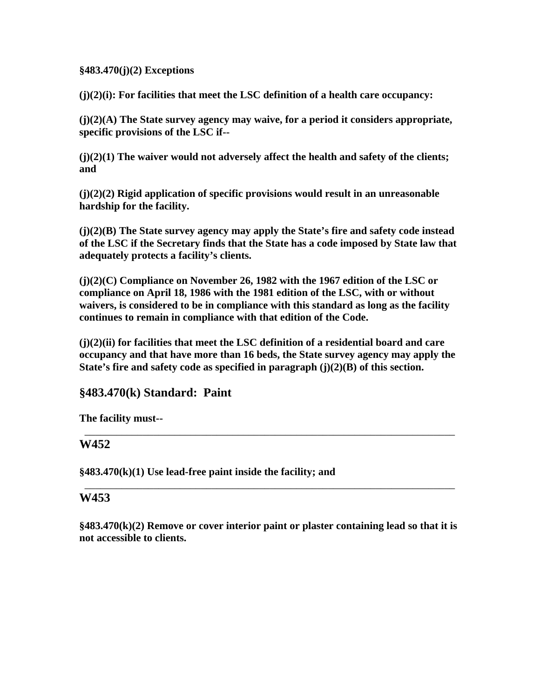#### **§483.470(j)(2) Exceptions**

**(j)(2)(i): For facilities that meet the LSC definition of a health care occupancy:** 

**(j)(2)(A) The State survey agency may waive, for a period it considers appropriate, specific provisions of the LSC if--** 

**(j)(2)(1) The waiver would not adversely affect the health and safety of the clients; and** 

**(j)(2)(2) Rigid application of specific provisions would result in an unreasonable hardship for the facility.** 

**(j)(2)(B) The State survey agency may apply the State's fire and safety code instead of the LSC if the Secretary finds that the State has a code imposed by State law that adequately protects a facility's clients.** 

**(j)(2)(C) Compliance on November 26, 1982 with the 1967 edition of the LSC or compliance on April 18, 1986 with the 1981 edition of the LSC, with or without waivers, is considered to be in compliance with this standard as long as the facility continues to remain in compliance with that edition of the Code.** 

**(j)(2)(ii) for facilities that meet the LSC definition of a residential board and care occupancy and that have more than 16 beds, the State survey agency may apply the State's fire and safety code as specified in paragraph (j)(2)(B) of this section.** 

\_\_\_\_\_\_\_\_\_\_\_\_\_\_\_\_\_\_\_\_\_\_\_\_\_\_\_\_\_\_\_\_\_\_\_\_\_\_\_\_\_\_\_\_\_\_\_\_\_\_\_\_\_\_\_\_\_\_\_\_\_\_\_\_\_\_\_\_\_\_

\_\_\_\_\_\_\_\_\_\_\_\_\_\_\_\_\_\_\_\_\_\_\_\_\_\_\_\_\_\_\_\_\_\_\_\_\_\_\_\_\_\_\_\_\_\_\_\_\_\_\_\_\_\_\_\_\_\_\_\_\_\_\_\_\_\_\_\_\_\_

# **§483.470(k) Standard: Paint**

**The facility must--** 

## **W452**

**§483.470(k)(1) Use lead-free paint inside the facility; and** 

## **W453**

**§483.470(k)(2) Remove or cover interior paint or plaster containing lead so that it is not accessible to clients.**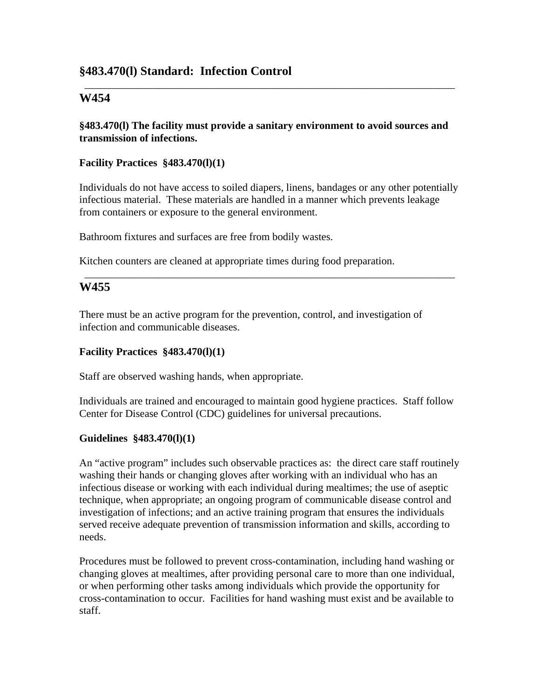# **§483.470(l) Standard: Infection Control**

#### **W454**

#### **§483.470(l) The facility must provide a sanitary environment to avoid sources and transmission of infections.**

\_\_\_\_\_\_\_\_\_\_\_\_\_\_\_\_\_\_\_\_\_\_\_\_\_\_\_\_\_\_\_\_\_\_\_\_\_\_\_\_\_\_\_\_\_\_\_\_\_\_\_\_\_\_\_\_\_\_\_\_\_\_\_\_\_\_\_\_\_\_

#### **Facility Practices §483.470(l)(1)**

Individuals do not have access to soiled diapers, linens, bandages or any other potentially infectious material. These materials are handled in a manner which prevents leakage from containers or exposure to the general environment.

\_\_\_\_\_\_\_\_\_\_\_\_\_\_\_\_\_\_\_\_\_\_\_\_\_\_\_\_\_\_\_\_\_\_\_\_\_\_\_\_\_\_\_\_\_\_\_\_\_\_\_\_\_\_\_\_\_\_\_\_\_\_\_\_\_\_\_\_\_\_

Bathroom fixtures and surfaces are free from bodily wastes.

Kitchen counters are cleaned at appropriate times during food preparation.

## **W455**

There must be an active program for the prevention, control, and investigation of infection and communicable diseases.

#### **Facility Practices §483.470(l)(1)**

Staff are observed washing hands, when appropriate.

Individuals are trained and encouraged to maintain good hygiene practices. Staff follow Center for Disease Control (CDC) guidelines for universal precautions.

#### **Guidelines §483.470(l)(1)**

An "active program" includes such observable practices as: the direct care staff routinely washing their hands or changing gloves after working with an individual who has an infectious disease or working with each individual during mealtimes; the use of aseptic technique, when appropriate; an ongoing program of communicable disease control and investigation of infections; and an active training program that ensures the individuals served receive adequate prevention of transmission information and skills, according to needs.

Procedures must be followed to prevent cross-contamination, including hand washing or changing gloves at mealtimes, after providing personal care to more than one individual, or when performing other tasks among individuals which provide the opportunity for cross-contamination to occur. Facilities for hand washing must exist and be available to staff.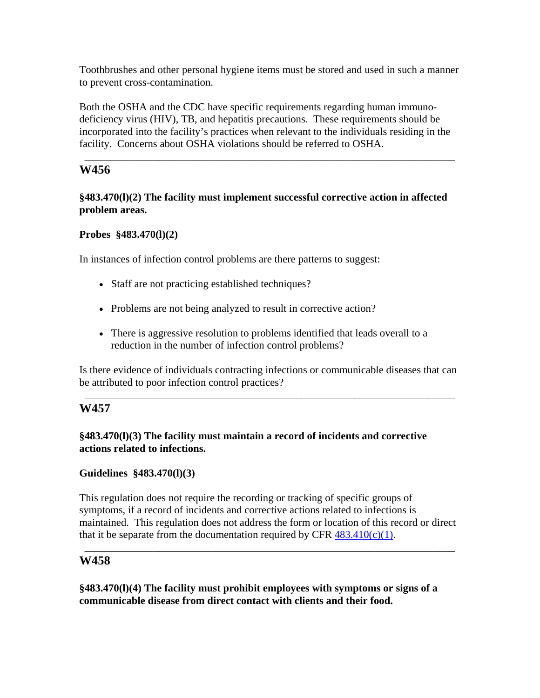Toothbrushes and other personal hygiene items must be stored and used in such a manner to prevent cross-contamination.

Both the OSHA and the CDC have specific requirements regarding human immunodeficiency virus (HIV), TB, and hepatitis precautions. These requirements should be incorporated into the facility's practices when relevant to the individuals residing in the facility. Concerns about OSHA violations should be referred to OSHA.

\_\_\_\_\_\_\_\_\_\_\_\_\_\_\_\_\_\_\_\_\_\_\_\_\_\_\_\_\_\_\_\_\_\_\_\_\_\_\_\_\_\_\_\_\_\_\_\_\_\_\_\_\_\_\_\_\_\_\_\_\_\_\_\_\_\_\_\_\_\_

# **W456**

## **§483.470(l)(2) The facility must implement successful corrective action in affected problem areas.**

## **Probes §483.470(l)(2)**

In instances of infection control problems are there patterns to suggest:

- Staff are not practicing established techniques?
- Problems are not being analyzed to result in corrective action?
- There is aggressive resolution to problems identified that leads overall to a reduction in the number of infection control problems?

Is there evidence of individuals contracting infections or communicable diseases that can be attributed to poor infection control practices?

\_\_\_\_\_\_\_\_\_\_\_\_\_\_\_\_\_\_\_\_\_\_\_\_\_\_\_\_\_\_\_\_\_\_\_\_\_\_\_\_\_\_\_\_\_\_\_\_\_\_\_\_\_\_\_\_\_\_\_\_\_\_\_\_\_\_\_\_\_\_

# **W457**

## **§483.470(l)(3) The facility must maintain a record of incidents and corrective actions related to infections.**

## **Guidelines §483.470(l)(3)**

This regulation does not require the recording or tracking of specific groups of symptoms, if a record of incidents and corrective actions related to infections is maintained. This regulation does not address the form or location of this record or direct that it be separate from the documentation required by CFR  $483.410(c)(1)$ .

\_\_\_\_\_\_\_\_\_\_\_\_\_\_\_\_\_\_\_\_\_\_\_\_\_\_\_\_\_\_\_\_\_\_\_\_\_\_\_\_\_\_\_\_\_\_\_\_\_\_\_\_\_\_\_\_\_\_\_\_\_\_\_\_\_\_\_\_\_\_

# **W458**

**§483.470(l)(4) The facility must prohibit employees with symptoms or signs of a communicable disease from direct contact with clients and their food.**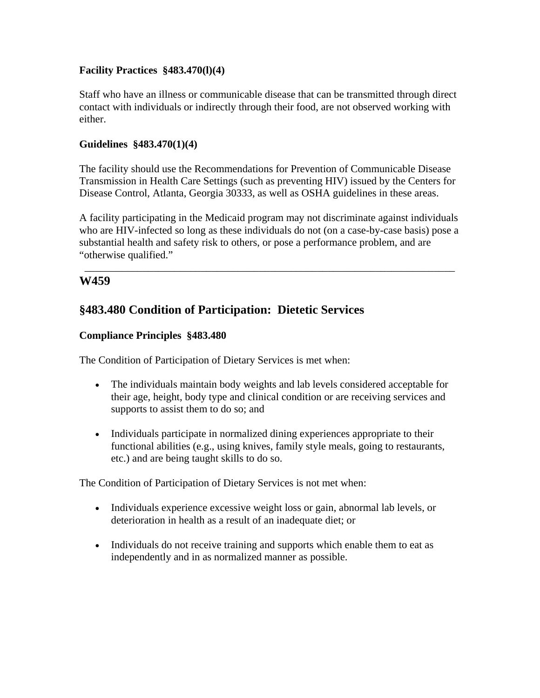## **Facility Practices §483.470(l)(4)**

Staff who have an illness or communicable disease that can be transmitted through direct contact with individuals or indirectly through their food, are not observed working with either.

## **Guidelines §483.470(1)(4)**

The facility should use the Recommendations for Prevention of Communicable Disease Transmission in Health Care Settings (such as preventing HIV) issued by the Centers for Disease Control, Atlanta, Georgia 30333, as well as OSHA guidelines in these areas.

A facility participating in the Medicaid program may not discriminate against individuals who are HIV-infected so long as these individuals do not (on a case-by-case basis) pose a substantial health and safety risk to others, or pose a performance problem, and are "otherwise qualified."

\_\_\_\_\_\_\_\_\_\_\_\_\_\_\_\_\_\_\_\_\_\_\_\_\_\_\_\_\_\_\_\_\_\_\_\_\_\_\_\_\_\_\_\_\_\_\_\_\_\_\_\_\_\_\_\_\_\_\_\_\_\_\_\_\_\_\_\_\_\_

# **W459**

# **§483.480 Condition of Participation: Dietetic Services**

## **Compliance Principles §483.480**

The Condition of Participation of Dietary Services is met when:

- The individuals maintain body weights and lab levels considered acceptable for their age, height, body type and clinical condition or are receiving services and supports to assist them to do so; and
- Individuals participate in normalized dining experiences appropriate to their functional abilities (e.g., using knives, family style meals, going to restaurants, etc.) and are being taught skills to do so.

The Condition of Participation of Dietary Services is not met when:

- Individuals experience excessive weight loss or gain, abnormal lab levels, or deterioration in health as a result of an inadequate diet; or
- Individuals do not receive training and supports which enable them to eat as independently and in as normalized manner as possible.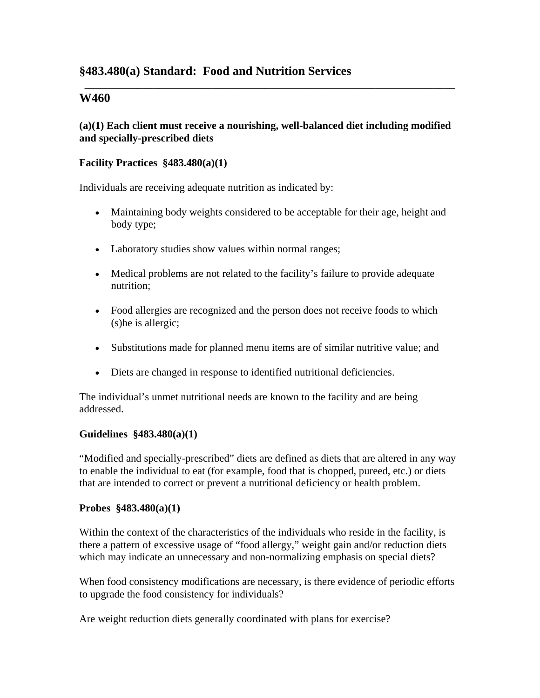# **§483.480(a) Standard: Food and Nutrition Services**

## **W460**

#### **(a)(1) Each client must receive a nourishing, well-balanced diet including modified and specially-prescribed diets**

\_\_\_\_\_\_\_\_\_\_\_\_\_\_\_\_\_\_\_\_\_\_\_\_\_\_\_\_\_\_\_\_\_\_\_\_\_\_\_\_\_\_\_\_\_\_\_\_\_\_\_\_\_\_\_\_\_\_\_\_\_\_\_\_\_\_\_\_\_\_

#### **Facility Practices §483.480(a)(1)**

Individuals are receiving adequate nutrition as indicated by:

- Maintaining body weights considered to be acceptable for their age, height and body type;
- Laboratory studies show values within normal ranges;
- Medical problems are not related to the facility's failure to provide adequate nutrition;
- Food allergies are recognized and the person does not receive foods to which (s)he is allergic;
- Substitutions made for planned menu items are of similar nutritive value; and
- Diets are changed in response to identified nutritional deficiencies.

The individual's unmet nutritional needs are known to the facility and are being addressed.

#### **Guidelines §483.480(a)(1)**

"Modified and specially-prescribed" diets are defined as diets that are altered in any way to enable the individual to eat (for example, food that is chopped, pureed, etc.) or diets that are intended to correct or prevent a nutritional deficiency or health problem.

#### **Probes §483.480(a)(1)**

Within the context of the characteristics of the individuals who reside in the facility, is there a pattern of excessive usage of "food allergy," weight gain and/or reduction diets which may indicate an unnecessary and non-normalizing emphasis on special diets?

When food consistency modifications are necessary, is there evidence of periodic efforts to upgrade the food consistency for individuals?

Are weight reduction diets generally coordinated with plans for exercise?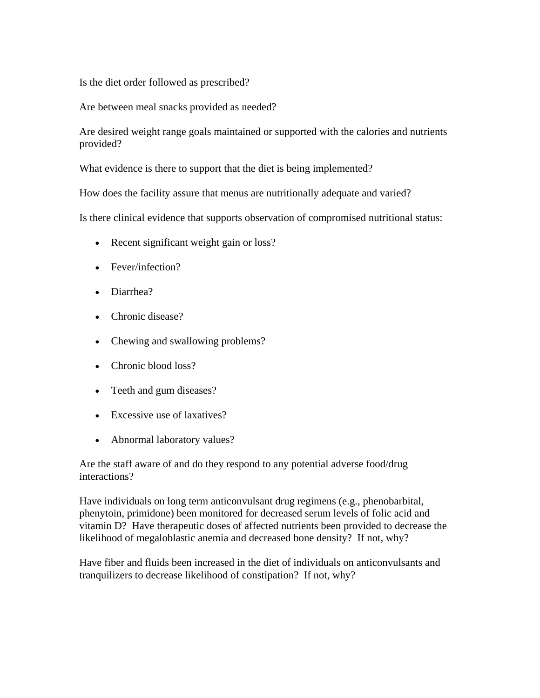Is the diet order followed as prescribed?

Are between meal snacks provided as needed?

Are desired weight range goals maintained or supported with the calories and nutrients provided?

What evidence is there to support that the diet is being implemented?

How does the facility assure that menus are nutritionally adequate and varied?

Is there clinical evidence that supports observation of compromised nutritional status:

- Recent significant weight gain or loss?
- Fever/infection?
- Diarrhea?
- Chronic disease?
- Chewing and swallowing problems?
- Chronic blood loss?
- Teeth and gum diseases?
- Excessive use of laxatives?
- Abnormal laboratory values?

Are the staff aware of and do they respond to any potential adverse food/drug interactions?

Have individuals on long term anticonvulsant drug regimens (e.g., phenobarbital, phenytoin, primidone) been monitored for decreased serum levels of folic acid and vitamin D? Have therapeutic doses of affected nutrients been provided to decrease the likelihood of megaloblastic anemia and decreased bone density? If not, why?

Have fiber and fluids been increased in the diet of individuals on anticonvulsants and tranquilizers to decrease likelihood of constipation? If not, why?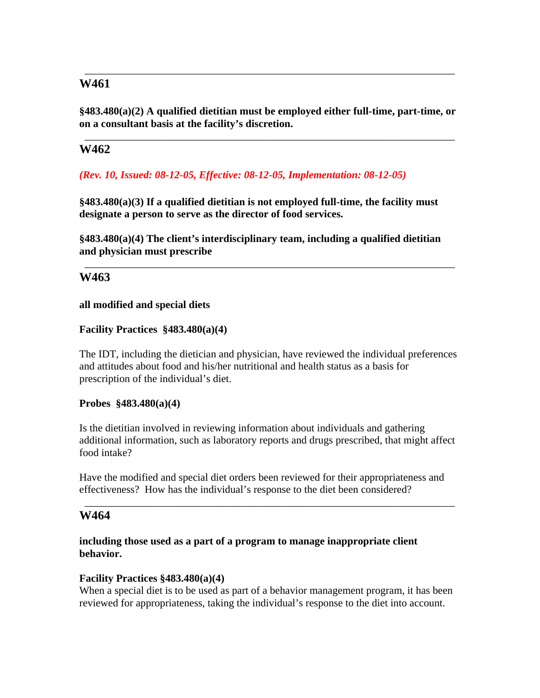# **W461**

**§483.480(a)(2) A qualified dietitian must be employed either full-time, part-time, or on a consultant basis at the facility's discretion.** 

\_\_\_\_\_\_\_\_\_\_\_\_\_\_\_\_\_\_\_\_\_\_\_\_\_\_\_\_\_\_\_\_\_\_\_\_\_\_\_\_\_\_\_\_\_\_\_\_\_\_\_\_\_\_\_\_\_\_\_\_\_\_\_\_\_\_\_\_\_\_

\_\_\_\_\_\_\_\_\_\_\_\_\_\_\_\_\_\_\_\_\_\_\_\_\_\_\_\_\_\_\_\_\_\_\_\_\_\_\_\_\_\_\_\_\_\_\_\_\_\_\_\_\_\_\_\_\_\_\_\_\_\_\_\_\_\_\_\_\_\_

# **W462**

*(Rev. 10, Issued: 08-12-05, Effective: 08-12-05, Implementation: 08-12-05)* 

**§483.480(a)(3) If a qualified dietitian is not employed full-time, the facility must designate a person to serve as the director of food services.** 

**§483.480(a)(4) The client's interdisciplinary team, including a qualified dietitian and physician must prescribe** 

\_\_\_\_\_\_\_\_\_\_\_\_\_\_\_\_\_\_\_\_\_\_\_\_\_\_\_\_\_\_\_\_\_\_\_\_\_\_\_\_\_\_\_\_\_\_\_\_\_\_\_\_\_\_\_\_\_\_\_\_\_\_\_\_\_\_\_\_\_\_

## **W463**

**all modified and special diets** 

#### **Facility Practices §483.480(a)(4)**

The IDT, including the dietician and physician, have reviewed the individual preferences and attitudes about food and his/her nutritional and health status as a basis for prescription of the individual's diet.

#### **Probes §483.480(a)(4)**

Is the dietitian involved in reviewing information about individuals and gathering additional information, such as laboratory reports and drugs prescribed, that might affect food intake?

Have the modified and special diet orders been reviewed for their appropriateness and effectiveness? How has the individual's response to the diet been considered?

\_\_\_\_\_\_\_\_\_\_\_\_\_\_\_\_\_\_\_\_\_\_\_\_\_\_\_\_\_\_\_\_\_\_\_\_\_\_\_\_\_\_\_\_\_\_\_\_\_\_\_\_\_\_\_\_\_\_\_\_\_\_\_\_\_\_\_\_\_\_

## **W464**

#### **including those used as a part of a program to manage inappropriate client behavior.**

#### **Facility Practices §483.480(a)(4)**

When a special diet is to be used as part of a behavior management program, it has been reviewed for appropriateness, taking the individual's response to the diet into account.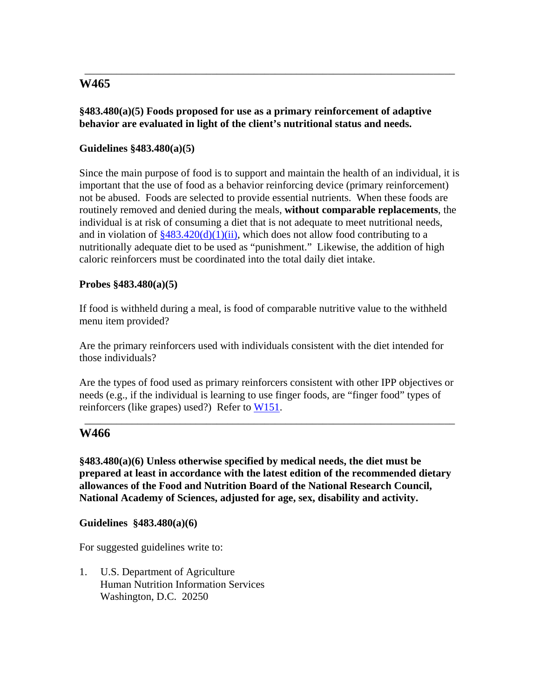# **W465**

## **§483.480(a)(5) Foods proposed for use as a primary reinforcement of adaptive behavior are evaluated in light of the client's nutritional status and needs.**

\_\_\_\_\_\_\_\_\_\_\_\_\_\_\_\_\_\_\_\_\_\_\_\_\_\_\_\_\_\_\_\_\_\_\_\_\_\_\_\_\_\_\_\_\_\_\_\_\_\_\_\_\_\_\_\_\_\_\_\_\_\_\_\_\_\_\_\_\_\_

## **Guidelines §483.480(a)(5)**

Since the main purpose of food is to support and maintain the health of an individual, it is important that the use of food as a behavior reinforcing device (primary reinforcement) not be abused. Foods are selected to provide essential nutrients. When these foods are routinely removed and denied during the meals, **without comparable replacements**, the individual is at risk of consuming a diet that is not adequate to meet nutritional needs, and in violation of  $\frac{$483.420(d)(1)(ii)}{4}$ , which does not allow food contributing to a nutritionally adequate diet to be used as "punishment." Likewise, the addition of high caloric reinforcers must be coordinated into the total daily diet intake.

### **Probes §483.480(a)(5)**

If food is withheld during a meal, is food of comparable nutritive value to the withheld menu item provided?

Are the primary reinforcers used with individuals consistent with the diet intended for those individuals?

Are the types of food used as primary reinforcers consistent with other IPP objectives or needs (e.g., if the individual is learning to use finger foods, are "finger food" types of reinforcers (like grapes) used?) Refer to W151.

\_\_\_\_\_\_\_\_\_\_\_\_\_\_\_\_\_\_\_\_\_\_\_\_\_\_\_\_\_\_\_\_\_\_\_\_\_\_\_\_\_\_\_\_\_\_\_\_\_\_\_\_\_\_\_\_\_\_\_\_\_\_\_\_\_\_\_\_\_\_

## **W466**

**§483.480(a)(6) Unless otherwise specified by medical needs, the diet must be prepared at least in accordance with the latest edition of the recommended dietary allowances of the Food and Nutrition Board of the National Research Council, National Academy of Sciences, adjusted for age, sex, disability and activity.** 

**Guidelines §483.480(a)(6)** 

For suggested guidelines write to:

1. U.S. Department of Agriculture Human Nutrition Information Services Washington, D.C. 20250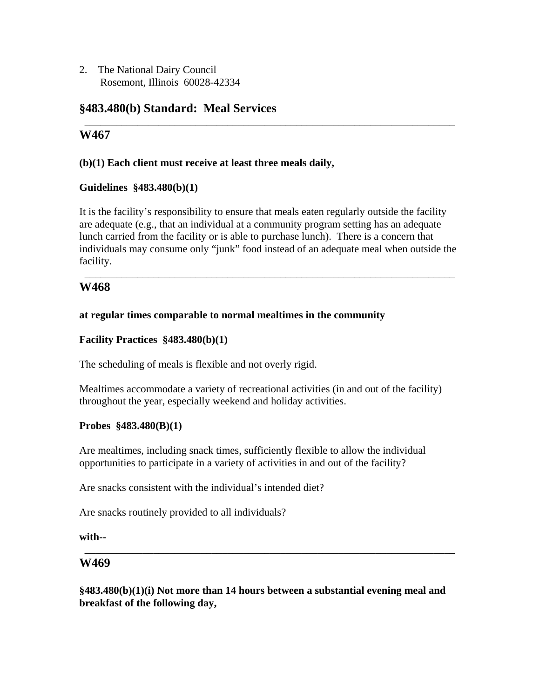2. The National Dairy Council Rosemont, Illinois 60028-42334

# **§483.480(b) Standard: Meal Services**

# **W467**

## **(b)(1) Each client must receive at least three meals daily,**

## **Guidelines §483.480(b)(1)**

It is the facility's responsibility to ensure that meals eaten regularly outside the facility are adequate (e.g., that an individual at a community program setting has an adequate lunch carried from the facility or is able to purchase lunch). There is a concern that individuals may consume only "junk" food instead of an adequate meal when outside the facility.

\_\_\_\_\_\_\_\_\_\_\_\_\_\_\_\_\_\_\_\_\_\_\_\_\_\_\_\_\_\_\_\_\_\_\_\_\_\_\_\_\_\_\_\_\_\_\_\_\_\_\_\_\_\_\_\_\_\_\_\_\_\_\_\_\_\_\_\_\_\_

\_\_\_\_\_\_\_\_\_\_\_\_\_\_\_\_\_\_\_\_\_\_\_\_\_\_\_\_\_\_\_\_\_\_\_\_\_\_\_\_\_\_\_\_\_\_\_\_\_\_\_\_\_\_\_\_\_\_\_\_\_\_\_\_\_\_\_\_\_\_

# **W468**

## **at regular times comparable to normal mealtimes in the community**

## **Facility Practices §483.480(b)(1)**

The scheduling of meals is flexible and not overly rigid.

Mealtimes accommodate a variety of recreational activities (in and out of the facility) throughout the year, especially weekend and holiday activities.

## **Probes §483.480(B)(1)**

Are mealtimes, including snack times, sufficiently flexible to allow the individual opportunities to participate in a variety of activities in and out of the facility?

Are snacks consistent with the individual's intended diet?

Are snacks routinely provided to all individuals?

**with--** 

## **W469**

**§483.480(b)(1)(i) Not more than 14 hours between a substantial evening meal and breakfast of the following day,** 

\_\_\_\_\_\_\_\_\_\_\_\_\_\_\_\_\_\_\_\_\_\_\_\_\_\_\_\_\_\_\_\_\_\_\_\_\_\_\_\_\_\_\_\_\_\_\_\_\_\_\_\_\_\_\_\_\_\_\_\_\_\_\_\_\_\_\_\_\_\_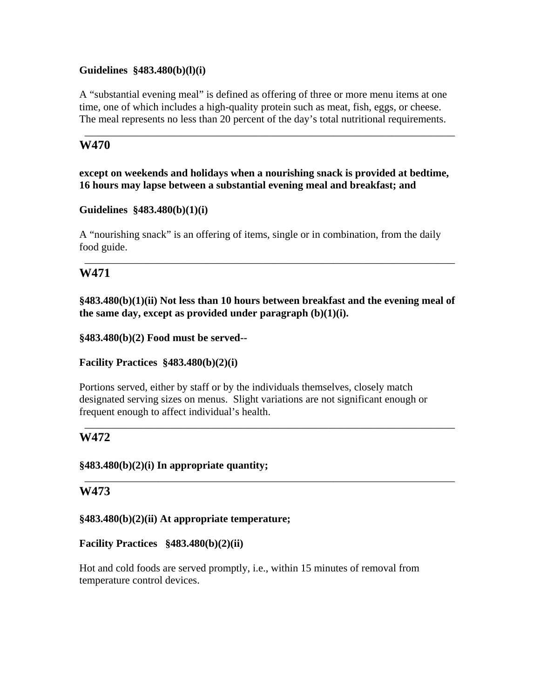## **Guidelines §483.480(b)(l)(i)**

A "substantial evening meal" is defined as offering of three or more menu items at one time, one of which includes a high-quality protein such as meat, fish, eggs, or cheese. The meal represents no less than 20 percent of the day's total nutritional requirements.

\_\_\_\_\_\_\_\_\_\_\_\_\_\_\_\_\_\_\_\_\_\_\_\_\_\_\_\_\_\_\_\_\_\_\_\_\_\_\_\_\_\_\_\_\_\_\_\_\_\_\_\_\_\_\_\_\_\_\_\_\_\_\_\_\_\_\_\_\_\_

## **W470**

**except on weekends and holidays when a nourishing snack is provided at bedtime, 16 hours may lapse between a substantial evening meal and breakfast; and** 

### **Guidelines §483.480(b)(1)(i)**

A "nourishing snack" is an offering of items, single or in combination, from the daily food guide.

# **W471**

**§483.480(b)(1)(ii) Not less than 10 hours between breakfast and the evening meal of the same day, except as provided under paragraph (b)(1)(i).** 

\_\_\_\_\_\_\_\_\_\_\_\_\_\_\_\_\_\_\_\_\_\_\_\_\_\_\_\_\_\_\_\_\_\_\_\_\_\_\_\_\_\_\_\_\_\_\_\_\_\_\_\_\_\_\_\_\_\_\_\_\_\_\_\_\_\_\_\_\_\_

**§483.480(b)(2) Food must be served--** 

**Facility Practices §483.480(b)(2)(i)** 

Portions served, either by staff or by the individuals themselves, closely match designated serving sizes on menus. Slight variations are not significant enough or frequent enough to affect individual's health.

\_\_\_\_\_\_\_\_\_\_\_\_\_\_\_\_\_\_\_\_\_\_\_\_\_\_\_\_\_\_\_\_\_\_\_\_\_\_\_\_\_\_\_\_\_\_\_\_\_\_\_\_\_\_\_\_\_\_\_\_\_\_\_\_\_\_\_\_\_\_

\_\_\_\_\_\_\_\_\_\_\_\_\_\_\_\_\_\_\_\_\_\_\_\_\_\_\_\_\_\_\_\_\_\_\_\_\_\_\_\_\_\_\_\_\_\_\_\_\_\_\_\_\_\_\_\_\_\_\_\_\_\_\_\_\_\_\_\_\_\_

# **W472**

## **§483.480(b)(2)(i) In appropriate quantity;**

## **W473**

## **§483.480(b)(2)(ii) At appropriate temperature;**

## **Facility Practices §483.480(b)(2)(ii)**

Hot and cold foods are served promptly, i.e., within 15 minutes of removal from temperature control devices.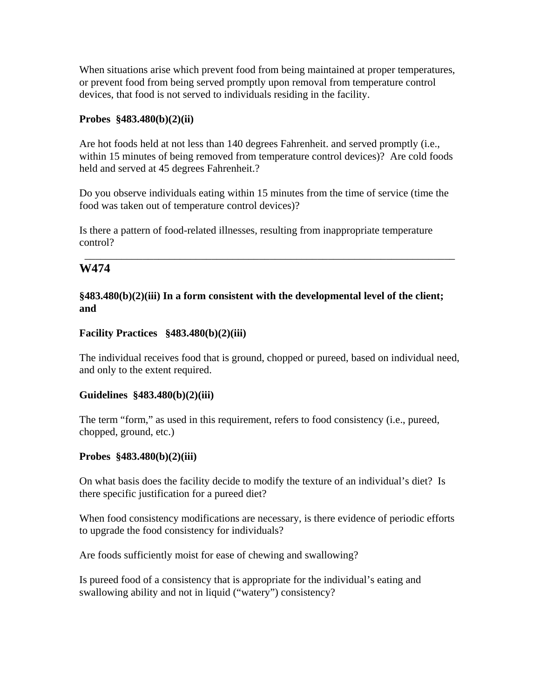When situations arise which prevent food from being maintained at proper temperatures, or prevent food from being served promptly upon removal from temperature control devices, that food is not served to individuals residing in the facility.

### **Probes §483.480(b)(2)(ii)**

Are hot foods held at not less than 140 degrees Fahrenheit. and served promptly (i.e., within 15 minutes of being removed from temperature control devices)? Are cold foods held and served at 45 degrees Fahrenheit.?

Do you observe individuals eating within 15 minutes from the time of service (time the food was taken out of temperature control devices)?

\_\_\_\_\_\_\_\_\_\_\_\_\_\_\_\_\_\_\_\_\_\_\_\_\_\_\_\_\_\_\_\_\_\_\_\_\_\_\_\_\_\_\_\_\_\_\_\_\_\_\_\_\_\_\_\_\_\_\_\_\_\_\_\_\_\_\_\_\_\_

Is there a pattern of food-related illnesses, resulting from inappropriate temperature control?

# **W474**

## **§483.480(b)(2)(iii) In a form consistent with the developmental level of the client; and**

### **Facility Practices §483.480(b)(2)(iii)**

The individual receives food that is ground, chopped or pureed, based on individual need, and only to the extent required.

### **Guidelines §483.480(b)(2)(iii)**

The term "form," as used in this requirement, refers to food consistency (i.e., pureed, chopped, ground, etc.)

### **Probes §483.480(b)(2)(iii)**

On what basis does the facility decide to modify the texture of an individual's diet? Is there specific justification for a pureed diet?

When food consistency modifications are necessary, is there evidence of periodic efforts to upgrade the food consistency for individuals?

Are foods sufficiently moist for ease of chewing and swallowing?

Is pureed food of a consistency that is appropriate for the individual's eating and swallowing ability and not in liquid ("watery") consistency?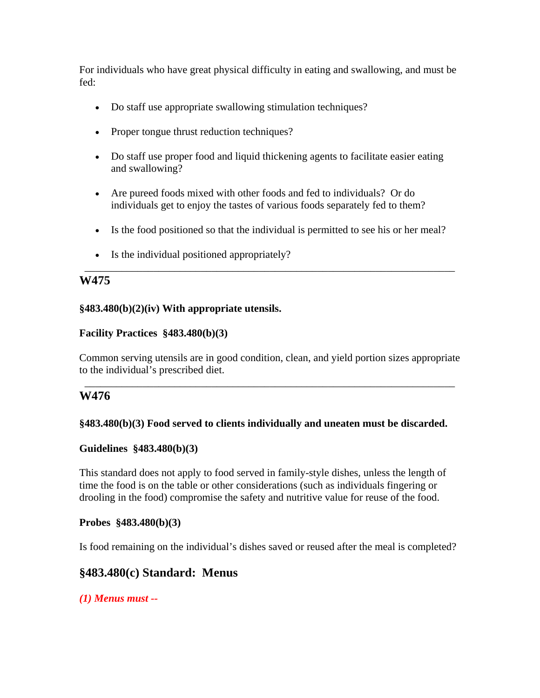For individuals who have great physical difficulty in eating and swallowing, and must be fed:

- Do staff use appropriate swallowing stimulation techniques?
- Proper tongue thrust reduction techniques?
- Do staff use proper food and liquid thickening agents to facilitate easier eating and swallowing?
- Are pureed foods mixed with other foods and fed to individuals? Or do individuals get to enjoy the tastes of various foods separately fed to them?
- Is the food positioned so that the individual is permitted to see his or her meal?

\_\_\_\_\_\_\_\_\_\_\_\_\_\_\_\_\_\_\_\_\_\_\_\_\_\_\_\_\_\_\_\_\_\_\_\_\_\_\_\_\_\_\_\_\_\_\_\_\_\_\_\_\_\_\_\_\_\_\_\_\_\_\_\_\_\_\_\_\_\_

• Is the individual positioned appropriately?

# **W475**

### **§483.480(b)(2)(iv) With appropriate utensils.**

### **Facility Practices §483.480(b)(3)**

Common serving utensils are in good condition, clean, and yield portion sizes appropriate to the individual's prescribed diet.

\_\_\_\_\_\_\_\_\_\_\_\_\_\_\_\_\_\_\_\_\_\_\_\_\_\_\_\_\_\_\_\_\_\_\_\_\_\_\_\_\_\_\_\_\_\_\_\_\_\_\_\_\_\_\_\_\_\_\_\_\_\_\_\_\_\_\_\_\_\_

## **W476**

## **§483.480(b)(3) Food served to clients individually and uneaten must be discarded.**

### **Guidelines §483.480(b)(3)**

This standard does not apply to food served in family-style dishes, unless the length of time the food is on the table or other considerations (such as individuals fingering or drooling in the food) compromise the safety and nutritive value for reuse of the food.

### **Probes §483.480(b)(3)**

Is food remaining on the individual's dishes saved or reused after the meal is completed?

# **§483.480(c) Standard: Menus**

*(1) Menus must --*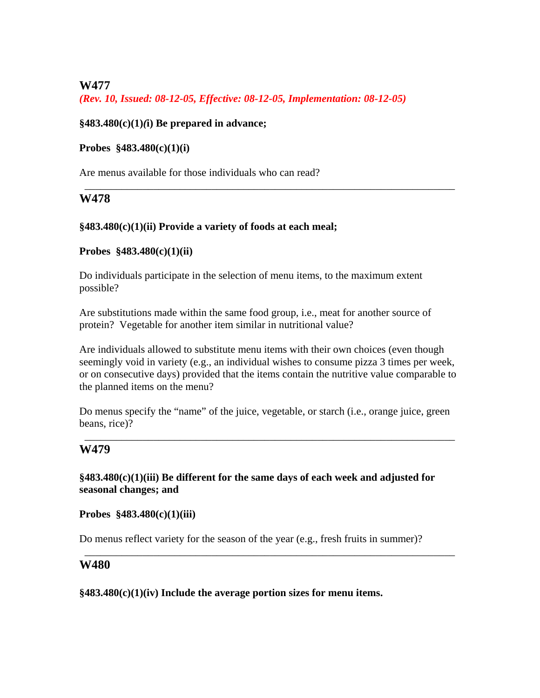**W477** 

*(Rev. 10, Issued: 08-12-05, Effective: 08-12-05, Implementation: 08-12-05)* 

## **§483.480(c)(1)***(***i) Be prepared in advance;**

## **Probes §483.480(c)(1)(i)**

Are menus available for those individuals who can read?

## **W478**

## **§483.480(c)(1)(ii) Provide a variety of foods at each meal;**

### **Probes §483.480(c)(1)(ii)**

Do individuals participate in the selection of menu items, to the maximum extent possible?

\_\_\_\_\_\_\_\_\_\_\_\_\_\_\_\_\_\_\_\_\_\_\_\_\_\_\_\_\_\_\_\_\_\_\_\_\_\_\_\_\_\_\_\_\_\_\_\_\_\_\_\_\_\_\_\_\_\_\_\_\_\_\_\_\_\_\_\_\_\_

Are substitutions made within the same food group, i.e., meat for another source of protein? Vegetable for another item similar in nutritional value?

Are individuals allowed to substitute menu items with their own choices (even though seemingly void in variety (e.g., an individual wishes to consume pizza 3 times per week, or on consecutive days) provided that the items contain the nutritive value comparable to the planned items on the menu?

Do menus specify the "name" of the juice, vegetable, or starch (i.e., orange juice, green beans, rice)?

\_\_\_\_\_\_\_\_\_\_\_\_\_\_\_\_\_\_\_\_\_\_\_\_\_\_\_\_\_\_\_\_\_\_\_\_\_\_\_\_\_\_\_\_\_\_\_\_\_\_\_\_\_\_\_\_\_\_\_\_\_\_\_\_\_\_\_\_\_\_

# **W479**

## **§483.480(c)(1)(iii) Be different for the same days of each week and adjusted for seasonal changes; and**

**Probes §483.480(c)(1)(iii)** 

Do menus reflect variety for the season of the year (e.g., fresh fruits in summer)?

\_\_\_\_\_\_\_\_\_\_\_\_\_\_\_\_\_\_\_\_\_\_\_\_\_\_\_\_\_\_\_\_\_\_\_\_\_\_\_\_\_\_\_\_\_\_\_\_\_\_\_\_\_\_\_\_\_\_\_\_\_\_\_\_\_\_\_\_\_\_

## **W480**

**§483.480(c)(1)(iv) Include the average portion sizes for menu items.**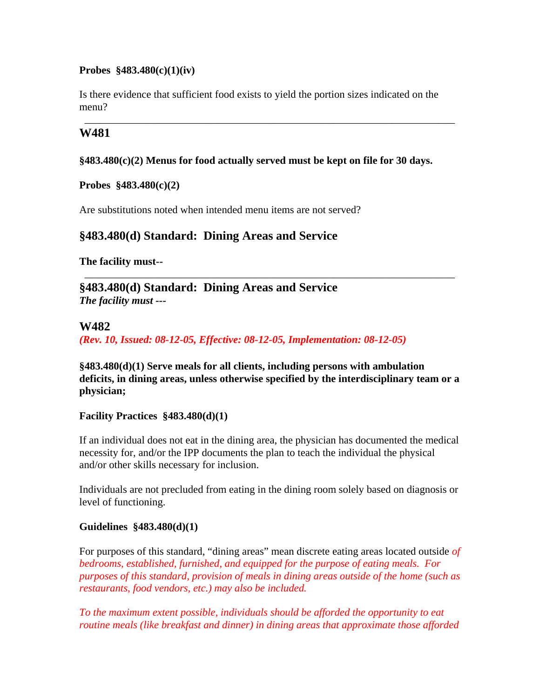## **Probes §483.480(c)(1)(iv)**

Is there evidence that sufficient food exists to yield the portion sizes indicated on the menu?

\_\_\_\_\_\_\_\_\_\_\_\_\_\_\_\_\_\_\_\_\_\_\_\_\_\_\_\_\_\_\_\_\_\_\_\_\_\_\_\_\_\_\_\_\_\_\_\_\_\_\_\_\_\_\_\_\_\_\_\_\_\_\_\_\_\_\_\_\_\_

## **W481**

## **§483.480(c)(2) Menus for food actually served must be kept on file for 30 days.**

**Probes §483.480(c)(2)** 

Are substitutions noted when intended menu items are not served?

# **§483.480(d) Standard: Dining Areas and Service**

**The facility must--** 

**§483.480(d) Standard: Dining Areas and Service**  *The facility must ---* 

## **W482**

*(Rev. 10, Issued: 08-12-05, Effective: 08-12-05, Implementation: 08-12-05)* 

**§483.480(d)(1) Serve meals for all clients, including persons with ambulation deficits, in dining areas, unless otherwise specified by the interdisciplinary team or a physician;** 

\_\_\_\_\_\_\_\_\_\_\_\_\_\_\_\_\_\_\_\_\_\_\_\_\_\_\_\_\_\_\_\_\_\_\_\_\_\_\_\_\_\_\_\_\_\_\_\_\_\_\_\_\_\_\_\_\_\_\_\_\_\_\_\_\_\_\_\_\_\_

## **Facility Practices §483.480(d)(1)**

If an individual does not eat in the dining area, the physician has documented the medical necessity for, and/or the IPP documents the plan to teach the individual the physical and/or other skills necessary for inclusion.

Individuals are not precluded from eating in the dining room solely based on diagnosis or level of functioning.

## **Guidelines §483.480(d)(1)**

For purposes of this standard, "dining areas" mean discrete eating areas located outside *of bedrooms, established, furnished, and equipped for the purpose of eating meals. For purposes of this standard, provision of meals in dining areas outside of the home (such as restaurants, food vendors, etc.) may also be included.* 

*To the maximum extent possible, individuals should be afforded the opportunity to eat routine meals (like breakfast and dinner) in dining areas that approximate those afforded*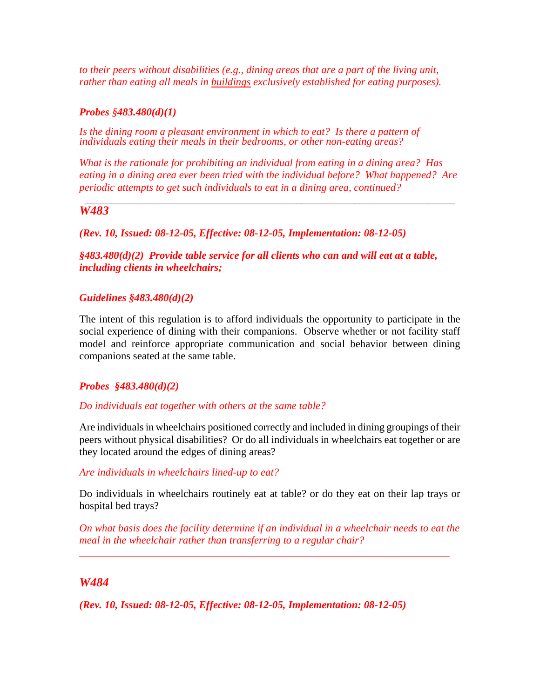*to their peers without disabilities (e.g., dining areas that are a part of the living unit, rather than eating all meals in buildings exclusively established for eating purposes).* 

### *Probes §483.480(d)(1)*

Is the dining room a pleasant environment in which to eat? Is there a pattern of *individuals eating their meals in their bedrooms, or other non-eating areas?* 

*What is the rationale for prohibiting an individual from eating in a dining area? Has eating in a dining area ever been tried with the individual before? What happened? Are periodic attempts to get such individuals to eat in a dining area, continued?* 

#### \_\_\_\_\_\_\_\_\_\_\_\_\_\_\_\_\_\_\_\_\_\_\_\_\_\_\_\_\_\_\_\_\_\_\_\_\_\_\_\_\_\_\_\_\_\_\_\_\_\_\_\_\_\_\_\_\_\_\_\_\_\_\_\_\_\_\_\_\_\_ *W483*

### *(Rev. 10, Issued: 08-12-05, Effective: 08-12-05, Implementation: 08-12-05)*

*§483.480(d)(2) Provide table service for all clients who can and will eat at a table, including clients in wheelchairs;* 

### *Guidelines §483.480(d)(2)*

The intent of this regulation is to afford individuals the opportunity to participate in the social experience of dining with their companions. Observe whether or not facility staff model and reinforce appropriate communication and social behavior between dining companions seated at the same table.

### *Probes §483.480(d)(2)*

*Do individuals eat together with others at the same table?* 

Are individuals in wheelchairs positioned correctly and included in dining groupings of their peers without physical disabilities? Or do all individuals in wheelchairs eat together or are they located around the edges of dining areas?

#### *Are individuals in wheelchairs lined-up to eat?*

Do individuals in wheelchairs routinely eat at table? or do they eat on their lap trays or hospital bed trays?

*On what basis does the facility determine if an individual in a wheelchair needs to eat the meal in the wheelchair rather than transferring to a regular chair?* 

\_\_\_\_\_\_\_\_\_\_\_\_\_\_\_\_\_\_\_\_\_\_\_\_\_\_\_\_\_\_\_\_\_\_\_\_\_\_\_\_\_\_\_\_\_\_\_\_\_\_\_\_\_\_\_\_\_\_\_\_\_\_\_\_\_\_\_\_\_\_

### *W484*

*(Rev. 10, Issued: 08-12-05, Effective: 08-12-05, Implementation: 08-12-05)*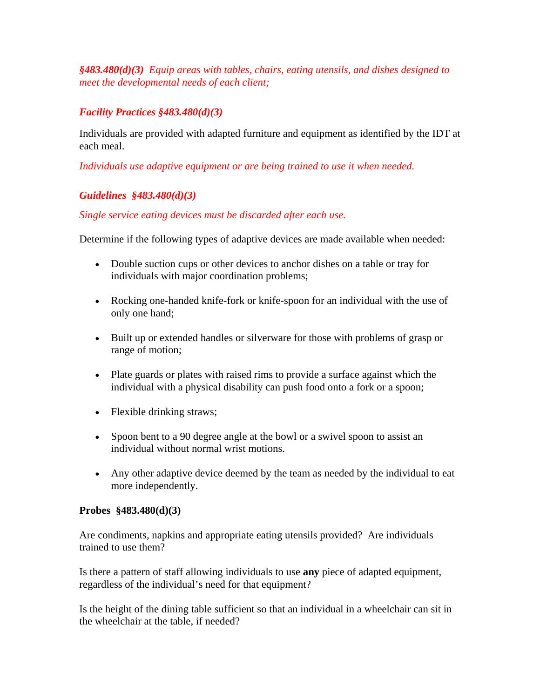*§483.480(d)(3) Equip areas with tables, chairs, eating utensils, and dishes designed to meet the developmental needs of each client;* 

# *Facility Practices §483.480(d)(3)*

Individuals are provided with adapted furniture and equipment as identified by the IDT at each meal.

*Individuals use adaptive equipment or are being trained to use it when needed.* 

# *Guidelines §483.480(d)(3)*

## *Single service eating devices must be discarded after each use.*

Determine if the following types of adaptive devices are made available when needed:

- Double suction cups or other devices to anchor dishes on a table or tray for individuals with major coordination problems;
- Rocking one-handed knife-fork or knife-spoon for an individual with the use of only one hand;
- Built up or extended handles or silverware for those with problems of grasp or range of motion;
- Plate guards or plates with raised rims to provide a surface against which the individual with a physical disability can push food onto a fork or a spoon;
- Flexible drinking straws;
- Spoon bent to a 90 degree angle at the bowl or a swivel spoon to assist an individual without normal wrist motions.
- Any other adaptive device deemed by the team as needed by the individual to eat more independently.

## **Probes §483.480(d)(3)**

Are condiments, napkins and appropriate eating utensils provided? Are individuals trained to use them?

Is there a pattern of staff allowing individuals to use **any** piece of adapted equipment, regardless of the individual's need for that equipment?

Is the height of the dining table sufficient so that an individual in a wheelchair can sit in the wheelchair at the table, if needed?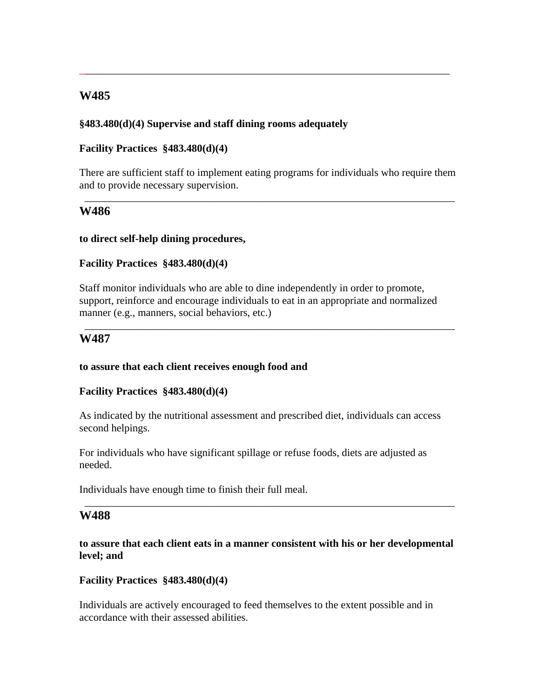## **W485**

### **§483.480(d)(4) Supervise and staff dining rooms adequately**

### **Facility Practices §483.480(d)(4)**

There are sufficient staff to implement eating programs for individuals who require them and to provide necessary supervision.

\_\_\_\_\_\_\_\_\_\_\_\_\_\_\_\_\_\_\_\_\_\_\_\_\_\_\_\_\_\_\_\_\_\_\_\_\_\_\_\_\_\_\_\_\_\_\_\_\_\_\_\_\_\_\_\_\_\_\_\_\_\_\_\_\_\_\_\_\_\_

\_\_\_\_\_\_\_\_\_\_\_\_\_\_\_\_\_\_\_\_\_\_\_\_\_\_\_\_\_\_\_\_\_\_\_\_\_\_\_\_\_\_\_\_\_\_\_\_\_\_\_\_\_\_\_\_\_\_\_\_\_\_\_\_\_\_\_\_\_\_

### **W486**

#### **to direct self-help dining procedures,**

#### **Facility Practices §483.480(d)(4)**

Staff monitor individuals who are able to dine independently in order to promote, support, reinforce and encourage individuals to eat in an appropriate and normalized manner (e.g., manners, social behaviors, etc.)

\_\_\_\_\_\_\_\_\_\_\_\_\_\_\_\_\_\_\_\_\_\_\_\_\_\_\_\_\_\_\_\_\_\_\_\_\_\_\_\_\_\_\_\_\_\_\_\_\_\_\_\_\_\_\_\_\_\_\_\_\_\_\_\_\_\_\_\_\_\_

### **W487**

#### **to assure that each client receives enough food and**

#### **Facility Practices §483.480(d)(4)**

As indicated by the nutritional assessment and prescribed diet, individuals can access second helpings.

For individuals who have significant spillage or refuse foods, diets are adjusted as needed.

Individuals have enough time to finish their full meal.

### **W488**

**to assure that each client eats in a manner consistent with his or her developmental level; and** 

\_\_\_\_\_\_\_\_\_\_\_\_\_\_\_\_\_\_\_\_\_\_\_\_\_\_\_\_\_\_\_\_\_\_\_\_\_\_\_\_\_\_\_\_\_\_\_\_\_\_\_\_\_\_\_\_\_\_\_\_\_\_\_\_\_\_\_\_\_\_

#### **Facility Practices §483.480(d)(4)**

Individuals are actively encouraged to feed themselves to the extent possible and in accordance with their assessed abilities.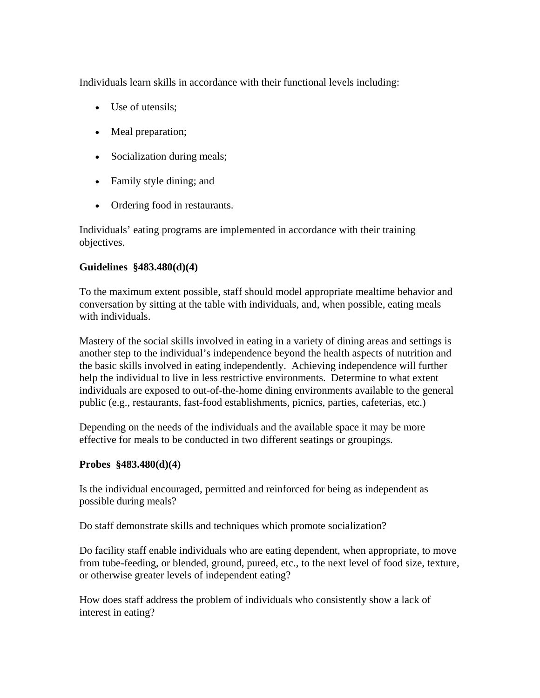Individuals learn skills in accordance with their functional levels including:

- Use of utensils;
- Meal preparation;
- Socialization during meals;
- Family style dining; and
- Ordering food in restaurants.

Individuals' eating programs are implemented in accordance with their training objectives.

### **Guidelines §483.480(d)(4)**

To the maximum extent possible, staff should model appropriate mealtime behavior and conversation by sitting at the table with individuals, and, when possible, eating meals with individuals.

Mastery of the social skills involved in eating in a variety of dining areas and settings is another step to the individual's independence beyond the health aspects of nutrition and the basic skills involved in eating independently. Achieving independence will further help the individual to live in less restrictive environments. Determine to what extent individuals are exposed to out-of-the-home dining environments available to the general public (e.g., restaurants, fast-food establishments, picnics, parties, cafeterias, etc.)

Depending on the needs of the individuals and the available space it may be more effective for meals to be conducted in two different seatings or groupings.

### **Probes §483.480(d)(4)**

Is the individual encouraged, permitted and reinforced for being as independent as possible during meals?

Do staff demonstrate skills and techniques which promote socialization?

Do facility staff enable individuals who are eating dependent, when appropriate, to move from tube-feeding, or blended, ground, pureed, etc., to the next level of food size, texture, or otherwise greater levels of independent eating?

How does staff address the problem of individuals who consistently show a lack of interest in eating?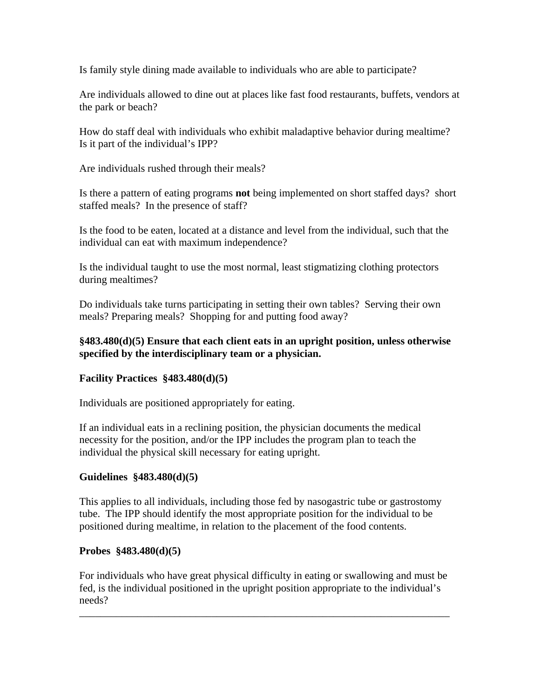Is family style dining made available to individuals who are able to participate?

Are individuals allowed to dine out at places like fast food restaurants, buffets, vendors at the park or beach?

How do staff deal with individuals who exhibit maladaptive behavior during mealtime? Is it part of the individual's IPP?

Are individuals rushed through their meals?

Is there a pattern of eating programs **not** being implemented on short staffed days? short staffed meals? In the presence of staff?

Is the food to be eaten, located at a distance and level from the individual, such that the individual can eat with maximum independence?

Is the individual taught to use the most normal, least stigmatizing clothing protectors during mealtimes?

Do individuals take turns participating in setting their own tables? Serving their own meals? Preparing meals? Shopping for and putting food away?

### **§483.480(d)(5) Ensure that each client eats in an upright position, unless otherwise specified by the interdisciplinary team or a physician.**

## **Facility Practices §483.480(d)(5)**

Individuals are positioned appropriately for eating.

If an individual eats in a reclining position, the physician documents the medical necessity for the position, and/or the IPP includes the program plan to teach the individual the physical skill necessary for eating upright.

### **Guidelines §483.480(d)(5)**

This applies to all individuals, including those fed by nasogastric tube or gastrostomy tube. The IPP should identify the most appropriate position for the individual to be positioned during mealtime, in relation to the placement of the food contents.

### **Probes §483.480(d)(5)**

For individuals who have great physical difficulty in eating or swallowing and must be fed, is the individual positioned in the upright position appropriate to the individual's needs?

\_\_\_\_\_\_\_\_\_\_\_\_\_\_\_\_\_\_\_\_\_\_\_\_\_\_\_\_\_\_\_\_\_\_\_\_\_\_\_\_\_\_\_\_\_\_\_\_\_\_\_\_\_\_\_\_\_\_\_\_\_\_\_\_\_\_\_\_\_\_